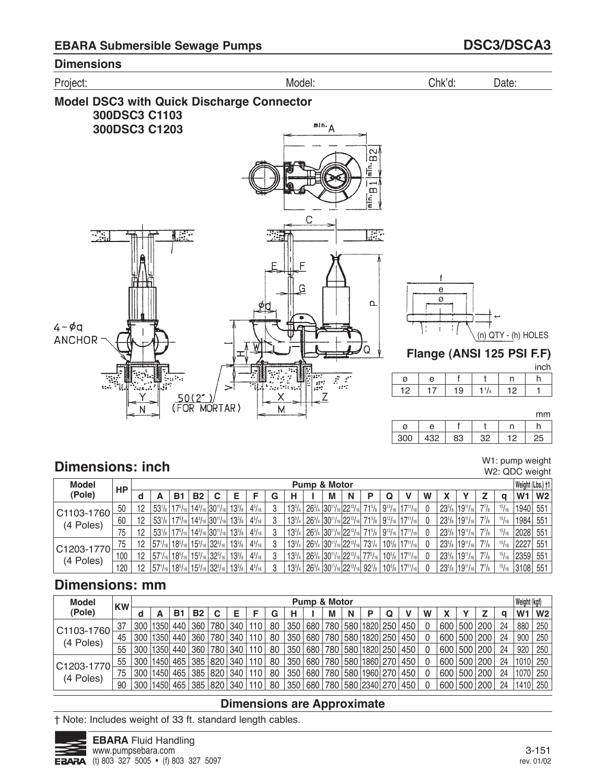

# **Dimensions: inch** W1:◯pump weight W1:◯pump weight W1:◯pump weight W1:◯pump weight

W2: QDC weight

| <b>Model</b> | НP  |    |                                                                        |                                                 |           |                                                                 |               |               |   |   | <b>Pump &amp; Motor</b>                                                                                                                               |   |            |   |                                                                                                                                                                                                                            |   |                     |                                                |              |       | Weight (Lbs.) +1    |  |
|--------------|-----|----|------------------------------------------------------------------------|-------------------------------------------------|-----------|-----------------------------------------------------------------|---------------|---------------|---|---|-------------------------------------------------------------------------------------------------------------------------------------------------------|---|------------|---|----------------------------------------------------------------------------------------------------------------------------------------------------------------------------------------------------------------------------|---|---------------------|------------------------------------------------|--------------|-------|---------------------|--|
| (Pole)       |     |    | А                                                                      | в                                               | <b>B2</b> | C                                                               | Е             |               | G | н | М                                                                                                                                                     | N | P          | Q |                                                                                                                                                                                                                            | W |                     |                                                |              | a     | $W1$ W <sub>2</sub> |  |
| C1103-1760   | 50  | 12 |                                                                        | $53^{1}/_8$   17 <sup>5</sup> / <sub>16</sub>   |           | $ 14^{3}/_{16} 30^{11}/_{16} $                                  | $13^{3}/_{8}$ | $4^{5}/_{16}$ |   |   |                                                                                                                                                       |   |            |   | $13^{3}/_{4}$   26 <sup>3</sup> / <sub>4</sub>   30 <sup>11</sup> / <sub>16</sub>   22 <sup>13</sup> / <sub>16</sub>   71 <sup>5</sup> / <sub>8</sub>   9 <sup>13</sup> / <sub>16</sub>   17 <sup>11</sup> / <sub>16</sub> |   | $23^{5}/\mathrm{s}$ | $19^{11}/_{16}$                                | $7^{7}/_{8}$ | 15/16 | 1940 551            |  |
| (4 Poles)    | 60  | 12 |                                                                        | $53^{1}/_{8}$   17 <sup>5</sup> / <sub>16</sub> |           | $ 14^{3}/_{16} 30^{11}/_{16} $                                  | $13^{3}/_{8}$ | $4^{5}/_{16}$ |   |   |                                                                                                                                                       |   |            |   | $13^{3}/_{4}$   26 <sup>3</sup> / <sub>4</sub>   30 <sup>11</sup> / <sub>16</sub>   22 <sup>13</sup> / <sub>16</sub>   71 <sup>5</sup> / <sub>8</sub>   9 <sup>13</sup> / <sub>16</sub>   17 <sup>11</sup> / <sub>16</sub> |   | $23^{5}/\mathrm{s}$ | $119^{11}/_{16}$                               | $7^{7}/_{8}$ | 15/16 | 1984  551           |  |
|              | 75  | 12 |                                                                        |                                                 |           | $53^{1}/_8$   $17^{5}/_{16}$   $14^{3}/_{16}$   $30^{11}/_{16}$ | $13^{3}/_{8}$ | $4^{5}/_{16}$ |   |   |                                                                                                                                                       |   |            |   | $13^{3}/_{4}$   26 <sup>3</sup> / <sub>4</sub>   30 <sup>11</sup> / <sub>16</sub>   22 <sup>13</sup> / <sub>16</sub>   71 <sup>5</sup> / <sub>8</sub>   9 <sup>13</sup> / <sub>16</sub>   17 <sup>11</sup> / <sub>16</sub> |   |                     | $23^{5}/_8$   19 <sup>11</sup> / <sub>16</sub> | $7^{7}/_{8}$ | 15/16 | 2028  551           |  |
| C1203-1770   | 75  | 12 | $ 57'$ / <sub>16</sub> $ 185/16 $                                      |                                                 |           | $ 15^{3}/_{16} 32^{5}/_{16} $                                   | $13^{3}/_{8}$ | $4^{5}/_{16}$ |   |   | $13^{3}/_{4}$   26 <sup>3</sup> / <sub>4</sub>   30 <sup>11</sup> / <sub>16</sub>   22 <sup>13</sup> / <sub>16</sub>   1                              |   | $73^{1/4}$ |   | $10^{5}/_8$   $17^{11}/_{16}$                                                                                                                                                                                              |   |                     | $23^{5}/_8$   19 <sup>11</sup> / <sub>16</sub> | $7^{7}/_{8}$ | 15/16 | 2227  551           |  |
| (4 Poles)    | 100 | 12 | $ 57$ <sup>1</sup> / <sub>16</sub>   $18$ <sup>5</sup> / <sub>16</sub> |                                                 |           | $ 15^{3}/_{16} 32^{5}/_{16} $                                   | $13^{3}/_{8}$ | $4^{5}/_{16}$ |   |   | $13^{3}/_{4}$   $26^{3}/_{4}$   $30^{11}/_{16}$   $22^{13}/_{16}$   $77^{3}/_{16}$                                                                    |   |            |   | $10^{5}/_8$   $17^{11}/_{16}$                                                                                                                                                                                              |   | $23^{5}/\mathrm{s}$ | $19^{11}/_{16}$                                | $7^{7}/_{8}$ | 15/16 | 2359 551            |  |
|              | 120 | 12 | $157'/_{16}$   18 <sup>5</sup> / <sub>16</sub>                         |                                                 |           | $ 15^{3}/_{16} 32^{5}/_{16} $                                   | $13^{3}/_{8}$ | $4^{5}/_{16}$ |   |   | $13^{3}/_{4}$   26 <sup>3</sup> / <sub>4</sub>   30 <sup>11</sup> / <sub>16</sub>   22 <sup>13</sup> / <sub>16</sub>   92 <sup>1</sup> / <sub>8</sub> |   |            |   | $10^{5}/_8$   $17^{11}/_{16}$                                                                                                                                                                                              |   |                     | $23^{5}/_8$   19 <sup>11</sup> / <sub>16</sub> | $7^{7}/_{8}$ | 15/16 | 3108 551            |  |

## **Dimensions: mm**

| <b>Model</b>   | <b>KW</b> |     |      |       |                  |     |     |      |    |     | <b>Pump &amp; Motor</b> |   |   |                      |     |   |     |         |    | Weight (kgf) |             |
|----------------|-----------|-----|------|-------|------------------|-----|-----|------|----|-----|-------------------------|---|---|----------------------|-----|---|-----|---------|----|--------------|-------------|
| (Pole)         |           | d   |      | Β1    | <b>B2</b>        | С   | F   |      | G  | н   |                         | M | N |                      |     | W |     |         | a  | $W1$ $W2$    |             |
| C1103-1760     | 37        | 300 | 1350 | 440   | 360 <sub>1</sub> | 780 | 340 | 110  | 80 | 350 | 680                     |   |   | 780 580 1820 250     | 450 |   | 600 | 500 200 | 24 | 880          | 250         |
| (4 Poles)      | 45        | 300 | 1350 | ' 440 | 360              | 780 | 340 | 110  | 80 | 350 | 680                     |   |   | 780 580 1820 250     | 450 |   | 600 | 500 200 | 24 | 900          | $\vert$ 250 |
|                | 55        | 300 | 1350 | 440   | 360              | 780 | 340 | 110  | 80 | 350 | 680                     |   |   | 780 580 1820 250 450 |     |   | 600 | 500 200 | 24 | 920          | $\vert$ 250 |
| $ C1203-1770 $ | 55        | 300 | 1450 |       | 465 385 820 340  |     |     | 110  | 80 | 350 | 680                     |   |   | 780 580 1860 270 450 |     |   | 600 | 500 200 | 24 | 1010 250     |             |
| (4 Poles)      | 75        | 300 | 1450 |       | 465 385 820      |     | 340 | 110  | 80 | 350 | 680                     |   |   | 780 580 1960 270     | 450 |   | 600 | 500 200 | 24 | 1070 250     |             |
|                | 90        | 300 | 1450 |       | 465 385 820 340  |     |     | 110. | 80 | 350 | 680                     |   |   | 780 580 2340 270 450 |     |   | 600 | 500 200 | 24 | 1410 250     |             |

### **Dimensions are Approximate**

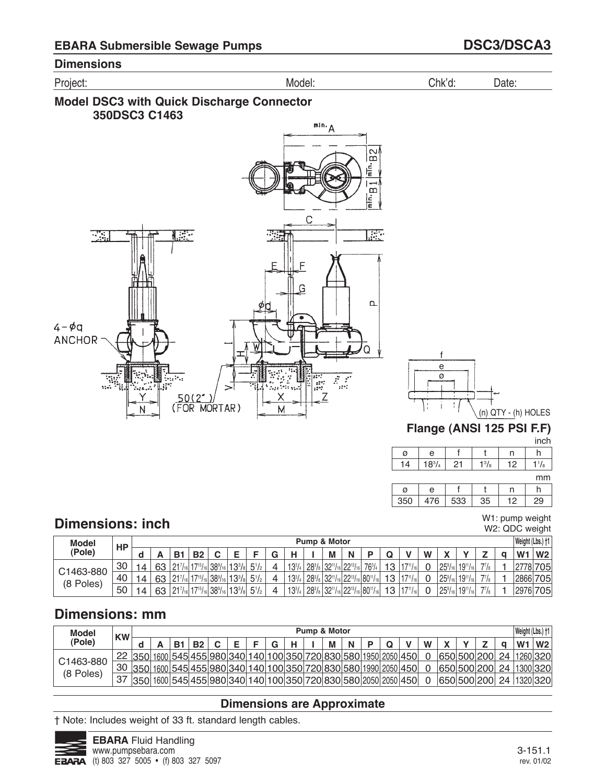





#### f 21 e  $18^{3}/4$ ø 14 t  $1<sup>3</sup>/<sub>8</sub>$ n 12  $h$  $1\frac{1}{8}$

|     |     |     |    |   | mm |
|-----|-----|-----|----|---|----|
| a   | e   |     |    |   |    |
| 350 | 476 | 533 | 35 | റ | 29 |

# **Dimensions: inch**

W1: pump weight W2: QDC weight

| <b>Model</b> | HP |   |    |                |                               |                        |               |              |   |            |               | Pump & Motor                            |   |                        |    |      |   |                          |                 |                 | Weight (Lbs.) †1 |                |
|--------------|----|---|----|----------------|-------------------------------|------------------------|---------------|--------------|---|------------|---------------|-----------------------------------------|---|------------------------|----|------|---|--------------------------|-----------------|-----------------|------------------|----------------|
| (Pole)       |    | ч |    | B <sub>1</sub> | <b>B2</b>                     |                        | -             |              | ◠ |            |               | M                                       | N |                        | u  |      | W | $\overline{\phantom{a}}$ |                 |                 | W <sub>1</sub>   | W <sub>2</sub> |
| C1463-880    | 30 |   | 63 | 0171           | $117^{15}$ / <sub>161</sub>   | $ 38\%$ <sub>16</sub>  | $13^{3}/_{8}$ | $5^{1}/_{2}$ |   | $13^{3}/4$ | $28^{3}/_{8}$ | $ 32^{11}/_{16} 22^{13}/$               |   | $76^{3}/_{4}$          | 13 |      |   | $25^{\circ}$             | $19^{11}/_{16}$ | 77 <sub>1</sub> | 2778             | 705            |
| (8 Poles)    | 40 |   | 63 | 0171           | 17151                         | $^138\%$ <sub>16</sub> | $13^{3}/_{8}$ | $5^{1}/_{2}$ |   | $13^{3}/4$ | $28^{3}/_{8}$ | $ 32^{11}/_{16} 22^{13}/$               |   | $116$ 80 <sup>11</sup> | 13 | 1711 |   | $25\%$ <sub>16</sub>     | $19^{11}/_{16}$ | 77 <sub>1</sub> | 2866             | 705            |
|              | 50 |   | 63 | 0171           | $117^{15}$ / <sub>161</sub> . | $ 38\%$ <sub>16</sub>  | $13^{3}/_{8}$ | $5^{1}/_{2}$ |   | $13^{3}/4$ | $28^{3}/_{8}$ | $ 32^{11}/_{16} 22^{13}/_{16} 80^{11}/$ |   |                        | 13 | 1711 |   | $125\%$ <sub>16</sub>    | $19^{11}/_{16}$ | 77 <sub>1</sub> |                  | 2976 705       |

# **Dimensions: mm**

| <b>Model</b> | <b>KW</b> |                                                                   |                                                            |           |           |  |   |  | <b>Pump &amp; Motor</b> |   |  |   |             |  |    | Weight (Lbs.) †1 |                 |
|--------------|-----------|-------------------------------------------------------------------|------------------------------------------------------------|-----------|-----------|--|---|--|-------------------------|---|--|---|-------------|--|----|------------------|-----------------|
| (Pole)       |           |                                                                   |                                                            | <b>B1</b> | <b>B2</b> |  | G |  | М                       | N |  | W |             |  |    | W <sub>1</sub>   | $\mathsf{W}2$   |
| C1463-880    |           | 22 350 1600 545 455 980 340 140 100 350 720 830 580 1950 2050 450 |                                                            |           |           |  |   |  |                         |   |  |   | 650 500 200 |  | 24 |                  | 1260 320        |
| (8 Poles)    |           | 30 350 1600 545 455 980 340 140 100 350 720 830 580 1990 2050 450 |                                                            |           |           |  |   |  |                         |   |  |   | 650 500 200 |  | 24 |                  | 1300 320        |
|              | 37        | 350                                                               | 1600 545 455 980 340 140 100 350 720 830 580 2050 2050 450 |           |           |  |   |  |                         |   |  |   | 650 500 200 |  |    |                  | 24   1320   320 |

## **Dimensions are Approximate**

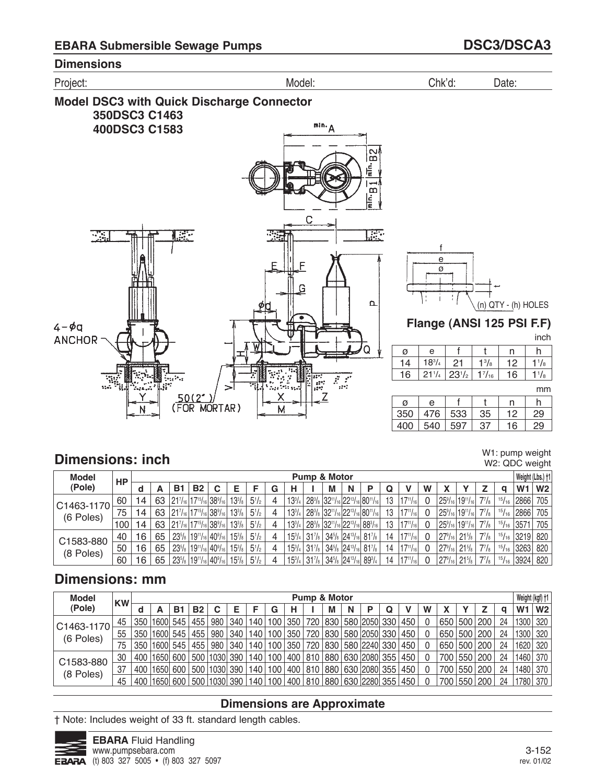

# **Dimensions: inch**

W1: pump weight W2: QDC weight

| <b>Model</b> | НP  |     |    |                                          |                                                                                  |   |               |              |   |   |                                                | <b>Pump &amp; Motor</b> |   |                                                                                                                                                                         |    |                  |   |                      |                                       |              |              |                  | Weight (Lbs.) +1 |
|--------------|-----|-----|----|------------------------------------------|----------------------------------------------------------------------------------|---|---------------|--------------|---|---|------------------------------------------------|-------------------------|---|-------------------------------------------------------------------------------------------------------------------------------------------------------------------------|----|------------------|---|----------------------|---------------------------------------|--------------|--------------|------------------|------------------|
| (Pole)       |     | a   | A  | <b>B</b> 1                               | <b>B2</b>                                                                        | C | Е             |              | G | н |                                                | М                       | N | P                                                                                                                                                                       | Q  | v                | W |                      |                                       |              |              | W <sub>1</sub>   | W <sub>2</sub>   |
| C1463-1170   | 60  | 14. | 63 | $ 21^{7}_{16} 17^{15}_{16} 38^{9}_{16} $ |                                                                                  |   | $13^{3}/s$    | $5^{1}/_{2}$ | 4 |   |                                                |                         |   | $13^{3}/_{4}$   28 <sup>3</sup> / <sub>8</sub>   32 <sup>11</sup> / <sub>16</sub>   22 <sup>13</sup> / <sub>16</sub>   80 <sup>11</sup> / <sub>16</sub>                 | 13 | $17^{11}/_{16}$  |   |                      | $ 25^{\circ}/_{16} 19^{\circ}/_{16} $ | $7^{7}/_{8}$ |              | $15/16$ 2866     | 705              |
| (6 Poles)    | 75  | 14. | 63 | $ 21^{7}_{16} 17^{15}_{16} 38^{9}_{16} $ |                                                                                  |   | $13^{3}/_{8}$ | $5^{1}/_{2}$ | 4 |   |                                                |                         |   | $13^{3}/_{4}$   28 <sup>3</sup> / <sub>8</sub>   32 <sup>11</sup> / <sub>16</sub>   22 <sup>13</sup> / <sub>16</sub>   80 <sup>11</sup> / <sub>16</sub>                 | 13 | $17^{11}/_{161}$ |   |                      | $ 25^{\circ}/_{16} 19^{\circ}/_{16} $ | $7^{7}/_{8}$ |              | $15/16$ 2866     | 705              |
|              | 100 | 14  | 63 | $ 21^{7}_{16} 17^{15}_{16} 38^{9}_{16} $ |                                                                                  |   | $13^{3}/s$    | $5^{1}/_{2}$ | 4 |   |                                                |                         |   | 13 <sup>3</sup> / <sub>4</sub>   28 <sup>3</sup> / <sub>8</sub>   32 <sup>11</sup> / <sub>16</sub>   22 <sup>13</sup> / <sub>16</sub>   88 <sup>3</sup> / <sub>16</sub> | 13 | $17^{11}/_{16}$  |   |                      | $ 25^{\circ}/_{16} 19^{\circ}/_{16} $ | $7^{7}/_{8}$ | $15/16$ 3571 |                  | 705              |
| C1583-880    | 40  | 16  | 65 |                                          | $23^{5}/_8$   19 <sup>11</sup> / <sub>16</sub>   40 <sup>9</sup> / <sub>16</sub> |   | $15^{3}/s$    | $5^{1}/_{2}$ | 4 |   | $15\frac{3}{4}$ 31 <sup>7</sup> / <sub>8</sub> |                         |   | $34^{5}/_8$ 24 <sup>13</sup> / <sub>16</sub> 81 <sup>7</sup> / <sub>8</sub>                                                                                             | 14 | $17^{11}/_{16}$  |   | $27\frac{9}{16}$     | $21\frac{5}{8}$                       | $7^{7}/_{8}$ |              | $15/16$ 3219 820 |                  |
| (8 Poles)    | 50  | 16  | 65 | $23^{5}/s$                               | $19^{11}/_{16}$ 40 <sup>9</sup> / <sub>16</sub>                                  |   | $15^{3}/s$    | $5^{1}/_{2}$ | 4 |   | $15\frac{3}{4}$ 31 <sup>7</sup> / <sub>8</sub> |                         |   | $34^{5}/_8$ 24 <sup>13</sup> / <sub>16</sub> 81 <sup>7</sup> / <sub>8</sub>                                                                                             | 14 | $17^{11}/_{16}$  |   | $27\frac{9}{16}$     | $21^{5}/8$                            | $7^{7}/_{8}$ |              | $15/16$ 3263     | 820              |
|              | 60  | 16  | 65 |                                          | $23^{5}/_8$   19 <sup>11</sup> / <sub>16</sub>   40 <sup>9</sup> / <sub>16</sub> |   | $15^{3}/_{8}$ | $5^{1}/_{2}$ | 4 |   | $15\frac{3}{4}$ 31 <sup>7</sup> / <sub>8</sub> |                         |   | $34^{5}/_8$ 24 <sup>13</sup> / <sub>16</sub> 89 <sup>3</sup> / <sub>4</sub>                                                                                             | 14 | $17^{11}/_{16}$  |   | $27\%$ <sub>16</sub> | $21\frac{5}{8}$                       | $7^{7}/_{8}$ |              | $15/16$ 3924 820 |                  |

# **Dimensions: mm**

| <b>Model</b> | <b>KW</b> |     |                  |            |                  |                  |     |                  |   |   | <b>Pump &amp; Motor</b> |   |   |                                                      |   |     |   |     |             |             |    |                | Weight (kgf) +1 |
|--------------|-----------|-----|------------------|------------|------------------|------------------|-----|------------------|---|---|-------------------------|---|---|------------------------------------------------------|---|-----|---|-----|-------------|-------------|----|----------------|-----------------|
| (Pole)       |           |     |                  | <b>B</b> 1 | <b>B2</b>        |                  |     |                  | G | н |                         | M | N |                                                      | Q |     | W |     |             |             | a  | W <sub>1</sub> | W2              |
| C1463-1170   | 45        | 350 | 1600 545         |            | 455              | 980 <sub>1</sub> | 340 | 140 <sub>1</sub> |   |   |                         |   |   | 100   350   720   830   580  2050  330               |   | 450 |   | 650 | 500 200     |             | 24 | 1300           | 320             |
| (6 Poles)    | 55        |     | 350   1600   545 |            | 455              | 980              | 340 |                  |   |   |                         |   |   | 140   100   350   720   830   580   2050   330       |   | 450 |   |     | 650 500 200 |             | 24 | 1300 320       |                 |
|              | 75        | 350 | 1600 545         |            |                  | 455   980        | 340 |                  |   |   |                         |   |   | 140   100   350   720   830   580   2240   330       |   | 450 |   |     |             | 650 500 200 | 24 | 1620           | 320             |
| C1583-880    | 30        | 400 | 1650 600         |            | 500   1030   390 |                  |     |                  |   |   |                         |   |   | 140   100   400   810   880   630   2080   355   450 |   |     |   | 700 |             | 550 200     | 24 | 1460 370       |                 |
| (8 Poles)    | 37        | 400 | 16501            | 600        |                  | 500 1030 390     |     |                  |   |   |                         |   |   | 140   100   400   810   880   630   2080   355   450 |   |     |   | 700 |             | 550 200     | 24 | 1480           | 370             |
|              | 45        | 400 | 1650 600         |            | 500   1030   390 |                  |     |                  |   |   |                         |   |   | 140   100   400   810   880   630   2280   355   450 |   |     |   | 700 |             | 550   200   | 24 | 1780 370       |                 |

## **Dimensions are Approximate**

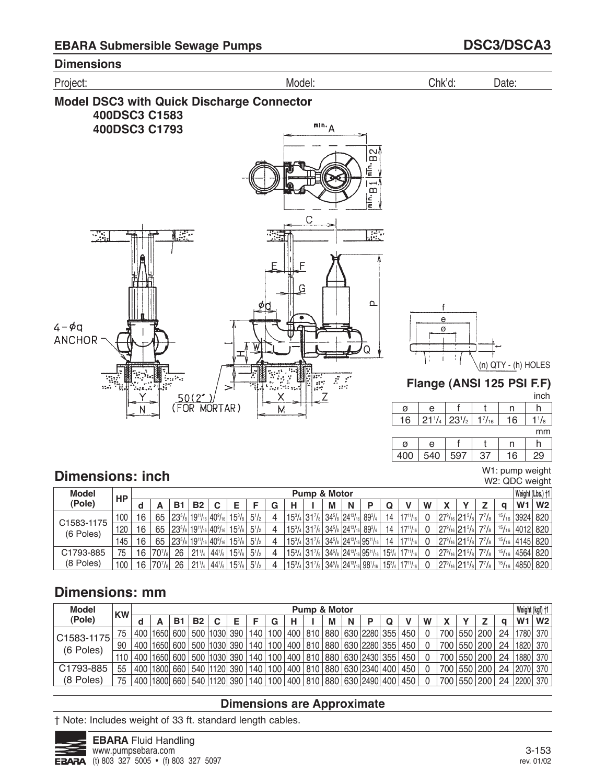

h

W1: pump weight W2: QDC weight

inch

|   |          |     |     | mm |
|---|----------|-----|-----|----|
| a | $\Delta$ |     | n   |    |
|   | ר⊿ה      | 07, | ' 6 | n  |

# **Dimensions: inch**

| <b>Model</b> | <b>HP</b> |    |                                |                                            |                 |               |               |              |   |   | <b>Pump &amp; Motor</b>                                                                                      |   |   |                                                                                                                                                 |    |                                 |   |                          |                |       | Weight (Lbs.) +1 |  |
|--------------|-----------|----|--------------------------------|--------------------------------------------|-----------------|---------------|---------------|--------------|---|---|--------------------------------------------------------------------------------------------------------------|---|---|-------------------------------------------------------------------------------------------------------------------------------------------------|----|---------------------------------|---|--------------------------|----------------|-------|------------------|--|
| (Pole)       |           |    |                                | B.                                         | <b>B2</b>       | ◠             |               |              | G | н |                                                                                                              | M | N | D                                                                                                                                               | Q  |                                 | W |                          |                |       | W1 W2            |  |
| C1583-1175   | 100       | 16 | 65                             | $ 23^{5}/_8 19^{11}/_{16} 40^{9}/_{16} $   |                 |               | $15^{3}/_{8}$ | $5^{1/2}$    | 4 |   | $15^{3}/_{4}$ 31 <sup>7</sup> / <sub>8</sub> 34 <sup>5</sup> / <sub>8</sub> 24 <sup>13</sup> / <sub>16</sub> |   |   | $89^{3}/_{4}$                                                                                                                                   | 14 | $117^{11}/_{16}$                |   | $ 27^9/_{16} 21^5/_{8} $ | $7^{7}/_{8}$ . | 15/16 | 3924 820         |  |
| (6 Poles)    | 120       | 16 | 65                             | $ 23^{5}/_{8} 19^{11}/_{16} 40^{9}/_{16} $ |                 |               | $15^{3}/_{8}$ | $5^{1/2}$    |   |   | $15^{3}/_{4}$ 31 <sup>7</sup> / <sub>8</sub> 34 <sup>5</sup> / <sub>8</sub> 24 <sup>13</sup> / <sub>16</sub> |   |   | $89^{3}/_{4}$                                                                                                                                   | 14 | $17^{11}/_{16}$                 |   | $ 27\% _{16} 21\% $      | $7^{7}/_{8}$   | 15/16 | 4012 820         |  |
|              | 145       | 16 | 65                             | $ 23^{5}/_8 19^{11}/_{16} 40^{9}/_{16} $   |                 |               | $15^{3}/_{8}$ | $5^{1}/_{2}$ | 4 |   |                                                                                                              |   |   | $15\frac{3}{4}$ 31 <sup>7</sup> / <sub>8</sub> 34 <sup>5</sup> / <sub>8</sub> 24 <sup>13</sup> / <sub>16</sub> 95 <sup>11</sup> / <sub>16</sub> | 14 | $17^{11}/_{161}$                |   | $ 27^9/_{16} 21^5/_{8} $ | $7^{7}/_{8}$   | 15/16 | 4145 820         |  |
| C1793-885    | 75        | 16 | $70^{7}/_{8}$                  | -26                                        | $21^{1/4}$      | $44^{1}/_{8}$ | $15^{3}/_{8}$ | $5^{1/2}$    | 4 |   |                                                                                                              |   |   | $15^{3}/_{4}$ 317/ <sub>8</sub> 34 <sup>5</sup> / <sub>8</sub> 24 <sup>13</sup> / <sub>16</sub> 95 <sup>11</sup> / <sub>16</sub>                |    | $15^{3}/_{4}$   $17^{11}/_{16}$ |   | $ 27^9/16 21^5/8 $       | $7^7$ / $_8$   | 15/16 | 4564 820         |  |
| (8 Poles)    | 100       | 16 | 70 <sup>7</sup> / <sub>8</sub> | 26                                         | $21\frac{1}{4}$ | $44^{1}/_{8}$ | $15^{3}/_{8}$ | $5^{1/2}$    |   |   |                                                                                                              |   |   | $15^{3}/_{4}$ 317/ <sub>8</sub> 34 <sup>5</sup> / <sub>8</sub> 24 <sup>13</sup> / <sub>16</sub> 98 <sup>1</sup> / <sub>16</sub>                 |    | $15^{3}/_{4}$   $17^{11}/_{16}$ |   | $ 27^9/_{16} 21^5/_{8} $ | 77/8           | 15/16 | 4850 820         |  |

# **Dimensions: mm**

| <b>Model</b> | <b>KW</b> |     |          |     |           |                        |                  |   |         |     | <b>Pump &amp; Motor</b> |   |                                                |     |   |     |           |    | Weight (kgf) +1     |  |
|--------------|-----------|-----|----------|-----|-----------|------------------------|------------------|---|---------|-----|-------------------------|---|------------------------------------------------|-----|---|-----|-----------|----|---------------------|--|
| (Pole)       |           |     |          | Β1  | <b>B2</b> | C                      |                  | G | н       |     | М                       | N |                                                |     | W |     |           | a  | $W1$ W <sub>2</sub> |  |
| C1583-1175   | 75        | 400 | 1650     |     |           | 600   500   1030   390 | 140 <sub>1</sub> |   | 100 400 | 810 |                         |   | 880   630  2280  355   450                     |     |   | 700 | 550 200   | 24 | 1780 370            |  |
| (6 Poles)    | 90        | 400 | 1650     | 600 |           | 500   1030   390       | 140 <sub>1</sub> |   | 100 400 | 810 |                         |   | 880   630  2280  355   450                     |     |   | 700 | 550 200   | 24 | 1820 370            |  |
|              | 110       | 400 | 1650     | 600 |           | 500   1030   390       | 140 <sub>1</sub> |   |         |     |                         |   | 100   400   810   880   630   2430   355   450 |     |   | 700 | 550 200   | 24 | 1880 370            |  |
| C1793-885    | 55        | 400 | 1800     | 660 |           | 540   1120   390       | 140 <sub>1</sub> |   | 100 400 |     |                         |   | 810 880 630 2340 400                           | 450 |   | 700 | 550 200   | 24 | 2070 370            |  |
| (8 Poles)    | 75        | 400 | 1800 660 |     |           | 540   1120   390       | 140              |   |         |     |                         |   | 100   400   810   880   630   2490   400   450 |     |   | 700 | 550   200 | 24 | 2200  370           |  |

## **Dimensions are Approximate**

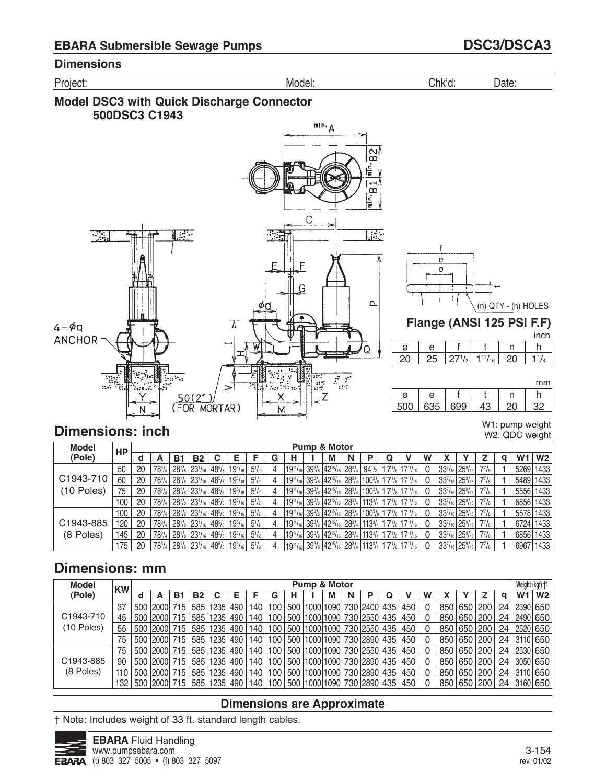Project: Model: Chk'd: Date:





**Dimensions: inch**

 

h  $1<sup>1</sup>/<sub>4</sub>$ 

inch

h

mm

W1: pump weight W2: QDC weight

n 

n

| <b>Model</b> | <b>HP</b> |     |               |    |                                   |                                                                                                            |              |   |                 | <b>Pump &amp; Motor</b>                                 |   |                 |   |                                                                                                 |   |                                         |               |              |                |                |
|--------------|-----------|-----|---------------|----|-----------------------------------|------------------------------------------------------------------------------------------------------------|--------------|---|-----------------|---------------------------------------------------------|---|-----------------|---|-------------------------------------------------------------------------------------------------|---|-----------------------------------------|---------------|--------------|----------------|----------------|
| (Pole)       |           | a   | A             | Β1 | <b>B2</b>                         |                                                                                                            |              | G | н               | м                                                       | N |                 | Q |                                                                                                 | w |                                         |               |              | W <sub>1</sub> | W <sub>2</sub> |
|              | 50        | 20  | $78^{3}/$     |    | $28\frac{1}{8}$ 23 $\frac{1}{16}$ | $19^{5}/_8$   19 <sup>5</sup> / <sub>16</sub>                                                              | $5^{1}/2$    |   | $19^{11}/_{16}$ | $ 39^3$ / $ 42^{15}$ / $ 6 28^3$ / $4$                  |   | $94\frac{1}{2}$ |   | $ 17$ <sup>1</sup> / <sub>8</sub> $ 17$ <sup>11</sup> / <sub>16</sub>                           |   |                                         | 337/16 259/16 | $7^{7}/_8$   | 5269 1433      |                |
| C1943-710    | 60        | 20  | $78^{3}/_{4}$ |    |                                   | $28!/_8$ 23 $!/_{16}$ 48 $!/_8$ 19 $!/_{16}$                                                               | $5^{1}/_{2}$ |   |                 |                                                         |   |                 |   | $ 19^{11}/_{16} 39^{3}/_8 42^{15}/_{16} 28^{3}/_4 100^{3}/_8 17^{1}/_8 17^{11}/_{16} $          |   | $ 33^{7}/_{16} 25^{9}/_{16} $           |               | $7^{7}/_{8}$ | 5489 1433      |                |
| $(10$ Poles) | 75        | 20  | $78^{3}/$     |    | $28^{1}/_8$ $23^{1}/_{16}$        | $ 48^{5}/_{8} 19^{5}/_{16} $                                                                               | $5^{1}/2$    |   |                 |                                                         |   |                 |   | 1911/16  393/8  4215/16  283/4  1003/8  171/8  1711/16                                          |   | $ 33^{7}/_{16} 25^{9}/_{16} $           |               | $7^{7}/_{8}$ | 5556 1433      |                |
|              | 100       | 20  | $78^{3}/4$    |    | $28^{1}/_8$ $23^{1}/_{16}$        | $ 48^{5}/_{8} 19^{5}/_{16} $                                                                               | $5^{1}/2$    |   |                 | $ 19^{11}/_{16} 39^{3}/_{8} 42^{15}/_{16} 28^{3}/_{4} $ |   |                 |   | $ 113^{3}/_{4} 17^{1}/_{8} 17^{11}/_{16} $                                                      |   | $ 33^{7}/_{16} 25^{9}/_{16} $           |               | $7^{7}/_8$   | 6856 1433      |                |
|              | 100       | 20  | $78^{3}/_{4}$ |    |                                   | $28^{1/6}$ 23 <sup>1</sup> / <sub>16</sub> 48 <sup>5</sup> / <sub>8</sub> 19 <sup>5</sup> / <sub>16</sub>  | $5^{1}/_{2}$ |   |                 |                                                         |   |                 |   | $ 19^{11}/_{16} 39^{3}/_{8} 42^{15}/_{16} 28^{3}/_{4} 100^{3}/_{8} 17^{1}/_{8} 17^{11}/_{16} $  |   | $337/_{16}$ 25%                         |               | $7^{7}/_{8}$ | 5578 1433      |                |
| C1943-885    | 120       | -20 | $78^{3}/$     |    |                                   | $28^{1}/_8$ 23 <sup>1</sup> / <sub>16</sub> 48 <sup>5</sup> / <sub>8</sub> 19 <sup>5</sup> / <sub>16</sub> | $5^{1}/2$    |   |                 |                                                         |   |                 |   | $ 19^{11}$ /16 $ 39^3$ /8 $ 42^{15}$ /16 $ 28^3$ /4 $ 113^3$ /4 $ 17^{1}$ /8 $ 17^{11}$ /16 $ $ |   | 33 <sup>7</sup> /16 25 <sup>9</sup> /16 |               | $7^{7}/_{8}$ | 6724 1433      |                |
| (8 Poles)    | 145       | 20  | $78^{3}/4$    |    | $28^{1}/_8$ $23^{1}/_{16}$        | $ 48^{5}/_{8} 19^{5}/_{16} $                                                                               | $5^{1}/2$    |   |                 |                                                         |   |                 |   | 1911/16  393/8  4215/16  283/4  1133/4  171/8  1711/16                                          |   | $ 33^{7}/_{16} 25^{9}/_{16} $           |               | $7^{7}/_{8}$ | 6856 1433      |                |
|              | 175       | 20  | $78^{3}/_{4}$ |    |                                   | $28^{1}/_8$ 23 <sup>1</sup> / <sub>16</sub> 48 <sup>5</sup> / <sub>8</sub> 19 <sup>5</sup> / <sub>16</sub> | $5^{1}/_{2}$ |   |                 |                                                         |   |                 |   | $ 19^{11}/16 39^{3}/8 42^{15}/16 28^{3}/4 113^{3}/4 17^{1}/8 17^{11}/16 $                       |   | $ 33^{7}/_{16} 25^{9}/_{16} $           |               | $7^{7}/_{8}$ | 6967 1433      |                |

# **Dimensions: mm**

| <b>Model</b>           | <b>KW</b> |     |              |       |           |                  |     |      |     | <b>Pump &amp; Motor</b> |   |   |                                      |     |   |     |           |           |    | Weight (kgf) +1 |                |
|------------------------|-----------|-----|--------------|-------|-----------|------------------|-----|------|-----|-------------------------|---|---|--------------------------------------|-----|---|-----|-----------|-----------|----|-----------------|----------------|
| (Pole)                 |           | d   |              | В1    | <b>B2</b> |                  | Е   |      | G   |                         | м | N | P                                    |     | W |     |           |           | a  | W1              | W <sub>2</sub> |
|                        | 37        |     | 500 2000     |       |           | 585   1235       | 490 | 140  | 100 |                         |   |   | 500  1000 1090  730  2400  435       | 450 |   | 850 |           | 650 200   | 24 | 2390 650        |                |
| C <sub>1943</sub> -710 | 45        |     | 500 2000     | . 715 |           | 585 1235 490     |     | 140  | 100 |                         |   |   | 500 1000 1090 730 2550 435 450       |     |   | 850 | 650 200   |           | 24 | 2490 650        |                |
| $(10$ Poles)           | 55        |     | 500 2000     |       |           | 585   1235       | 490 | 140  | 100 |                         |   |   | 500  1000 1090  730  2550  435       | 450 |   | 850 | 650 200   |           | 24 | 2520 650        |                |
|                        | 75        |     | 500 2000 715 |       |           | 585 1235 490     |     | 140  | 100 |                         |   |   | 500  1000 1090  730  2890  435   450 |     |   | 850 |           | 650   200 | 24 | 3110 650        |                |
|                        | 75        |     | 500 2000     | 715   |           | 585 1235 490     |     | 140. | 100 |                         |   |   | 500  1000 1090  730  2550  435       | 450 |   | 850 |           | 650 200   | 24 | 2530 650        |                |
| C1943-885              | 90        |     | i 500   2000 | .715  |           | 585   1235   490 |     | 140  | 100 |                         |   |   | 500  1000 1090  730  2890  435       | 450 |   | 850 |           | 650 200   | 24 | 3050 650        |                |
| (8 Poles)              | 110       | 500 | 2000         |       |           | 585 1235         | 490 | 140  | 100 |                         |   |   | 500 1000 1090 730 2890 435           | 450 |   | 850 | 650 200   |           | 24 | 3110 650        |                |
|                        | 132       | 500 | 2000         |       |           | 585 1235 490     |     | 140  | 100 | 500 1000 1090           |   |   | 730  2890  435                       | 450 |   | 850 | 650   200 |           | 24 | 3160 650        |                |

### **Dimensions are Approximate**

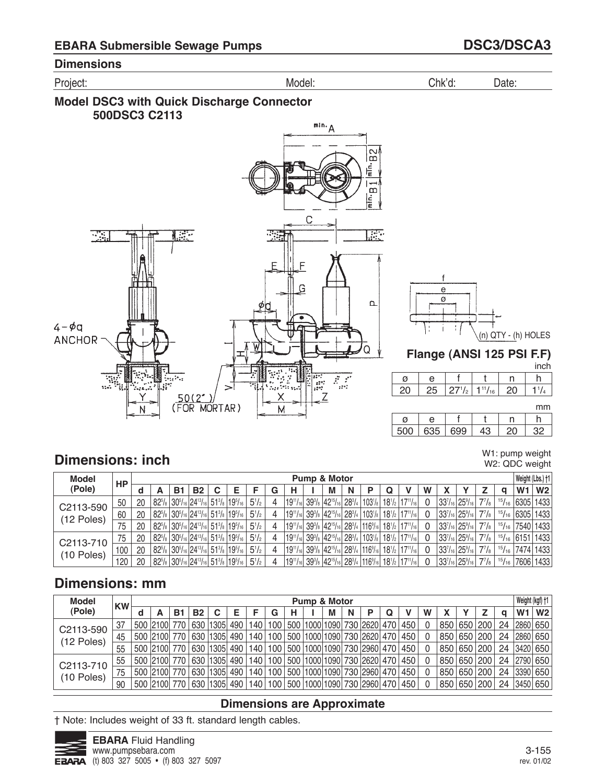Project: Model: Chk'd: Date:





 n h 

ىب

t

t

<u>500 | 635 | 699</u>

(n) QTY - (h) HOLES

n 

h  $11/4$ 

inch

mm

# **Dimensions: inch**

W1: pump weight W2: QDC weight

| <b>Model</b> | HP  |    |    |                                                                                                                                             |  |                |   |                                                         | <b>Pump &amp; Motor</b> |   |                                                                                                          |                                             |          |                               |                                                |                      |       | Weight (Lbs.) +1      |                   |
|--------------|-----|----|----|---------------------------------------------------------------------------------------------------------------------------------------------|--|----------------|---|---------------------------------------------------------|-------------------------|---|----------------------------------------------------------------------------------------------------------|---------------------------------------------|----------|-------------------------------|------------------------------------------------|----------------------|-------|-----------------------|-------------------|
| (Pole)       |     |    | В1 | B2                                                                                                                                          |  |                | G | н                                                       | M                       | N |                                                                                                          |                                             | W        |                               |                                                |                      |       | W <sub>1</sub>        | W <sub>2</sub>    |
| C2113-590    | 50  | 20 |    | $82^{5}/_8$ 30 <sup>5</sup> / <sub>16</sub> 24 <sup>13</sup> / <sub>16</sub> 51 <sup>3</sup> / <sub>8</sub> 19 <sup>5</sup> / <sub>16</sub> |  | $5\frac{1}{2}$ | 4 | $ 19^{11}/_{16} 39^{3}/_{8} 42^{15}/_{16} 28^{3}/_{4} $ |                         |   | $ 103$ <sup>1</sup> / <sub>8</sub> $ 18$ <sup>1</sup> / <sub>2</sub> $ 17$ <sup>11</sup> / <sub>16</sub> |                                             |          |                               | $33^{7}/_{16}$ 25 <sup>9</sup> / <sub>16</sub> | $7^7$ / <sub>8</sub> |       | $15/16$ 6305 1433     |                   |
| (12 Poles)   | 60  | 20 |    | $82^{5}/_8$ 30 <sup>5</sup> / <sub>16</sub> 24 <sup>13</sup> / <sub>16</sub> 51 <sup>3</sup> / <sub>8</sub> 19 <sup>5</sup> / <sub>16</sub> |  | $5\frac{1}{2}$ | 4 |                                                         |                         |   | $ 19^{11}/_{16} 39^{3}/_{8} 42^{15}/_{16} 28^{3}/_{4} 103^{1}/_{8} $                                     | $18^{1/2}$ 17 <sup>11</sup> / <sub>16</sub> | - 0      | $ 33^{7}/_{16} 25^{9}/_{16} $ |                                                | $7^7$ / $\rm{s}$     |       | $15/16$ 6305 1433     |                   |
|              | 75  | 20 |    | $82\frac{5}{6}$ 30 $\frac{5}{16}$ 24 $\frac{13}{16}$ 51 $\frac{3}{8}$ 19 $\frac{5}{16}$                                                     |  | $5\frac{1}{2}$ | 4 |                                                         |                         |   | $ 19^{11}/_{16} 39^{3}/_8 42^{15}/_{16} 28^{3}/_4 116^{9}/_{16} 18^{1}/_2 17^{11}/_{16} $                |                                             |          |                               | $33^{7}/_{16}$ 25 <sup>9</sup> / <sub>16</sub> | $7^7$ / $\rm{s}$     | 15/16 | 7540 1433             |                   |
| C2113-710    | 75  | 20 |    | $ 82^{5}/_8 30^{5}/_{16} 24^{13}/_{16} 51^{3}/_8 19^{5}/_{16} $                                                                             |  | $5\frac{1}{2}$ | 4 |                                                         |                         |   | 1911/16  393/8  4215/16  283/4   1031/8   181/2   1711/16                                                |                                             | $\Omega$ | $ 33^{7}/_{16} 25^{9}/_{16} $ |                                                | $7^7$ / $\rm{s}$     |       |                       | $15/16$ 6151 1433 |
| $(10$ Poles) | 100 | 20 |    | $82^{5}/_8$ 30 <sup>5</sup> / <sub>16</sub> 24 <sup>13</sup> / <sub>16</sub> 51 <sup>3</sup> / <sub>8</sub> 19 <sup>5</sup> / <sub>16</sub> |  | $5\frac{1}{2}$ | 4 | $ 19^{11}/_{16} 39^{3}/_{8} 42^{15}/_{16} 28^{3}/_{4}$  |                         |   | $\vert$ 116% $\vert$ 18% $\vert$ 17"/16                                                                  |                                             | $\Omega$ | $ 33^{7}/_{16} 25^{9}/_{16} $ |                                                | $7^7$ / $\rm{s}$     |       | $15/16$   7474   1433 |                   |
|              | 120 | 20 |    | $82\frac{5}{6}$ 30 $\frac{5}{16}$ 24 $\frac{13}{16}$ 51 $\frac{3}{8}$ 19 $\frac{5}{16}$                                                     |  | $5\frac{1}{2}$ | 4 |                                                         |                         |   | $ 19^{11}/_{16} 39^{3}/_{8} 42^{15}/_{16} 28^{3}/_{4} 116^{9}/_{16} 18^{1}/_{2} 17^{11}/_{16} $          |                                             |          |                               | $33^{7}/_{16}$ 25 <sup>9</sup> / <sub>16</sub> | $7^7$ / $\rm{s}$     | 15/16 |                       | 7606 1433         |

# **Dimensions: mm**

| <b>Model</b> | <b>KW</b> |                |    |           |                                                                           |   |           |    | <b>Pump &amp; Motor</b> |   |   |                                                  |   |   |     |     |             |    | Weight (kgf) +1 |                |
|--------------|-----------|----------------|----|-----------|---------------------------------------------------------------------------|---|-----------|----|-------------------------|---|---|--------------------------------------------------|---|---|-----|-----|-------------|----|-----------------|----------------|
| (Pole)       |           |                | Β1 | <b>B2</b> | С                                                                         | F | G         | н. |                         | М | N |                                                  | Q | W |     |     |             |    | W <sub>1</sub>  | W <sub>2</sub> |
| C2113-590    | 37        | 500  2100  770 |    | 630       | 1305  490                                                                 |   |           |    |                         |   |   | 140   100   500  1000 1090  730  2620  470   450 |   |   | 850 | 650 | 200         | 24 | 2860 650        |                |
| (12 Poles)   | 45        | 500 2100 770   |    |           | 630  1305  490   140   100   500  1000 1090  730  2620  470   450         |   |           |    |                         |   |   |                                                  |   |   |     |     | 850 650 200 | 24 | 2860 650        |                |
|              | 55        | 500 2100 770   |    |           | 630   1305  490   140   100   500   1000  1090  730   2960  470   450     |   |           |    |                         |   |   |                                                  |   |   | 850 |     | 650   200   | 24 | 3420 650        |                |
| C2113-710    | 55        | 500 2100 770   |    |           | 630   1305   490   140   100   500   1000   1090   730   2620   470   450 |   |           |    |                         |   |   |                                                  |   |   |     |     | 850 650 200 |    | 24 2790 650     |                |
| $(10$ Poles) | 75        | 500 2100 770   |    |           | 630 1305 490                                                              |   | 140   100 |    |                         |   |   | 500  1000 1090  730  2960  470   450             |   |   | 850 |     | 650 200     | 24 | 3390 650        |                |
|              | 90        | 500 2100 770   |    |           | 630   1305   490   140   100   500   1000   1090   730   2960   470   450 |   |           |    |                         |   |   |                                                  |   |   | 850 |     | 650 200     | 24 | 3450 650        |                |

### **Dimensions are Approximate**

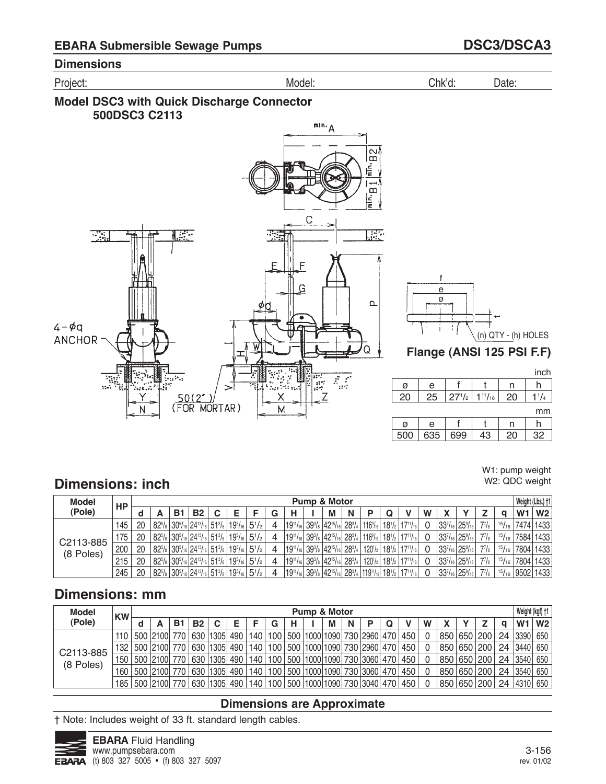Project: Model: Chk'd: Date:





#### W1: pump weight W2: QDC weight

# **Dimensions: inch**

| <b>Model</b> | НP  |    |    |           |                                                                     |           |   |                                                                                                                                                                          | <b>Pump &amp; Motor</b> |   |   |                                            |                                                                             |   |                                               |              |               |                | Weight (Lbs.) †1  |
|--------------|-----|----|----|-----------|---------------------------------------------------------------------|-----------|---|--------------------------------------------------------------------------------------------------------------------------------------------------------------------------|-------------------------|---|---|--------------------------------------------|-----------------------------------------------------------------------------|---|-----------------------------------------------|--------------|---------------|----------------|-------------------|
| (Pole)       |     |    | в. | <b>B2</b> |                                                                     |           | G | н                                                                                                                                                                        | М                       | N | D |                                            |                                                                             | W |                                               |              |               | W <sub>1</sub> | W <sub>2</sub>    |
|              | 145 | 20 |    |           | $ 82^{5}/_{8} 30^{5}/_{16} 24^{13}/_{16} 51^{3}/_{8} 19^{5}/_{16} $ | $5^{1}/2$ |   | $19^{11}/16$ 39 <sup>3</sup> / <sub>8</sub> 42 <sup>15</sup> /16 28 <sup>3</sup> / <sub>4</sub> 116 <sup>9</sup> /16 18 <sup>1</sup> / <sub>2</sub> 17 <sup>11</sup> /16 |                         |   |   |                                            |                                                                             |   | $ 33^{7}/_{16} 25^{9}/_{16} $                 | $7^7$ /s     | 15/16         |                | 7474 1433         |
| C2113-885    | 175 | 20 |    |           | $ 82^5$ / $_8 30^5$ /16 $ 24^{13}$ /16 $ 51^3$ / $_8 19^5$ /16 $ $  | $5^{1}/2$ |   | $19^{11}/16$ 39 <sup>3</sup> / <sub>8</sub> 42 <sup>15</sup> /16 28 <sup>3</sup> / <sub>4</sub> 116 <sup>9</sup> /16 18 <sup>1</sup> / <sub>2</sub> 17 <sup>11</sup> /16 |                         |   |   |                                            |                                                                             |   | $ 33^{7}/_{16} 25^{9}/_{16} $                 | $7^7$ / $8$  | $^{15}/_{16}$ |                | 7584 1433         |
| (8 Poles)    | 200 | 20 |    |           | $ 82^{5}/_{8} 30^{5}/_{16} 24^{13}/_{16} 51^{3}/_{8} 19^{5}/_{16} $ | $5^{1}/2$ |   | $ 19^{11}/_{16} 39^{3}/_{8} 42^{15}/_{16} 28^{3}/_{4} $                                                                                                                  |                         |   |   |                                            | $120^{1/2}$ 18 <sup>1</sup> / <sub>2</sub> 17 <sup>11</sup> / <sub>16</sub> |   | $33^{7}_{16}$ 25 <sup>9</sup> / <sub>16</sub> | $7^{7}/_{8}$ | 15/16         |                | 7804 1433         |
|              | 215 | 20 |    |           | $ 82^{5}/_8 30^{5}/_{16} 24^{13}/_{16} 51^{3}/_8 19^{5}/_{16} $     | $5^{1}/2$ |   | $ 19^{11}/_{16} 39^{3}/_{8} 42^{15}/_{16} 28^{3}/_{4} $                                                                                                                  |                         |   |   | $120^{1/2}$ 18 <sup>1</sup> / <sub>2</sub> | $117^{11}/_{161}$                                                           |   | $ 33^{7}/_{16} 25^{9}/_{16} $                 | $7^{7}/_{8}$ | $^{15}/_{16}$ |                | 7804 1433         |
|              | 245 | 20 |    |           | $ 82^5$ / $s 30^5$ /16 $ 24^{13}$ /16 $ 51^3$ / $s 19^5$ /16 $ $    | $5^{1}/2$ |   | $ 19^{11}/_{16} 39^{3}/_{8} 42^{15}/_{16} 28^{3}/_{4} 119^{11}/_{16} 18^{1}/_{2} $                                                                                       |                         |   |   |                                            | $17^{11}/_{161}$                                                            |   | $ 33^{7}/_{16} 25^{9}/_{16} $                 | $7^7$ / $8$  |               |                | $15/16$ 9502 1433 |

# **Dimensions: mm**

| <b>Model</b> | <b>KW</b> |              |    |           |                  |                  |     |   | <b>Pump &amp; Motor</b> |   |   |                                                  |  |   |     |           |    |                | Weight (kgf) †1 |
|--------------|-----------|--------------|----|-----------|------------------|------------------|-----|---|-------------------------|---|---|--------------------------------------------------|--|---|-----|-----------|----|----------------|-----------------|
| (Pole)       |           | А            | В1 | <b>B2</b> | C                |                  | G   | н |                         | М | N | D                                                |  | w |     |           |    | W <sub>1</sub> | W2              |
|              | 110       | 500 2100 770 |    | 630       | 1305 490         | 140              | 100 |   |                         |   |   | 500  1000 1090  730  2960  470   450             |  |   | 850 | 650   200 | 24 | 3390           | 650             |
| C2113-885    | 132       | 500 2100 770 |    | 630       | $ 1305 $ 490     | 140              |     |   |                         |   |   | 100   500   1000   1090   730   2960   470   450 |  |   | 850 | 650   200 | 24 | 3440           | 650             |
| (8 Poles)    | 150       | 500 2100 770 |    |           | 630 1305 490 140 |                  |     |   |                         |   |   | 100   500   1000   1090   730   3060   470   450 |  |   | 850 | 650   200 | 24 | 3540           | 650             |
|              | 160       | 500 2100 770 |    |           | 630 1305 490     | 140              | 100 |   |                         |   |   | 500  1000 1090  730  3060  470   450             |  |   | 850 | 650 200   | 24 | 3540           | 650             |
|              | 185       | 500 2100 770 |    |           | 630 1305 490     | 140 <sub>1</sub> | 100 |   |                         |   |   | 500  1000 1090  730  3040  470   450             |  |   | 850 | 650   200 | 24 | 4310           | 650             |

### **Dimensions are Approximate**

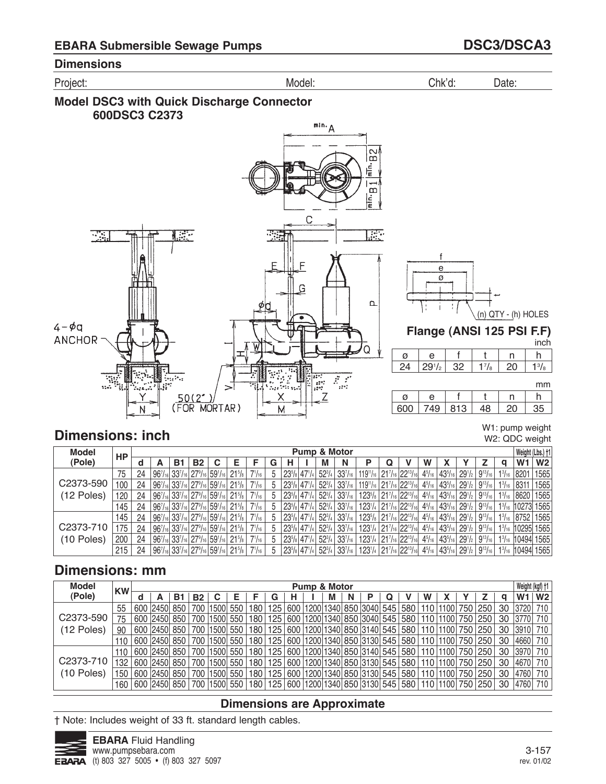Project: Model: Chk'd: Date:





# **Dimensions: inch**

W1: pump weight W2: QDC weight

| <b>Model</b> | HP  |    |    |           |                                                                     |                     |               |   |                                                    |               | Pump & Motor                      |                                                                                                  |                                |               |                              |                                |                |               |                | Weight (Lbs.) +1 |
|--------------|-----|----|----|-----------|---------------------------------------------------------------------|---------------------|---------------|---|----------------------------------------------------|---------------|-----------------------------------|--------------------------------------------------------------------------------------------------|--------------------------------|---------------|------------------------------|--------------------------------|----------------|---------------|----------------|------------------|
| (Pole)       |     |    | В1 | <b>B2</b> |                                                                     |                     |               | G |                                                    | М             | N                                 |                                                                                                  |                                | w             |                              |                                |                |               | W <sub>1</sub> | W <sub>2</sub>   |
|              | 75  | 24 |    |           | $ 96^7$ /16 $ 33^7$ /16 $ 27^9$ /16 $ 59^1$ /16 $ $                 | $21\frac{5}{8}$     | $7^{1}/_{16}$ |   | $23^{5}/\mathrm{s}$ 47 <sup>1</sup> / <sub>4</sub> |               | $52^{3}/_{4}$ 33 $^{7}/_{16}$     | $119^{\frac{1}{16}}$ 21 <sup>7</sup> / <sub>16</sub> 22 <sup>13</sup> / <sub>16</sub>            |                                | $4^{5}/_{16}$ | $43^{5}/_{16}$               | $29^{1/2}$                     | $9^{13}/_{16}$ | $1^{3}/_{16}$ | 8201           | 1565             |
| C2373-590    | 100 | 24 |    |           | $96^{7}/_{16}$ 33 $^{7}/_{16}$ 27 $^{9}/_{16}$ 59 $^{1}/_{16}$ .    | $21\frac{5}{8}$     | $7^{1}/_{16}$ |   | $23^{5}/_8$ 47 <sup>1</sup> / <sub>4</sub>         |               | $52^{3}/_{4}$ 33 $^{7}/_{16}$     | $119\%/6$ 21 $\%/6$ 22 $\%/6$                                                                    |                                | $4^{5}/_{16}$ |                              | $ 43^{5}/_{16} 29^{1}/_{2} $   | $9^{13}/_{16}$ | $1^{3}/_{16}$ | 8311           | 1565             |
| (12 Poles)   | 120 | 24 |    |           | $ 96^7$ /16 $ 33^7$ /16 $ 27^9$ /16 $ 59^1$ /16 $ $                 | $21\frac{5}{8}$     | $7^{1}/_{16}$ |   | $23^{5}/\mathrm{s}$ 47 <sup>1</sup> / <sub>4</sub> |               | $52\frac{3}{4}$ 33 $\frac{7}{16}$ | 123 <sup>5</sup> / <sub>8</sub> 21 <sup>7</sup> / <sub>16</sub> 22 <sup>13</sup> / <sub>16</sub> |                                | $4^{5}/_{16}$ | $ 43^{5}/_{16} 29^{1}/_{2} $ |                                | $9^{13}/_{16}$ | $1^{3}/_{16}$ | 8620           | 1565             |
|              | 145 | 24 |    |           | $ 96^{7}_{16} 33^{7}_{16} 27^{9}_{16} 59^{1}_{16} 21^{5}_{/8} $     |                     | $7^{1}/_{16}$ |   | $23^{5}/\mathrm{s}$ 47 <sup>1</sup> / <sub>4</sub> |               | $52^{3}/_{4}$ 33 $^{7}/_{16}$     | 1231/4 217/16 2213/16                                                                            |                                | $4^{5}/_{16}$ |                              | $ 43^{5}/_{16} 29^{1}/_{2} $   | $9^{13}/_{16}$ | $1^{3}/_{16}$ | 10273 1565     |                  |
|              | 145 | 24 |    |           | $ 96^{7}/_{16} 33^{7}/_{16} 27^{9}/_{16} 59^{1}/_{16} 21^{5}/_{8} $ |                     | $7^{1}/_{16}$ |   | $23^{5}/_8$ 47 <sup>1</sup> / <sub>4</sub>         | $52^{3}/_{4}$ | 33 <sup>7</sup> /16               | $123^{5}/s$                                                                                      | $ 21^{7}/_{16} 22^{13}/_{16} $ | $4^{5}/_{16}$ | $43^{5}/_{16}$               | 29 <sup>1</sup> / <sub>2</sub> | $9^{13}/_{16}$ | $1^{3}/_{16}$ | 8752           | 1565             |
| C2373-710    | 175 | 24 |    |           | $ 96^7$ /16 $ 33^7$ /16 $ 27^9$ /16 $ 59^1$ /16 $ $                 | $21^{5}/\mathrm{s}$ | $7^{1}/_{16}$ |   | $23^{5}/\mathrm{s}$ 47 <sup>1</sup> / <sub>4</sub> |               | $52^{3}/_{4}$ 33 $^{7}/_{16}$     | $123^{1/4}$ 21 <sup>7</sup> /16 22 <sup>13</sup> /16                                             |                                | $4^{5}/_{16}$ |                              | $ 43^{5}/_{16} 29^{1}/_{2} $   | $9^{13}/_{16}$ | $1^{3}/_{16}$ | 10295 1565     |                  |
| (10 Poles)   | 200 | 24 |    |           | $96^{7}_{16}$ 33 $^{7}_{16}$ 27 $^{9}_{16}$ 59 $^{1}_{16}$          | $21\frac{5}{8}$     | $7^{1}/_{16}$ |   | $23^{5}/\mathrm{s}$ 47 <sup>1</sup> / <sub>4</sub> |               | $52^{3}/_{4}$ 33 $^{7}/_{16}$     | 123 <sup>1</sup> / <sub>4</sub> 21 <sup>7</sup> / <sub>16</sub> 22 <sup>13</sup> / <sub>16</sub> |                                | $4^{5}/_{16}$ |                              | $ 43^{5}/_{16} 29^{1}/_{2} $   | $9^{13}/_{16}$ |               |                | 13/16 10494 1565 |
|              | 215 | 24 |    |           | $96^{7}/_{16}$ 33 $^{7}/_{16}$ 27 $^{9}/_{16}$ 59 $^{1}/_{16}$      | $21\frac{5}{8}$     | $7^{1}/_{16}$ |   | $23^{5}/\mathrm{s}$ 47 <sup>1</sup> / <sub>4</sub> | $52^{3}/_{4}$ | $33^{7}/_{16}$                    | 1231/4 217/16 2213/16                                                                            |                                | $4^{5}/_{16}$ | $ 43^{5}/_{16} $             | 1291/21                        | $9^{13}/_{16}$ | $1^{3}/_{16}$ |                | 10494 1565       |

# **Dimensions: mm**

| <b>Model</b>           | <b>KW</b> |            |     |    |                  |     |      |     | <b>Pump &amp; Motor</b> |   |   |                                                  |  |                  |       |     |             |    | Weight (kgf) +1    |                |
|------------------------|-----------|------------|-----|----|------------------|-----|------|-----|-------------------------|---|---|--------------------------------------------------|--|------------------|-------|-----|-------------|----|--------------------|----------------|
| (Pole)                 |           |            | В1  | B2 |                  |     |      | G   |                         | M | N |                                                  |  | w                |       |     |             |    | W1                 | W <sub>2</sub> |
|                        | 55        | 600   2450 | 850 |    | 700   1500       | 550 | 180  | 125 |                         |   |   | 600   1200   1340   850   3040   545   580       |  | 110              | 1100  | 750 | 250         | 30 | 3720               | 710            |
| C2373-590              | 75        | 600 2450   | 850 |    | 700   1500       | 550 | 180  | 125 |                         |   |   | 600 1200 1340 850 3040 545 580                   |  | 110 <sup>1</sup> | 1100  |     | 750   250   | 30 | 3770               | 710            |
| (12 Poles)             | 90        | 600 2450   | 850 |    | 700   1500       | 550 | 180  | 125 |                         |   |   | 600   1200   1340   850   3140   545   580   110 |  |                  | 11001 |     | ا 750 250 ا | 30 | 13910 <sub>1</sub> | 710            |
|                        |           | 600 2450   | 850 |    | 700   1500   550 |     | 180  | 125 |                         |   |   | 600   1200   1340   850   3130   545   580   110 |  |                  | 1100  |     | 750   250   | 30 | 4660               | 710            |
|                        | 110       | 600   2450 | 850 |    | 700   1500       | 550 | 180  | 125 |                         |   |   | 600 1200 1340 850 3140 545 580                   |  | 110              | 11001 |     | 750   250   | 30 | 3970               | 710            |
| C <sub>2373</sub> -710 | 132       | 600 2450   | 850 |    | 700   1500   550 |     | 180  | 125 |                         |   |   | 600   1200   1340   850   3130   545   580   110 |  |                  | 11001 |     | 750   250   | 30 | 4670               | 710            |
| (10 Poles)             | 150       | 600   2450 | 850 |    | 700   1500       | 550 | 180  | 125 |                         |   |   | 600   1200   1340   850   3130   545   580   110 |  |                  | 1100  |     | 750   250   | 30 | 4760               | 710            |
|                        | 160       | 600 2450 ا | 850 |    | 700   1500       | 550 | 180. | 125 |                         |   |   | 600   1200   1340   850   3130   545   580   110 |  |                  | 1100  |     | 750   250   | 30 | 4760               | 710            |

### **Dimensions are Approximate**

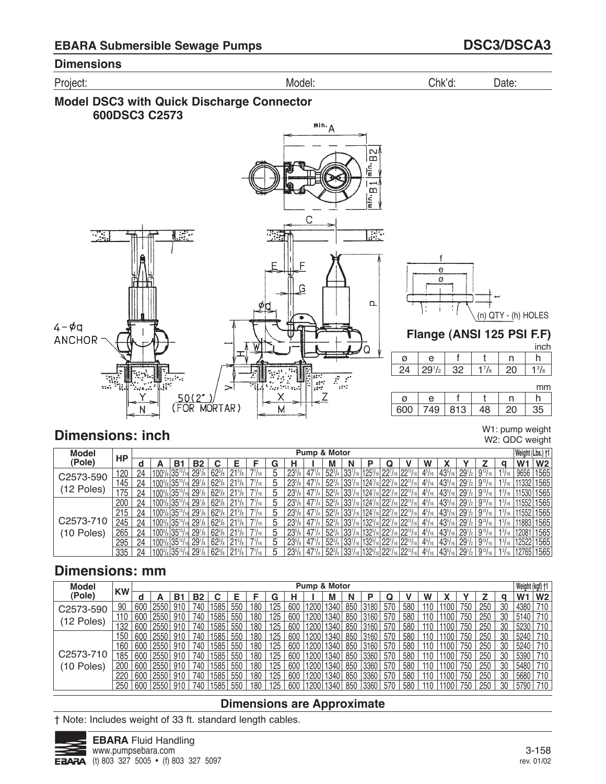Project: Model: Chk'd: Date:





# **Dimensions: inch**

W1: pump weight W2: QDC weight

h  $1<sup>3</sup>/<sub>8</sub>$ 

h 

mm

inch

| <b>Model</b> |     |    |                                     |    |                    |                 |                 |                 |   |                     |                 | Pump & Motor |                                   |                                                                                                                                                                                |   |                                          |               |                  |                                            |                                         |                          | Weight (Lbs.) +1 |                |
|--------------|-----|----|-------------------------------------|----|--------------------|-----------------|-----------------|-----------------|---|---------------------|-----------------|--------------|-----------------------------------|--------------------------------------------------------------------------------------------------------------------------------------------------------------------------------|---|------------------------------------------|---------------|------------------|--------------------------------------------|-----------------------------------------|--------------------------|------------------|----------------|
| (Pole)       | НP  | a  |                                     | B1 | <b>B2</b>          |                 |                 |                 | G |                     |                 | М            | N                                 |                                                                                                                                                                                | Q |                                          | W             |                  |                                            |                                         | a                        | W1               | W <sub>2</sub> |
| C2573-590    | 120 | 24 | $100\frac{3}{8}$ 35 <sup>13</sup> / |    | 29 <sup>1</sup> /8 | $62\frac{3}{8}$ | $21^{5}/s$      | $7^{1}/_{16}$   | 5 | 23%                 | $47\frac{1}{4}$ |              |                                   | $52\frac{3}{4}$ 33 <sup>7</sup> / <sub>16</sub> 125 <sup>3</sup> / <sub>16</sub>                                                                                               |   | $ 22^7/$ <sub>16</sub> $ 22^{13}/_{16} $ | $4^{5}/_{16}$ | $43^{5}/_{16}$   | $29^{1/2}$                                 | $9^{13}/_{16}$                          | $1^{3}/_{16}$            | 9656             | 1565           |
|              | 145 | 24 | 1003/8 3513/                        |    | 29 <sup>1</sup> /s | $62\frac{3}{8}$ | $21\%$          | $7^{1}/_{16}$   | 5 | 23 <sup>5</sup> /s  | $47^{1}/_4$     |              |                                   | 523/4 337/16 1247/16 227/16 2213/1                                                                                                                                             |   |                                          | $4^{5}/_{16}$ | $ 43^{5}/_{16} $ | $29^{1/2}$                                 | $19^{13}/_{16}$                         | $1^{3}\frac{1}{16}$      | 11332 1565       |                |
| (12 Poles)   | 175 | 24 | $100^{3}/_{8}$ 35 <sup>13</sup> /   |    | 29 <sup>1</sup> /s | $62\frac{3}{8}$ | $21^{5}/s$      | $7^{1}/_{16}$   | 5 | $23^{5}/s$          | $47^{1/4}$      |              |                                   | 52 <sup>3</sup> / <sub>4</sub> 33 <sup>7</sup> / <sub>16</sub> 124 <sup>7</sup> / <sub>16</sub> 22 <sup>7</sup> / <sub>16</sub> 22 <sup>13</sup> / <sub>1</sub>                |   |                                          | $4^{5}/_{16}$ | $43^{5}/_{16}$   | $29^{1/2}$                                 | $9^{13}/_{16}$                          | $1^{3}/_{16}$            | 11530 1565       |                |
|              | 200 | 24 | $100\frac{3}{8}$ 35 <sup>13</sup> / |    | 29 <sup>1</sup> /8 | $62\frac{3}{8}$ | $21^{5}/s$      | $7^{1}/_{16}$ . | 5 | $23^{5}/\mathrm{s}$ | $47'$ /4        |              |                                   | $\frac{1}{2}$ 52 <sup>3</sup> / <sub>4</sub> 33 <sup>7</sup> / <sub>16</sub> 124 <sup>7</sup> / <sub>16</sub> 22 <sup>7</sup> / <sub>16</sub> 22 <sup>13</sup> / <sub>16</sub> |   |                                          | $4^{5}/_{16}$ | $ 43^{5}/_{16} $ | $291$ / <sub>2</sub>                       | $9^{13}/_{16}$                          | $1^{3}/_{16}$            | 11552 1565       |                |
|              | 215 | 24 | 1003/8 3513/                        |    | 29 <sup>1</sup> /8 | $62^{3}/s$      | $21\frac{5}{8}$ | $7^{1}/_{16}$   | 5 | $23^{5}/s$          | $47^{1/4}$      |              |                                   | 52 <sup>3</sup> / <sub>4</sub> 33 <sup>7</sup> / <sub>16</sub> 124 <sup>7</sup> / <sub>16</sub> 22 <sup>7</sup> / <sub>16</sub> 22 <sup>13</sup> / <sub>16</sub>               |   |                                          | $4^{5}/_{16}$ | $43^{5}/_{16}$   |                                            | $291/2$ 9 <sup>13</sup> / <sub>16</sub> | $1^{3}\overline{7}_{16}$ | 11552 1565       |                |
| C2573-710    | 245 | 24 | $100\frac{3}{8}$ 35 <sup>13</sup> / |    | 29 <sup>1</sup> /s | $62\frac{3}{8}$ | $21^{5}/s$      | $7^{1}/_{16}$   | 5 | $23^{5}/s$          | $47^{1}/4$      |              |                                   | 52 <sup>3</sup> / <sub>4</sub> 33 <sup>7</sup> / <sub>16</sub> 132 <sup>5</sup> / <sub>16</sub> 22 <sup>7</sup> / <sub>16</sub> 22 <sup>13</sup> /                             |   |                                          | $4^{5}/_{16}$ | $43^{5}/_{16}$   | $29^{1/2}$                                 | $9^{13}/_{16}$                          | $1^{3}/_{16}$            | 11883 1565       |                |
| (10 Poles)   | 265 | 24 | $100\frac{3}{8}$ 35 <sup>13</sup> / |    | 29 <sup>1</sup> /8 | $62\frac{3}{8}$ | $21^{5}/s$      | $7^{1}/_{16}$   | 5 | 23%                 | $47\frac{1}{4}$ |              |                                   | $\frac{1}{2}$ 52 <sup>3</sup> / <sub>4</sub> 33 <sup>7</sup> / <sub>16</sub> 132 <sup>5</sup> / <sub>16</sub> 22 <sup>7</sup> / <sub>16</sub> 22 <sup>13</sup> / <sub>16</sub> |   |                                          | $4^{5}/_{16}$ | $ 43^{5}/_{16} $ | $291$ / <sub>2</sub>                       | $9^{13}/_{16}$                          | $1^{3}/_{16}$ .          | 12081            | 1565           |
|              | 295 | 24 | 1003/8 3513/                        |    | 29 <sup>1</sup> /8 | $62^{3}/s$      | $21\frac{5}{8}$ | $7^{1}/_{16}$   | 5 | 23 <sup>5</sup> /s  | $47^{1/4}$      |              |                                   | 523/4 337/16 1325/16 227/16 2213/16                                                                                                                                            |   |                                          | $4^{5}/_{16}$ | $43^{5}/_{16}$   | $ 29^{1}/_{2} 9^{13}/_{16} $               |                                         | $1^{3}/_{16}$            | 12522            | 1565           |
|              | 335 | 24 | $100^{3}/_{8}$ 35 <sup>13</sup> /   |    | 29 <sup>1</sup> /s | $62^{3}/s$      |                 | $17^{1/16}$     | 5 | $23^{5}/s$          |                 |              | $52\frac{3}{4}$ 33 $\frac{7}{16}$ | s   132 <sup>5</sup> /16   22 <sup>7</sup> /16   22 <sup>13</sup> /1                                                                                                           |   |                                          | $4^{5}/_{16}$ | $ 43^{5}/_{16} $ | $29^{1/2}$ 9 <sup>13</sup> / <sub>16</sub> |                                         | $1^{3}/_{16}$            |                  | 12765 1565     |

# **Dimensions: mm**

| <b>Model</b> |           |     |      |     |           |      |                 |     |     |     |                   | Pump & Motor |     |      |     |     |     |      |     |     |     | Weight (kgf) +1 |                |
|--------------|-----------|-----|------|-----|-----------|------|-----------------|-----|-----|-----|-------------------|--------------|-----|------|-----|-----|-----|------|-----|-----|-----|-----------------|----------------|
| (Pole)       | <b>KW</b> |     |      | B1  | <b>B2</b> | r    |                 |     | G   |     |                   | M            | Ν   | D    | Q   |     | W   |      |     |     | a   | W <sub>1</sub>  | W <sub>2</sub> |
| C2573-590    | 90        | 600 | 2550 | 910 | 740       | 1585 | 550             | 180 | 125 | 600 | 1200              | 1340         | 850 | 3180 | 570 | 580 | 110 | 1100 | 750 | 250 | 30  | 4380            | 710            |
|              | 110       | 600 | 2550 | 910 | 740       | 1585 | 550             | 180 | 125 | 600 | 1200              | 1340         | 850 | 3160 | 570 | 580 | 110 | 1100 | 750 | 250 | 30  | 5140            | 710            |
| (12 Poles)   | 132       | 600 | 2550 | 910 | 740       | 1585 | 550             | 180 | 25  | 600 | 1200              | 340          | 850 | 3160 | 570 | 580 | 110 | 1100 | 750 | 250 | 30  | 5230            | 710            |
|              | 150       | 600 | 2550 | 910 | 740       | 1585 | 550             | 180 | 125 | 600 | 1200 <sub>1</sub> | 1340         | 850 | 3160 | 570 | 580 | 110 | 1100 | 750 | 250 | 30  | 5240            | 710            |
|              | 160       | 600 | 2550 | 910 | 740       | 1585 | 550             | 180 | 125 | 600 | 1200              | 1340         | 850 | 3160 | 570 | 580 | 110 | 1100 | 750 | 250 | 30  | 5240            | 710            |
| C2573-710    | 185       | 600 | 2550 | 910 | 740       | 1585 | 550             | 180 | 25  | 600 | 200               | 1340         | 850 | 3360 | 570 | 580 | 110 | 1100 | 750 | 250 | 30  | 5390            | 710            |
| (10 Poles)   | 200       | 600 | 2550 | 910 | 740       | 1585 | 550             | 180 | 125 | 600 | 1200              | 1340         | 850 | 3360 | 570 | 580 | 110 | 1100 | 750 | 250 | 30  | 5480            | 710            |
|              | 220       | 600 | 255C | 910 | 740       | 1585 | 550             | 180 | 125 | 600 | 1200              | 1340         | 850 | 3360 | 570 | 580 | 110 | 1100 | 750 | 250 | 30  | 5680            |                |
|              | 250       | 600 | 2550 | 910 | 740       | 1585 | 55 <sup>c</sup> | 180 |     | 600 | 1200              | 1340         | 850 | 3360 | 570 | 580 | 110 |      | 750 | 250 | -30 | 5790            |                |

### **Dimensions are Approximate**

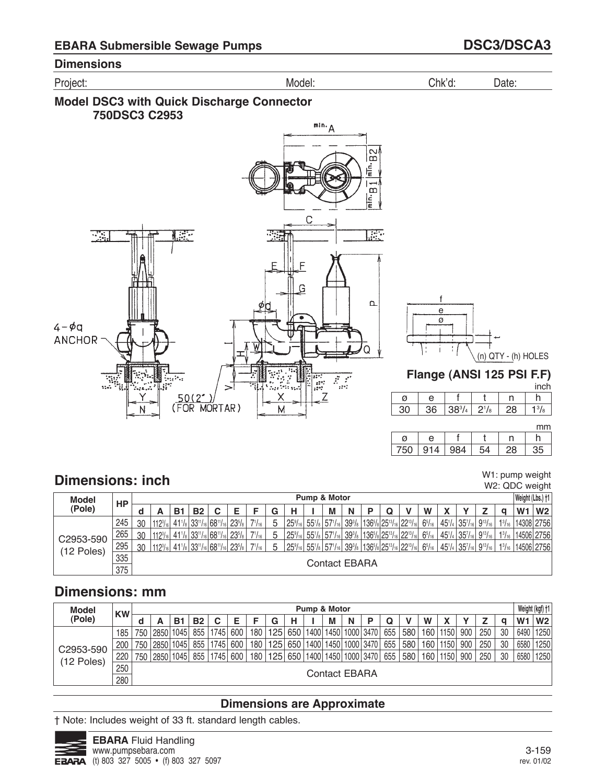





W1: pump weight W2: QDC weight

h

inch

| ø | e |     |  |  |
|---|---|-----|--|--|
|   |   | 201 |  |  |

# **Dimensions: inch**

| Model      | HP  |    |                 |            |           |                                                                                                    |                     |               |    |                                                                                 | Pump & Motor                      |   |   |                                                      |               |            |                                                |                                  |               |                | Weight (Lbs.) +1 |
|------------|-----|----|-----------------|------------|-----------|----------------------------------------------------------------------------------------------------|---------------------|---------------|----|---------------------------------------------------------------------------------|-----------------------------------|---|---|------------------------------------------------------|---------------|------------|------------------------------------------------|----------------------------------|---------------|----------------|------------------|
| (Pole)     |     |    |                 | <b>B</b> 1 | <b>B2</b> |                                                                                                    |                     |               | G  | н                                                                               | M                                 | N | Q |                                                      | W             |            |                                                |                                  |               | W <sub>1</sub> | W <sub>2</sub>   |
|            | 245 | 30 | $112^{3}/161$   |            |           | $ 33^{11}/_{16} 68^{11}/_{16} $                                                                    | $23^{5}/s$          | $71/16$ .     |    | 25 <sup>9</sup> /16                                                             | $55^{1}/_8$ 57 $1/_{16}$          |   |   | $ 39\% 136\% 25\% 25\% 22\%$                         | $6^{5}/_{16}$ | $45^{1}/4$ | $35^{7}/_{16}$ 9 <sup>13</sup> / <sub>16</sub> |                                  | $1^{3}/_{16}$ |                | 14308 2756       |
| C2953-590  | 265 | 30 | $112^{3}/_{16}$ |            |           | $41\frac{1}{8}$ 33 <sup>11</sup> / <sub>16</sub> 68 <sup>11</sup> / <sub>16</sub>                  | $23^{5}/s$          | $7^{1}/_{16}$ |    | $25\frac{9}{16}$                                                                | $55\frac{1}{8}$ 57 $\frac{1}{16}$ |   |   | $ 39\% 136\% 25\% 25\% 22\% 6 $                      | $6^{5}/_{16}$ | $45^{1/4}$ | 35 <sup>7</sup> /16 9 <sup>13</sup> /16        |                                  | $1^{3}/_{16}$ |                | 14506  2756      |
| (12 Poles) | 295 | 30 | $112^{3}/161$   |            |           | $41$ <sup>1</sup> / <sub>8</sub> 33 <sup>11</sup> / <sub>16</sub> 68 <sup>11</sup> / <sub>16</sub> | $23^{5}/\mathrm{s}$ | $7^{1}/_{16}$ | .5 | $25\frac{9}{16}$ 55 <sup>1</sup> / <sub>8</sub> 57 <sup>1</sup> / <sub>16</sub> |                                   |   |   | $ 39^3$ /s $ 136^5$ /s $ 25^{13}$ /16 $ 22^{13}$ /16 | $6^{5}/_{16}$ |            |                                                | $145'/4 35'/_{16} 9^{13}/_{16} $ | $1^{3}/_{16}$ |                | 14506 2756       |
|            | 335 |    |                 |            |           |                                                                                                    |                     |               |    |                                                                                 | Contact EBARA                     |   |   |                                                      |               |            |                                                |                                  |               |                |                  |
|            | 375 |    |                 |            |           |                                                                                                    |                     |               |    |                                                                                 |                                   |   |   |                                                      |               |            |                                                |                                  |               |                |                  |

# **Dimensions: mm**

| <b>Model</b> | <b>KW</b> |     |          |      |           |      |     |     |     |     | Pump & Motor |                      |           |           |     |     |                  |      |     |     |    |                | Weight (kgf) +1 |
|--------------|-----------|-----|----------|------|-----------|------|-----|-----|-----|-----|--------------|----------------------|-----------|-----------|-----|-----|------------------|------|-----|-----|----|----------------|-----------------|
| (Pole)       |           | a   |          | B1   | <b>B2</b> | C    | E   |     | G   |     |              | М                    | N         |           | Q   |     | W                |      |     |     | a  | W <sub>1</sub> | W <sub>2</sub>  |
|              | 185       |     | 750 2850 | 1045 | 855       | 1745 | 600 | 180 | 125 | 650 | 1400         | 1450                 | 1000 3470 |           | 655 | 580 | 160.             | 1150 | 900 | 250 | 30 | 6490           | 1250            |
| C2953-590    | 200       | 750 | 2850     | 1045 | 855       | 1745 | 600 | 180 | 125 | 650 | 1400         | 1450                 | 1000 3470 |           | 655 | 580 | 160 <sub>1</sub> | 1150 | 900 | 250 | 30 | 6580           | 1250            |
| (12 Poles)   | 220       | 750 | 2850     | 1045 | 855       | 1745 | 600 | 180 | 125 | 650 | 1400         | 1450                 |           | 1000 3470 | 655 | 580 | 160 <sub>1</sub> | 1150 | 900 | 250 | 30 | 6580           | 1250            |
|              | 250       |     |          |      |           |      |     |     |     |     |              | <b>Contact EBARA</b> |           |           |     |     |                  |      |     |     |    |                |                 |
|              | 280       |     |          |      |           |      |     |     |     |     |              |                      |           |           |     |     |                  |      |     |     |    |                |                 |

## **Dimensions are Approximate**

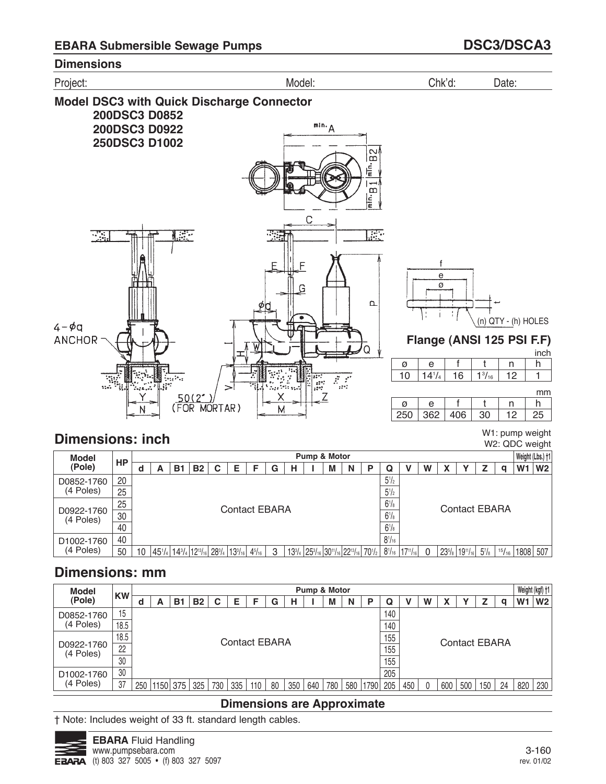

# **Dimensions: inch**

W1: pump weight W2: QDC weight

| <b>Model</b>            |    |   |    |                                                                    |   |                      |               |   |   | Pump & Motor                                                                                                                                                    |   |   |            |                 |   |                     |                      |          |       | Weight (Lbs.) +1 |                |
|-------------------------|----|---|----|--------------------------------------------------------------------|---|----------------------|---------------|---|---|-----------------------------------------------------------------------------------------------------------------------------------------------------------------|---|---|------------|-----------------|---|---------------------|----------------------|----------|-------|------------------|----------------|
| (Pole)                  | HP | А | В. | <b>B2</b>                                                          | С | Е                    |               | G | н | М                                                                                                                                                               | N | Р | Q          |                 | W |                     |                      |          | a     | W1               | W <sub>2</sub> |
| D0852-1760              | 20 |   |    |                                                                    |   |                      |               |   |   |                                                                                                                                                                 |   |   | $5^{1/2}$  |                 |   |                     |                      |          |       |                  |                |
| (4 Poles)               | 25 |   |    |                                                                    |   |                      |               |   |   |                                                                                                                                                                 |   |   | $5^{1}/2$  |                 |   |                     |                      |          |       |                  |                |
|                         | 25 |   |    |                                                                    |   | <b>Contact EBARA</b> |               |   |   |                                                                                                                                                                 |   |   | $6^{1}/s$  |                 |   |                     | <b>Contact EBARA</b> |          |       |                  |                |
| D0922-1760<br>(4 Poles) | 30 |   |    |                                                                    |   |                      |               |   |   |                                                                                                                                                                 |   |   | $6^{1}/s$  |                 |   |                     |                      |          |       |                  |                |
|                         | 40 |   |    |                                                                    |   |                      |               |   |   |                                                                                                                                                                 |   |   | $6^{1}/s$  |                 |   |                     |                      |          |       |                  |                |
| D <sub>1002</sub> -1760 | 40 |   |    |                                                                    |   |                      |               |   |   |                                                                                                                                                                 |   |   | $8^{1/16}$ |                 |   |                     |                      |          |       |                  |                |
| (4 Poles)               | 50 |   |    | $ 45^{1}/_{4} 14^{3}/_{4} 12^{13}/_{16} 28^{3}/_{4} 13^{3}/_{16} $ |   |                      | $4^{5}/_{16}$ | 3 |   | 13 <sup>3</sup> / <sub>4</sub> 25 <sup>3</sup> / <sub>16</sub> 30 <sup>11</sup> / <sub>16</sub> 22 <sup>13</sup> / <sub>16</sub> 70 <sup>1</sup> / <sub>2</sub> |   |   | $8^{1/16}$ | $17^{11}/_{16}$ |   | $23^{5}/\mathrm{s}$ | $ 19^{11}/_{16} $    | $5^7$ /8 | 15/16 | 1808 507         |                |

# **Dimensions: mm**

| <b>Model</b>            |           |     |      |     |           |     |                      |     |    |     |     | Pump & Motor |     |      |     |     |   |     |     |                      |    | Weight (kgf) +1 |                |
|-------------------------|-----------|-----|------|-----|-----------|-----|----------------------|-----|----|-----|-----|--------------|-----|------|-----|-----|---|-----|-----|----------------------|----|-----------------|----------------|
| (Pole)                  | <b>KW</b> | u   | A    | B.  | <b>B2</b> | С   | Е                    |     | G  |     |     | M            | N   | Р    | Q   |     | W |     |     |                      |    | W <sub>1</sub>  | W <sub>2</sub> |
| D0852-1760              | 15        |     |      |     |           |     |                      |     |    |     |     |              |     |      | 140 |     |   |     |     |                      |    |                 |                |
| (4 Poles)               | 18.5      |     |      |     |           |     |                      |     |    |     |     |              |     |      | 140 |     |   |     |     |                      |    |                 |                |
|                         | 18.5      |     |      |     |           |     | <b>Contact EBARA</b> |     |    |     |     |              |     |      | 155 |     |   |     |     | <b>Contact EBARA</b> |    |                 |                |
| D0922-1760<br>(4 Poles) | 22        |     |      |     |           |     |                      |     |    |     |     |              |     |      | 155 |     |   |     |     |                      |    |                 |                |
|                         | 30        |     |      |     |           |     |                      |     |    |     |     |              |     |      | 155 |     |   |     |     |                      |    |                 |                |
| D <sub>1002</sub> -1760 | 30        |     |      |     |           |     |                      |     |    |     |     |              |     |      | 205 |     |   |     |     |                      |    |                 |                |
| (4 Poles)               | 37        | 250 | 1150 | 375 | 325       | 730 | 335                  | 110 | 80 | 350 | 640 | 780          | 580 | 1790 | 205 | 450 |   | 600 | 500 | 150                  | 24 | 820             | 230            |

## **Dimensions are Approximate**

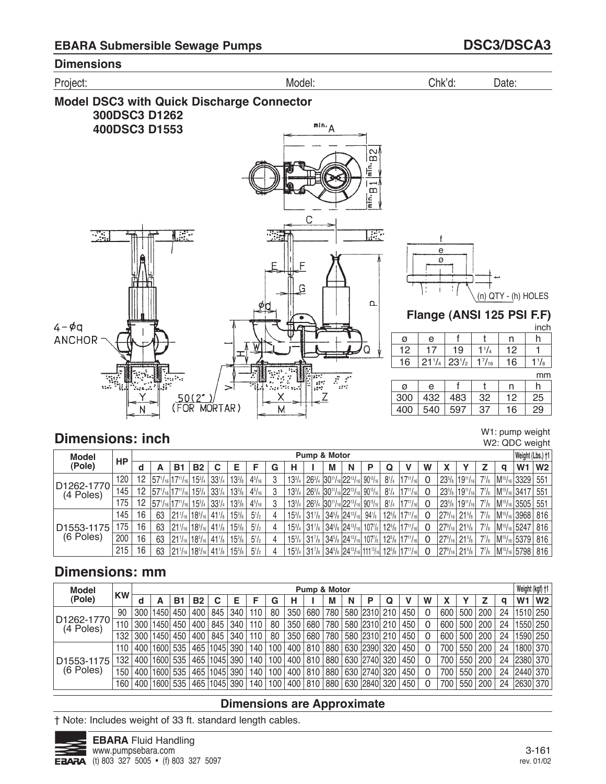

# **Dimensions: inch**

W1: pump weight W2: QDC weight

| <b>Model</b>            |     |    |                                |               |               |                                                |                 |               |   |               |                                | Pump & Motor                                 |   |                   |              |                                                                        |                |                          |                                                |                  |   | Weight (Lbs.) †1                         |                |
|-------------------------|-----|----|--------------------------------|---------------|---------------|------------------------------------------------|-----------------|---------------|---|---------------|--------------------------------|----------------------------------------------|---|-------------------|--------------|------------------------------------------------------------------------|----------------|--------------------------|------------------------------------------------|------------------|---|------------------------------------------|----------------|
| (Pole)                  | НP  |    | А                              | <b>B</b> 1    | <b>B2</b>     | C                                              | Е               |               | G | н             |                                | M                                            | N | Р                 | Q            |                                                                        | W              |                          |                                                |                  | a | W <sub>1</sub>                           | W <sub>2</sub> |
|                         | 120 | 12 | $ 57^{1}/_{16} 17^{11}/_{16} $ |               | $15^{3}/_{4}$ | $33^{1}/4$                                     | $13^{3}/_{8}$   | $4^{5}/_{16}$ | 3 | $13^{3}/4$    |                                | $ 26^{3}/_{4} 30^{11}/_{16} 22^{13}/_{16} $  |   | $90^{15}/_{16}$   | $8^{1}/_{4}$ | $17^{11}/_{16}$                                                        | -0             |                          | $23^{5}/_8$   19 <sup>11</sup> / <sub>16</sub> | $7^{7}/_{8}$     |   | M <sup>15</sup> / <sub>16</sub> 3329 551 |                |
| D1262-1770<br>(4 Poles) | 145 | 12 | $ 57^{1}/_{16} 17^{11}/_{16} $ |               |               | $15\frac{3}{4}$ 33 <sup>1</sup> / <sub>4</sub> | $13^{3}/_{8}$   | $4^{5}/_{16}$ | Ω | $13^{3}/4$    |                                | $ 26^{3}/_{4} 30^{11}/_{16} 22^{13}/_{16} $  |   | $ 90^{15}/_{16} $ | $8^{1}/_{4}$ | $17^{11}/_{16}$                                                        | -0             |                          | $23^{5}/_8$   19 <sup>11</sup> / <sub>16</sub> | $7^{7}/_{8}$     |   | $ M^{15}/_{16} 3417 551$                 |                |
|                         | 175 | 12 | $ 57^{1}/_{16} 17^{11}/_{16} $ |               |               | $15\frac{3}{4}$ 33 <sup>1</sup> / <sub>4</sub> | $13^{3}/s$      | $4^{5}/_{16}$ | 3 | $13^{3}/4$    |                                | $ 26^{3}/_{4} 30^{11}/_{16} 22^{13}/_{16} $  |   | $ 90^{15}/_{16} $ | $8^{1}/_{4}$ | $17^{11}/_{16}$                                                        | - 0            |                          | $23^{5}/_8$   19 <sup>11</sup> / <sub>16</sub> | $7^{7}/_{8}$     |   | $ M^{15}/_{16} 3505 551$                 |                |
|                         | 145 | 16 | 63                             | $121'_{16}$   |               | $ 18^{5}/_{16} 41^{1}/_{8} $                   | $15\frac{3}{8}$ | $5^{1}/_{2}$  |   | $15^{3}/_{4}$ | $31\%$                         | $ 34^{5}/_8 24^{13}/_{16} $                  |   | $94\frac{1}{8}$   |              | $12^{5}/_8$   17 <sup>11</sup> / <sub>16</sub>                         | $\Omega$       | $ 27^9/_{16} 21^5/_{8} $ |                                                | $7^7$ / $\rm{s}$ |   | M <sup>15</sup> / <sub>16</sub> 3968 816 |                |
| D1553-1175              | 175 | 16 | 63                             | $ 21' _{16}$  |               | $ 18^{5}/_{16} 41^{1}/_{8} $                   | $15\frac{3}{8}$ | $5^{1}/_{2}$  | 4 | $15^{3}/_{4}$ | $31\%$                         | $34^{5}/_8$ 24 <sup>13</sup> / <sub>16</sub> |   | 107 <sub>8</sub>  | $12^{5}/s$   | $ 17^{11}/_{16} $                                                      |                |                          | $ 27^9/_{16} 21^5/_{8} $                       | $7^{7}/_{8}$     |   | $ M^{15}/_{16} $ 5247   816              |                |
| (6 Poles)               | 200 | 16 | 63                             | $ 21\%$       |               | $ 18^{5}/_{16} 41^{1}/_{8} $                   | $15\frac{3}{8}$ | $5^{1/2}$     | 4 | $15^{3}/4$    | $31\%$                         | $34^{5}/_8$ 24 <sup>13</sup> / <sub>16</sub> |   |                   |              | $107$ / <sub>8</sub> $12^{5}$ / <sub>8</sub> $17^{11}$ / <sub>16</sub> | $\overline{0}$ | $ 27^9/_{16} 21^5/_{8} $ |                                                | $7^{7}/_{8}$     |   | M <sup>15</sup> / <sub>16</sub> 5379 816 |                |
|                         | 215 | 16 | 63                             | $ 21' _{16} $ |               | $ 18^{5}/_{16} 41^{1}/_{8} $                   | $15\%$          | $5^{1}/_{2}$  |   |               | $15^{3}/_{4}$ 31 $\frac{7}{8}$ |                                              |   |                   |              | $ 34^{5}/_{8} 24^{13}/_{16} 111^{13}/_{16} 12^{5}/_{8} 17^{11}/_{16} $ | -0             |                          | $ 27^9/_{16} 21^5/_{8} $                       | $7^{7}/_{8}$     |   | M <sup>15</sup> / <sub>16</sub> 5798 816 |                |

# **Dimensions: mm**

| <b>Model</b>            |           |     |                  |     |           |                  |     |     |     |       | Pump & Motor |     |   |              |     |   |     |     |                |    | Weight (kgf) +1 |                |
|-------------------------|-----------|-----|------------------|-----|-----------|------------------|-----|-----|-----|-------|--------------|-----|---|--------------|-----|---|-----|-----|----------------|----|-----------------|----------------|
| (Pole)                  | <b>KW</b> | d   |                  | B1  | <b>B2</b> |                  | Е   |     | G   |       |              | M   | N |              |     | W |     |     |                |    | W <sub>1</sub>  | W <sub>2</sub> |
|                         | 90        |     | 300   1450       | 450 | 400       | 845              | 340 | 110 | 80  | 350   | 680          | 780 |   | 580 2310 210 | 450 |   | 600 | 500 | 200            | 24 | 1510 250        |                |
| D1262-1770<br>(4 Poles) | 110       | 300 | 1450             | 450 | 400       | 845              | 340 | 110 | 80  | 350   | 680          | 780 |   | 580 2310 210 | 450 |   | 600 | 500 | $^{\circ}$ 200 | 24 | 1550 250        |                |
|                         | 132       | 300 | 1450             | 450 | 400       | 845              | 340 | 110 | 80  | 350   | 680          | 780 |   | 580 2310 210 | 450 |   | 600 | 500 | $^{\circ}200$  | 24 | 1590 250        |                |
|                         | 110       |     | 400   1600       | 535 |           | 465   1045   390 |     | 140 | 100 | 400 l | 810          | 880 |   | 630 2390 320 | 450 |   | 700 | 550 | 200            | 24 | 1800 370        |                |
| D1553-1175              | 132       |     | 400   1600       | 535 |           | 465   1045   390 |     | 140 | 100 | 400   | 810          | 880 |   | 630 2740 320 | 450 |   | 700 | 550 | 200            | 24 | 2380 370        |                |
| (6 Poles)               | 150       | 400 | 1600             | 535 |           | 465   1045       | 390 | 140 | 100 | 400   | 810          | 880 |   | 630 2740 320 | 450 |   | 700 | 550 | 200            | 24 | 2440 370        |                |
|                         | 160       |     | 400   1600   535 |     |           | 465   1045   390 |     | 140 | 100 | 400   | 810          | 880 |   | 630 2840 320 | 450 |   | 700 | 550 | 200            | 24 | 2630 370        |                |

## **Dimensions are Approximate**

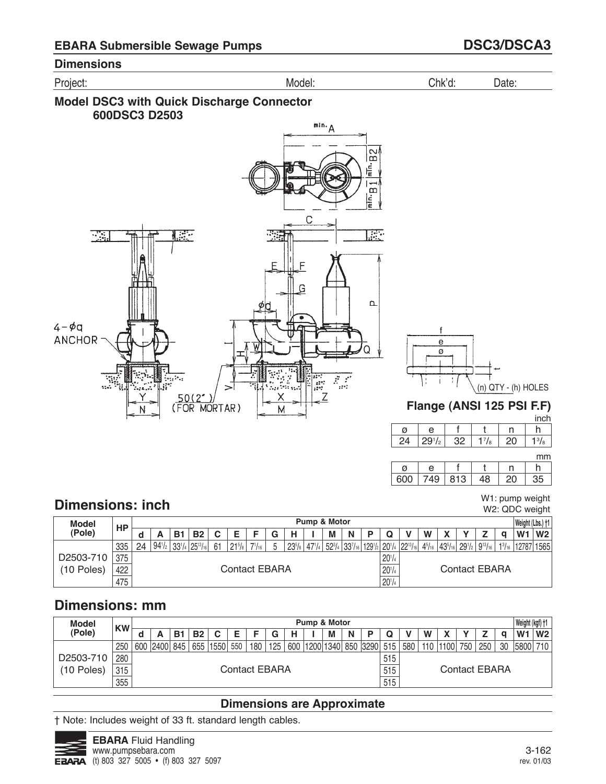





| <b>Model</b> | HP  |    |                 |            |                   |    |                 |               |                     | <b>Pump &amp; Motor</b>                                             |   |            |   |                                                                                     |               | Weight (Lbs.) +1         |                |
|--------------|-----|----|-----------------|------------|-------------------|----|-----------------|---------------|---------------------|---------------------------------------------------------------------|---|------------|---|-------------------------------------------------------------------------------------|---------------|--------------------------|----------------|
| (Pole)       |     |    |                 | B1         | <b>B2</b>         | С  |                 |               | н                   | M                                                                   | N |            | W |                                                                                     |               | W <sub>1</sub>           | W <sub>2</sub> |
|              | 335 | 24 | $94\frac{1}{2}$ | $33^{1}/4$ | $ 25^{13}/_{16} $ | 61 | $21\frac{5}{8}$ | $7^{1}/_{16}$ | $23^{5}/\mathrm{s}$ | $ 47'$ / <sub>4</sub> $ 52^3$ / <sub>4</sub> $ 33'$ / <sub>16</sub> |   |            |   | $ 129!/_{2} 20!/_{4} 22^{13}/_{16} 4^{5}/_{16} 43^{5}/_{16} 29!/_{2} 9^{13}/_{16} $ |               | $13_{16}$   12787   1565 |                |
| D2503-710    | 375 |    |                 |            |                   |    |                 |               |                     |                                                                     |   | $20^{1/4}$ |   |                                                                                     |               |                          |                |
| $(10$ Poles) | 422 |    |                 |            |                   |    | Contact EBARA   |               |                     |                                                                     |   | $20^{1/4}$ |   |                                                                                     | Contact EBARA |                          |                |
|              | 475 |    |                 |            |                   |    |                 |               |                     |                                                                     |   | $20^{1/4}$ |   |                                                                                     |               |                          |                |

# **Dimensions: mm**

| <b>Model</b> | <b>KW</b> |              |    |           |      |     |               |     |   | Pump & Motor |   |   |                                |     |     |   |            |     |                      |    | Weight (kgf) +1 |                  |
|--------------|-----------|--------------|----|-----------|------|-----|---------------|-----|---|--------------|---|---|--------------------------------|-----|-----|---|------------|-----|----------------------|----|-----------------|------------------|
| (Pole)       |           |              | B1 | <b>B2</b> | C    | F   |               | G   | н |              | М | N |                                |     |     | W |            |     |                      |    | W <sub>1</sub>  | W <sub>2</sub>   |
|              | 250       | 600 2400 845 |    | 655       | 1550 | 550 | 180           | 125 |   |              |   |   | 600   1200   1340   850   3290 | 515 | 580 |   | 110   1100 | 750 | 250                  | 30 | 5800            | 710 <sub>1</sub> |
| D2503-710    | 280       |              |    |           |      |     |               |     |   |              |   |   |                                | 515 |     |   |            |     |                      |    |                 |                  |
| (10 Poles)   | 315       |              |    |           |      |     | Contact EBARA |     |   |              |   |   |                                | 515 |     |   |            |     | <b>Contact EBARA</b> |    |                 |                  |
|              | 355       |              |    |           |      |     |               |     |   |              |   |   |                                | 515 |     |   |            |     |                      |    |                 |                  |

## **Dimensions are Approximate**

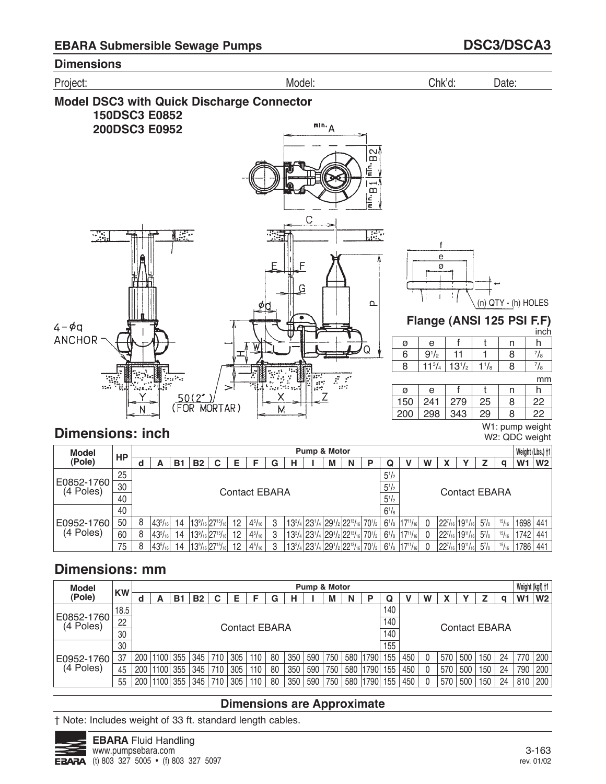

**Dimensions: inch**

W1: pump weight W2: QDC weight

| <b>Model</b>            |    |   |                  |                |           |                                           |    |                      |   |  | Pump & Motor |                                                                                                                                                              |            |              |           |   |                     |                                                 |          |       | Weight (Lbs.) +1 |                |
|-------------------------|----|---|------------------|----------------|-----------|-------------------------------------------|----|----------------------|---|--|--------------|--------------------------------------------------------------------------------------------------------------------------------------------------------------|------------|--------------|-----------|---|---------------------|-------------------------------------------------|----------|-------|------------------|----------------|
| (Pole)                  | HP | u | А                | B1             | <b>B2</b> | C                                         | F  |                      | G |  | M            | N                                                                                                                                                            | Р          | Q            |           | W |                     |                                                 |          | O     | W <sub>1</sub>   | W <sub>2</sub> |
|                         | 25 |   |                  |                |           |                                           |    |                      |   |  |              |                                                                                                                                                              |            | $5^{1}/2$    |           |   |                     |                                                 |          |       |                  |                |
| E0852-1760<br>(4 Poles) | 30 |   |                  |                |           |                                           |    | <b>Contact EBARA</b> |   |  |              |                                                                                                                                                              |            | $5^{1/2}$    |           |   |                     | <b>Contact EBARA</b>                            |          |       |                  |                |
|                         | 40 |   |                  |                |           |                                           |    |                      |   |  |              |                                                                                                                                                              |            | $5^{1/2}$    |           |   |                     |                                                 |          |       |                  |                |
|                         | 40 |   |                  |                |           |                                           |    |                      |   |  |              |                                                                                                                                                              |            | $6^{1}/_{8}$ |           |   |                     |                                                 |          |       |                  |                |
| E0952-1760              | 50 | 8 | $43^{5}/_{16}$   | 14             |           | $139/16$ 27 <sup>15</sup> / <sub>16</sub> | 12 | $4^{5}/_{16}$        | 3 |  |              | 13 <sup>3</sup> / <sub>4</sub> 23 <sup>1</sup> / <sub>4</sub> 29 <sup>1</sup> / <sub>2</sub> 22 <sup>13</sup> / <sub>16</sub> 70 <sup>1</sup> / <sub>2</sub> |            | $6^{1}/_{8}$ | 14711/161 |   |                     | $22^{7}/_{16}$ 19 <sup>11</sup> / <sub>16</sub> | $5^7$ /8 | 15/16 | 1698             | 441            |
| (4 Poles)               | 60 | 8 | $ 43^{5}/_{16} $ | $\overline{4}$ |           | $139/16$ 27 <sup>15</sup> / <sub>16</sub> | 12 | $4^{5}/_{16}$        |   |  |              | $13^{3}/_{4}$ 23 <sup>1</sup> / <sub>4</sub> 29 <sup>1</sup> / <sub>2</sub> 22 <sup>13</sup> / <sub>16</sub>                                                 | $70^{1/2}$ | $6^{1}/_{8}$ | 14711/161 |   |                     | $22^{7}/_{16}$ 19 <sup>11</sup> / <sub>16</sub> | $5^7$ /8 | 15/16 | 1742             | 441            |
|                         | 75 | 8 | $ 43^{5}/_{16} $ | 4              |           | $139/16$ $2715/16$                        | 12 | $4^{5}/_{16}$        |   |  |              | $13^{3}/_{4}$ 23 <sup>1</sup> / <sub>4</sub> 29 <sup>1</sup> / <sub>2</sub> 22 <sup>13</sup> / <sub>16</sub>                                                 | $70^{1/2}$ | $6^{1}/_{8}$ |           |   | 22 <sup>7</sup> /16 | $119^{11}/_{161}$                               | $5^7$ /8 | 15/16 | 1786             | 441            |

# **Dimensions: mm**

| <b>Model</b>            |           |     |       |     |           |        |                      |     |    |     | Pump & Motor |     |     |      |     |     |   |     |                      |     |    | Weight (kgf) +1 |                |
|-------------------------|-----------|-----|-------|-----|-----------|--------|----------------------|-----|----|-----|--------------|-----|-----|------|-----|-----|---|-----|----------------------|-----|----|-----------------|----------------|
| (Pole)                  | <b>KW</b> | d   | А     | В1  | <b>B2</b> | r<br>u | Е                    |     | G  | н   |              | M   | N   | P    | Q   |     | W |     |                      |     | a  | W1              | W <sub>2</sub> |
|                         | 18.5      |     |       |     |           |        |                      |     |    |     |              |     |     |      | 140 |     |   |     |                      |     |    |                 |                |
| E0852-1760<br>(4 Poles) | 22        |     |       |     |           |        | <b>Contact EBARA</b> |     |    |     |              |     |     |      | 140 |     |   |     | <b>Contact EBARA</b> |     |    |                 |                |
|                         | 30        |     |       |     |           |        |                      |     |    |     |              |     |     |      | 140 |     |   |     |                      |     |    |                 |                |
|                         | 30        |     |       |     |           |        |                      |     |    |     |              |     |     |      | 155 |     |   |     |                      |     |    |                 |                |
| E0952-1760              | 37        | 200 | 1100  | 355 | 345       | 710    | 305                  | 110 | 80 | 350 | 590          | 750 | 580 | '790 | 155 | 450 |   | 570 | 500                  | 150 | 24 | 770             | 200            |
| (4 Poles)               | 45        | 200 | 1100  | 355 | 345       | 710    | 305                  | 110 | 80 | 350 | 590          | 750 | 580 | 790  | 155 | 450 |   | 570 | 500                  | 150 | 24 | 790             | 200            |
|                         | 55        | 200 | '1100 | 355 | 345       | 710    | 305                  | 110 | 80 | 350 | 590          | 750 | 580 | 790  | 155 | 450 |   | 570 | 500                  | 150 | 24 | 810             | 200            |

## **Dimensions are Approximate**

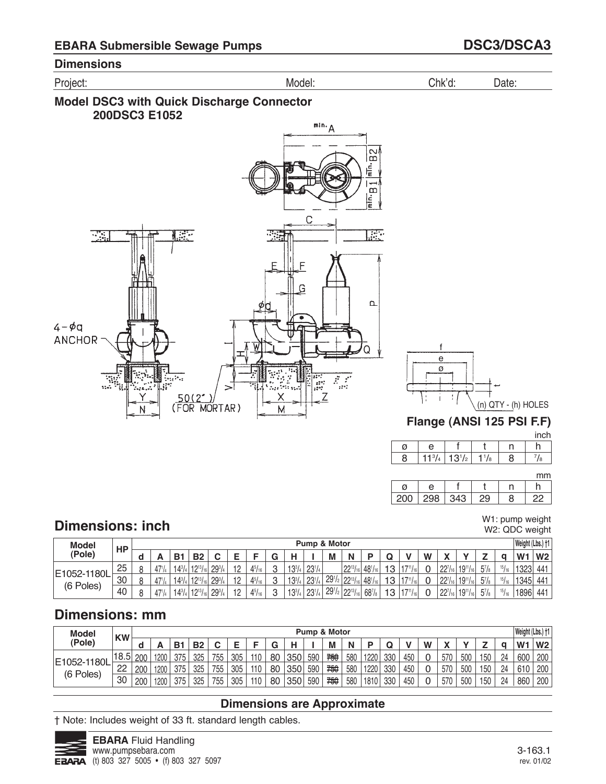





mm

| 200 | 298 | ንር |  |
|-----|-----|----|--|

#### W1: pump weight W2: QDC weight

# **Dimensions: inch**

| <b>Model</b>  | HP |   |                 |          |            |               |                 |                         |   |            | Pump & Motor |            |                                             |                |    |        |   |                               |                       |           |                 | Weight (Lbs.) †1 |                 |
|---------------|----|---|-----------------|----------|------------|---------------|-----------------|-------------------------|---|------------|--------------|------------|---------------------------------------------|----------------|----|--------|---|-------------------------------|-----------------------|-----------|-----------------|------------------|-----------------|
| <b>Pole</b> ) |    | ч | m               | D.       | D0         | ັ             |                 |                         | ч |            |              | M          | N                                           |                |    |        | W |                               |                       | <u>. </u> |                 | W <sub>1</sub>   | W <sub>2</sub>  |
| E1052-1180L   | 25 |   | 47 <sup>1</sup> | $14^{3}$ | $10^{13}L$ | $29^{3}/_{4}$ | $\overline{10}$ | $4^{5}I_{16}$<br>T / 10 | C | $13^{3}/4$ | $23^{1/4}$   |            | $22^{13}/_{16}$                             | $48^{1}/_{16}$ | 13 |        |   | 227<br>22'116                 | $19^{11}$ /<br>/16    | $5^7/s$   | 151.0           | 1323             | 44 <sup>1</sup> |
| (6 Poles)     | 30 | c | 47 <sup>1</sup> | $14^{3}$ | $10^{13}L$ | $29^{3}/_{4}$ | $\overline{10}$ | $4^{5}/_{16}$           | C | $13^{3}/4$ | $23^{1}/$    | $29^{1}/2$ | $ 22^{13}/_{16} $                           | $48^{1}/_{16}$ | 13 | 1711   |   | 00 <sub>7</sub><br>22'116     | $19^{11}$ /<br>'/16 I | $5^7$ /8  | 15 <sub>1</sub> | 1345             | 441             |
|               | 40 |   | 47 <sup>1</sup> | $14^{3}$ | $11913L_0$ | $29^{3}/_{4}$ | 10              | $4^{5}I_{16}$           | റ | $13^{3}/4$ | $23^{1/4}$   |            | $29^{1/2}$ 22 <sup>13</sup> / <sub>16</sub> | $68^{7}/s$     | 13 | $-711$ |   | $^{1}$ 22 $7/16$ <sub>1</sub> | $19^{11}/_{16}$       | $5^7/s$   | 15 <sub>1</sub> | 1896             | 441             |

# **Dimensions: mm**

| <b>Model</b> | <b>KW</b> |     |      |                |           |     |     |     |        |     |     | Pump & Motor |     |      |     |     |   |              |     |     |    | Weight (Lbs.) †1 |                |
|--------------|-----------|-----|------|----------------|-----------|-----|-----|-----|--------|-----|-----|--------------|-----|------|-----|-----|---|--------------|-----|-----|----|------------------|----------------|
| (Pole)       |           |     | -    | B <sub>1</sub> | <b>B2</b> |     |     |     | ◠<br>u | н   |     | M            | N   |      |     |     | W | $\mathbf{v}$ |     | -   |    | W.               | W <sub>2</sub> |
|              | 18.5      | 200 | 1200 | 375            | 325       | 755 | 305 | 110 | 80     | 350 | 590 | 卷            | 580 | 1220 | 330 | 450 | 0 | 570          | 500 | 150 | 24 | 600              | 200            |
| E1052-1180L  | 22        | 200 | 1200 | 375            | 325       | 755 | 305 | 110 | 80     | 350 | 590 | 750          | 580 | 1220 | 330 | 450 | 0 | 570          | 500 | 150 | 24 | 610              | 200            |
| (6 Poles)    | 30        | 200 | 1200 | 375            | 325       | 755 | 305 | 110 | 80     | 350 | 590 | 卷            | 580 | 1810 | 330 | 450 | 0 | 570          | 500 | 150 | 24 | 860              | 200            |

## **Dimensions are Approximate**

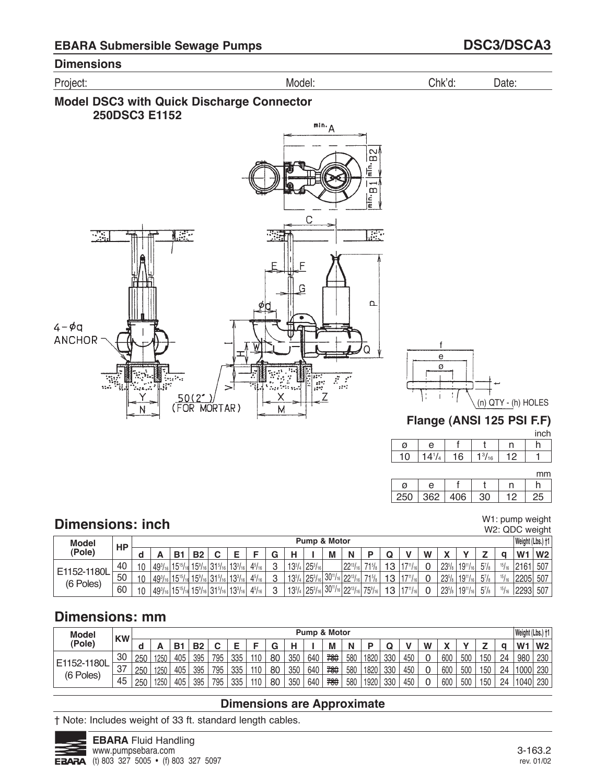Project: Model: Chk'd: Date:





mm

| 250 | 362   406 |  |  |
|-----|-----------|--|--|

# **Dimensions: inch**

W1: pump weight W2: QDC weight

| <b>Model</b> | HP |    |                |                 |                                                  |                |               |                 |               | Pump & Motor   |           |                                                |                      |    |              |   |            |                 |         |                    | Weight (Lbs.) †1 |                |
|--------------|----|----|----------------|-----------------|--------------------------------------------------|----------------|---------------|-----------------|---------------|----------------|-----------|------------------------------------------------|----------------------|----|--------------|---|------------|-----------------|---------|--------------------|------------------|----------------|
| (Pole)       |    | ч  |                | B <sub>1</sub>  | <b>B2</b>                                        | ►              |               | ◠<br>u          |               |                | М         | N                                              |                      | w  |              | W |            |                 | -       |                    | W <sub>1</sub>   | W <sub>2</sub> |
|              | 40 | 10 | $49^{3}$       | $15^{15}$ /     | $15\frac{9}{16}$ 31 <sup>5</sup> / <sub>16</sub> | $13^{3}/_{16}$ | $4^{5}/_{16}$ | $\Omega$        | $13^{3}/_{4}$ | $25^{3}/_{16}$ |           | $22^{13}$<br>/16 I                             | 715L                 | 12 | 1711         |   | $23^{5}/s$ | $19^{11}/_{16}$ | $5^7/s$ | $15J_{\text{tot}}$ | 2161             | 507            |
| E1152-1180L  | 50 | 10 | $49^{3}$       | $15^{15}$       | $15\frac{9}{16}$ 31 <sup>5</sup> /161            | $13^{3}/_{16}$ | $4^{5}/_{16}$ | $\sqrt{2}$<br>ບ | $13^{3}/4$    | $25^{3}/_{16}$ | $30^{11}$ | $/16$ 22 <sup>13</sup> /<br>716                | 715                  | 13 | 4711         |   | $23^{5}/s$ | $19^{11}/_{16}$ | $5^7/s$ | $15J_{\text{tot}}$ | 2205             | 507            |
| (6 Poles)    | 60 | 10 | $49^{3}/_{16}$ | $15^{15}/_{16}$ | $15\frac{9}{16}$ 31 <sup>5</sup> / <sub>16</sub> | $13^{3}/_{16}$ | $4^{5}/_{16}$ | ∩               | $13^{3}/4$    | $25^{3}/_{16}$ | $30^{11}$ | $\frac{1}{6}$ 22 <sup>13</sup> / <sub>16</sub> | $75\%$ <sub>16</sub> | 13 | $1 - 7111$ . |   | $23^{5}/s$ | $19^{11}/_{16}$ | $5^7/s$ | 151.0              | 2293             | 507            |

# **Dimensions: mm**

| <b>Model</b> | <b>KW</b> |     |      |                |           |     |     |     |    |     |     | Pump & Motor |     |      |     |     |          |              |     |     |    | Weight (Lbs.) +1 |                |
|--------------|-----------|-----|------|----------------|-----------|-----|-----|-----|----|-----|-----|--------------|-----|------|-----|-----|----------|--------------|-----|-----|----|------------------|----------------|
| (Pole)       |           |     | -    | B <sub>1</sub> | <b>B2</b> |     |     |     | G  | н   |     | M            | N   |      |     |     | W        | $\mathbf{v}$ |     |     |    | W                | W <sub>2</sub> |
|              | 30        | 250 | 1250 | 405            | 395       | 795 | 335 | 110 | 80 | 350 | 640 | 780          | 580 | 1820 | 330 | 450 | 0        | 600          | 500 | 150 | 24 | 980              | 230            |
| E1152-1180L  | 37        | 250 | 1250 | 405            | 395       | 795 | 335 | 110 | 80 | 350 | 640 | 780          | 580 | 1820 | 330 | 450 | 0        | 600          | 500 | 150 | 24 | 1000             | 230            |
| (6 Poles)    | 45        | 250 | 1250 | 405            | 395       | 795 | 335 | 110 | 80 | 350 | 640 | 780          | 580 | 1920 | 330 | 450 | $\Omega$ | 600          | 500 | 150 | 24 | 1040             | 230            |

## **Dimensions are Approximate**

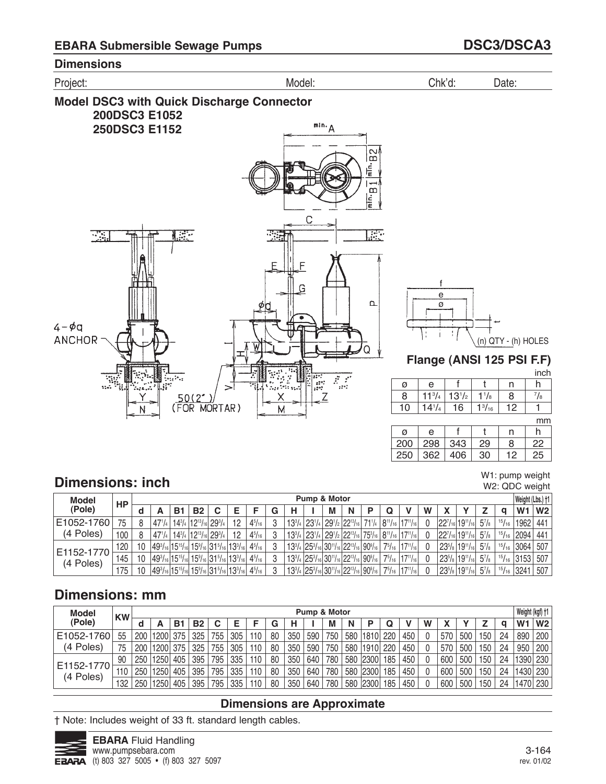

#### W1: pump weight W2: QDC weight

# **Dimensions: inch**

| <b>Model</b>            | HP  |    |                                                                       |    |           |                                                                            |    |               |   |   | Pump & Motor |                                                                                                                                |  |                                                                                                           |   |                                |                |               | Weight (Lbs.) +1 |                |
|-------------------------|-----|----|-----------------------------------------------------------------------|----|-----------|----------------------------------------------------------------------------|----|---------------|---|---|--------------|--------------------------------------------------------------------------------------------------------------------------------|--|-----------------------------------------------------------------------------------------------------------|---|--------------------------------|----------------|---------------|------------------|----------------|
| (Pole)                  |     |    |                                                                       | В1 | <b>B2</b> |                                                                            |    |               | G | н | М            | N                                                                                                                              |  |                                                                                                           | W |                                |                |               | W <sub>1</sub>   | W <sub>2</sub> |
| E1052-1760              | 75  |    | 471/4   143/4   1213/16   293/4                                       |    |           |                                                                            | 12 | $4^{5}/_{16}$ |   |   |              |                                                                                                                                |  | $13^{3}/_{4}$ $23^{1}/_{4}$ $29^{1}/_{2}$ $22^{13}/_{16}$ $71^{1}/_{4}$ $8^{11}/_{16}$ $17^{11}/_{16}$    |   | $ 22^{7}/_{16} 19^{11}/_{16} $ | $5^7$ / $8$    | 15/16         | 1962             | 441            |
| (4 Poles)               | 100 |    |                                                                       |    |           | $ 47$ '/4   14 <sup>3</sup> /4   12 <sup>13</sup> /16   29 <sup>3</sup> /4 | 12 | $4^{5}/_{16}$ |   |   |              |                                                                                                                                |  | $13^{3}/_{4}$ $23^{1}/_{4}$ $29^{1}/_{2}$ $22^{13}/_{16}$ $75^{3}/_{16}$ $8^{11}/_{16}$ $17^{11}/_{16}$   |   | $ 22^{7}/_{16} 19^{11}/_{16} $ | $5^7/s$        | 15/16         | 2094             | 441            |
|                         | 120 | 10 | $149^3$ /16 $15^{15}$ /16 $15^9$ /16 $31^5$ /16 $13^3$ /16            |    |           |                                                                            |    | $4^{5}/_{16}$ |   |   |              |                                                                                                                                |  | $13^{3}/_{4}$ $25^{3}/_{16}$ $30^{11}/_{16}$ $22^{13}/_{16}$ $90^{9}/_{16}$ $7^{5}/_{16}$ $17^{11}/_{16}$ |   | $ 23^{5}/_8 19^{11}/_{16} $    | $5\frac{7}{8}$ | 15/16         | 13064            | 507            |
| E1152-1770<br>(4 Poles) | 145 | 10 | $ 49^{3}/_{16} 15^{15}/_{16} 15^{9}/_{16} 31^{5}/_{16} 13^{3}/_{16} $ |    |           |                                                                            |    | $4^{5}/_{16}$ |   |   |              | $13^{3}/_{4}$ $25^{3}/_{16}$ $30^{11}/_{16}$ $22^{13}/_{16}$ $90^{9}/_{16}$ $\frac{1}{2}$                                      |  | $75/16$   $17^{11}/16$                                                                                    |   | $ 23^{5}/_{8} 19^{11}/_{16} $  | $5^7$ /8       | 15/16         | 3153             | 507            |
|                         | 175 | 10 | $ 49^{3}/_{16} 15^{15}/_{16} 15^{9}/_{16} 31^{5}/_{16} 13^{3}/_{16} $ |    |           |                                                                            |    | $4^{5}/_{16}$ |   |   |              | $13^{3}/_{4}$ $25^{3}/_{16}$ 30 <sup>11</sup> / <sub>16</sub> 22 <sup>13</sup> / <sub>16</sub> 90 <sup>9</sup> / <sub>16</sub> |  | $75/16$   $17^{11}/16$                                                                                    |   | $ 23^{5}/_8 19^{11}/_{16} $    | $5^7$ / $8$    | $^{15}/_{16}$ | 3241             | 507            |

# **Dimensions: mm**

| <b>Model</b>            | <b>KW</b> |     |                   |     |           |     |     |     |    |     | Pump & Motor |     |     |          |     |     |   |     |     |     |    | Weight (kgf) +1 |                |
|-------------------------|-----------|-----|-------------------|-----|-----------|-----|-----|-----|----|-----|--------------|-----|-----|----------|-----|-----|---|-----|-----|-----|----|-----------------|----------------|
| (Pole)                  |           |     |                   | B.  | <b>B2</b> | C   | Е   |     | G  |     |              | M   | N   | Р        |     |     | W |     |     |     | a  | W <sub>1</sub>  | W <sub>2</sub> |
| E1052-1760              | 55        | 200 | 1200 375          |     | 325       | 755 | 305 | 110 | 80 | 350 | 590          | 750 | 580 | 1810 220 |     | 450 |   | 570 | 500 | 150 | 24 | 890             | 200            |
| (4 Poles)               | 75        | 200 | 1200 375          |     | 325       | 755 | 305 | 110 | 80 | 350 | 590          | 750 | 580 | 19101    | 220 | 450 |   | 570 | 500 | 150 | 24 | 950             | 200            |
|                         | 90        | 250 | 1250              | 405 | 395       | 795 | 335 | 110 | 80 | 350 | 640          | 780 |     | 580 2300 | 185 | 450 |   | 600 | 500 | 150 | 24 | 1390 230        |                |
| E1152-1770<br>(4 Poles) | 110       | 250 | 1250              | 405 | 395       | 795 | 335 | 110 | 80 | 350 | 640          | 780 |     | 580 2300 | 185 | 450 |   | 600 | 500 | 150 | 24 | 1430 230        |                |
|                         | 132       | 250 | 1250 <sub>1</sub> | 405 | 395       | 795 | 335 | 110 | 80 | 350 | 640          | 780 |     | 580 2300 | 185 | 450 |   | 600 | 500 | 150 | 24 | 1470 230        |                |

### **Dimensions are Approximate**

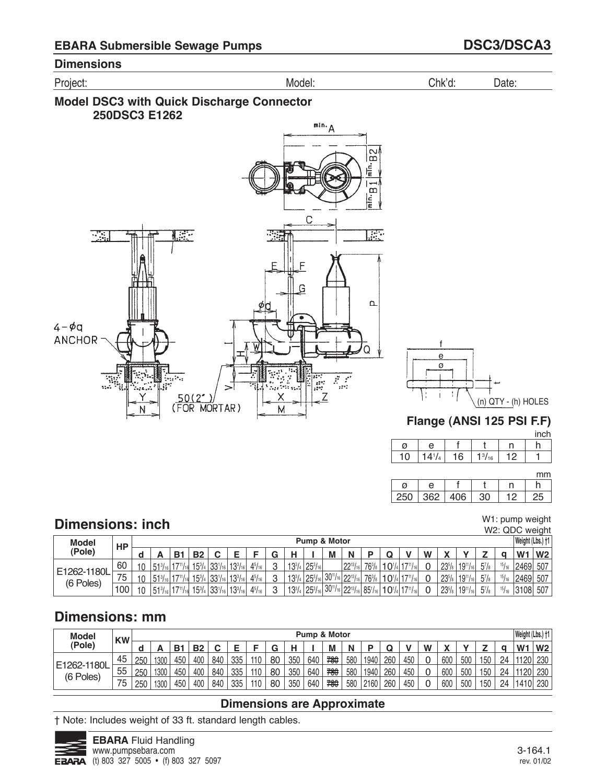





mm

| 250 | $362 \mid 406 \mid$ | 30 |  |
|-----|---------------------|----|--|

#### W1: pump weight : QDC weight

5'/8 | 1<sup>5</sup>/16 | 3108| 507

|              |      |             |                                  |               |                 |                |               |        |            |                         |       |                                |                 |             |                  |          |            |                  |                      |               | W2: QDC Weigh    |                |
|--------------|------|-------------|----------------------------------|---------------|-----------------|----------------|---------------|--------|------------|-------------------------|-------|--------------------------------|-----------------|-------------|------------------|----------|------------|------------------|----------------------|---------------|------------------|----------------|
| <b>Model</b> | HP   |             |                                  |               |                 |                |               |        |            | <b>Pump &amp; Motor</b> |       |                                |                 |             |                  |          |            |                  |                      |               | Weight (Lbs.) †1 |                |
| (Pole)       |      | ┍           | <b>B</b> 1                       | <b>B2</b>     |                 |                |               | $\sim$ | н          |                         | M     | N                              | D               |             |                  | W        |            | $\mathbf{v}$     |                      |               | W.               | W <sub>2</sub> |
|              | 60   | $E = 31$    | $17^{11}/161$                    | $15^{3}/_{4}$ | $133^{1}/_{16}$ | $13^{3}/_{16}$ | $4^{5}/_{16}$ | C      | $13^{3}/4$ | $25^{3}/_{16}$          |       | $122^{13}/_{16}$               | $76\frac{3}{8}$ | $10^{1/41}$ | $17^{11}/_{16}$  | $\sim$   | $23^{5}/s$ | $19^{11}/_{161}$ | $5^7$ / <sub>8</sub> | 15/16         | 2469 507         |                |
| E1262-1180L  | 75   | $51^{3}/16$ | $17^{11}$ / <sub>161</sub>       | $15^{3}/_{4}$ | $133^{1}/_{16}$ | $13^{3}/_{16}$ | $4^{5}/_{16}$ | $\sim$ | $13^{3}/4$ | $25^{3}/_{16}$          |       | $ 30^{11}/_{16} 22^{13}/_{16}$ | $76^{3}/_{8}$   | $10^{1/4}$  | $117^{11}/_{16}$ | $\Omega$ | $23^{5}/s$ | $19^{11}/_{161}$ | $5\frac{7}{8}$       | 15/16         | 2469 507         |                |
| (6 Poles)    | اممد | $   -$      | $\cdot$ $ \cdot$ $\cdot$ $\cdot$ | $1 - 1$       | $-0.01$         | 1001           | $\cdots$      | $\sim$ | $101$ $01$ |                         | 10011 | 0.01                           | $  -$           |             |                  | $\sim$   |            | 22111221         | $-1$                 | $\rightarrow$ |                  |                |

3

133 /4

 $25\frac{3}{16}$  30  $\frac{1}{16}$ 

 $22^{13}/_{16}$ 

 $85\%$ <sub>16</sub>

101 /4

 $1/$ <sup>11</sup>/<sub>16</sub>

0

 $23\%$ 

 $19"1<sub>16</sub>$ 

# **Dimensions: mm**

100

10

 $51\frac{3}{16}$ 

 $17<sup>11</sup>/16$ 

 $15\frac{3}{4}$ 

 $33\frac{1}{16}$ 

 $13^{3}/_{16}$ 

 $4\frac{5}{16}$ 

**Dimensions: inch**

| <b>Model</b> | <b>KW</b> |     |      |                |           |     |     |     |    |     |     | Pump & Motor |     |      |     |     |   |              |     |     |    | Weight (Lbs.) +1 |                |
|--------------|-----------|-----|------|----------------|-----------|-----|-----|-----|----|-----|-----|--------------|-----|------|-----|-----|---|--------------|-----|-----|----|------------------|----------------|
| (Pole)       |           |     | -    | B <sub>1</sub> | <b>B2</b> |     |     |     | G  | н   |     | M            | N   |      |     |     | W | $\mathbf{v}$ |     |     |    | W                | W <sub>2</sub> |
|              | 45        | 250 | 1300 | 450            | 400       | 840 | 335 | 110 | 80 | 350 | 640 | 780          | 580 | 1940 | 260 | 450 | 0 | 600          | 500 | 150 | 24 | 1120             | 230            |
| E1262-1180L  | 55        | 250 | 1300 | 450            | 400       | 840 | 335 | 110 | 80 | 350 | 640 | 780          | 580 | 1940 | 260 | 450 | 0 | 600          | 500 | 150 | 24 | 1120             | 230            |
| (6 Poles)    | 75        | 250 | 1300 | 450            | 400       | 840 | 335 | 110 | 80 | 350 | 640 | 780          | 580 | 2160 | 260 | 450 | 0 | 600          | 500 | 150 | 24 | 1410             | 230            |

## **Dimensions are Approximate**

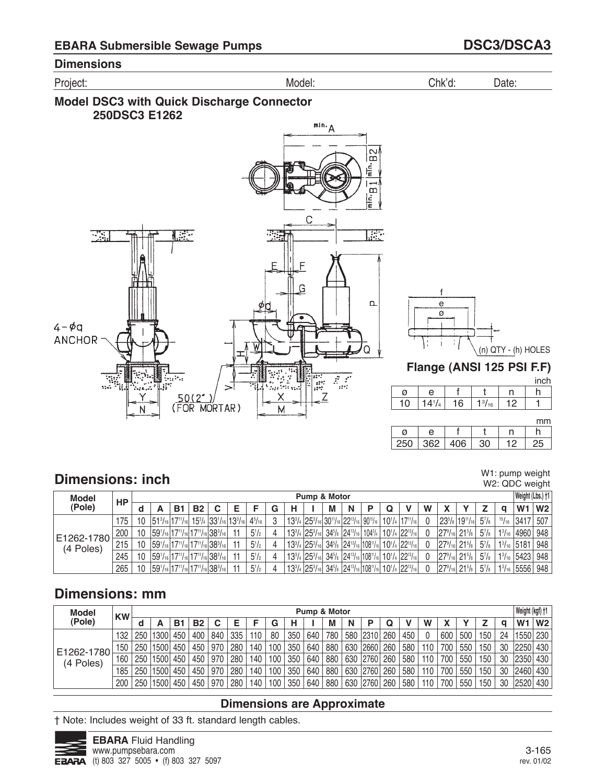





# **Dimensions: inch**

W1: pump weight W2: QDC weight

| <b>Model</b> |     |                 |   |    |           |                                                               |               |   |   | Pump & Motor                   |   |   |  |                                                                                                                               |   |                             |                       |               | Weight (Lbs.) †1         |     |
|--------------|-----|-----------------|---|----|-----------|---------------------------------------------------------------|---------------|---|---|--------------------------------|---|---|--|-------------------------------------------------------------------------------------------------------------------------------|---|-----------------------------|-----------------------|---------------|--------------------------|-----|
| (Pole)       | НP  |                 | A | в. | <b>B2</b> |                                                               |               | G | н |                                | М | N |  |                                                                                                                               | W |                             |                       |               | W1                       | W2  |
|              | 175 | $10^{\circ}$    |   |    |           | $ 51^3$ /16 $ 17^{11}$ /16 $ 15^3$ /4 $ 33^1$ /16 $ 13^3$ /16 | $4^{5}/_{16}$ |   |   |                                |   |   |  | $13^{3}/_{4}$ $25^{3}/_{16}$ $30^{11}/_{16}$ $22^{13}/_{16}$ $90^{15}/_{16}$ $10^{1}/_{4}$ $17^{11}/_{16}$                    |   | $ 23^{5}/_8 19^{11}/_{16} $ | $5^7$ / $\frac{1}{8}$ | 15/16         | 3417                     | 507 |
| E1262-1780   | 200 | 10              |   |    |           | $ 59'$ /16 $ 17''$ /16 $ 17''$ /16 $ 38^3$ /16                | $5^{1}/_{2}$  |   |   | $13^{3}/_{4}$ 25 $^{3}/_{16}$  |   |   |  | $ 34^{5}/_8 24^{13}/_{16} 104^{3}/_4 10^{1}/_4 22^{13}/_{16} $                                                                |   | $ 27^9/_{16} 21^5/_{8} $    | $5^{7}/\mathrm{s}$    | $1^{3}/_{16}$ | 4960                     | 948 |
| (4 Poles)    | 215 | $10^{\circ}$    |   |    |           | $ 59'$ /16 $ 17''$ /16 $ 17''$ /16 $ 38^3$ /16                | $5^{1}/_{2}$  |   |   | $13^{3}/_{4}$ $ 25^{3}/_{16} $ |   |   |  | $34^{5}/_8$ $24^{13}/_{16}$ 108 <sup>11</sup> / <sub>16</sub> 10 <sup>1</sup> / <sub>4</sub> 22 <sup>13</sup> / <sub>16</sub> |   | $ 27^9/_{16} 21^5/_{8} $    | $5^7$ / $\frac{1}{8}$ |               | $1\frac{3}{16}$ 5181     | 948 |
|              | 245 | 10 <sup>1</sup> |   |    |           | $ 59^{1}/_{16} 17^{11}/_{16} 17^{11}/_{16} 38^{3}/_{16} $     | $5^{1}/2$     |   |   | $13^{3}/_{4}$ $ 25^{3}/_{16} $ |   |   |  | $34^{5}/_8$ $24^{13}/_{16}$ 108 <sup>11</sup> / <sub>16</sub> 10 <sup>1</sup> / <sub>4</sub> 22 <sup>13</sup> / <sub>16</sub> |   | $ 27^9/_{16} 21^5/_{8} $    | $5^{7}/\mathrm{s}$    |               | $1\frac{3}{16}$ 5423 948 |     |
|              | 265 | 10              |   |    |           | $ 59^{1}/_{16} 17^{11}/_{16} 17^{11}/_{16} 38^{3}/_{16} $     | $5^{1}/2$     |   |   | $13^{3}/_{4}$ 25 $^{3}/_{16}$  |   |   |  | $ 34^{5}/_{8} 24^{13}/_{16} 108^{11}/_{16} 10^{1}/_{4} 22^{13}/_{16} $                                                        |   | $ 27^9/_{16} 21^5/_{8} $    | $5\frac{7}{8}$        |               | $1\frac{3}{16}$ 5556     | 948 |

# **Dimensions: mm**

| <b>Model</b> | <b>KW</b> |     |                   |     |           |     |     |     |                  |     | Pump & Motor |     |     |          |     |     |     |     |     |     |    | Weight (kgf) +1 |                |
|--------------|-----------|-----|-------------------|-----|-----------|-----|-----|-----|------------------|-----|--------------|-----|-----|----------|-----|-----|-----|-----|-----|-----|----|-----------------|----------------|
| (Pole)       |           |     |                   | в.  | <b>B2</b> |     |     |     | G                |     |              | M   | N   |          |     |     | W   |     |     |     | O  | W <sub>1</sub>  | W <sub>2</sub> |
|              | 132       | 250 | 1300 <sub>1</sub> | 450 | 400       | 840 | 335 | 110 | 80               | 350 | 640          | 780 | 580 | $ 2310$  | 260 | 450 |     | 600 | 500 | 150 | 24 | 1550 230        |                |
| E1262-1780   | 150       | 250 | 1500              | 450 | 450       | 970 | 280 | 140 | 100 <sub>1</sub> | 350 | 640          | 880 | 630 | 2660     | 260 | 580 | 110 | 700 | 550 | 150 | 30 | 2250            | 430            |
| (4 Poles)    | 160       | 250 | 1500              | 450 | 450       | 970 | 280 | 140 | 100              | 350 | 640          | 880 | 630 | 2760     | 260 | 580 | 110 | 700 | 550 | 150 | 30 | 2350            | 430            |
|              | 185       | 250 | 1500              | 450 | 450       | 970 | 280 | 140 | 100              | 350 | 640          | 880 |     | 630 2760 | 260 | 580 | 110 | 700 | 550 | 150 | 30 | 2460            | 430            |
|              | 200       | 250 | 1500 <sub>1</sub> | 450 | 450       | 970 | 280 | 140 | 100              | 350 | 640          | 880 | 630 | 2760     | 260 | 580 | 110 | 700 | 550 | 150 | 30 | 12520           | 430            |

### **Dimensions are Approximate**

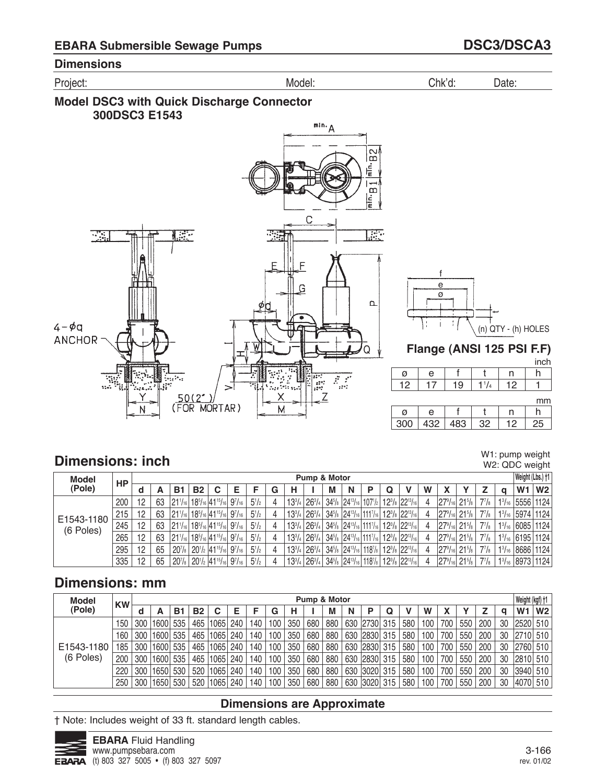Project: Model: Chk'd: Date:





n 

n  h 

h 

mm

inch

# **Dimensions: inch**

W1: pump weight W2: QDC weight

| <b>Model</b> | HP  |    |    |                    |           |                                                                                                           |              |   |                              | Pump & Motor                  |   |   |  |                                                                                                                                                                 |   |                                               |        |              |               |                | Weight (Lbs.) +1 |
|--------------|-----|----|----|--------------------|-----------|-----------------------------------------------------------------------------------------------------------|--------------|---|------------------------------|-------------------------------|---|---|--|-----------------------------------------------------------------------------------------------------------------------------------------------------------------|---|-----------------------------------------------|--------|--------------|---------------|----------------|------------------|
| (Pole)       |     | d  | А  | В1                 | <b>B2</b> | C                                                                                                         |              | G | н                            |                               | М | N |  |                                                                                                                                                                 | W |                                               |        |              | $\Omega$      | W <sub>1</sub> | W2               |
|              | 200 | 12 | 63 | 121'/16            |           | $18^{5/16}$ 41 <sup>15</sup> / <sub>16</sub> 9 <sup>7</sup> / <sub>16</sub>                               | $5^{1}/2$    | 4 | $13^{3}/4$                   | $126^{3}/4$                   |   |   |  | 34 <sup>5</sup> / <sub>8</sub> 24 <sup>13</sup> / <sub>16</sub> 107 <sup>1</sup> / <sub>2</sub> 12 <sup>3</sup> / <sub>8</sub> 22 <sup>13</sup> / <sub>16</sub> | 4 | $ 27^9/_{16} $                                | $21\%$ | $7^{7}/_{8}$ |               |                | 13/16 5556 1124  |
| E1543-1180   | 215 | 12 | 63 |                    |           | $ 21'$ /16 $ 18^5$ /16 $ 41^{15}$ /16 $ 9^7$ /16 $ $                                                      | $5^{1/2}$    |   | $13^{3}/_{4}$ 26 $^{3}/_{4}$ |                               |   |   |  | $34^{5}/_8$ 24 <sup>13</sup> / <sub>16</sub> 111 <sup>7</sup> / <sub>16</sub> 12 <sup>3</sup> / <sub>8</sub> 22 <sup>13</sup> / <sub>16</sub>                   | Δ | $ 27^9/_{16} $ 21 <sup>5</sup> / <sub>8</sub> |        | $7^{7}/_8$   |               |                | 13/16 5974 1124  |
| (6 Poles)    | 245 | 12 | 63 |                    |           | $ 21!/_{16} 18!/_{16} 41!/_{16} 9!/_{16} $                                                                | $5^{1/2}$    |   |                              | $13^{3}/_{4}$   $26^{3}/_{4}$ |   |   |  | $34^{5}/_8$ 24 <sup>13</sup> / <sub>16</sub> 111 <sup>7</sup> / <sub>16</sub> 12 <sup>3</sup> / <sub>8</sub> 22 <sup>13</sup> / <sub>16</sub>                   | 4 | $ 27^9/_{16} $ 21 <sup>5</sup> / <sub>8</sub> |        | $7^{7}/_8$   |               |                | 13/16 6085 1124  |
|              | 265 | 12 | 63 |                    |           | $1211/16$ 18 <sup>5</sup> / <sub>16</sub> 41 <sup>15</sup> / <sub>16</sub> 9 <sup>7</sup> / <sub>16</sub> | $5^{1}/_{2}$ |   |                              | $13^{3}/_{4}$ 26 $^{3}/_{4}$  |   |   |  | $\mid$ 34 <sup>5</sup> /8 $\mid$ 24 <sup>13</sup> /16 $\mid$ 111 <sup>7</sup> /16 $\mid$ 12 <sup>3</sup> /8 $\mid$ 22 <sup>13</sup> /16                         |   | $ 27^9/_{16} $ 21 <sup>5</sup> / <sub>8</sub> |        | $7^7$ / $8$  |               |                | 13/16 6195 1124  |
|              | 295 | 12 | 65 | 20 <sub>18</sub>   |           | $120^{1/2}$ 41 <sup>15</sup> /16 9 <sup>7</sup> /16                                                       | $5^{1}/2$    | 4 | $13^{3}/_{4}$                | $126^{3}/_{4}$                |   |   |  | $34^{5}/_8$ 24 <sup>13</sup> / <sub>16</sub> 118 <sup>7</sup> / <sub>8</sub> 12 <sup>3</sup> / <sub>8</sub> 22 <sup>13</sup> / <sub>16</sub>                    |   | $ 27^9/_{16} $ 21 <sup>5</sup> / <sub>8</sub> |        | $7^{7}/_8$   | $1^{3}/_{16}$ |                | 。 8686   1124    |
|              | 335 | 12 | 65 | 20 <sup>7</sup> /s |           | $20^{1/2}$ 41 <sup>15</sup> / <sub>16</sub> 9 <sup>7</sup> / <sub>16</sub>                                | $5^{1}/2$    |   |                              | $13^{3}/_{4}$ 26 $^{3}/_{4}$  |   |   |  | 34 <sup>5</sup> / <sub>8</sub> 24 <sup>13</sup> / <sub>16</sub> 118 <sup>7</sup> / <sub>8</sub> 12 <sup>3</sup> / <sub>8</sub> 22 <sup>13</sup> / <sub>16</sub> |   | $ 27^9/_{16} $ 21 <sup>5</sup> / <sub>8</sub> |        | $7^{7}/_8$   |               |                | 13/16 8973 1124  |

# **Dimensions: mm**

| <b>Model</b> | <b>KW</b> |     |      |     |           |            |     |     |     |     | Pump & Motor |     |     |          |     |     |     |     |     |                           |    | Weight (kgf) +1 |                |
|--------------|-----------|-----|------|-----|-----------|------------|-----|-----|-----|-----|--------------|-----|-----|----------|-----|-----|-----|-----|-----|---------------------------|----|-----------------|----------------|
| (Pole)       |           | d   |      | Β1  | <b>B2</b> | С          | Е   |     | G   | н   |              | М   | N   |          | Q   |     | W   |     |     |                           | a  | W1              | W <sub>2</sub> |
|              | 150       | 300 | 1600 | 535 |           | 465   1065 | 240 | 140 | 100 | 350 | 680          | 880 |     | 630 2730 | 315 | 580 | 100 | 700 | 550 | 200                       | 30 | 2520 510        |                |
|              | 160       | 300 | 1600 | 535 |           | 465   1065 | 240 | 140 | 100 | 350 | 680          | 880 |     | 630 2830 | 315 | 580 | 100 | 700 | 550 | 200                       | 30 | 2710 510        |                |
| E1543-1180   | 185       | 300 | 1600 | 535 |           | 465   1065 | 240 | 140 | 100 | 350 | 680          | 880 |     | 630 2830 | 315 | 580 | 100 | 700 | 550 | 200                       | 30 | 2760 510        |                |
| (6 Poles)    | 200       | 300 | 1600 | 535 |           | 465   1065 | 240 | 140 | 100 | 350 | 680          | 880 |     | 630 2830 | 315 | 580 | 100 | 700 | 550 | 200                       | 30 | 2810 510        |                |
|              | 220       | 300 | 1650 | 530 |           | 520   1065 | 240 | 140 | 100 | 350 | 680          | 880 | 630 | 3020     | 315 | 580 | 100 | 700 | 550 | 200                       | 30 | 3940 510        |                |
|              | 250       | 300 | 1650 | 530 |           | 520   1065 | 240 | 140 | 100 | 350 | 680          | 880 |     | 630 3020 | 315 | 580 | 100 | 700 | 550 | $^{\circ}$ 200 $^{\circ}$ | 30 | 4070 510        |                |

### **Dimensions are Approximate**

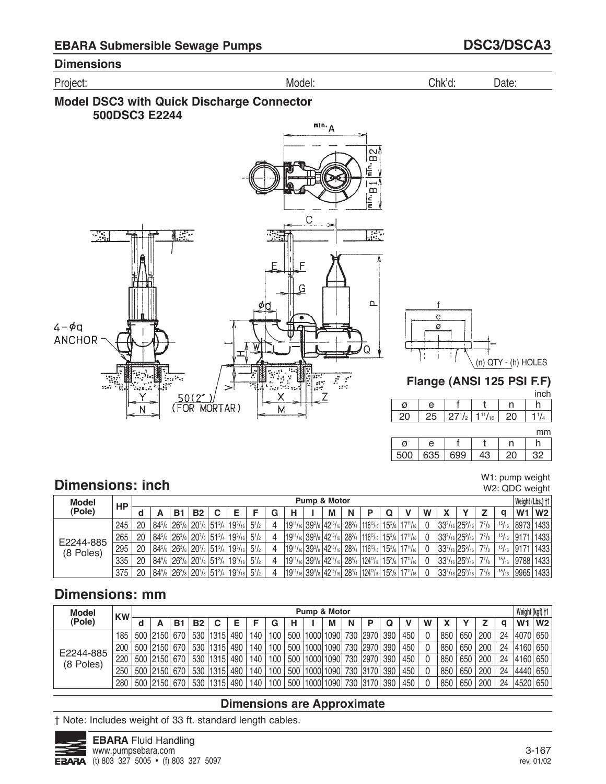Project: Model: Chk'd: Date:







### **Flange (ANSI 125 PSI F.F)**

|   |    |            |                |    | inch |
|---|----|------------|----------------|----|------|
| Ø | e  |            |                | n  |      |
|   | 25 | $27^{1/2}$ | $1^{11}/_{16}$ | 20 |      |

mm

W1: pump weight W2: QDC weight

| 500 | 635. | 699 | C |  |
|-----|------|-----|---|--|

# **Dimensions: inch**

| <b>Model</b> | НP  |    |    |           |                                                                                                                                            |           |   |   | Pump & Motor |   |  |                                                                                                                                                |   |                                          |                               |                    |       |                | Weight (Lbs.) †1      |
|--------------|-----|----|----|-----------|--------------------------------------------------------------------------------------------------------------------------------------------|-----------|---|---|--------------|---|--|------------------------------------------------------------------------------------------------------------------------------------------------|---|------------------------------------------|-------------------------------|--------------------|-------|----------------|-----------------------|
| (Pole)       |     |    | B1 | <b>B2</b> |                                                                                                                                            |           |   | н | М            | N |  |                                                                                                                                                | W |                                          |                               |                    | a     | W <sub>1</sub> | W <sub>2</sub>        |
|              | 245 | 20 |    |           | $ 84^{5}/_{8} 26^{3}/_{8} 20^{7}/_{8} 51^{3}/_{4} 19^{5}/_{16} 5^{1}/_{2}$                                                                 |           | 4 |   |              |   |  | $19^{11}/16$ 39% 42 <sup>15</sup> /16 28 <sup>3</sup> / <sub>4</sub> 116 <sup>15</sup> /16 15 <sup>3</sup> / <sub>8</sub> 17 <sup>11</sup> /16 |   |                                          | $ 33^{7}/_{16} 25^{9}/_{16} $ | $7^{7}/\mathrm{s}$ | 15/16 |                | 8973 1433             |
| E2244-885    | 265 | 20 |    |           | $ 84^{5}/_8 26^{3}/_8 20^{7}/_8 51^{3}/_4 19^{5}/_{16} $                                                                                   | $5^{1/2}$ | 4 |   |              |   |  | $19^{11}/16$ 39% 42 <sup>15</sup> /16 28 <sup>3</sup> / <sub>4</sub> 116 <sup>15</sup> /16 15 <sup>3</sup> /8 17 <sup>11</sup> /16             |   |                                          | $ 33^{7}/_{16} 25^{9}/_{16} $ | $7^7$ / $_8$       |       |                | $15/16$   9171   1433 |
| (8 Poles)    | 295 | 20 |    |           | $ 84^{5}/_{8} 26^{3}/_{8} 20^{7}/_{8} 51^{3}/_{4} 19^{5}/_{16} 5^{1}/_{2}$                                                                 |           | 4 |   |              |   |  | $19^{11}/16$ 39% 42 <sup>15</sup> /16 28 <sup>3</sup> / <sub>4</sub> 116 <sup>15</sup> /16 15 <sup>3</sup> / <sub>8</sub> 17 <sup>11</sup> /16 |   | $ 33^{7}/_{16} 25^{9}/_{16} $            |                               | $7^7$ / $\rm{s}$   |       |                | $15/16$ 9171 1433     |
|              | 335 | 20 |    |           | $ 84^{5}/_8 26^{3}/_8 20^{7}/_8 51^{3}/_4 19^{5}/_{16} $                                                                                   | $5^{1/2}$ |   |   |              |   |  | $19^{11}/16$ 39% 42 <sup>15</sup> /16 28 <sup>3</sup> / <sub>4</sub> 124 <sup>13</sup> /16 15 <sup>3</sup> /8 17 <sup>11</sup> /16             |   |                                          | $ 33^{7}/_{16} 25^{9}/_{16} $ | $7^{7}/\!s$        | 15/16 |                | 9788 1433             |
|              | 375 | 20 |    |           | $84^{5}/\sqrt{8}$ 26 <sup>3</sup> / $\sqrt{8}$ 20 <sup>7</sup> / $\sqrt{8}$ 51 <sup>3</sup> / <sub>4</sub> 19 <sup>5</sup> / <sub>16</sub> | $5^{1}/2$ |   |   |              |   |  | $ 19^{11}/_{16} 39^{3}/_{8} 42^{15}/_{16} 28^{3}/_{4} 124^{13}/_{16} 15^{3}/_{8} 17^{11}/_{16} $                                               |   | $ 33^{7}/_{16} 25^{9}/_{16} 7^{7}/_{8} $ |                               |                    | 15/16 |                | 9965 1433             |

# **Dimensions: mm**

| <b>Model</b>           | <b>KW</b> |              |     |           |      |     |     |     |     | Pump & Motor |   |              |     |     |   |     |     |     |    | Weight (kgf) +1 |                |
|------------------------|-----------|--------------|-----|-----------|------|-----|-----|-----|-----|--------------|---|--------------|-----|-----|---|-----|-----|-----|----|-----------------|----------------|
| (Pole)                 |           |              | в   | <b>B2</b> | C    |     |     | G   | н   | М            | N |              |     |     | W |     |     |     |    | W <sub>1</sub>  | W <sub>2</sub> |
|                        | 185       | 500 2150 670 |     | 530       | 1315 | 490 | 140 | 100 | 500 | 1000 1090    |   | 730   2970   | 390 | 450 | 0 | 850 | 650 | 200 | 24 | 4070            | 650            |
|                        | 200       | 500 2150 670 |     | 530       | 1315 | 490 | 140 | 100 | 500 | 1000 1090    |   | 730   2970   | 390 | 450 | 0 | 850 | 650 | 200 | 24 | 4160            | 650            |
| E2244-885<br>(8 Poles) | 220       | 500 2150     | 670 | 530       | 1315 | 490 | 140 | 100 | 500 | 1000 1090    |   | 730   2970   | 390 | 450 | 0 | 850 | 650 | 200 | 24 | 14160           | 650            |
|                        | 250       | 500 2150     | 670 | 530       | 1315 | 490 | 140 | 100 | 500 | 1000 1090    |   | 730 3170     | 390 | 450 | 0 | 850 | 650 | 200 | 24 | 14440           | 650            |
|                        | 280       | 500 2150     | 670 | 530       | 1315 | 490 | 140 | 100 | 500 | 1000 1090    |   | 730 3170 390 |     | 450 |   | 850 | 650 | 200 | 24 | 4520            | 650            |

## **Dimensions are Approximate**

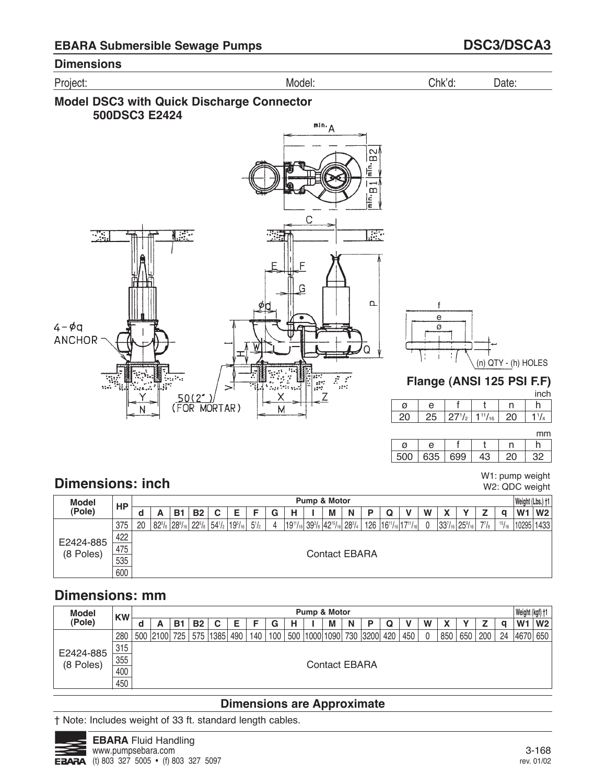Project: Model: Chk'd: Date:





 $1<sup>1</sup>/<sub>4</sub>$ mm

h

inch

W1: pump weight W2: QDC weight

| Ø               |      |    |  |  |
|-----------------|------|----|--|--|
| 50 <sup>o</sup> | ーマント | ∩∩ |  |  |

# **Dimensions: inch**

| <b>Model</b>                                                                                                                                                                                                                                                                        | HP  |                      |   |    |           |  |  |  |   |   |  | Pump & Motor |   |            |   |  |   |              |  |  | Weight (Lbs.) †1 |                |
|-------------------------------------------------------------------------------------------------------------------------------------------------------------------------------------------------------------------------------------------------------------------------------------|-----|----------------------|---|----|-----------|--|--|--|---|---|--|--------------|---|------------|---|--|---|--------------|--|--|------------------|----------------|
| (Pole)                                                                                                                                                                                                                                                                              |     | u                    | A | В. | <b>B2</b> |  |  |  | G | н |  | М            | N |            | Q |  | W | $\mathbf{z}$ |  |  | W <sub>1</sub>   | W <sub>2</sub> |
| $ 19^{11}/_{16} 39^{3}/_{8} 42^{15}/_{16} 28^{3}/_{4} $<br>$7^{7}/_{8}$<br>15/16<br>20<br>$ 82^{5}/_8 28^{9}/_{16} $<br>$22^{5}/_8$<br>$126$   $16^{11}/_{16}$   $17^{11}/_{16}$  <br>$25\frac{9}{16}$<br>$54^{1}/_{2}$<br>$5^{1}/_{2}$<br>$133^{7}/_{16}$<br>375<br>$19^{5}/_{16}$ |     |                      |   |    |           |  |  |  |   |   |  |              |   | 10295 1433 |   |  |   |              |  |  |                  |                |
| E2424-885                                                                                                                                                                                                                                                                           | 422 |                      |   |    |           |  |  |  |   |   |  |              |   |            |   |  |   |              |  |  |                  |                |
| (8 Poles)                                                                                                                                                                                                                                                                           | 475 | <b>Contact EBARA</b> |   |    |           |  |  |  |   |   |  |              |   |            |   |  |   |              |  |  |                  |                |
|                                                                                                                                                                                                                                                                                     | 535 |                      |   |    |           |  |  |  |   |   |  |              |   |            |   |  |   |              |  |  |                  |                |
|                                                                                                                                                                                                                                                                                     | 600 |                      |   |    |           |  |  |  |   |   |  |              |   |            |   |  |   |              |  |  |                  |                |

# **Dimensions: mm**

| <b>Model</b> | <b>KW</b> |   |                      |    |           |            |     |     |     |     | Pump & Motor |   |   |          |     |     |   |     |     |     |    | Weight (kgf) +1 |                |
|--------------|-----------|---|----------------------|----|-----------|------------|-----|-----|-----|-----|--------------|---|---|----------|-----|-----|---|-----|-----|-----|----|-----------------|----------------|
| (Pole)       |           | u | A                    | в. | <b>B2</b> | С          | Е   |     | G   |     |              | M | N | D        | Q   |     | W | r   |     |     | a  | W <sub>1</sub>  | W <sub>2</sub> |
|              | 280       |   | 500 2100 725         |    |           | 575   1385 | 490 | 140 | 100 | 500 | 1000 1090    |   |   | 730 3200 | 420 | 450 |   | 850 | 650 | 200 | 24 | 4670 650        |                |
| E2424-885    | 315       |   |                      |    |           |            |     |     |     |     |              |   |   |          |     |     |   |     |     |     |    |                 |                |
| (8 Poles)    | 355       |   | <b>Contact EBARA</b> |    |           |            |     |     |     |     |              |   |   |          |     |     |   |     |     |     |    |                 |                |
|              | 400       |   |                      |    |           |            |     |     |     |     |              |   |   |          |     |     |   |     |     |     |    |                 |                |
|              | 450       |   |                      |    |           |            |     |     |     |     |              |   |   |          |     |     |   |     |     |     |    |                 |                |

## **Dimensions are Approximate**

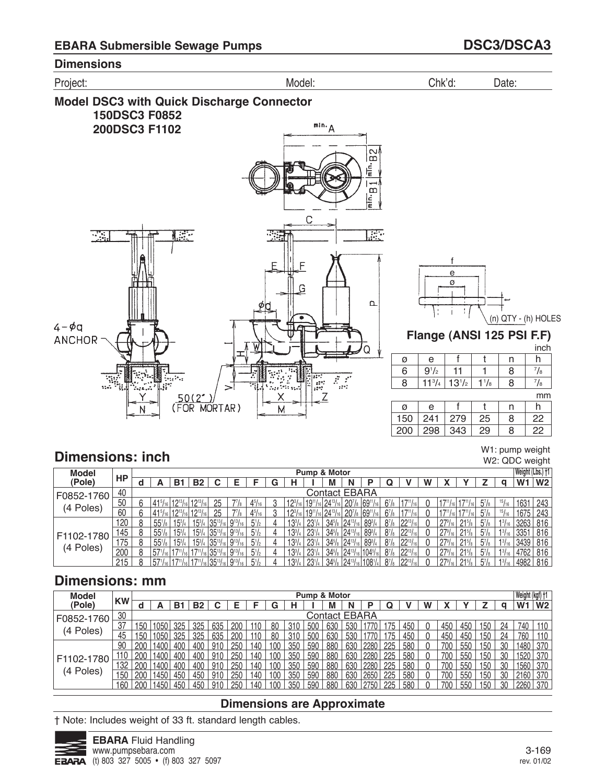

**Model DSC3 with Quick Discharge Connector 150DSC3 F0852**  $\mathbb{R}^{\text{lin.}}A$ **200DSC3 F1102**  $B2$ 틑 æ





**Flange (ANSI 125 PSI F.F)**

|     |            |            |           |   | inch        |
|-----|------------|------------|-----------|---|-------------|
| ø   | е          |            |           | n | h           |
| 6   | $9^{1}/2$  | 11         |           | 8 | $^{7}/_{8}$ |
| 8   | $11^{3}/4$ | $13^{1/2}$ | $1^{1}/8$ | 8 | $^{7}/_{8}$ |
|     |            |            |           |   | mm          |
| Ø   | е          |            |           | n | h           |
| 150 | 241        | 279        | 25        | 8 | 22          |
|     |            |            |           |   |             |

#### W1: pump weight

# **Dimensions: inch**

W2: QDC weight

| <b>Model</b> |     |   |                                                  |               |                           |                                            |                |               |   |                          | Pump & Motor    |                   |                      |                         |              |                  |   |                  |        |                |               | Weight (Lbs.) †1 |                |
|--------------|-----|---|--------------------------------------------------|---------------|---------------------------|--------------------------------------------|----------------|---------------|---|--------------------------|-----------------|-------------------|----------------------|-------------------------|--------------|------------------|---|------------------|--------|----------------|---------------|------------------|----------------|
| (Pole)       | HP  |   |                                                  | В.            | B <sub>2</sub>            |                                            | F              |               | G | н                        |                 | M                 | N                    |                         |              |                  | w |                  |        |                |               | W <sub>1</sub>   | W <sub>2</sub> |
| F0852-1760   | 40  |   |                                                  |               |                           |                                            |                |               |   |                          |                 | Contact EBARA     |                      |                         |              |                  |   |                  |        |                |               |                  |                |
| Poles)       | 50  | ĥ | $141^{5}/_{16}$ 12 <sup>13</sup> / <sub>16</sub> |               | $12^{13}$ / <sub>16</sub> |                                            |                | $4^{5}/_{16}$ |   | $19^{3}$ / <sub>10</sub> | $119^{11}/16$ . | $24^{13}$         | $20^{7}/_{8}$        | $ 69^{11}$              | $6^{7}/s$    |                  |   |                  |        | $5^7$ /8       | $15/16$ .     | 1631             | 243            |
| (4           | 60  | 6 | $ 41^{5}/_{16} 12^{13}/$                         |               | $12^{13}/_{16}$           | 25                                         |                | $4^{5}/_{16}$ |   | 1231                     | $119^{11}/16$ . | $24^{13}$         | 20 <sub>18</sub>     | 6911                    | 67/s         |                  |   | $17^{11}$ /      |        | $5\frac{7}{8}$ | 15/16         | 1675             | 243            |
|              | 120 | 8 | $55\frac{1}{8}$                                  | $15^{3}/_{4}$ | $15^{3}/_{4}$             | $ 35^{13}/_{16} $                          | $9^{13}/_{16}$ | $5^{1}/2$     |   | $13^{3}/4$               | $23^{1/4}$      | $34^{5}/_{8}$     | $24^{13}/_{16}$      | $89^{3}/4$              | $8^{7}/_{8}$ | $122^{13}/_{16}$ |   | $27\frac{9}{16}$ | $21\%$ | $5^7/s$        | $1^{3}/_{16}$ | 3263             | 816            |
| F1102-1780   | 145 |   | $55\frac{1}{8}$                                  | $15^{3}$      | $15^{3}/_{4}$ .           | $ 35^{13}/_{16} $                          | $9^{13}/_{16}$ | $5^{1}/2$     |   | $13^{3}/4$               | $23^{1/4}$      | $34\frac{5}{8}$   | $\frac{24^{13}}{16}$ | $89^{3}/4$              | $8^{7}/_{8}$ | 122131           |   | $27\frac{9}{16}$ | $21\%$ | $5^7$ /8       | $1^{3}/_{16}$ | 3351             | 816            |
| (4 Poles)    | 175 | 8 | $55\frac{1}{8}$                                  | $15^{3}/_{4}$ | $15^{3}/_{4}$             | $35^{13}/_{16}$                            | $9^{13}/_{16}$ | $5^{1}/_{2}$  |   | $13^{3}/_{4}$            | $23^{1/4}$      | $34\frac{5}{8}$   | $124^{13}/_{16}$     | $89^{3}/4$              | $8^{7}/_{8}$ | $ 22^{13} $      |   | $27^{\circ}$     | $21\%$ | $5\frac{7}{8}$ | $1^{3}/_{16}$ | 3439             | 816            |
|              | 200 | 8 | 571/16 1711/                                     |               |                           | 6 35 <sup>13</sup> /16 9 <sup>13</sup> /16 |                | $5^{1}/2$     |   | $13^{3}/4$               | $23^{1/4}$      | $34^{5}/_{8}$     | $ 24^{13}/$          | /16 104 <sup>5</sup> /1 | $8^{7}/_{8}$ | $122^{13}/_{16}$ |   | $27^{\circ}$     | $21\%$ | $5^7/s$        | $1^{3}/_{16}$ | 4762             | 816            |
|              | 215 | Ω | 571/16 1711/                                     |               |                           | $135^{13}/161$                             | $Q^{13}$       | $5^{1}/2$     |   | $13^{3}$ /               | $23^{1}$        | $34^{5}/\text{s}$ | $ 24^{13}$ /         | :11081                  | $8^{7}/_{8}$ | $199^{13}$       |   | 2791             | 215/   | $5^7$ /s       | $1^{3}I_{16}$ | 4982             | 816            |

# **Dimensions: mm**

| <b>Model</b>             |           |      |      |     |           |       |     |     |     |     | <b>Pump &amp; Motor</b> |               |     |      |     |     |   |     |     |     |              | Weight (kgf) +1 |                |
|--------------------------|-----------|------|------|-----|-----------|-------|-----|-----|-----|-----|-------------------------|---------------|-----|------|-----|-----|---|-----|-----|-----|--------------|-----------------|----------------|
| (Pole)                   | <b>KW</b> |      |      | B1  | <b>B2</b> |       |     |     | G   |     |                         | м             | N   | D    | Q   |     | w |     |     |     | a            | W <sub>1</sub>  | W <sub>2</sub> |
| F0852-1760               | 30        |      |      |     |           |       |     |     |     |     |                         | Contact EBARA |     |      |     |     |   |     |     |     |              |                 |                |
|                          | 37        | 50   | 1050 | 325 | 325       | 635   | 200 | 110 | 80  | 310 | 500                     | 630           | 530 |      | 175 | 450 |   | 450 | 450 | 150 | 24           | 740             | 110            |
| (4 Poles)                | 45        | 50   | 1050 | 325 | 325       | 635   | 200 | 110 | 80  | 310 | 500                     | 630           | 530 | 770  | 175 | 450 |   | 450 | 450 | 150 | 24           | 760             | 110            |
|                          | 90        | 200  | 1400 | 400 | 400       | 910   | 250 | 140 | 100 | 350 | 590                     | 880           | 630 | 2280 | 225 | 580 |   | 700 | 550 | 150 | 30           | 1480            | 370            |
| F1102-1780               | 110       | 200  | 1400 | 400 | 400       | 910   | 250 | 140 | 100 | 350 | 590                     | 880           | 630 | 2280 | 225 | 580 |   | 700 | 550 | 150 | 30           | 1520            | 370            |
|                          | 132       | 200  | 1400 | 400 | 400       | 910   | 250 | 140 | 100 | 350 | 590                     | 880           | 630 | 2280 | 225 | 580 |   | 700 | 550 | 150 | 30           | 1560            | 370            |
| Poles)<br>$\overline{4}$ | 150       | 200  | 1450 | 450 | 450       | 910   | 250 | 140 | 100 | 350 | 590                     | 880           | 630 | 2650 | 225 | 580 |   | 700 | 550 | 150 | 30           | 2160            | 370            |
|                          | 160       | .200 | 1450 | 450 | 450       | . 91C | 25f | 140 | 100 | 350 | 590                     | 880           | 630 | 2750 | 225 | 580 |   | 700 | 550 | 150 | $30^{\circ}$ | 2260            | 370            |

### **Dimensions are Approximate**

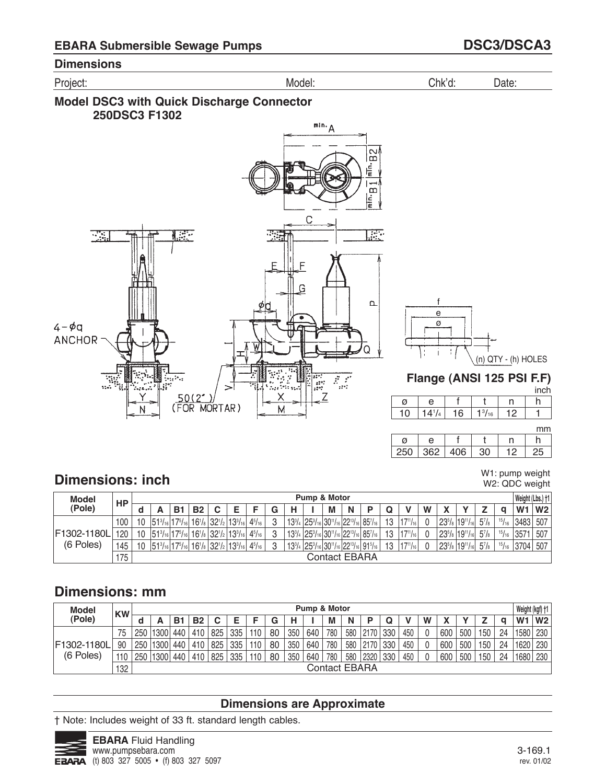

### **Model DSC3 with Quick Discharge Connector 250DSC3 F1302**





# **Flange (ANSI 125 PSI F.F)**

|  |   |   |          | inch |
|--|---|---|----------|------|
|  | e |   |          |      |
|  |   | 6 | 3/<br>16 |      |

mm

W1: pump weight W2: QDC weight

| Ø    | H              |    |  |  |
|------|----------------|----|--|--|
| וגונ | $\mathbb{C}^n$ | ገድ |  |  |

# **Dimensions: inch**

| <b>Model</b> | HP  |    |                                                 |    |           |   |                                                                                                          |          |   | <b>Pump &amp; Motor</b>                                                                                                         |   |                      |    |                   |   |                                    |              |       | Weight (Lbs.) †1 |     |
|--------------|-----|----|-------------------------------------------------|----|-----------|---|----------------------------------------------------------------------------------------------------------|----------|---|---------------------------------------------------------------------------------------------------------------------------------|---|----------------------|----|-------------------|---|------------------------------------|--------------|-------|------------------|-----|
| (Pole)       |     |    |                                                 | B1 | <b>B2</b> | C |                                                                                                          | G        | н | М                                                                                                                               | N |                      |    |                   | W |                                    |              |       | W <sub>1</sub>   | W2  |
|              | 100 | 10 | $ 51^{3}/_{16} 17^{5}/_{16} $                   |    |           |   | $16^{1/8}$ 32 <sup>1</sup> / <sub>2</sub> 13 <sup>3</sup> / <sub>16</sub> 4 <sup>5</sup> / <sub>16</sub> | O        |   | $13^{3}/_{4}$ 25 $^{3}/_{16}$ 30 <sup>11</sup> / <sub>16</sub> 22 <sup>13</sup> / <sub>16</sub> 85 <sup>7</sup> / <sub>16</sub> |   |                      | 13 | $117^{11}/_{161}$ |   | $ 23^{5}/_8 19^{11}/_{16} $        | $5^{7}/_{8}$ | 15/16 | 3483             | 507 |
| F1302-1180L  | 120 | 10 | $151^{3}/_{16}$ 17 <sup>5</sup> / <sub>16</sub> |    |           |   | $16^{1/8}$ 32 <sup>1</sup> / <sub>2</sub> 13 <sup>3</sup> / <sub>16</sub> 4 <sup>5</sup> / <sub>16</sub> | O        |   | $ 13^{3}/_{4} 25^{3}/_{16} 30^{11}/_{16} 22^{13}/_{16} 85^{7}/_{16} $                                                           |   |                      | 13 | $117^{11}/_{16}$  |   | $123^{5}/_8$   19 $1/_{16}$        | $5^{7}/_{8}$ | 15/16 | 3571             | 507 |
| (6 Poles)    | 145 |    | $ 51^{3}/_{16} 17^{5}/_{16} $                   |    |           |   | $16^{1/8}$ 32 <sup>1</sup> / <sub>2</sub> 13 <sup>3</sup> / <sub>16</sub> 4 <sup>5</sup> / <sub>16</sub> | $\Omega$ |   | $13^{3}/_{4}$ $ 25^{3}/_{16} 30^{11}/_{16} 22^{13}/_{16} 91^{5}/_{16} $                                                         |   |                      | 13 | $117^{11}/_{161}$ |   | $123^{5}/_8$   1911/ <sub>16</sub> | $5^{7}/_{8}$ |       | $15/16$ 3704     | 507 |
|              | 175 |    |                                                 |    |           |   |                                                                                                          |          |   |                                                                                                                                 |   | <b>Contact EBARA</b> |    |                   |   |                                    |              |       |                  |     |

# **Dimensions: mm**

| <b>Model</b> | <b>KW</b> |     |      |     |           |     |     |     |    |     | Pump & Motor |     |     |               |     |     |   |     |     |     |    | Weight (kgf) +1 |                |
|--------------|-----------|-----|------|-----|-----------|-----|-----|-----|----|-----|--------------|-----|-----|---------------|-----|-----|---|-----|-----|-----|----|-----------------|----------------|
| (Pole)       |           |     |      | В1  | <b>B2</b> | C   |     |     | G  | н   |              | M   | N   | D             |     |     | W |     |     |     |    | W <sub>1</sub>  | W <sub>2</sub> |
|              | 75        | 250 | 1300 | 440 | 410       | 825 | 335 | 110 | 80 | 350 | 640          | 780 | 580 | 2170          | 330 | 450 |   | 600 | 500 | 150 | 24 | 1580            | 230            |
| F1302-1180L  | 90        | 250 | 1300 | 440 | 410       | 825 | 335 | 110 | 80 | 350 | 640          | 780 | 580 | 2170          | 330 | 450 |   | 600 | 500 | 150 | 24 | 1620            | 230            |
| (6 Poles)    | 110       | 250 | 1300 | 440 | 410       | 825 | 335 | 110 | 80 | 350 | 640          | 780 | 580 | 2320          | 330 | 450 |   | 600 | 500 | 150 | 24 | 1680            | 230            |
|              | 132       |     |      |     |           |     |     |     |    |     |              |     |     | Contact EBARA |     |     |   |     |     |     |    |                 |                |

## **Dimensions are Approximate**

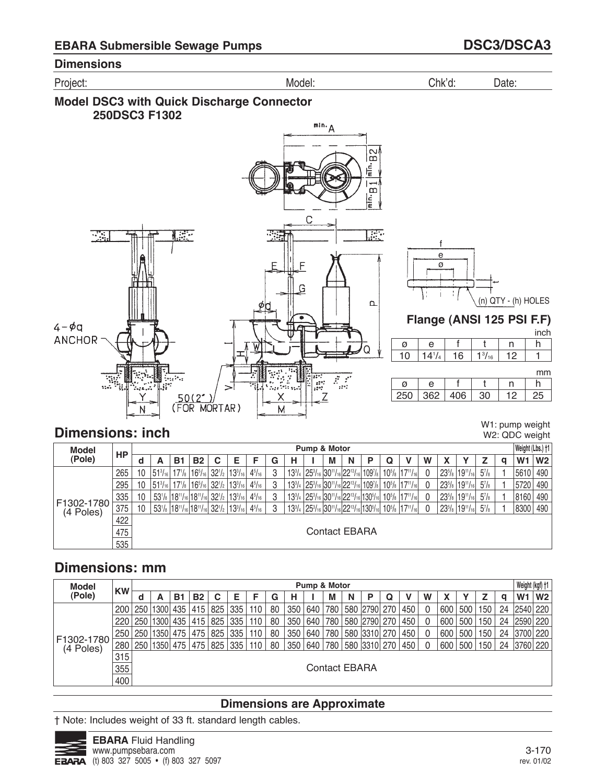

### **Model DSC3 with Quick Discharge Connector 250DSC3 F1302**



# **Dimensions: inch**

W1: pump weight W2: QDC weight

| <b>Model</b>            |     |    |                                                            |                                            |                 |            |                                                                                                                                       |               |   |   | Pump & Motor         |   |                                                                                                                                                                  |   |                                                        |   |                     |                 |          |   | Weight (Lbs.) +1 |                |
|-------------------------|-----|----|------------------------------------------------------------|--------------------------------------------|-----------------|------------|---------------------------------------------------------------------------------------------------------------------------------------|---------------|---|---|----------------------|---|------------------------------------------------------------------------------------------------------------------------------------------------------------------|---|--------------------------------------------------------|---|---------------------|-----------------|----------|---|------------------|----------------|
| (Pole)                  | HP  | a  | А                                                          | В.                                         | <b>B2</b>       | C          | Е                                                                                                                                     | F             | G | н | M                    | N | Р                                                                                                                                                                | Q |                                                        | W |                     |                 |          | a | W1               | W <sub>2</sub> |
|                         | 265 | 10 | $ 51^{3}/_{16} $                                           |                                            |                 |            | $17$ <sup>1</sup> / <sub>8</sub> $16$ <sup>5</sup> / <sub>16</sub> $32$ <sup>1</sup> / <sub>2</sub> $13$ <sup>3</sup> / <sub>16</sub> | $4^{5}/_{16}$ | 3 |   |                      |   | $13^{3}/_{4}$ 25 $^{3}/_{16}$ 30 $^{11}/_{16}$ 22 $^{13}/_{16}$ 109 $^{7}/_{8}$ 10 $^{5}/_{8}$ 17 $^{11}/_{16}$                                                  |   |                                                        |   | $23^{5}/s$          | $19^{11}/_{16}$ | $5^7$ /8 |   | 5610             | 490            |
|                         | 295 | 10 | $ 51^{3}/_{16} $                                           | $17^{1/s}$                                 | $116^{5}/_{16}$ | $32^{1}/2$ | $13^{3}/_{16}$                                                                                                                        | $4^{5}/_{16}$ | 3 |   |                      |   | 13 <sup>3</sup> / <sub>4</sub> 25 <sup>3</sup> / <sub>16</sub> 30 <sup>11</sup> / <sub>16</sub> 22 <sup>13</sup> / <sub>16</sub> 109 <sup>7</sup> / <sub>8</sub> |   | $10^{5}/\mathrm{s}$ 17 <sup>11</sup> / <sub>16</sub>   |   | $23^{5}/s$          | $19^{11}/_{16}$ | $5^7$ /8 |   | 5720             | 490            |
|                         | 335 | 10 |                                                            | $ 53$ '/ $ 18$ ''/16 $ 18$ ''/16 $ 32$ '/2 |                 |            | $13^{3}/_{16}$                                                                                                                        | $4^{5}/_{16}$ | 3 |   |                      |   | 133/4 253/16 3011/16 2213/16 1305/16                                                                                                                             |   | $10^{5}/\mathrm{s}$   17 <sup>11</sup> / <sub>16</sub> |   | $23^{5}/s$          | $19^{11}/_{16}$ | $5^7$ /8 |   | 8160             | 490            |
| F1302-1780<br>(4 Poles) | 375 | 10 | $ 53$ '/s $ 18$ ''/16 $ 18$ ''/16 $ 32$ '/2 $ 13$ '/16 $ $ |                                            |                 |            |                                                                                                                                       | $4^{5}/_{16}$ | 3 |   |                      |   | $13^{3}/_{4}$   25 $^{3}/_{16}$   30 $^{11}/_{16}$   22 $^{13}/_{16}$   130 $^{5}/_{16}$   10 $^{5}/_{8}$   17 $^{11}/_{16}$                                     |   |                                                        |   | $23^{5}/\mathrm{s}$ | $19^{11}/_{16}$ | $5^7$ /8 |   | 8300             | 490            |
|                         | 422 |    |                                                            |                                            |                 |            |                                                                                                                                       |               |   |   |                      |   |                                                                                                                                                                  |   |                                                        |   |                     |                 |          |   |                  |                |
|                         | 475 |    |                                                            |                                            |                 |            |                                                                                                                                       |               |   |   | <b>Contact EBARA</b> |   |                                                                                                                                                                  |   |                                                        |   |                     |                 |          |   |                  |                |
|                         | 535 |    |                                                            |                                            |                 |            |                                                                                                                                       |               |   |   |                      |   |                                                                                                                                                                  |   |                                                        |   |                     |                 |          |   |                  |                |

# **Dimensions: mm**

| <b>Model</b>            |           |     |          |            |           |     |     |     |    |     | Pump & Motor |                      |   |              |   |     |   |     |     |     |    |                | Weight (kgf) +1 |
|-------------------------|-----------|-----|----------|------------|-----------|-----|-----|-----|----|-----|--------------|----------------------|---|--------------|---|-----|---|-----|-----|-----|----|----------------|-----------------|
| (Pole)                  | <b>KW</b> | d   | А        | <b>B</b> 1 | <b>B2</b> | C   | Е   |     | G  | н   |              | М                    | N | P            | Q |     | W |     |     |     | a  | W <sub>1</sub> | W <sub>2</sub>  |
|                         | 200       | 250 | 1300 435 |            | 415       | 825 | 335 | 110 | 80 | 350 | 640          | 780                  |   | 580 2790 270 |   | 450 |   | 600 | 500 | 150 | 24 | 2540 220       |                 |
|                         | 220       | 250 | 1300 435 |            | 415       | 825 | 335 | 110 | 80 | 350 | 640          | 780                  |   | 580 2790 270 |   | 450 |   | 600 | 500 | 150 | 24 | 2590 220       |                 |
|                         | 250       | 250 | 1350 475 |            | 475       | 825 | 335 | 110 | 80 | 350 | 640          | 780                  |   | 580 3310 270 |   | 450 |   | 600 | 500 | 150 | 24 | 3700 220       |                 |
| F1302-1780<br>(4 Poles) | 280       | 250 | 1350 475 |            | 475       | 825 | 335 | 110 | 80 | 350 | 640          | 780                  |   | 580 3310 270 |   | 450 |   | 600 | 500 | 150 | 24 | 3760 220       |                 |
|                         | 315       |     |          |            |           |     |     |     |    |     |              |                      |   |              |   |     |   |     |     |     |    |                |                 |
|                         | 355       |     |          |            |           |     |     |     |    |     |              | <b>Contact EBARA</b> |   |              |   |     |   |     |     |     |    |                |                 |
|                         | 400       |     |          |            |           |     |     |     |    |     |              |                      |   |              |   |     |   |     |     |     |    |                |                 |

## **Dimensions are Approximate**

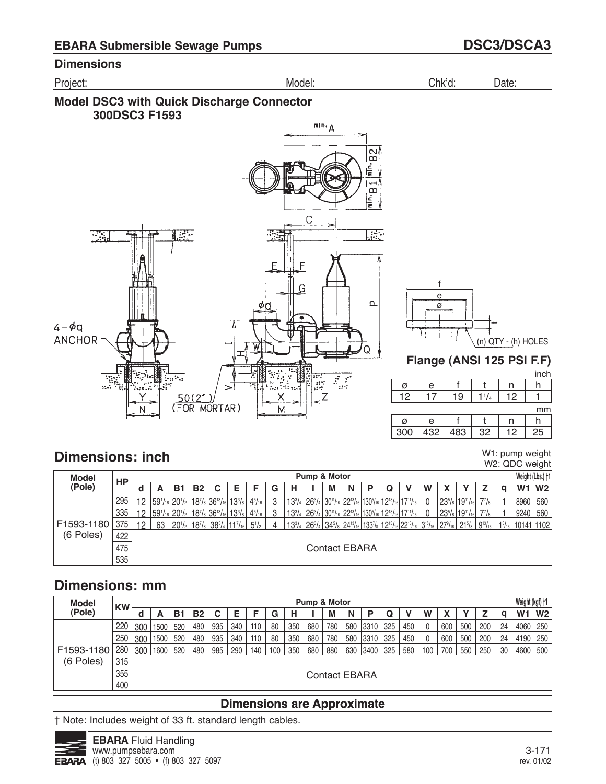





# **Dimensions: inch**

W1: pump weight W2: QDC weight

| Model          | НP  |    |                                        |    |           |                             |                                            |           |   |   | Pump & Motor |                      |   |  |                                                                                                             |   |                                                                                                                                                                 |   |      | Weight (Lbs.) +1           |
|----------------|-----|----|----------------------------------------|----|-----------|-----------------------------|--------------------------------------------|-----------|---|---|--------------|----------------------|---|--|-------------------------------------------------------------------------------------------------------------|---|-----------------------------------------------------------------------------------------------------------------------------------------------------------------|---|------|----------------------------|
| (Pole)         |     |    | А                                      | в. | <b>B2</b> | C                           | Е                                          |           | G | н |              | М                    | N |  |                                                                                                             | W |                                                                                                                                                                 | α | W1   | W <sub>2</sub>             |
|                | 295 | 12 | 59 <sup>1</sup> /16 20 <sup>1</sup> /2 |    |           | $ 18^{7}/_8 36^{13}/_{16} $ | $13^{3}/_8$ 4 <sup>5</sup> / <sub>16</sub> |           | 3 |   |              |                      |   |  | $13^{3}/_{4}$ $26^{3}/_{4}$ $30^{11}/_{16}$ $22^{13}/_{16}$ $130^{5}/_{16}$ $12^{13}/_{16}$ $17^{11}/_{16}$ |   | $23^{5}/_8$ 19 <sup>11</sup> / <sub>16</sub> 7 <sup>7</sup> / <sub>8</sub>                                                                                      |   | 8960 | 560                        |
|                | 335 | 12 | $ 59^{1}/_{16} 20^{1}/_{2} $           |    |           | $ 18^{7}/_8 36^{13}/_{16} $ | $13^{3}/_8$ 4 <sup>5</sup> / <sub>16</sub> |           | 3 |   |              |                      |   |  | $13^{3}/_{4}$ $26^{3}/_{4}$ $30^{11}/_{16}$ $22^{13}/_{16}$ $130^{5}/_{16}$ $12^{13}/_{16}$ $17^{11}/_{16}$ |   | $23^{5}/_8$ 19 <sup>11</sup> / <sub>16</sub> 7 <sup>7</sup> / <sub>8</sub>                                                                                      |   | 9240 | 560                        |
| F1593-1180 375 |     | 12 | 63                                     |    |           |                             | $ 20^{1/2} 18^{7/8} 38^{3/4} 11^{7/16} $   | $5^{1/2}$ | 4 |   |              |                      |   |  |                                                                                                             |   | $\mid$ 133/4 $\mid$ 263/4 $\mid$ 345/8 $\mid$ 2413/16 $\mid$ 1337/8 $\mid$ 1213/16 $\mid$ 2213/16 $\mid$ 315/16 $\mid$ 279/16 $\mid$ 215/8 $\mid$ 913/16 $\mid$ |   |      | $1\frac{3}{16}$ 10141 1102 |
| (6 Poles)      | 422 |    |                                        |    |           |                             |                                            |           |   |   |              |                      |   |  |                                                                                                             |   |                                                                                                                                                                 |   |      |                            |
|                | 475 |    |                                        |    |           |                             |                                            |           |   |   |              | <b>Contact EBARA</b> |   |  |                                                                                                             |   |                                                                                                                                                                 |   |      |                            |
|                | 535 |    |                                        |    |           |                             |                                            |           |   |   |              |                      |   |  |                                                                                                             |   |                                                                                                                                                                 |   |      |                            |

# **Dimensions: mm**

| <b>Model</b> | <b>KW</b> |     |      |     |           |     |     |     |     |     | <b>Pump &amp; Motor</b> |               |     |       |     |     |     |     |     |     |    |                | Weight (kgf) †1 |
|--------------|-----------|-----|------|-----|-----------|-----|-----|-----|-----|-----|-------------------------|---------------|-----|-------|-----|-----|-----|-----|-----|-----|----|----------------|-----------------|
| (Pole)       |           | u   | А    | в.  | <b>B2</b> | C   | Ε   |     | G   | н   |                         | м             | N   | P     | Q   |     | W   |     |     |     | a  | W <sub>1</sub> | W <sub>2</sub>  |
|              | 220       | 300 | 1500 | 520 | 480       | 935 | 340 | 110 | 80  | 350 | 680                     | 780           | 580 | 3310  | 325 | 450 |     | 600 | 500 | 200 | 24 | 4060           | 250             |
|              | 250       | 300 | 1500 | 520 | 480       | 935 | 340 | 110 | 80  | 350 | 680                     | 780           | 580 | '3310 | 325 | 450 |     | 600 | 500 | 200 | 24 | 4190           | 250             |
| F1593-1180   | 280       | 300 | 1600 | 520 | 480       | 985 | 290 | 140 | 100 | 350 | 680                     | 880           | 630 | 3400  | 325 | 580 | 100 | 700 | 550 | 250 | 30 | 4600           | 500             |
| (6 Poles)    | 315       |     |      |     |           |     |     |     |     |     |                         |               |     |       |     |     |     |     |     |     |    |                |                 |
|              | 355       |     |      |     |           |     |     |     |     |     |                         | Contact EBARA |     |       |     |     |     |     |     |     |    |                |                 |
|              | 400       |     |      |     |           |     |     |     |     |     |                         |               |     |       |     |     |     |     |     |     |    |                |                 |

## **Dimensions are Approximate**

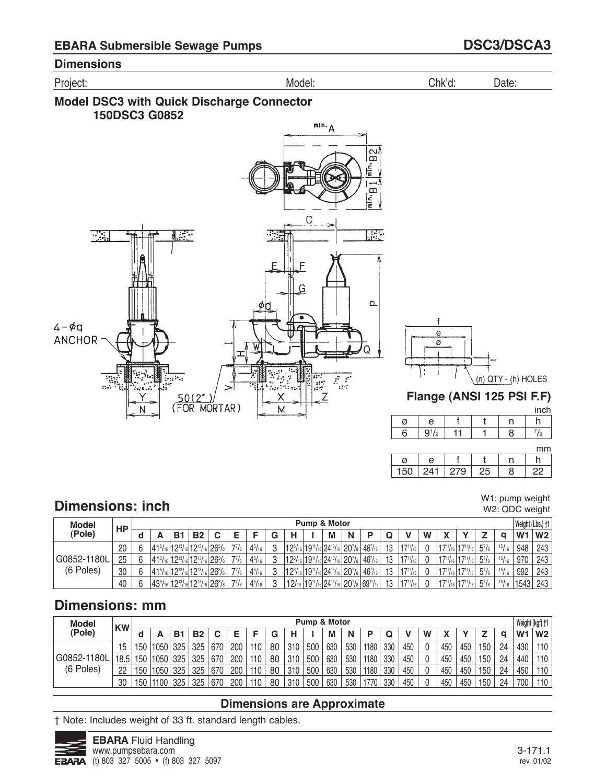





mm

|   |      |  | .  |
|---|------|--|----|
| и |      |  |    |
|   | пTэ. |  | ١r |

# **Dimensions: inch**

W1: pump weight W2: QDC weight

| <b>Model</b> | <b>HP</b> |                                                          |    |           |   |              |               |    |                                                          | Pump & Motor |   |                                                                     |    |                  |   |                                 |                 |           |                 | Weight (Lbs.) +1 |                |
|--------------|-----------|----------------------------------------------------------|----|-----------|---|--------------|---------------|----|----------------------------------------------------------|--------------|---|---------------------------------------------------------------------|----|------------------|---|---------------------------------|-----------------|-----------|-----------------|------------------|----------------|
| (Pole)       |           |                                                          | B1 | <b>B2</b> | C |              |               | G  | н                                                        | М            | N | D                                                                   |    |                  | W |                                 |                 |           |                 | W <sub>1</sub>   | W <sub>2</sub> |
|              | 20        | $ 415/16 12^{13}/16 12^{13}/16 26^{3}/8 $                |    |           |   | $7^{7}/_{8}$ | $4^{5}/_{16}$ | J. | $ 12^{3}/_{16} 19^{11}/_{16} 24^{13}/_{16} 20^{7}/_{8} $ |              |   | $46^{7}/_{16}$                                                      | 13 | $17^{11}/_{161}$ |   | $17^{11}/_{16}$                 | $17^{11}/_{16}$ | $5^7$ /8  | 15/16           | 948              | 243            |
| G0852-1180L  | 25        | 415/16 1213/16 1213/16 263/8                             |    |           |   | $7^{7}/_{8}$ | $4^{5}/_{16}$ | Q  | $ 12^{3}/_{16} 19^{11}/_{16} 24^{13}/_{16} 20^{7}/_{8} $ |              |   | $46^{7}/_{16}$                                                      | 13 | $117^{11}/_{16}$ |   | $ 17^{11}/_{16} 17^{11}/_{16} $ |                 | $5^7/s$   | $\frac{15}{16}$ | 970              | 243            |
| (6 Poles)    | 30        | 415/16 1213/16 1213/16 263/8                             |    |           |   | $7^{7}/_{8}$ | $4^{5}/_{16}$ | Q  | $ 12^{3}/_{16} 19^{11}/_{16} 24^{13}/_{16} 20^{7}/_{8} $ |              |   | $46^{7}/_{16}$                                                      | 13 | $117^{11}/_{16}$ |   | $17^{11}/_{16}$                 | $17^{11}/_{16}$ | $5^7$ /8  | 15/16           | 992              | 243            |
|              | 40        | $ 43^{5}/_{16} 12^{13}/_{16} 12^{13}/_{16} 26^{3}/_{8} $ |    |           |   | $7^{7}/_{8}$ | $4^{5}/_{16}$ | o  |                                                          |              |   | $ 12$ /16 $ 19^{11}$ /16 $ 24^{13}$ /16 $ 20^{7}$ /8 $ 69^{11}$ /16 | 13 | $17^{11}/_{16}$  |   | $ 17^{11}/_{16} $               | $17^{11}/_{16}$ | $5^{7}/s$ |                 | $15/16$   1543   | 243            |

# **Dimensions: mm**

| <b>Model</b> | <b>KW</b>         |     |                   |     |           |     |     |     |    |     | Pump & Motor |     |     |      |     |     |   |     |     |     |    | Weight (kgf) +1 |                |
|--------------|-------------------|-----|-------------------|-----|-----------|-----|-----|-----|----|-----|--------------|-----|-----|------|-----|-----|---|-----|-----|-----|----|-----------------|----------------|
| (Pole)       |                   |     |                   | B1  | <b>B2</b> |     |     |     | G  | н   |              | М   | N   |      |     |     | W |     |     |     | O  | W <sub>1</sub>  | W <sub>2</sub> |
|              | 15                | 50  | 11050             | 325 | 325       | 670 | 200 | 110 | 80 | 310 | 500          | 630 | 530 | 1180 | 330 | 450 |   | 450 | 450 | 150 | 24 | 430             | 110            |
| G0852-1180L  | 18.5 <sub>1</sub> | 150 | 1050 <sub>1</sub> | 325 | 325       | 670 | 200 | 110 | 80 | 310 | 500          | 630 | 530 | 1180 | 330 | 450 |   | 450 | 450 | 150 | 24 | 440             | 110            |
| (6 Poles)    | 22                | 150 | 11050             | 325 | 325       | 670 | 200 | 110 | 80 | 310 | 500          | 630 | 530 | 1180 | 330 | 450 |   | 450 | 450 | 150 | 24 | 450             | 110            |
|              | 30                | 50  | 1100              | 325 | 325       | 670 | 200 | 110 | 80 | 310 | 500          | 630 | 530 | 1770 | 330 | 450 |   | 450 | 450 | 150 | 24 | 700             | 110            |

### **Dimensions are Approximate**

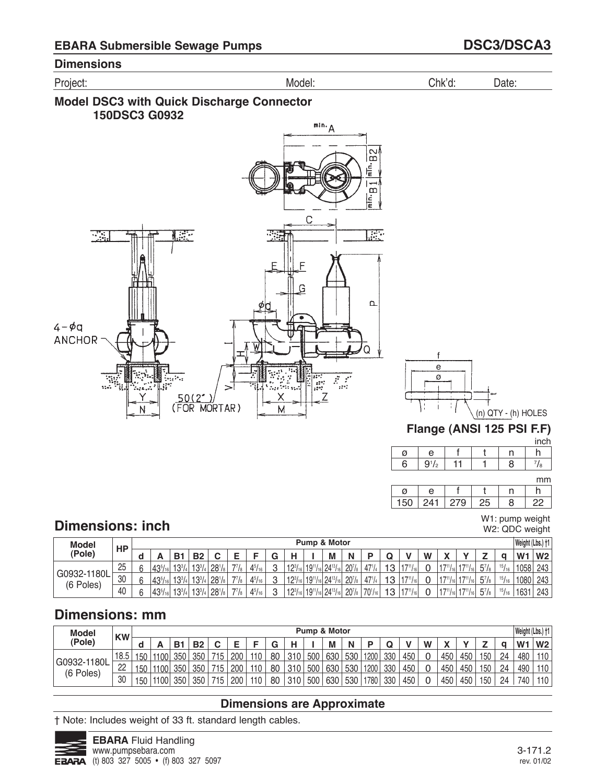





W1: pump weight W2: QDC weight

22

8

150

241

279

25

# **Dimensions: inch**

| <b>Model</b>             | <b>HP</b> |        |                |           |            |            |              |               |   |                |                                | Pump & Motor                     |                    |              |     |                  |            |                |                            |              |                 | Weight (Lbs.) +1 |     |
|--------------------------|-----------|--------|----------------|-----------|------------|------------|--------------|---------------|---|----------------|--------------------------------|----------------------------------|--------------------|--------------|-----|------------------|------------|----------------|----------------------------|--------------|-----------------|------------------|-----|
| (Pole)                   |           |        |                | в.        | <b>B2</b>  | ◠          | -            |               | G | н              |                                | M                                | N                  |              | u   |                  | W          | $\blacksquare$ |                            | -            |                 | W <sub>1</sub>   | W2  |
|                          | 25        | $\sim$ | $43^{5}/_{16}$ | $13^{3}$  | $13^{3}$   | $28^{1}/s$ | $77/8$ .     | $4^{5}/_{16}$ | C | $12^{3}/_{16}$ | 19 <sup>11</sup>               | $_6$ 24 <sup>13</sup> /1         | 20 <sup>7</sup> /s | $47^{1}/4$   | 1.2 | $4 - 711$        | $\sqrt{2}$ | 1711           | $1 + 711$                  | $5^7/s$      | 15/16           | 1058             | 243 |
| G0932-1180L<br>(6 Poles) | 30        | $\sim$ | $43^{5}/_{16}$ | $13^{3}/$ | $13^{3}$   | $28^{1}/s$ | 771<br>18    | $4^{5}/_{16}$ | C | $12^{3}/_{16}$ | 19 <sup>11</sup>               | $116$ 24 <sup>13</sup> / $\cdot$ | 20 <sup>7</sup> /s | $47^{1}/4$   | 1.2 | $4 - 7111$       |            | 47111          | $'$ 171                    | $5^{7}/_{8}$ | $\frac{15}{16}$ | 1080             | 243 |
|                          | 40        |        | $43^{5}/_{16}$ | $13^{3}/$ | $13^{3}/4$ | $28^{1}/s$ | $7^{7}/_{8}$ | $4^{5}/_{16}$ | C | $12^{3/16}$    | $ 19^{11}/_{16} 24^{13}/_{16}$ |                                  | 20 <sup>7</sup> /8 | $170^{1/16}$ | 12  | $17^{11}/_{161}$ | ⌒          | 47111          | $117^{11}$ / <sub>12</sub> | $5^7/s$      | 15/16           | 1631             | 243 |

# **Dimensions: mm**

| <b>Model</b>             | <b>KW</b> |     |          |           |           |        |     |     |             |     |     | <b>Pump &amp; Motor</b> |     |      |     |     |   |                |     |     |    |                | Weight (Lbs.) +1 |
|--------------------------|-----------|-----|----------|-----------|-----------|--------|-----|-----|-------------|-----|-----|-------------------------|-----|------|-----|-----|---|----------------|-----|-----|----|----------------|------------------|
| (Pole)                   |           |     |          | <b>B1</b> | <b>B2</b> | ◠<br>ັ |     |     | $\sim$<br>u |     |     | M                       |     |      |     |     | W | $\blacksquare$ |     | -   |    | W <sub>1</sub> | W <sub>2</sub>   |
|                          | 18.5      | 150 | 1100     | 350       | 350       | 715    | 200 | 110 | 80          | 310 | 500 | 630                     | 530 | 1200 | 330 | 450 |   | 450            | 450 | 150 | 24 | 480            | 110              |
| G0932-1180L<br>(6 Poles) | nn<br>22  | 150 | 1100     | 350       | 350       | 715    | 200 | 110 | 80          | 310 | 500 | 630                     | 530 | 1200 | 330 | 450 |   | 450            | 450 | 150 | 24 | 490            | 110              |
|                          | 30        | 150 | $1100$ . | 350       | 350       | 715    | 200 | 110 | 80          | 310 | 500 | 630                     | 530 | 1780 | 330 | 450 | ∩ | 450            | 450 | 150 | 24 | 740            | 110              |

## **Dimensions are Approximate**

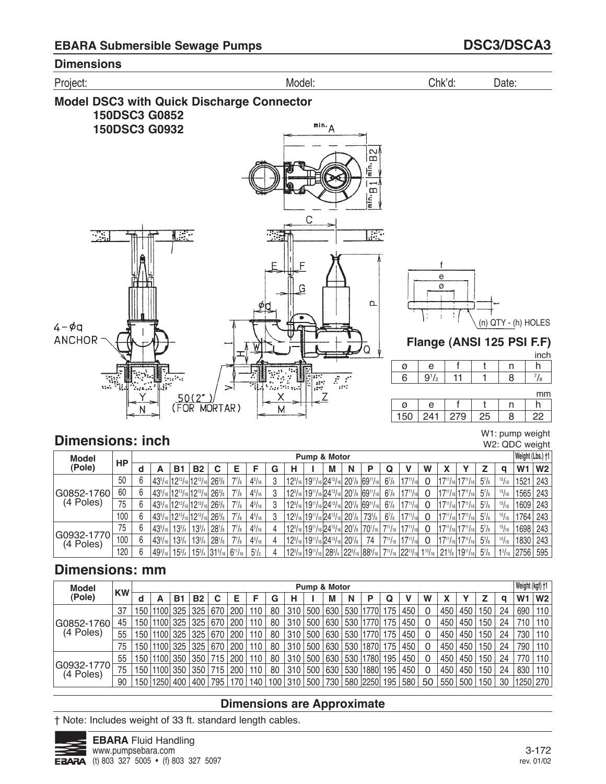

## **Dimensions: inch**

W1: pump weight W2: QDC weight

| <b>Model</b>            |     |   |                |            |                                                                                  |             |                |               |   |   | Pump & Motor                                                                                                    |   |                                                                                                                                                                           |                |                                                                                                                          |   |                                  |                                                  |          |               | Weight (Lbs.) +1 |                |
|-------------------------|-----|---|----------------|------------|----------------------------------------------------------------------------------|-------------|----------------|---------------|---|---|-----------------------------------------------------------------------------------------------------------------|---|---------------------------------------------------------------------------------------------------------------------------------------------------------------------------|----------------|--------------------------------------------------------------------------------------------------------------------------|---|----------------------------------|--------------------------------------------------|----------|---------------|------------------|----------------|
| (Pole)                  | HP  | a |                | B1         | <b>B2</b>                                                                        | С           | F              | F             | G | н | M                                                                                                               | N | Р                                                                                                                                                                         | Q              |                                                                                                                          | W |                                  |                                                  |          | a             | W <sub>1</sub>   | W <sub>2</sub> |
|                         | 50  |   |                |            | $ 435/16 1213/16 1213/16 $                                                       | $26^{3}/s$  | $7^{7}/_{8}$   | $4^{5}/_{16}$ |   |   |                                                                                                                 |   | $12^{3/16}$ 19 <sup>11</sup> /16 24 <sup>13</sup> /16 20 <sup>7</sup> /8 69 <sup>11</sup> /16                                                                             | $6^{7}/s$      | $17^{11}/_{16}$                                                                                                          |   | $17^{11}/_{16}$ 17 $^{11}/_{16}$ |                                                  | $5^7$ /8 | 15/16         | 1521             | 243            |
| G0852-1760              | 60  |   |                |            | 43 <sup>5</sup> /16 12 <sup>13</sup> /16 12 <sup>13</sup> /16 26 <sup>3</sup> /8 |             | $7^{7}/_{8}$   | $4^{5}/_{16}$ |   |   |                                                                                                                 |   | $12^{3}/_{16}$ 19 <sup>11</sup> / <sub>16</sub> 24 <sup>13</sup> / <sub>16</sub> 20 <sup>7</sup> / <sub>8</sub> 69 <sup>11</sup> / <sub>16</sub>                          | $6^{7}/s$      | $17^{11}/16$                                                                                                             |   |                                  | $ 17^{11}/_{16} 17^{11}/_{16} $                  | $5^7$ /8 | 15/16         | 1565 243         |                |
| (4 Poles)               | 75  |   |                |            | $ 43^{5}/_{16} 12^{13}/_{16} 12^{13}/_{16} $                                     | $126^{3}/s$ | $7^7$ /s       | $4^{5}/_{16}$ |   |   |                                                                                                                 |   | 12 <sup>3</sup> / <sub>16</sub>   19 <sup>11</sup> / <sub>16</sub>   24 <sup>13</sup> / <sub>16</sub>   20 <sup>7</sup> / <sub>8</sub>   69 <sup>11</sup> / <sub>16</sub> | $6^{7}/s$      | $17^{11}/_{16}$                                                                                                          |   | $17^{11}/_{16}$ 17 $^{11}/_{16}$ |                                                  | $5^7$ /8 | 15/16         | 1609 243         |                |
|                         | 100 |   |                |            | $ 43^5/$ <sub>16</sub> $ 12^{13}/$ <sub>16</sub> $ 12^{13}/$ <sub>16</sub> $ $   | $126^{3}/s$ | $7^{7}/_{8}$   | $4^{5}/_{16}$ |   |   | $12^{3}/_{16}$ 19 <sup>11</sup> / <sub>16</sub> 24 <sup>13</sup> / <sub>16</sub> 20 <sup>7</sup> / <sub>8</sub> |   | $73^{5}/s$                                                                                                                                                                | $6^{7}/s$      | $17^{11}/161$                                                                                                            |   |                                  | $17^{11}/_{16}$ 17 $^{11}/_{16}$                 | $5^7$ /8 | 15/16         | 1764             | 243            |
|                         | 75  |   | $43^{5}/_{16}$ | $13^{3}/4$ | $13^{3}/_{4}$                                                                    | $28^{1}/s$  | $7^{7}/_{8}$   | $4^{5}/_{16}$ |   |   | $12^{3}/_{16}$ 19 <sup>11</sup> / <sub>16</sub> 24 <sup>13</sup> / <sub>16</sub> 20 <sup>7</sup> / <sub>8</sub> |   | $ 70^{1}/_{16} $                                                                                                                                                          |                | $7^{11}/_{16}$   17 $^{11}/_{16}$                                                                                        |   |                                  | $17^{11}/_{16}$ 17 $^{11}/_{16}$                 | $5^7$ /8 | 15/16         | 1698             | 243            |
| G0932-1770<br>(4 Poles) | 100 |   | $43^{5}/_{16}$ | $13^{3}/4$ | $13^{3}/_{4}$                                                                    | $28^{1}/s$  | $7^{7}/_{8}$   | $4^{5}/_{16}$ |   |   | $12^{3}/_{16}$ 19 <sup>11</sup> / <sub>16</sub> 24 <sup>13</sup> / <sub>16</sub> 20 <sup>7</sup> / <sub>8</sub> |   | 74                                                                                                                                                                        | $7^{11}/_{16}$ | $-117^{11}/16$ .                                                                                                         |   |                                  | $17^{11}/_{16}$ 17 <sup>11</sup> / <sub>16</sub> | $5^7$ /8 | 15/16         | 1830             | 243            |
|                         | 120 |   | $49^{3}/_{16}$ | $15^{3}/4$ | $15^{3}/_{4}$ 31 $^{5}/_{16}$                                                    |             | $6^{11}/_{16}$ | $5^{1}/_{2}$  |   |   |                                                                                                                 |   |                                                                                                                                                                           |                | $12^{3}/16$ $19^{11}/16$ $28^{3}/4$ $22^{3}/16$ $88^{9}/16$ $7^{11}/16$ $22^{13}/16$ $1^{15}/16$ $21^{5}/6$ $19^{11}/16$ |   |                                  |                                                  | $5^7$ /8 | $1^{3}/_{16}$ | 2756             | 595            |

# **Dimensions: mm**

| <b>Model</b>            |           |                  |                      |           |           |     |     |     |     |     | Pump & Motor |     |     |          |     |     |    |     |     |                  |    | Weight (kgf) +1 |                |
|-------------------------|-----------|------------------|----------------------|-----------|-----------|-----|-----|-----|-----|-----|--------------|-----|-----|----------|-----|-----|----|-----|-----|------------------|----|-----------------|----------------|
| (Pole)                  | <b>KW</b> | d                |                      | <b>B1</b> | <b>B2</b> | С   | Ε   | F   | G   | н   |              | M   | N   | Р        | Q   |     | W  |     |     |                  | a  | W <sub>1</sub>  | W <sub>2</sub> |
|                         | 37        | 150              | '1100                | 325       | 325       | 670 | 200 | 110 | 80  | 310 | 500          | 630 | 530 | 1770     | 75  | 450 |    | 450 | 450 | 150              | 24 | 690             | 110            |
| G0852-1760              | 45        | 150              | $^{\backprime}$ 1100 | 325       | 325       | 670 | 200 | 110 | 80  | 310 | 500          | 630 | 530 | 1770     | 75  | 450 |    | 450 | 450 | 150              | 24 | 710             | 110            |
| (4 Poles)               | 55        | 150 <sub>1</sub> | 1100                 | 325       | 325       | 670 | 200 | 110 | 80  | 310 | 500          | 630 | 530 | 1770     | 75  | 450 |    | 450 | 450 | 150 <sub>1</sub> | 24 | 730             | 110            |
|                         | 75        | 150 I            | 11100                | 325       | 325       | 670 | 200 | 110 | 80  | 310 | 500          | 630 | 530 | 1870     | 175 | 450 |    | 450 | 450 | 150              | 24 | 790             | 110            |
|                         | 55        | 150 <sup>1</sup> | 11100                | 350       | 350       | 715 | 200 | 110 | 80  | 310 | 500          | 630 | 530 | 780      | 195 | 450 |    | 450 | 450 | 150 <sub>1</sub> | 24 | 770             | 110            |
| G0932-1770<br>(4 Poles) | 75        | 150              | '1100                | 350       | 350       | 715 | 200 | 110 | 80  | 310 | 500          | 630 | 530 | 1880     | 195 | 450 |    | 450 | 450 | 150 <sub>1</sub> | 24 | 830             | 110            |
|                         | 90        | 5۲،              | 1250                 | 400       | 400       | 795 |     | 140 | 100 | 310 | 500          | 730 |     | 580 2250 | 195 | 580 | 50 | 550 | 500 | 150              | 30 | 1250 270        |                |

## **Dimensions are Approximate**

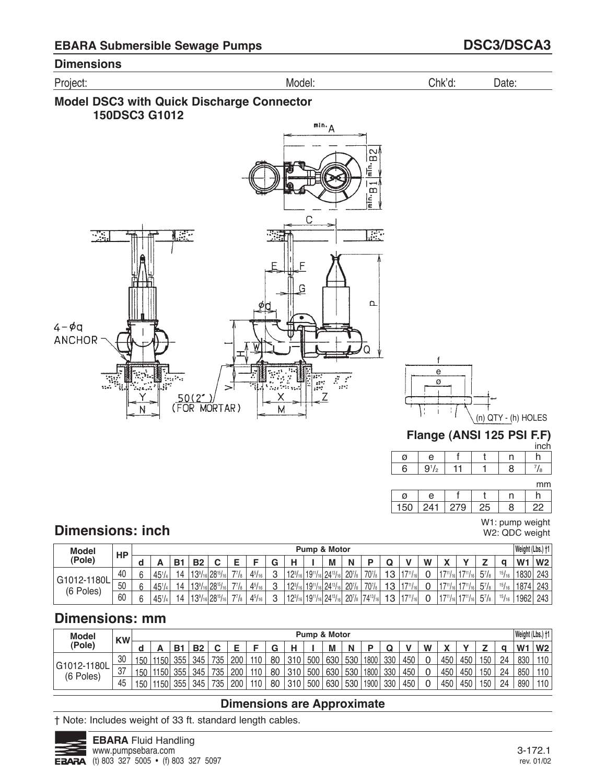





|   |    |  | inch |
|---|----|--|------|
| ø | e  |  |      |
| 6 | 72 |  | 8    |

mm

| 41ء<br>150 | ببار | ינ. |
|------------|------|-----|

W1: pump weight W2: QDC weight

# **Dimensions: inch**

| <b>Model</b>             | HP |        |                 |    |            |                                          |          |                |        |                |                 | Pump & Motor                   |                   |                  |    |       |   |               |                           |              |                 | Weight (Lbs.) †1 |                |
|--------------------------|----|--------|-----------------|----|------------|------------------------------------------|----------|----------------|--------|----------------|-----------------|--------------------------------|-------------------|------------------|----|-------|---|---------------|---------------------------|--------------|-----------------|------------------|----------------|
| (Pole)                   |    |        | Ē               | D. | <b>B2</b>  |                                          |          |                | ⌒<br>ч |                |                 | M                              | N                 | n                |    |       | W |               |                           | -            |                 | W <sub>1</sub>   | W <sub>2</sub> |
|                          | 40 |        | $45^{1}/4$      | 14 | 1291<br>∪ו | $16$ 28 <sup>15</sup> / <sub>16</sub>    | 771      | $4^{5}/_{16}$  | $\sim$ | $12^{3}$       | $19^{11}/_{16}$ | $ 24^{13}/_1$                  | 20 <sub>18</sub>  | 70 <sub>18</sub> | 13 | 4711  |   | 4711          | 1711                      | $5^{7}/_{8}$ | $\frac{15}{16}$ | 1830             | 243            |
| G1012-1180L<br>(6 Poles) | 50 | $\sim$ | $45^{1}/_{4}$   | 14 | 13%        | $16$ 28 <sup>15</sup> /                  | 77<br>Iя | $4^{5}/16$     | $\sim$ | $12^{3}$<br>16 | $119^{11}/1$    | $116 24^{131}$                 | 20 <sub>18</sub>  | 70 <sub>18</sub> | 13 | 711   |   | 4711          | 47111<br>116 <sub>1</sub> | $5^{7}/_{8}$ | $\frac{15}{16}$ | 1874             | 243            |
|                          | 60 |        | 45 <sup>1</sup> | 14 | 1291       | $\sim$ 28 <sup>15</sup> / <sub>161</sub> | 77/8     | 4 <sup>5</sup> | C      | 193L           |                 | $ 19^{11}/_{16} 24^{13}/_{16}$ | 20 <sub>181</sub> | $74^{13}$        | 13 | 17111 |   | $17^{11}/161$ | $17^{11}/_{16}$           | $5^7/s$      | 15/16           | 1962             | 243            |

# **Dimensions: mm**

| <b>Model</b>             | <b>KW</b> |     |      |     |     |     |     |     |    |     |     | <b>Pump &amp; Motor</b> |     |      |     |     |   |              |     |     |    | Weight (Lbs.) +1 |                |
|--------------------------|-----------|-----|------|-----|-----|-----|-----|-----|----|-----|-----|-------------------------|-----|------|-----|-----|---|--------------|-----|-----|----|------------------|----------------|
| (Pole)                   |           |     |      | B.  | D0  | r   | ╾   |     | G  | ц   |     | M                       | N   |      |     |     | W | $\mathbf{v}$ |     | -   |    | W <sub>1</sub>   | W <sub>2</sub> |
|                          | 30        | 150 | 1150 | 355 | 345 | 735 | 200 | 110 | 80 | 310 | 500 | 630                     | 530 | 1800 | 330 | 450 | 0 | 450          | 450 | 150 | 24 | 830              | 110            |
| G1012-1180L<br>(6 Poles) | 37        | 150 | 1150 | 355 | 345 | 735 | 200 | 110 | 80 | 310 | 500 | 630                     | 530 | 1800 | 330 | 450 | 0 | 450          | 450 | 150 | 24 | 850              | 110            |
|                          | 45        | 150 | 1150 | 355 | 345 | 735 | 200 | 110 | 80 | 310 | 500 | 630                     | 530 | 1900 | 330 | 450 | 0 | 450          | 450 | 150 | 24 | 890              | 110            |

## **Dimensions are Approximate**

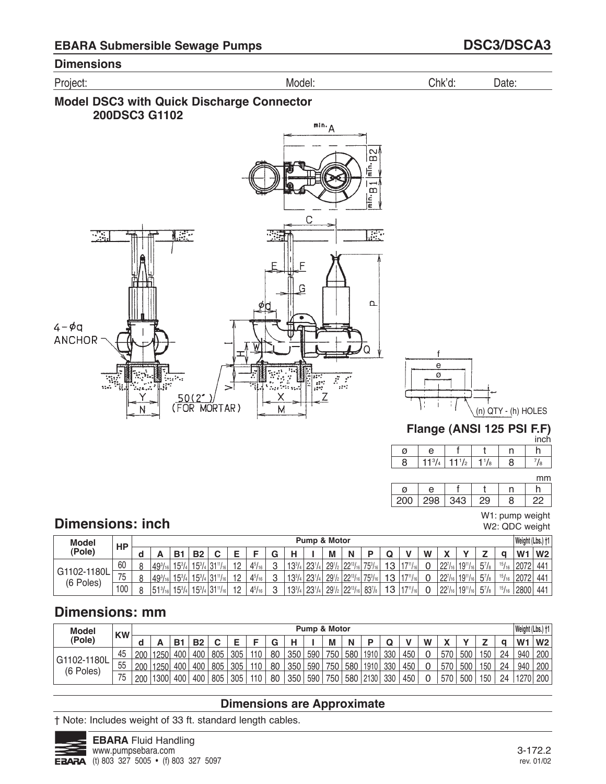





|     |         |  |   | ,,,,, |
|-----|---------|--|---|-------|
|     | e       |  |   |       |
| 200 | ∍ י סטי |  | г |       |
|     |         |  |   |       |

W1: pump weight W2: QDC weight

# **Dimensions: inch**

| <b>Model</b>             | HP  |                  |               |               |                   |              |               |   |               | Pump & Motor    |                                |                  |                |    |                |   |                |                 |              |       | Weight (Lbs.) +1 |                |
|--------------------------|-----|------------------|---------------|---------------|-------------------|--------------|---------------|---|---------------|-----------------|--------------------------------|------------------|----------------|----|----------------|---|----------------|-----------------|--------------|-------|------------------|----------------|
| 'Pole)                   |     |                  | B.            | <b>B2</b>     |                   | ▃            |               | G | н             |                 | M                              | N                |                |    |                | W |                |                 | -            |       | W۰               | W <sub>2</sub> |
|                          | 60  | $49^{3}/_{16}$   | 53/           | $15^{3}/_{4}$ | $131^{11}/_{161}$ | $\mathbf{1}$ | $4^{5}/_{16}$ | C | $13^{3}/_{4}$ | 23 <sup>1</sup> | $29^{1}/_{2}$                  | $122^{13}/_{16}$ | 753/16         | 13 | $\overline{1}$ | ⌒ | $22^{7}/_{16}$ | $19^{11}/_{16}$ | $5^{7}/_{8}$ | 15/16 | 2072             | 441            |
| G1102-1180L<br>(6 Poles) | 75  | $49^{3}/_{16}$   | $15^{\circ}/$ | $15^{3}/_{4}$ | $131^{11}/_{16}$  | 12           | $4^{5}/_{16}$ | C | $13^{3}/4$    | 23 <sup>1</sup> | 29 <sub>1</sub>                | $22^{13}/_{16}$  | $75^{3}/_{16}$ | 13 | $\overline{1}$ |   | 227            | $19^{11}/_{16}$ | $5^{7}/_{8}$ | 15/16 | 2072             | 441            |
|                          | 100 | $51\frac{3}{16}$ | 153/          | $15^{3}/4$    | $131^{11}/_{161}$ | 12           | $4^{5}/_{16}$ | C | $13^{3}/_{4}$ | 23 <sup>1</sup> | 29 <sup>1</sup> / <sub>2</sub> | $22^{13}/_{16}$  | $83^{7}/s$     | 13 | 17111          |   | $22^{7}/_{16}$ | $19^{11}/_{16}$ | $5^{7}/_{8}$ | 15/16 | 2800             | 441            |

# **Dimensions: mm**

| <b>Model</b>             | <b>KW</b> |     |                   |            |           |     |     |     |    |     | Pump & Motor |     |     |      |     |     |   |     |     |     |    | Weight (Lbs.) +1 |                |
|--------------------------|-----------|-----|-------------------|------------|-----------|-----|-----|-----|----|-----|--------------|-----|-----|------|-----|-----|---|-----|-----|-----|----|------------------|----------------|
| (Pole)                   |           |     |                   | <b>B</b> 1 | <b>B2</b> |     |     |     |    |     |              | М   | N   |      |     |     | W |     |     | -   |    | W <sub>1</sub>   | W <sub>2</sub> |
|                          | 45        | 200 | 1250              | 400        | 400       | 805 | 305 | 110 | 80 | 350 | 590          | 750 | 580 | 1910 | 330 | 450 |   | 570 | 500 | 150 | 24 | 940              | 200            |
| G1102-1180L<br>(6 Poles) | 55        | 200 | 1250              | 400        | 400       | 805 | 305 | 110 | 80 | 350 | 590          | 750 | 580 | 1910 | 330 | 450 |   | 570 | 500 | 150 | 24 | 940              | 200            |
|                          | 75        | 200 | 1300 <sub>1</sub> | 400        | 400       | 805 | 305 | 110 | 80 | 350 | 590          | 750 | 580 | 2130 | 330 | 450 |   | 570 | 500 | 150 | 24 | 1270             | 200            |

## **Dimensions are Approximate**

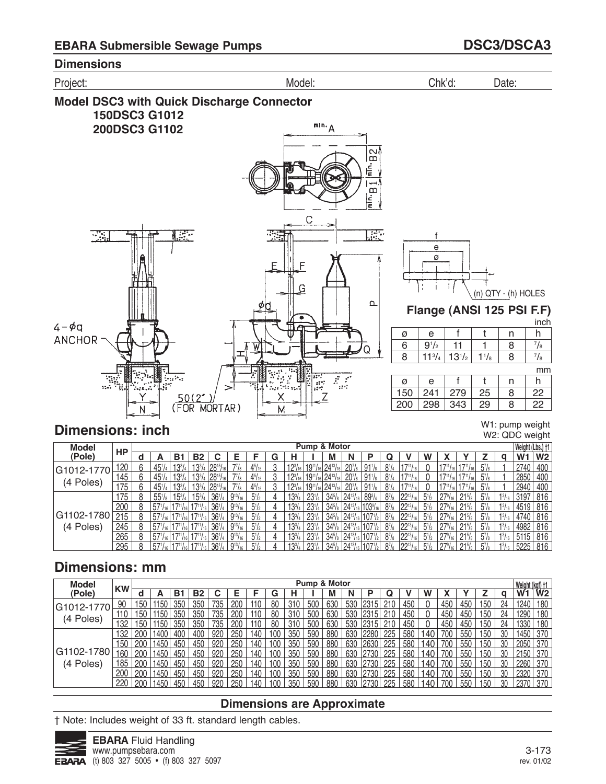

### **Dimensions: inch**

W1: pump weight W2: QDC weight

| <b>Model</b> |     |   |                  |                   |                  |                  |                |                |   |                |                                                 | Pump & Motor    |                       |                 |              |           |                |      |                 |                |               | Weight (Lbs.) †1 |                |
|--------------|-----|---|------------------|-------------------|------------------|------------------|----------------|----------------|---|----------------|-------------------------------------------------|-----------------|-----------------------|-----------------|--------------|-----------|----------------|------|-----------------|----------------|---------------|------------------|----------------|
| (Pole)       | НP  |   | A                | B1                | <b>B2</b>        |                  | Е              |                | G | н              |                                                 | м               | N                     | Р               |              |           | W              |      |                 |                | a             | W <sub>1</sub>   | W <sub>2</sub> |
| G1012-1770   | 120 | 6 | $45^{1}/4$       | 13¾               | $13^{3}/_{4}$    | $ 28^{15} $      |                | $4^{5}/_{16}$  |   | $12^{3}/_{16}$ | $19^{11}$                                       | $ 24^{13}/$     | 20 <sup>7</sup> /s    | $91\frac{1}{8}$ | $8^{1/2}$    |           |                |      |                 | $5^7$ /8       |               | 2740             | 400            |
|              | 145 | 6 | $45^{1}/4$       | $13^{3}/_{4}$     | $13^{3}/_{4}$ i. | $128^{15}/_{16}$ | 77/6           | $4^{5}/_{16}$  | 3 | $12^{3}/_{16}$ | $19^{11}/_{16}$ 24 <sup>13</sup> / <sub>1</sub> |                 | 20 <sub>18</sub>      | $91\frac{1}{8}$ | $8^{1/2}$    |           |                |      |                 | $5^7$ /s       |               | 2850             | 400            |
| (4 Poles)    | 175 | 6 | $45^{1}/4$       | 13¾               | $13^{3}/4$ .     | $128^{15}/_{16}$ | 77/8           | $4^{5}/_{16}$  | 3 | $12^{3}/_{16}$ | $19^{11}/_{161}$                                | $124^{13}$      | 20 <sup>7</sup> /s    | $91\frac{1}{8}$ | $8^{1/4}$    | 1471/161  |                |      |                 | $5\frac{7}{8}$ |               | 2940             | 400            |
|              | 175 | 8 | $55\frac{1}{8}$  | $15\frac{3}{4}$ . | $15^{3}/_{4}$    | $36^{1}/4$       | $9^{13}/_{16}$ | $5^{1}/2$      |   | $13^{3}/4$     | $23^{1}/4$                                      | $34\frac{5}{8}$ | $.8$   $24^{13}$      | $89^{3}/4$      | $8^{7}/_{8}$ | $99^{13}$ | $5^{1}/2$      | 279  | $21\%$          | $5^7$ /8       | $1^{3}/_{16}$ | 3197             | 816            |
|              | 200 | 8 | $57^{1}/_{16}$   |                   |                  | $36^{1}/4$       | $9^{13}/_{16}$ | $5\frac{1}{2}$ | 4 | $13^{3}/4$     | $23^{1/4}$                                      | $34\frac{5}{8}$ | $ 24^{13}\rangle$     | $103\%$         | 87/6         | $22^{13}$ | $5\frac{1}{2}$ | 279  | $21\%$          | $5\frac{7}{8}$ | $1^{3}/_{16}$ | 4519             | 816            |
| G1102-1780   | 215 | 8 | $57^{1}/_{16}$   |                   |                  | $36^{1}/4$       | $9^{13}/_{16}$ | $5^{1}/2$      |   | $13^{3}/4$     | $23^{1/4}$                                      | $34\frac{5}{8}$ | $ 24^{13} $           |                 | $8^{7}/_{8}$ | $22^{13}$ | $5^{1}/2$      | 279  | $21\frac{5}{8}$ | $5^7$ /8       | $1^{3}/16$    | 4740             | 816            |
| (4 Poles)    | 245 | ጸ | $157^{1/16}$     |                   |                  | $36^{1}/4$       | $9^{13}/_{16}$ | $5^{1}/2$      |   | $13^{3}/4$     | $23^{1}/4$                                      | $34\frac{5}{8}$ |                       |                 | $8^{7}/_{8}$ | $22^{13}$ | $5^{1}/2$      |      | $21\%$          | $5^7$ /8       | $1^{3}/_{16}$ | 4982             | 816            |
|              | 265 | 8 | $ 57^{1}/_{16} $ |                   |                  | $36^{1}/4$       | $9^{13}/_{16}$ | $5\frac{1}{2}$ | 4 | $13^{3}/_{4}$  | $23^{1/4}$                                      | $34\frac{5}{8}$ | $18 \,   \, 24^{137}$ |                 | $8^{7}/_{8}$ | $22^{13}$ | $5^{1}/_{2}$   | 279  | $21\%$          | $5^7$ / $8$    | $1^{3}l_{16}$ | 5115             | 816            |
|              | 295 | я | 57 <sup>1</sup>  |                   |                  | 36 <sup>1</sup>  | $9^{13}/_{16}$ | $5^{1/2}$      |   | $1.3^{3}/_{4}$ | $23^{1}/4$                                      | $34^{5}/_{8}$   | (8.12413)             |                 | 87/s         | 0013      | $5\frac{1}{2}$ | 2791 | $21^{5}/_{8}$   | $5^7$ /s       |               | 5225             | 816            |

# **Dimensions: mm**

| <b>Model</b> |           |     |       |     |           |     |      |     |     |     | Pump & Motor |     |     |      |     |     |     |     |     |                  |    |                            |     |
|--------------|-----------|-----|-------|-----|-----------|-----|------|-----|-----|-----|--------------|-----|-----|------|-----|-----|-----|-----|-----|------------------|----|----------------------------|-----|
| (Pole)       | <b>KW</b> | d   |       | B1  | <b>B2</b> | C   |      |     | G   | н   |              | м   | N   | D    | Q   |     | w   |     |     |                  | a  | Weight (kgf) †1<br>W1   W2 |     |
| G1012-1770   | 90        | 150 | 1150  | 350 | 350       | 735 | 200  | 110 | 80  | 310 | 500          | 630 | 530 | 2315 | 210 | 450 |     | 450 | 450 | 150              | 24 | 1240                       | 180 |
|              | 110       | 50  | '150. | 350 | 350       | 735 | 200  | 110 | 80  | 310 | 500          | 630 | 530 | 2315 | 210 | 450 |     | 450 | 450 | 150              | 24 | 1290                       | 180 |
| (4 Poles)    | 132       | 50  | 1150  | 350 | 350       | 735 | 200  | 110 | 80  | 310 | 500          | 630 | 530 | 2315 | 210 | 450 |     | 450 | 450 | 150              | 24 | 1330                       | 180 |
|              | 132       | 200 | 1400  | 400 | 400       | 920 | 250  | 140 | 100 | 350 | 590          | 880 | 630 | 2280 | 225 | 580 | 140 | 700 | 550 | 150              | 30 | 1450                       | 370 |
|              | 150       | 200 | 1450  | 450 | 450       | 920 | 250  | 140 | 100 | 350 | 590          | 880 | 630 | 2630 | 225 | 580 | 140 | 700 | 550 | 150              | 30 | 2050                       | 370 |
| G1102-1780   | 160       | 200 | 1450  | 450 | 450       | 920 | 250  | 140 | 100 | 350 | 590          | 880 | 630 | 2730 | 225 | 580 | 140 | 700 | 550 | 150              | 30 | 2150                       | 370 |
| Poles)<br>4  | 185       | 200 | 1450  | 450 | 450       | 920 | 25C  | 140 | 100 | 350 | 590          | 880 | 630 | 2730 | 225 | 580 | 140 | 700 | 550 | 150              | 30 | 2260                       | 370 |
|              | 200       |     | 1450  | 450 | 450       | 920 | 250  | 140 | 100 | 350 | 590          | 880 | 630 | 2730 | 225 | 580 | 140 | 700 | 550 | 150              | 30 | 2320                       | 370 |
|              | 220       | 200 | 1450  | 450 | 450       | 920 | 25 C | 140 | 100 | 350 | -590         | 880 | 630 | 2730 | 225 | 580 | 140 | 700 | 550 | 150 <sub>1</sub> | 30 | 2370                       | 370 |

### **Dimensions are Approximate**

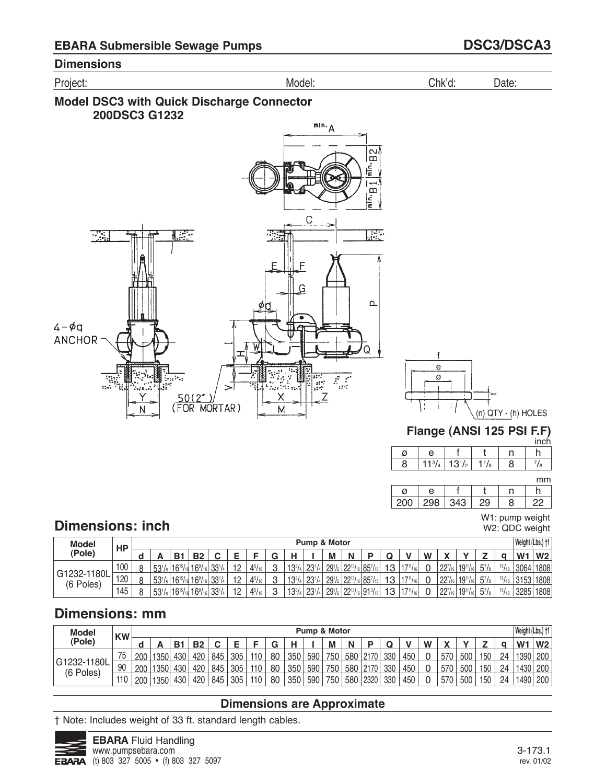





W1: pump weight W2: QDC weight

# **Dimensions: inch**

| <b>Model</b>             | HP  |   |                 |             |      |               |               |        |               | Pump & Motor    |                    |                           |                 |    |                 |   |              |                 |         |                 | Weight (Lbs.) †1 |                |
|--------------------------|-----|---|-----------------|-------------|------|---------------|---------------|--------|---------------|-----------------|--------------------|---------------------------|-----------------|----|-----------------|---|--------------|-----------------|---------|-----------------|------------------|----------------|
| <b>Pole</b> )            |     |   |                 | B.          | D0   |               |               | u      |               |                 | M                  | N                         |                 | w  |                 | W | $\mathbf{v}$ |                 |         |                 | W <sub>1</sub>   | W <sub>2</sub> |
|                          | 100 | Ջ | $53\frac{1}{8}$ | $16^{15}$   | 1691 | 221/          | $4^{5}/_{16}$ | $\sim$ | $13^{3}/_{4}$ | 23 <sup>1</sup> | 29 <sup>1</sup> /2 | $22^{13}$ / <sub>1</sub>  | 857/16          | 13 | 4711            |   | 2271         | $19^{11}$ /     | $5^7/s$ | $\frac{15}{16}$ | 3064             | 1808           |
| G1232-1180L<br>(6 Poles) | 120 | Ջ | $53\frac{1}{8}$ | $16^{15}$ / | 1691 | 221/<br>14 UU | $4^{5}/_{16}$ | $\sim$ | $13^{3}/_{4}$ | 23 <sup>1</sup> | $29^{1}/_{2}$      | $122^{13}$ / <sub>1</sub> | 857/16          | 13 | $-711$<br>16    |   | 2271         | $19^{11}/n$     | $5^7/s$ | 15/16           | 3153             | 1808           |
|                          | 145 |   | $53\frac{1}{8}$ | 1615/       | 169/ | 221/          | $4^{5}/_{16}$ | C      | $13^{3}/_{4}$ | $23^{1}$        | $29^{1}/_{2}$      | $22^{13}/_{16}$           | $191^{3}/_{16}$ | 12 | $17^{11}/_{16}$ |   | 2271         | $19^{11}/_{16}$ | $5^7/s$ | 15/16           | 3285             | 1808           |

# **Dimensions: mm**

| <b>Model</b>             | <b>KW</b> |     |      |                |           |     |     |     |        |     |     | Pump & Motor |     |      |     |     |   |              |     |     |    | Weight (Lbs.) †1 |                |
|--------------------------|-----------|-----|------|----------------|-----------|-----|-----|-----|--------|-----|-----|--------------|-----|------|-----|-----|---|--------------|-----|-----|----|------------------|----------------|
| (Pole)                   |           |     |      | B <sub>1</sub> | <b>B2</b> | ⌒   |     |     | ◠<br>u |     |     | M            | N   | D    |     |     | W | $\mathbf{v}$ |     |     |    | W                | W <sub>2</sub> |
|                          | 75        | 200 | 1350 | 430            | 420       | 845 | 305 | 110 | 80     | 350 | 590 | 750          | 580 | 2170 | 330 | 450 | 0 | 570          | 500 | 150 | 24 | 1390             | 200            |
| G1232-1180L<br>(6 Poles) | 90        | 200 | 1350 | 430            | 420       | 845 | 305 | 110 | 80     | 350 | 590 | 750          | 580 | 2170 | 330 | 450 | 0 | 570          | 500 | 150 | 24 | 1430             | 200            |
|                          | 110       | 200 | 1350 | 430            | 420       | 845 | 305 | 110 | 80     | 350 | 590 | 750          | 580 | 2320 | 330 | 450 | U | 570          | 500 | 150 | 24 | 1490             | 200            |

## **Dimensions are Approximate**

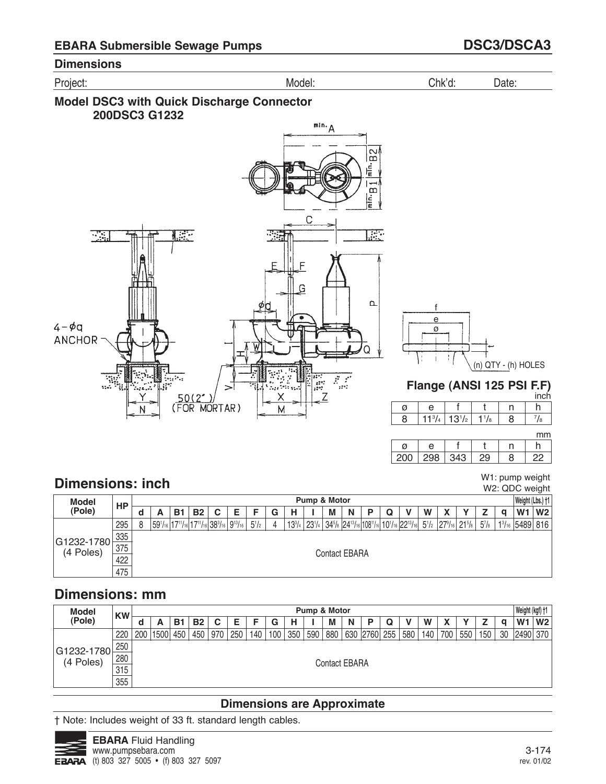Project: Model: Chk'd: Date:

### **Model DSC3 with Quick Discharge Connector 200DSC3 G1232**



 $\frac{7}{8}$ mm

h

inch

W1: pump weight

|     |  |   | . |
|-----|--|---|---|
| Ø   |  |   |   |
| 20C |  | 9 |   |

# **Dimensions: inch**

| <b>Dimensions: Inch</b>       |     |   |   |    |           |                                                         |   |           |   |   |              |   |                      |  |                                                                                                                                                                                                                                                                                                                                |   |  |          |   | W2: QDC weight           |    |
|-------------------------------|-----|---|---|----|-----------|---------------------------------------------------------|---|-----------|---|---|--------------|---|----------------------|--|--------------------------------------------------------------------------------------------------------------------------------------------------------------------------------------------------------------------------------------------------------------------------------------------------------------------------------|---|--|----------|---|--------------------------|----|
| <b>Model</b>                  | НP  |   |   |    |           |                                                         |   |           |   |   | Pump & Motor |   |                      |  |                                                                                                                                                                                                                                                                                                                                |   |  |          |   | Weight (Lbs.) +1         |    |
| (Pole)                        |     |   | А | в. | <b>B2</b> | C                                                       | E | F         | G | н |              | м | N                    |  |                                                                                                                                                                                                                                                                                                                                | W |  |          | α | W <sub>1</sub>           | W2 |
|                               | 295 | 8 |   |    |           | $ 59^{1/16} 17^{11/16} 17^{11/16} 38^{3/16} 9^{13/16} $ |   | $5^{1}/2$ | 4 |   |              |   |                      |  | $13^{3}/_{4}$   23 <sup>1</sup> / <sub>4</sub>   34 <sup>5</sup> / <sub>8</sub>   24 <sup>13</sup> / <sub>16</sub>   108 <sup>11</sup> / <sub>16</sub>   10 <sup>1</sup> / <sub>16</sub>   22 <sup>13</sup> / <sub>16</sub>   5 <sup>1</sup> / <sub>2</sub>   27 <sup>9</sup> / <sub>16</sub>   21 <sup>5</sup> / <sub>8</sub> |   |  | $5^7$ /8 |   | $1\frac{3}{16}$ 5489 816 |    |
|                               | 335 |   |   |    |           |                                                         |   |           |   |   |              |   |                      |  |                                                                                                                                                                                                                                                                                                                                |   |  |          |   |                          |    |
| $ G1232 - 1780 $<br>(4 Poles) | 375 |   |   |    |           |                                                         |   |           |   |   |              |   | <b>Contact EBARA</b> |  |                                                                                                                                                                                                                                                                                                                                |   |  |          |   |                          |    |
|                               | 422 |   |   |    |           |                                                         |   |           |   |   |              |   |                      |  |                                                                                                                                                                                                                                                                                                                                |   |  |          |   |                          |    |
|                               | 475 |   |   |    |           |                                                         |   |           |   |   |              |   |                      |  |                                                                                                                                                                                                                                                                                                                                |   |  |          |   |                          |    |

# **Dimensions: mm**

| <b>Model</b>               | <b>KW</b> |     |      |     |           |     |     |     |     |     | Pump & Motor |                      |   |              |     |     |     |     |     |    | Weight (kgf) +1 |                |
|----------------------------|-----------|-----|------|-----|-----------|-----|-----|-----|-----|-----|--------------|----------------------|---|--------------|-----|-----|-----|-----|-----|----|-----------------|----------------|
| (Pole)                     |           | a   | A    | B.  | <b>B2</b> | C   |     |     | G   |     |              | M                    | N |              |     | W   |     |     |     | C  | W <sub>1</sub>  | W <sub>2</sub> |
|                            | 220       | 200 | 1500 | 450 | 450       | 970 | 250 | 140 | 100 | 350 | 590          | 880                  |   | 630 2760 255 | 580 | 140 | 700 | 550 | 150 | 30 | 2490 370        |                |
|                            | 250       |     |      |     |           |     |     |     |     |     |              |                      |   |              |     |     |     |     |     |    |                 |                |
| G1232-1780 <br>  (4 Poles) | 280       |     |      |     |           |     |     |     |     |     |              | <b>Contact EBARA</b> |   |              |     |     |     |     |     |    |                 |                |
|                            | 315       |     |      |     |           |     |     |     |     |     |              |                      |   |              |     |     |     |     |     |    |                 |                |
|                            | 355       |     |      |     |           |     |     |     |     |     |              |                      |   |              |     |     |     |     |     |    |                 |                |

# **Dimensions are Approximate**

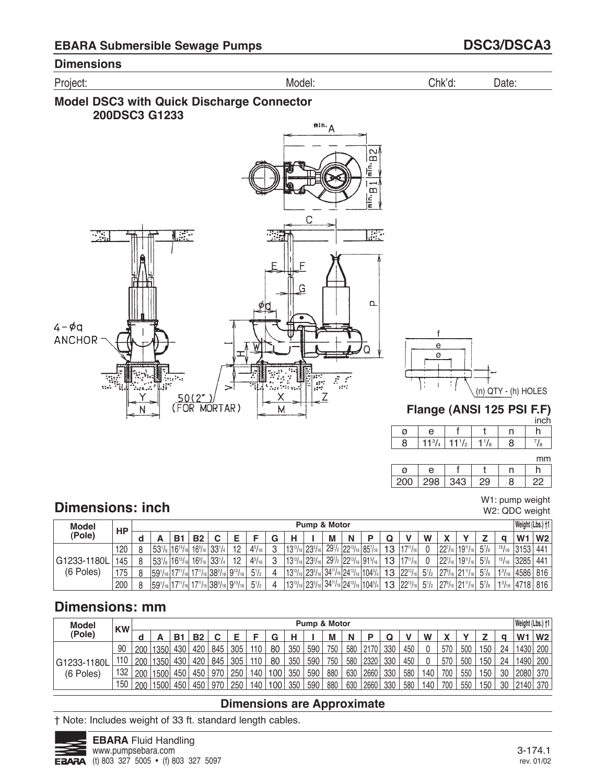





#### mm

| 200 | ∴ 'Ju⊶ | ں. |  |
|-----|--------|----|--|

# **Dimensions: inch**

W1: pump weight W2: QDC weight

| <b>Model</b> | HP  |                                               |            |           |                                                                        |    |               |   |                                 | Pump & Motor |   |   |                                                                             |    |                   |           |                        |                                                   |          |           | Weight (Lbs.) †1   |                |
|--------------|-----|-----------------------------------------------|------------|-----------|------------------------------------------------------------------------|----|---------------|---|---------------------------------|--------------|---|---|-----------------------------------------------------------------------------|----|-------------------|-----------|------------------------|---------------------------------------------------|----------|-----------|--------------------|----------------|
| (Pole)       |     |                                               | <b>B</b> 1 | <b>B2</b> |                                                                        |    |               |   | н                               |              | M | N | D                                                                           |    |                   | W         |                        |                                                   |          |           | W <sub>1</sub>     | W <sub>2</sub> |
|              | 120 | $153'/_8$ 16 <sup>15</sup> / <sub>16</sub>    |            |           | $16\%$ 33 $1/4$                                                        | 12 | $4^{5}/_{16}$ | C | $13^{13}/_{16}$ 23 $^{3}/_{16}$ |              |   |   | $29^{1/2}$ 22 <sup>13</sup> / <sub>16</sub> 85 <sup>7</sup> / <sub>16</sub> | 13 | $17^{11}/_{16}$   |           | $22^{7}/_{16}$         | $119^{11}/_{16}$                                  | $5^7$ /8 | $15/16$ 1 | 3153               | 441            |
| G1233-1180L  | 145 | $153^{1}/_8$ 16 <sup>15</sup> / <sub>16</sub> |            |           | $16\frac{9}{16}$ 33 <sup>1</sup> / <sub>4</sub>                        | 12 | $4^{5}/_{16}$ | C | $13^{13}/_{16}$ 23 $^{3}/_{16}$ |              |   |   | $291/2$ 22 <sup>13</sup> / <sub>16</sub> 91 <sup>5</sup> / <sub>16</sub>    | 13 | $17^{11}/_{16}$   |           | 22 <sup>7</sup> /16    | $119^{11}/_{16}$                                  | $5^7/s$  |           | $15/16$ 3285       | 441            |
| (6 Poles)    | 175 |                                               |            |           | $ 59^{1}/_{16} 17^{11}/_{16} 17^{11}/_{16} 38^{3}/_{16} 9^{13}/_{16} $ |    | $5^{1}/2$     |   |                                 |              |   |   | $ 13^{13}/_{16} 23^{3}/_{16} 34^{11}/_{16} 24^{13}/_{16} 104^{3}/_{4} $     | 13 | $ 22^{13}/_{16} $ | $5^{1}/2$ |                        | $27\frac{9}{16}$ 21 <sup>11</sup> / <sub>16</sub> | $5^7/s$  |           | $1^{3}/_{16}$ 4586 | 816            |
|              | 200 |                                               |            |           | $ 59'_{16} 17''_{16} 17''_{16} 38^3_{16} 9^{13}_{16} $                 |    | $5^{1}/2$     |   |                                 |              |   |   | $ 13^{13}/_{16} 23^{3}/_{16} 34^{11}/_{16} 24^{13}/_{16} 104^{3}/_{4} $     |    | $13 22^{13}/16 $  | $5^{1/2}$ | $ 27^9/16 21^{11}/16 $ |                                                   | $5^7/s$  |           | $13/16$ 4718       | 816            |

# **Dimensions: mm**

| <b>Model</b> | <b>KW</b> |     |      |     |           |     |     |     |     |     | Pump & Motor |     |     |      |     |     |     |     |     |     |    | Weight (Lbs.) †1 |                |
|--------------|-----------|-----|------|-----|-----------|-----|-----|-----|-----|-----|--------------|-----|-----|------|-----|-----|-----|-----|-----|-----|----|------------------|----------------|
| (Pole)       |           |     |      | B.  | <b>B2</b> | r   | F   |     | G   | н   |              | M   | N   | E    |     |     | W   |     |     |     |    | W <sup>-</sup>   | W <sub>2</sub> |
|              | 90        | 200 | 1350 | 430 | 420       | 845 | 305 | 110 | 80  | 350 | 590          | 750 | 580 | 2170 | 330 | 450 | ∩   | 570 | 500 | 150 | 24 | 1430             | 200            |
| G1233-1180L  | 110       | 200 | 1350 | 430 | 420       | 845 | 305 | 110 | 80  | 350 | 590          | 750 | 580 | 2320 | 330 | 450 |     | 570 | 500 | 150 | 24 | 1490             | 200            |
| (6 Poles)    | 132       | 200 | 1500 | 450 | 450       | 970 | 250 | 140 | 100 | 350 | 590          | 880 | 630 | 2660 | 330 | 580 | 140 | 700 | 550 | 150 | 30 | 2080             | 370            |
|              | 150       | 200 | 1500 | 450 | 450       | 970 | 250 | 140 | 100 | 350 | 590          | 880 | 630 | 2660 | 330 | 580 | 140 | 700 | 550 | 150 | 30 | 2140             | 370            |

### **Dimensions are Approximate**

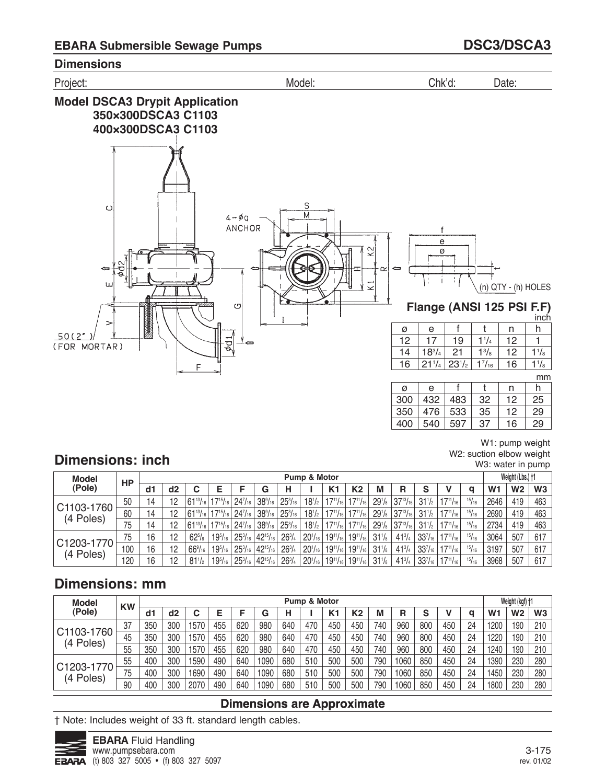

W1: pump weight W2: suction elbow weight W3: water in pump 

# **Dimensions: inch**

| <b>Model</b>            |           |    |                |                                                     |                  |                |                                                     |                                                        | Pump & Motor        |    |                                                           |                 |                                          |                 |                 |               |                | Weight (Lbs.) +1 |                |
|-------------------------|-----------|----|----------------|-----------------------------------------------------|------------------|----------------|-----------------------------------------------------|--------------------------------------------------------|---------------------|----|-----------------------------------------------------------|-----------------|------------------------------------------|-----------------|-----------------|---------------|----------------|------------------|----------------|
| (Pole)                  | <b>HP</b> | d1 | d <sub>2</sub> |                                                     |                  |                | G                                                   | н                                                      |                     | K1 | K2                                                        | М               | R                                        | S               |                 |               | W <sub>1</sub> | W <sub>2</sub>   | W <sub>3</sub> |
|                         | 50        | 14 | 12             | $ 61^{13}/_{16} 17^{15}/_{16} $                     |                  | $24^{7}_{16}$  |                                                     | $38\%$ <sub>16</sub>   25 <sup>3</sup> / <sub>16</sub> |                     |    | $18^{1/2}$   $17^{11/16}$   $17^{11/16}$                  |                 | $291/8$ 37 <sup>13</sup> / <sub>16</sub> | $31^{1/2}$      | $17^{11}/_{16}$ | 15/16         | 2646           | 419              | 463            |
| C1103-1760<br>(4 Poles) | 60        | 14 | 12             | $161^{13}/_{16}$   17 <sup>15</sup> / <sub>16</sub> |                  | $24^{7}/_{16}$ |                                                     | $38\%$ <sub>16</sub>   25 $\%$ <sub>16</sub>           | $18^{1/2}$          |    | $ 17^{11}/_{16} 17^{11}/_{16} $                           |                 | $291/8$ 37 <sup>13</sup> / <sub>16</sub> | $31\frac{1}{2}$ | $17^{11}/_{16}$ | 15/16         | 2690           | 419              | 463            |
|                         | 75        | 14 | 12             | $ 61^{13}/_{16} 17^{15}/_{16} $                     |                  | $24^{7}/_{16}$ | $38\%$ <sub>16</sub>                                | $25^{3}/_{16}$                                         |                     |    | $18^{1/2}$   $17^{11/16}$   $17^{11/16}$                  |                 | $291/8$ 37 <sup>13</sup> / <sub>16</sub> | $31^{1/2}$      | $17^{11}/_{16}$ | 15/16         | 2734           | 419              | 463            |
| C1203-1770              | 75        | 16 | 12             | $62^{5}/\mathrm{s}$                                 | $19^{5}/_{16}$ . |                | $25\frac{3}{16}$ 42 <sup>15</sup> / <sub>16</sub>   | $26^{3}/_{4}$                                          |                     |    | $20^{1/16}$   19 <sup>11</sup> /16   19 <sup>11</sup> /16 | $31\frac{1}{8}$ | $41^{3}/4$                               | $33^{7}/_{16}$  | $17^{11}/_{16}$ | $^{15}/_{16}$ | 3064           | 507              | 617            |
| (4 Poles)               | 100       | 16 | 12             | $66\frac{9}{16}$                                    | $19^{5}/_{16}$   |                | $25\frac{3}{16}$   42 <sup>15</sup> / <sub>16</sub> | $26^{3}/4$                                             | 20 <sup>1</sup> /16 |    | $19^{11}/_{16}$   $19^{11}/_{16}$                         | $31\frac{1}{8}$ | $41^{3}/4$                               | $33^{7}/_{16}$  | $17^{11}/_{16}$ | 15/16         | 3197           | 507              | 617            |
|                         | 120       | 16 | 12             | $81^{1/2}$                                          | $19^{5}/_{16}$ . |                | $25\frac{3}{16}$ 42 <sup>15</sup> / <sub>16</sub>   | $26^{3}/4$                                             |                     |    | $20^{1/16}$   19 <sup>11</sup> /16   19 <sup>11</sup> /16 | $31\frac{1}{8}$ | $41^{3}/4$                               | $33^{7}/_{16}$  | $17^{11}/_{16}$ | 15/16         | 3968           | 507              | 617            |

# **Dimensions: mm**

| <b>Model</b>            | <b>KW</b> |     |                |      |     |     |      |     | Pump & Motor |                |                |     |      |     |     |    |                | Weight (kgf) +1 |                |
|-------------------------|-----------|-----|----------------|------|-----|-----|------|-----|--------------|----------------|----------------|-----|------|-----|-----|----|----------------|-----------------|----------------|
| (Pole)                  |           | d1  | d <sub>2</sub> | С    |     |     | G    |     |              | K <sub>1</sub> | K <sub>2</sub> | М   | R    | S   |     | q  | W <sub>1</sub> | W2              | W <sub>3</sub> |
|                         | 37        | 350 | 300            | 570  | 455 | 620 | 980  | 640 | 470          | 450            | 450            | 740 | 960  | 800 | 450 | 24 | 1200           | 190             | 210            |
| C1103-1760<br>(4 Poles) | 45        | 350 | 300            | 570  | 455 | 620 | 980  | 640 | 470          | 450            | 450            | 740 | 960  | 800 | 450 | 24 | 1220           | 190             | 210            |
|                         | 55        | 350 | 300            | 570  | 455 | 620 | 980  | 640 | 470          | 450            | 450            | 740 | 960  | 800 | 450 | 24 | 1240           | 190             | 210            |
| C1203-1770              | 55        | 400 | 300            | 590  | 490 | 640 | 1090 | 680 | 510          | 500            | 500            | 790 | 1060 | 850 | 450 | 24 | 1390           | 230             | 280            |
| (4 Poles)               | 75        | 400 | 300            | 690  | 490 | 640 | 1090 | 680 | 510          | 500            | 500            | 790 | 1060 | 850 | 450 | 24 | 1450           | 230             | 280            |
|                         | 90        | 400 | 300            | 2070 | 490 | 640 | 1090 | 680 | 510          | 500            | 500            | 790 | 1060 | 850 | 450 | 24 | 1800           | 230             | 280            |

## **Dimensions are Approximate**

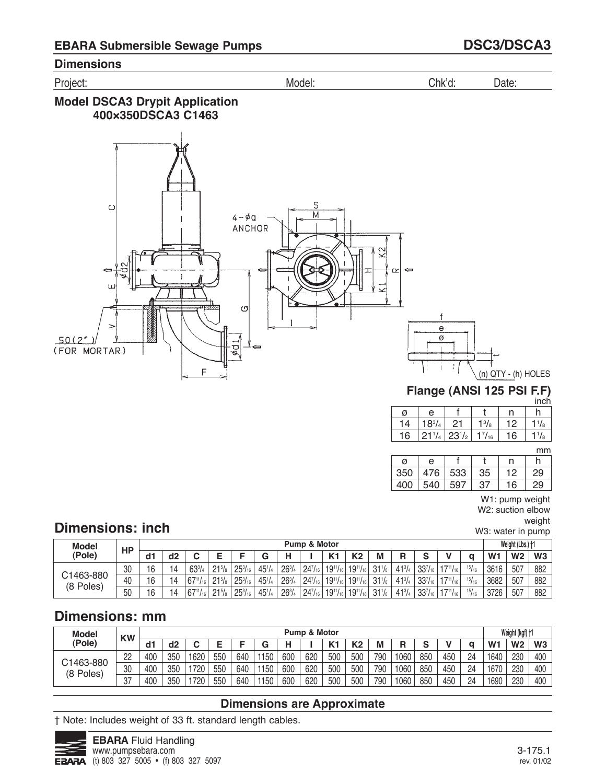Project: Model: Chk'd: Date:

# **Model DSCA3 Drypit Application 400×350DSCA3 C1463**



#### **Flange (ANSI 125 PSI F.F)** inch

| ø  | e             |            |         |    |  |
|----|---------------|------------|---------|----|--|
| △  | $18^{3}/_{4}$ |            | $1^3/s$ | כי |  |
| 16 | $21^{1}/$     | $23^{1/2}$ | 1/16    | 16 |  |

mm

|     |     |     |    |    | .  |
|-----|-----|-----|----|----|----|
| Ø   | е   |     |    | n  |    |
| 350 | 476 | 533 | 35 | 12 | 29 |
| 400 | 540 | 597 | 37 | 16 | 29 |

W1: pump weight W2: suction elbow

weight

W3: water in pump

# **Dimensions: inch**

| <b>Model</b>           | <b>HP</b> |     |    |                 |            |                |            |          | <b>Pump &amp; Motor</b> |                   |                  |                 |               |                |                  |       |                | Weight (Lbs.) +1 |                |
|------------------------|-----------|-----|----|-----------------|------------|----------------|------------|----------|-------------------------|-------------------|------------------|-----------------|---------------|----------------|------------------|-------|----------------|------------------|----------------|
| (Pole)                 |           | dd1 | d2 |                 |            |                |            | н        |                         | K <sub>1</sub>    | K <sub>2</sub>   | M               | R             | c              |                  |       | W <sub>1</sub> | W <sub>2</sub>   | W <sub>3</sub> |
|                        | 30        | 16  | 14 | $63^{3}/4$      | $21^{5}/s$ | $25^{3}/_{16}$ | $45^{1}/4$ | $26^{3}$ | $24^{7}/_{16}$          | $19^{11}/_{16}$   | $19^{11}/_{16}$  | 31 <sup>1</sup> | $41^{3}/_{4}$ | $33^{7}/_{16}$ | $147^{11}/_{16}$ | 15/16 | 3616           | 507              | 882            |
| C1463-880<br>(8 Poles) | 40        | 16  | 14 | $67^{11}/_{16}$ | $21\%$ .   | $25^{3}/_{16}$ | 451/4      | $26^{3}$ | $24^{7}/_{16}$          | $ 19^{11}/_{16} $ | $19^{11}/_{161}$ | 31 <sup>1</sup> | $41^{3}/_{4}$ | $33^{7}_{16}$  | $17^{11}/_{16}$  | 15/16 | 3682           | 507              | 882            |
|                        | 50        | 16  | 14 | $67^{11}/_{16}$ | $21^{5}/2$ | $25^{3}/_{16}$ | 451/4      | 2631     | $24^{7}/_{16}$          | $ 19^{11}/_{16} $ | $19^{11}/_{16}$  | 31 <sup>1</sup> | $41^{3}/_{4}$ | $33^{7}/_{16}$ | $147^{11}/_{16}$ | 15/16 | 3726           | 507              | 882            |

# **Dimensions: mm**

| <b>Model</b> | <b>KW</b> |     |     |      |     |     |      |     | <b>Pump &amp; Motor</b> |                |     |     |      |        |     |    |                | Weight (kgf) +1 |     |
|--------------|-----------|-----|-----|------|-----|-----|------|-----|-------------------------|----------------|-----|-----|------|--------|-----|----|----------------|-----------------|-----|
| (Pole)       |           | d1  | d2  |      |     |     |      |     |                         | K <sup>+</sup> | К2  |     | R    | $\sim$ |     |    | W <sub>1</sub> | W <sub>2</sub>  | W3  |
| C1463-880    | 22        | 400 | 350 | 1620 | 550 | 640 | 1150 | 600 | 620                     | 500            | 500 | 790 | 1060 | 850    | 450 | 24 | 1640           | 230             | 400 |
| (8 Poles)    | 30        | 400 | 350 | 720  | 550 | 640 | 1150 | 600 | 620                     | 500            | 500 | 790 | 1060 | 850    | 450 | 24 | 1670           | 230             | 400 |
|              | דמ<br>UI. | 400 | 350 | 720  | 550 | 640 | 1150 | 600 | 620                     | 500            | 500 | 790 | 1060 | 850    | 450 | 24 | 1690           | 230             | 400 |

## **Dimensions are Approximate**

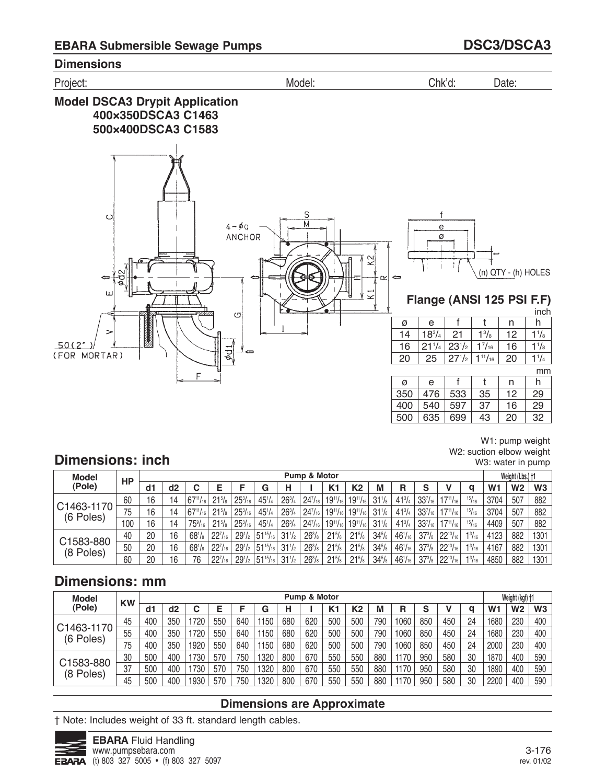

W1: pump weight W2: suction elbow weight W3: water in pump

# **Dimensions: inch**

| Model                   | <b>HP</b> |    |    |                      |                 |                  |                                             |               | Pump & Motor   |                 |                                                  |                 |                |                |                   |               |                | Weight (Lbs.) †1 |                |
|-------------------------|-----------|----|----|----------------------|-----------------|------------------|---------------------------------------------|---------------|----------------|-----------------|--------------------------------------------------|-----------------|----------------|----------------|-------------------|---------------|----------------|------------------|----------------|
| (Pole)                  |           | d1 | d2 | С                    |                 |                  | G                                           | н             |                | K <sub>1</sub>  | K <sub>2</sub>                                   | М               | R              | S              |                   | a             | W <sub>1</sub> | W <sub>2</sub>   | W <sub>3</sub> |
|                         | 60        | 16 | 14 | $67^{11}/_{16}$      | $21\frac{5}{8}$ | $25\frac{3}{16}$ | $45^{1}/4$                                  | $26^{3}/4$    | $24^{7}/_{16}$ |                 | $19^{11}/_{16}$ 19 $^{11}/_{16}$                 | $31\frac{1}{8}$ | $41^{3}/4$     | $33^{7}/_{16}$ | $17^{11}/_{16}$   | 15/16         | 3704           | 507              | 882            |
| C1463-1170<br>(6 Poles) | 75        | 16 | 14 | $67^{11}/_{16}$      | $21\frac{5}{8}$ | $25^{3}/_{16}$   | $45^{1}/4$                                  | $26^{3}/_{4}$ | $24^{7}/_{16}$ |                 | $19^{11}/_{16}$ 19 $^{11}/_{16}$                 | $31\frac{1}{8}$ | $41^{3}/_{4}$  | $33^{7}/_{16}$ | $17^{11}/_{16}$   | 15/16         | 3704           | 507              | 882            |
|                         | 100       | 16 | 14 | $75\%$ <sub>16</sub> | $21\frac{5}{8}$ | $25\frac{3}{16}$ | $45^{1}/_{4}$                               | $26^{3}/4$    | $24^{7}/_{16}$ |                 | $19^{11}/_{16}$ 19 <sup>11</sup> / <sub>16</sub> | $31\frac{1}{8}$ | $41^{3}/_{4}$  | $33^{7}/_{16}$ | $17^{11}/_{16}$   | 15/16         | 4409           | 507              | 882            |
| C1583-880               | 40        | 20 | 16 | $68^{1}/s$           | $22^{7}/_{16}$  | $29^{1/2}$       | $51^{15}/_{16}$                             | $31^{1/2}$    | $26^{3}/s$     | $21^{5}/s$      | $21\frac{5}{8}$                                  | $34\frac{5}{8}$ | $46^{1}/_{16}$ | $37^{3}/s$     | $ 22^{13}/_{16} $ | $1^{3}/_{16}$ | 4123           | 882              | 1301           |
| (8 Poles)               | 50        | 20 | 16 | $68^{1}/s$           | $22^{7}/_{16}$  | $29^{1/2}$       | $51^{15}/_{16}$                             | $31^{1/2}$    | $26^{3}/s$     | $21^{5}/s$      | $21^{5}/s$                                       | $34^{5}/s$      | $46^{1}/_{16}$ | $37^{3}/s$     | $ 22^{13}/_{16} $ | $1^{3}/_{16}$ | 4167           | 882              | 1301           |
|                         | 60        | 20 | 16 | 76                   | $22^{7}/_{16}$  |                  | $29^{1/2}$ 51 <sup>15</sup> / <sub>16</sub> | $31^{1/2}$    | $26^{3}/s$     | $21\frac{5}{8}$ | $21^{5}/s$                                       | $34^{5}/s$      | $46^{1}/_{16}$ | $37^{3}/s$     | $ 22^{13}/_{16} $ | $1^{3}/_{16}$ | 4850           | 882              | 1301           |

# **Dimensions: mm**

| <b>Model</b>            | <b>KW</b> |     |     |      |     |     |      |     | Pump & Motor |     |                |     |      |     |     |    |                | Weight (kgf) +1 |                |
|-------------------------|-----------|-----|-----|------|-----|-----|------|-----|--------------|-----|----------------|-----|------|-----|-----|----|----------------|-----------------|----------------|
| (Pole)                  |           | d1  | d2  |      | Е   |     | G    | н   |              | K1  | K <sub>2</sub> | M   | R    | S   |     | a  | W <sub>1</sub> | W2              | W <sub>3</sub> |
|                         | 45        | 400 | 350 | 720  | 550 | 640 | 1150 | 680 | 620          | 500 | 500            | 790 | 1060 | 850 | 450 | 24 | 1680           | 230             | 400            |
| C1463-1170<br>(6 Poles) | 55        | 400 | 350 | 720  | 550 | 640 | 1150 | 680 | 620          | 500 | 500            | 790 | 1060 | 850 | 450 | 24 | 1680           | 230             | 400            |
|                         | 75        | 400 | 350 | 1920 | 550 | 640 | 1150 | 680 | 620          | 500 | 500            | 790 | 1060 | 850 | 450 | 24 | 2000           | 230             | 400            |
| C1583-880               | 30        | 500 | 400 | 730  | 570 | 750 | 1320 | 800 | 670          | 550 | 550            | 880 | 1170 | 950 | 580 | 30 | 1870           | 400             | 590            |
| (8 Poles)               | 37        | 500 | 400 | 730  | 570 | 750 | 1320 | 800 | 670          | 550 | 550            | 880 | 1170 | 950 | 580 | 30 | 1890           | 400             | 590            |
|                         | 45        | 500 | 400 | 930  | 570 | 750 | 1320 | 800 | 670          | 550 | 550            | 880 | 1170 | 950 | 580 | 30 | 2200           | 400             | 590            |

## **Dimensions are Approximate**

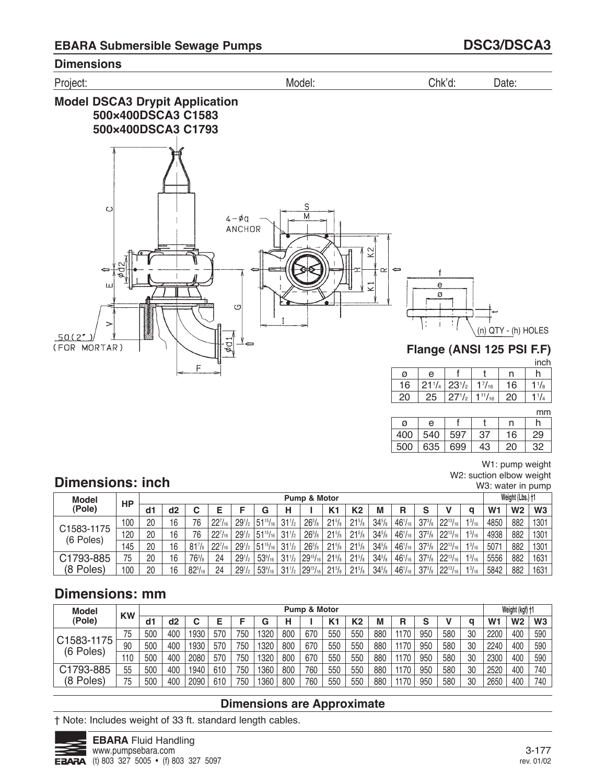

#### 

## **Dimensions: inch**

W1: pump weight W2: suction elbow weight W3: water in pump

| <b>Model</b>            | HP  |    |    |                |                |            |                  |                 | Pump & Motor                                       |                     |                     |                 |                |               |                 |               |                | Weight (Lbs.) †1 |                |
|-------------------------|-----|----|----|----------------|----------------|------------|------------------|-----------------|----------------------------------------------------|---------------------|---------------------|-----------------|----------------|---------------|-----------------|---------------|----------------|------------------|----------------|
| (Pole)                  |     | d1 | d2 |                |                |            | G                |                 |                                                    | K <sub>1</sub>      | K <sub>2</sub>      | M               | R              | e<br>c        |                 | q             | W <sub>1</sub> | W <sub>2</sub>   | W <sub>3</sub> |
|                         | 100 | 20 | 16 | 76             | 227            | $29^{1/2}$ | $51^{15}/_{16}$  | $31\frac{1}{2}$ | $26^{3}/_{8}$                                      | $21^{5}/\mathrm{s}$ | $21\frac{5}{8}$     | $34^{5}/_8$     | $46^{1}/_{16}$ | $37^{3}/_8$   | $22^{13}/_{16}$ | $1^{3}/_{16}$ | 4850           | 882              | 1301           |
| C1583-1175<br>(6 Poles) | .20 | 20 | 16 | 76             | $22^{7}/_{16}$ | $29^{1/2}$ | $51^{15}/_{16}$  | $31\frac{1}{2}$ | $26^{3}/_{8}$                                      | $21^{5}/\mathrm{s}$ | $21^{5}/\mathrm{s}$ | $34^{5}/_{8}$   | $46^{1}/_{16}$ | $37^{3}/_{8}$ | $22^{13}/_{16}$ | $1^{3}/_{16}$ | 4938           | 882              | 1301           |
|                         | 145 | 20 | 16 | $81^{7}/s$     | $22^{7}/_{16}$ | $29^{1/2}$ | $151^{15}/_{16}$ | $31\frac{1}{2}$ | $26^{3}/_{8}$                                      | $21^{5}/a$          | $21^{5}/\mathrm{s}$ | $34^{5}/_{8}$   | $46^{1}/_{16}$ | $37^{3}/_{8}$ | $22^{13}/_{16}$ | $1^{3}/_{16}$ | 5071           | 882              | 1301           |
| C1793-885               | 75  | 20 | 16 | $76^{3}/_{8}$  | 24             | $29^{1/2}$ | $53\frac{9}{16}$ | $31\frac{1}{2}$ | $129^{15}/_{16}$                                   | $21\frac{5}{8}$     | $21^{5}/\mathrm{s}$ | $34^{5}/_8$     | $46^{1}/_{16}$ | $37^{3}/_{8}$ | $22^{13}/_{16}$ | $1^{3}/_{16}$ | 5556           | 882              | 1631           |
| (8 Poles)               | 100 | 20 | 16 | $82^{5}/_{16}$ | 24             | $29^{1/2}$ | $53\frac{9}{16}$ | $31\frac{1}{2}$ | $\frac{1}{2}$   29 <sup>15</sup> / <sub>16 1</sub> | $21\frac{5}{8}$     | $21\frac{5}{8}$     | $34\frac{5}{8}$ | $46^{1}/_{16}$ | $37^{3}/_{8}$ | $22^{13}/_{16}$ | $1^{3}/_{16}$ | 5842           | 882              | 1631           |

# **Dimensions: mm**

| <b>Model</b>            | <b>KW</b> |     |     |      |     |     |      |     | Pump & Motor |     |     |     |      |     |     |    |                | Weight (kgf) +1 |     |
|-------------------------|-----------|-----|-----|------|-----|-----|------|-----|--------------|-----|-----|-----|------|-----|-----|----|----------------|-----------------|-----|
| (Pole)                  |           | d1  | d2  |      |     |     | G    | н   |              |     | K2  | М   | R    | s   |     | a  | W <sub>1</sub> | W <sub>2</sub>  | W3  |
|                         | 75        | 500 | 400 | 1930 | 570 | 750 | 1320 | 800 | 670          | 550 | 550 | 880 | 1170 | 950 | 580 | 30 | 2200           | 400             | 590 |
| C1583-1175<br>(6 Poles) | 90        | 500 | 400 | 1930 | 570 | 750 | 1320 | 800 | 670          | 550 | 550 | 880 | 1170 | 950 | 580 | 30 | 2240           | 400             | 590 |
|                         | 110       | 500 | 400 | 2080 | 570 | 750 | 1320 | 800 | 670          | 550 | 550 | 880 | 1170 | 950 | 580 | 30 | 2300           | 400             | 590 |
| C1793-885               | 55        | 500 | 400 | 1940 | 610 | 750 | 1360 | 800 | 760          | 550 | 550 | 880 | 1170 | 950 | 580 | 30 | 2520           | 400             | 740 |
| (8 Poles)               | 75        | 500 | 400 | 2090 | 610 | 750 | 1360 | 800 | 760          | 550 | 550 | 880 | 1170 | 950 | 580 | 30 | 2650           | 400             | 740 |

## **Dimensions are Approximate**

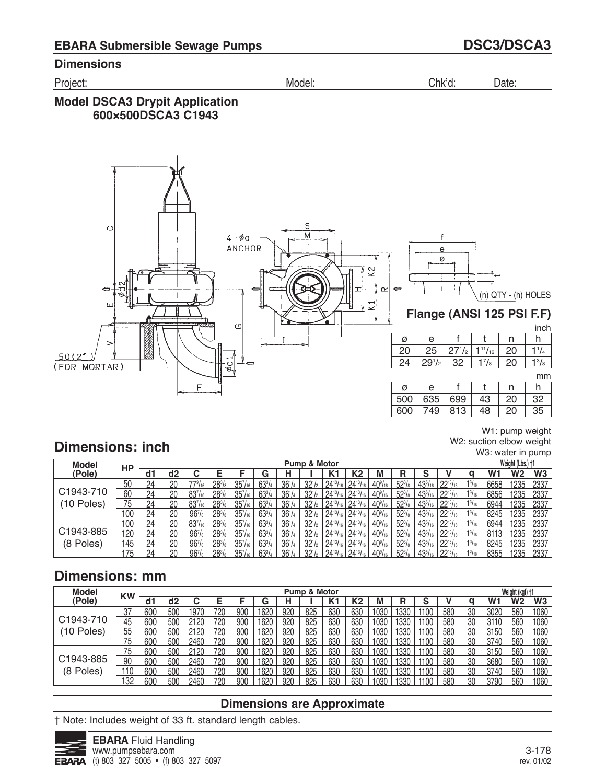Project: Model: Chk'd: Date:

## **Model DSCA3 Drypit Application 600×500DSCA3 C1943**



W1: pump weight W2: suction elbow weight

W3: water in pump

# **Dimensions: inch**

| <b>Model</b> | HP  |    |    |                    |                      |                     |            |                 | <b>Pump &amp; Motor</b> |                 |                 |                      |                 |                |                           |               |                | Weight (Lbs.) †1 |                |
|--------------|-----|----|----|--------------------|----------------------|---------------------|------------|-----------------|-------------------------|-----------------|-----------------|----------------------|-----------------|----------------|---------------------------|---------------|----------------|------------------|----------------|
| (Pole)       |     | d1 | d2 | ◡                  |                      |                     | G          |                 |                         | K1              | K2              | M                    | R               |                |                           | a             | W <sub>1</sub> | W2               | W <sub>3</sub> |
|              | 50  | 24 | 20 | $779/16$ .         | $28^{3}/s$           | 35 <sup>7</sup> /16 | $63^{3}/4$ | 36 <sup>1</sup> | 32 <sup>1</sup>         | $24^{13}/_{16}$ | $24^{13}/_{16}$ | $40\%$ <sub>16</sub> | $52\frac{3}{8}$ | $43^{5}/_{16}$ | $22^{13}/_{16}$           | $1^{3}/_{16}$ | 6658           | 1235             | 2337           |
| C1943-710    | 60  | 24 | 20 | $83^{7}/_{16}$     | $28^{3}/s$           | $35''_{16}$         | $63^{3}/4$ | 36 <sup>1</sup> | 32 <sup>1</sup>         | $24^{13}/_{16}$ |                 | $40\%$ <sub>16</sub> | $52^{3}/s$      | $43^{5}/_{16}$ | $22^{13}$                 | $1^{3}/_{16}$ | 6856           | 1235             | 2337           |
| (10 Poles)   | 75  | 24 | 20 | $83^{7}/_{16}$     | $28^{3}/_8$          | $35^{7}/_{16}$      | $63^{3}/4$ | 36 <sup>1</sup> | 32 <sub>1</sub>         | $24^{13}/_{16}$ | $24^{13}$       | $40\%$               | 52%             | $43^{5}/_{16}$ | $22^{13}/_{16}$           | $1^{3}/_{16}$ | 6944           | 1235             | 2337           |
|              | 100 | 24 | 20 | 96 <sup>7</sup> /s | $28^{3}/s$           | $35''_{16}$         | $63^{3}/4$ | 36 <sup>1</sup> | $32^{1}/2$              | $24^{13}/_{16}$ | $24^{13}/_{16}$ | $40\%$ <sub>16</sub> | $52\frac{3}{8}$ | $43^{5}/_{16}$ | $22^{13}/_{16}$           | $1^{3}/_{16}$ | 8245           | 1235             | 2337           |
|              | 100 | 24 | 20 | $83^{7}/_{16}$     | $28^{3}/s$           | $35^{7}/_{16}$      | $63^{3}/4$ | 36 <sup>1</sup> | 32 <sup>1</sup>         |                 |                 | $40\%$ <sub>16</sub> | $52\frac{3}{8}$ | $43^{5}/_{16}$ | $22^{13}$ / <sub>16</sub> | $1^{3}/_{16}$ | 6944           | 1235             | 2337           |
| C1943-885    | 120 | 24 | 20 | $967$ /s           | $28^{3}/_{8}$        | $35^{7}/_{16}$      | $63^{3}/4$ | 36 <sup>1</sup> | $32^{1}/2$              | $24^{13}$ /     | $24^{13}/_{16}$ | $40\%$               | 52%             | $43^{5}/_{16}$ | $22^{13}/_{16}$           | $1^{3}/_{16}$ | 8113           | 1235             | 2337           |
| (8 Poles)    | 145 | 24 | 20 | 96 <sup>7</sup> /s | $28^{3}/s$           | $35''_{16}$         | $63^{3}/4$ | 36 <sup>1</sup> | $32^{1}/2$              | $24^{13}/_{16}$ | $24^{13}/_{16}$ | $40\%$ <sub>16</sub> | $52\frac{3}{8}$ | $43^{5}/_{16}$ | $22^{13}/_{16}$           | $1^{3}/_{16}$ | 8245           | 1235             | 2337           |
|              | 75  | 24 | 20 | 0 <sup>7</sup>     | $28^{3}/_{\text{R}}$ | 357                 | $63^{3}/4$ | 261             | 32 <sup>1</sup>         | $24^{13}$       |                 | $40^{\circ}$ /       | $52^{3}$        | 1251           | $22^{13}$ / <sub>16</sub> | $1^{3}/_{16}$ | 8355           | 1235             | 2337           |

# **Dimensions: mm**

| <b>Model</b>           | <b>KW</b> |     |     |      |     |     |      |     | Pump & Motor |     |                |       |      |        |     |    |      | Weight (kgf) +1 |                |
|------------------------|-----------|-----|-----|------|-----|-----|------|-----|--------------|-----|----------------|-------|------|--------|-----|----|------|-----------------|----------------|
| (Pole)                 |           | d٦  | d2  |      |     |     | G    | Н   |              | K1  | K <sub>2</sub> | м     | R    | c<br>o |     | a  | W1   | <b>W2</b>       | W <sub>3</sub> |
|                        | 37        | 600 | 500 | 1970 | 720 | 900 | 1620 | 920 | 825          | 630 | 630            | 1030  | 1330 | 1100   | 580 | 30 | 3020 | 560             | 1060           |
| C <sub>1943</sub> -710 | 45        | 600 | 500 | 2120 | 720 | 900 | 1620 | 920 | 825          | 630 | 630            | 1030  | 1330 | 1100   | 580 | 30 | 3110 | 560             | 1060           |
| (10 Poles)             | 55        | 600 | 500 | 2120 | 720 | 900 | 1620 | 920 | 825          | 630 | 630            | 1030  | 1330 | 1100   | 580 | 30 | 3150 | 560             | 1060           |
|                        | 75        | 600 | 500 | 2460 | 720 | 900 | 1620 | 920 | 825          | 630 | 630            | 1030  | 1330 | 1100   | 580 | 30 | 3740 | 560             | 1060           |
|                        | 75        | 600 | 500 | 2120 | 720 | 900 | 1620 | 920 | 825          | 630 | 630            | 1030  | 1330 | 1100   | 580 | 30 | 3150 | 560             | 1060           |
| C1943-885              | 90        | 600 | 500 | 2460 | 720 | 900 | 1620 | 920 | 825          | 630 | 630            | 1030  | 1330 | 1100   | 580 | 30 | 3680 | 560             | 1060           |
| (8 Poles)              | 110       | 600 | 500 | 2460 | 720 | 900 | 1620 | 920 | 825          | 630 | 630            | 1030  | 1330 | 1100   | 580 | 30 | 3740 | 560             | 1060           |
|                        | 132       | 600 | 500 | 2460 | 720 | 900 | 1620 | 920 | 825          | 630 | 63C            | 1 กวก | 1330 | 1100   | 580 | 30 | 3790 | 560             | 1060           |

### **Dimensions are Approximate**

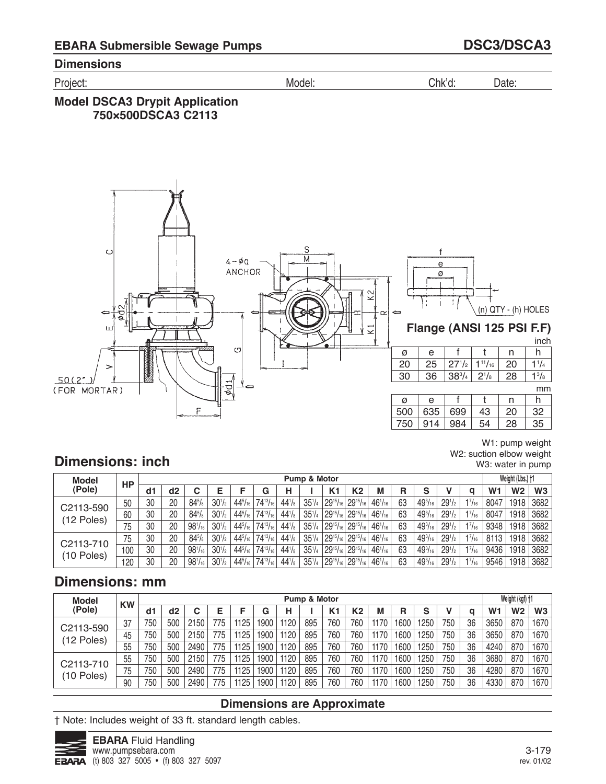Project: Model: Chk'd: Date:

## **Model DSCA3 Drypit Application 750×500DSCA3 C2113**



W1: pump weight W2: suction elbow weight W3: water in pump

# **Dimensions: inch**

| Model        | HP  |    |    |                |            |                |                 |             | Pump & Motor |                                 |                                 |                |    |                |            |               |                | Weight (Lbs.) †1  |                |
|--------------|-----|----|----|----------------|------------|----------------|-----------------|-------------|--------------|---------------------------------|---------------------------------|----------------|----|----------------|------------|---------------|----------------|-------------------|----------------|
| (Pole)       |     | d1 | d2 |                |            |                | G               |             |              | K1                              | K <sub>2</sub>                  | М              | R  | s              |            |               | W <sub>1</sub> | W <sub>2</sub>    | W <sub>3</sub> |
| C2113-590    | 50  | 30 | 20 | $84^{5}/s$     | $30^{1/2}$ | $44^{5}/_{16}$ | $74^{13}/_{16}$ | $44^{1}/_8$ | $35^{1/4}$   | $ 29^{15}/_{16} 29^{15}/_{16} $ |                                 | $46^{1}/_{16}$ | 63 | $49^{3}/_{16}$ | $29^{1/2}$ | 17/16         | 8047           | 1918 <sub>1</sub> | 3682           |
| $(12$ Poles) | 60  | 30 | 20 | $84^{5}/_8$    | $30^{1/2}$ | $44^{5}/_{16}$ | $74^{13}/_{16}$ | $44^{1}/_8$ | $35^{1/4}$   | $ 29^{15}/_{16} 29^{15}/_{16} $ |                                 | $46^{1}/_{16}$ | 63 | $49^{3}/_{16}$ | $29^{1/2}$ | 17/16         | 8047           | 1918              | 3682           |
|              | 75  | 30 | 20 | $98^{1/16}$    | $30^{1/2}$ | $44^{5}/_{16}$ | $74^{13}/_{16}$ | $44^{1}/_8$ | $35^{1/4}$   | $ 29^{15}/_{16} 29^{15}/_{16} $ |                                 | $46^{1}/_{16}$ | 63 | $49^{3}/_{16}$ | $29^{1/2}$ | 17/16         | 9348           | 1918              | 3682           |
| C2113-710    | 75  | 30 | 20 | $84^{5}/_8$    | $30^{1/2}$ | $44^{5}/_{16}$ | $74^{13}/_{16}$ | $44^{1}/_8$ | $35^{1/4}$   | $ 29^{15}/_{16} 29^{15}/_{16} $ |                                 | $46^{1}/_{16}$ | 63 | $49^{3}/_{16}$ | $29^{1/2}$ | $1^{7}/_{16}$ | 8113           | 1918              | 3682           |
| $(10$ Poles) | 100 | 30 | 20 | $98^{1/16}$    | $30^{1/2}$ | $44^{5}/_{16}$ | $74^{13}/_{16}$ | $44^{1}/_8$ | $35^{1/4}$   | $ 29^{15}/_{16} 29^{15}/_{16} $ |                                 | $46^{1}/_{16}$ | 63 | $49^{3}/_{16}$ | $29^{1/2}$ | $1^{7}/_{16}$ | 9436           | 1918              | 3682           |
|              | 20  | 30 | 20 | $98^{1}/_{16}$ | $30^{1/2}$ | $44^{5}/_{16}$ | $74^{13}/_{16}$ | $44^{1}/s$  | $35^{1/4}$   |                                 | $ 29^{15}/_{16} 29^{15}/_{16} $ | $46^{1}/_{16}$ | 63 | $49^{3}/_{16}$ | $29^{1/2}$ | 17/16         | 9546           | 1918              | 3682           |

## **Dimensions: mm**

| <b>Model</b> | <b>KW</b> |     |     |      |     |      |      |      | Pump & Motor |     |     |      |      |        |     |    |                | Weight (kgf) +1 |                |
|--------------|-----------|-----|-----|------|-----|------|------|------|--------------|-----|-----|------|------|--------|-----|----|----------------|-----------------|----------------|
| (Pole)       |           | d1  | d2  | ⌒    | Е   |      | G    | н    |              | K1  | K2  | M    | R    | c<br>C |     | a  | W <sub>1</sub> | W2              | W <sub>3</sub> |
| C2113-590    | 37        | 750 | 500 | 2150 | 775 | 1125 | 1900 | 1120 | 895          | 760 | 760 | 1170 | 1600 | '250   | 750 | 36 | 3650           | 870             | 1670           |
| (12 Poles)   | 45        | 750 | 500 | 2150 | 775 | 1125 | 1900 | 1120 | 895          | 760 | 760 | 1170 | 1600 | '250   | 750 | 36 | 3650           | 870             | 1670           |
|              | 55        | 750 | 500 | 2490 | 775 | 1125 | 1900 | 1120 | 895          | 760 | 760 | 1170 | 1600 | '250   | 750 | 36 | 4240           | 870             | 1670           |
| C2113-710    | 55        | 750 | 500 | 2150 | 775 | 1125 | 1900 | 1120 | 895          | 760 | 760 | 1170 | 1600 | 1250   | 750 | 36 | 3680           | 870             | 1670           |
| (10 Poles)   | 75        | 750 | 500 | 2490 | 775 | 1125 | 1900 | 1120 | 895          | 760 | 760 | 1170 | 1600 | 1250   | 750 | 36 | 4280           | 870             | 1670           |
|              | 90        | 750 | 500 | 2490 | 775 | 1125 | 900  | 1120 | 895          | 760 | 760 | 1170 | 1600 | '250   | 750 | 36 | 4330           | 870             | 1670           |

## **Dimensions are Approximate**

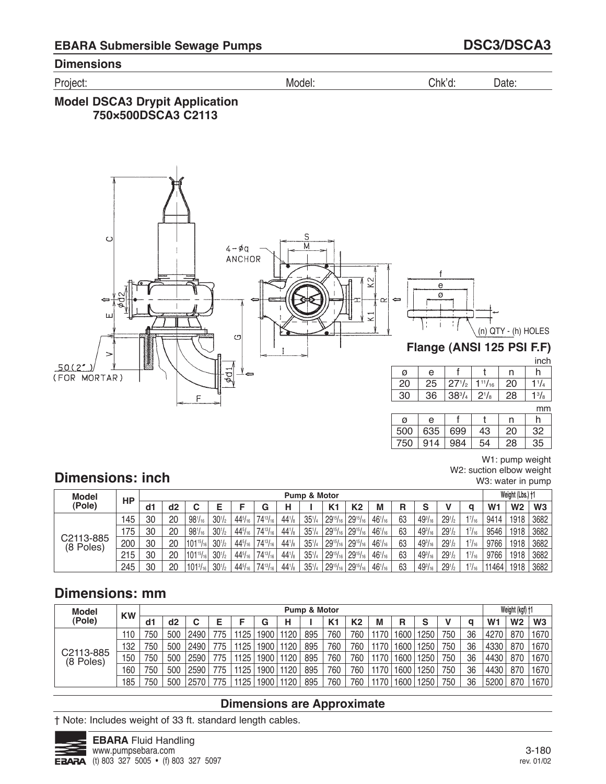Project: Model: Chk'd: Date:

## **Model DSCA3 Drypit Application 750×500DSCA3 C2113**



W1: pump weight W2: suction elbow weight W3: water in pump

# **Dimensions: inch**

| Model                  | НP  |     |    |                   |            |                |                 |             | Pump & Motor |                 |                         |                |    |                |                                |               |                | Weight (Lbs.) †1 |      |
|------------------------|-----|-----|----|-------------------|------------|----------------|-----------------|-------------|--------------|-----------------|-------------------------|----------------|----|----------------|--------------------------------|---------------|----------------|------------------|------|
| (Pole)                 |     | dd1 | d2 |                   |            |                | G               | Н           |              | K <sub>1</sub>  | K2                      | M              | R  | ⌒<br>a         |                                | a             | W <sub>1</sub> | W <sub>2</sub>   | W3   |
|                        | 45  | 30  | 20 | $98^{1}/_{16}$    | $30^{1/2}$ | $44^{5}/_{16}$ | $74^{13}/_{16}$ | $44^{1}/s$  | $35^{1}/4$   | $29^{15}/_{16}$ | $129^{15}/_{16}$        | $46^{1}/_{16}$ | 63 | $49^{3}/_{16}$ | $291$ / <sub>2</sub>           | $1^{7}/_{16}$ | 9414           | 1918             | 3682 |
|                        | 75  | 30  | 20 | $98^{1/16}$       | $30^{1/2}$ | $44^{5}/_{16}$ | $74^{13}/_{16}$ | $44^{1/s}$  | $35^{1}/4$   |                 | $29^{15}/_{16}$ 2915/16 | $46^{1/16}$    | 63 | $49^{3}/_{16}$ | $29^{1/2}$                     | $1^{7}/_{16}$ | 9546           | 1918             | 3682 |
| C2113-885<br>(8 Poles) | 200 | 30  | 20 | $101^{15}/_{16}$  | $30^{1/2}$ | $44^{5}/_{16}$ | $74^{13}/_{16}$ | $44^{1}/_8$ | $35^{1/4}$   |                 | $29^{15}/_{16}$ 2915/16 | $46^{1}/_{16}$ | 63 | $49^{3}/_{16}$ | 29 <sup>1</sup> / <sub>2</sub> | $1^{7}/_{16}$ | 9766           | 1918             | 3682 |
|                        | 215 | 30  | 20 | $1101^{15}/_{16}$ | $30^{1/2}$ | $44^{5}/_{16}$ | $74^{13}/_{16}$ | $44^{1/s}$  | $35^{1}/4$   |                 | $29^{15}/_{16}$ 2915/16 | $46^{1}/_{16}$ | 63 | $49^{3}/_{16}$ | 29 <sup>1</sup> / <sub>2</sub> | $1^{7}/_{16}$ | 9766           | 1918             | 3682 |
|                        | 245 | 30  | 20 | $101\frac{3}{16}$ | $30^{1/2}$ | $44^{5}/_{16}$ | $74^{13}/_{16}$ | $44^{1}/_8$ | $35^{1/4}$   | $29^{15}/_{16}$ | $129^{15}/_{16}$        | $46^{1}/_{16}$ | 63 | $49^{3}/_{16}$ | 29 <sup>1</sup> / <sub>2</sub> | 17/16         | 11464          | 1918             | 3682 |

# **Dimensions: mm**

| <b>Model</b> | <b>KW</b> |     |     |      |     |      |      |      | Pump & Motor |     |                |      |       |      |     |    |                | Weight (kgf) +1 |                |
|--------------|-----------|-----|-----|------|-----|------|------|------|--------------|-----|----------------|------|-------|------|-----|----|----------------|-----------------|----------------|
| (Pole)       |           | d1  | d2  |      |     |      | G    | н    |              | K1  | K <sub>2</sub> | M    | R     | S    |     | a  | W <sub>1</sub> | W <sub>2</sub>  | W <sub>3</sub> |
|              | 110       | 750 | 500 | 2490 | 775 | 1125 | 1900 | 1120 | 895          | 760 | 760            | 1170 | 1600. | 1250 | 750 | 36 | 4270           | 870             | 1670           |
|              | 132       | 750 | 500 | 2490 | 775 | 1125 | 1900 | 1120 | 895          | 760 | 760            | 1170 | 1600  | 1250 | 750 | 36 | 4330           | 870             | 1670           |
| C2113-885    | 150       | 750 | 500 | 2590 | 775 | 1125 | 1900 | 1120 | 895          | 760 | 760            | 1170 | 1600  | 1250 | 750 | 36 | 4430           | 870             | 1670           |
| (8 Poles)    | 60        | 750 | 500 | 2590 | 775 | 1125 | 1900 | 1120 | 895          | 760 | 760            | 1170 | 1600  | 1250 | 750 | 36 | 4430           | 870             | 1670           |
|              | 185       | 750 | 500 | 2570 |     | 1125 | 1900 | 1120 | 895          | 760 | 760            | 1170 | 1600  | 1250 | 750 | 36 | 5200           | 870             | 1670           |

## **Dimensions are Approximate**

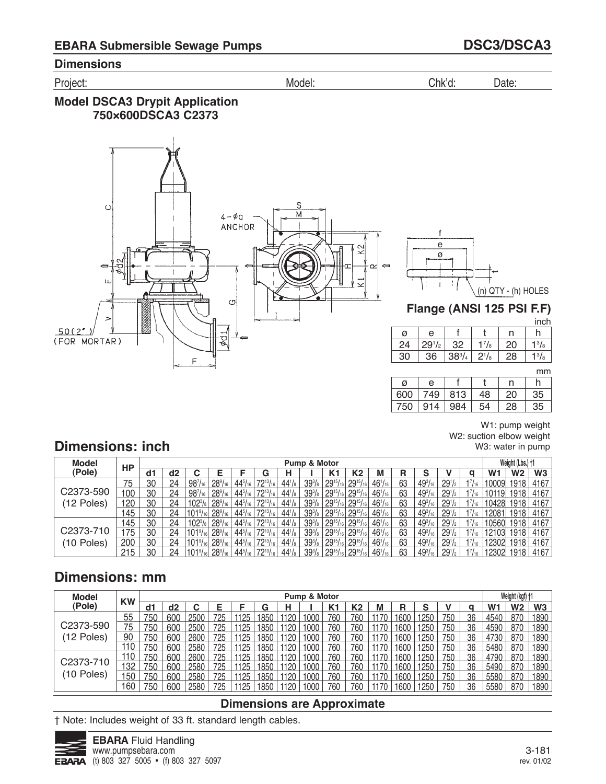Project: Model: Chk'd: Date:

## **Model DSCA3 Drypit Application 750×600DSCA3 C2373**



f e ø (n) QTY - (h) HOLES t

## **Flange (ANSI 125 PSI F.F)**

inch

| Ø  | е          |            |               |    |              |
|----|------------|------------|---------------|----|--------------|
| 24 | $29^{1/2}$ | 32         | $\frac{7}{8}$ | 20 | $1^{3}/_{8}$ |
| 30 | 36         | $38^{3}/4$ | $2^{1}/8$     | 28 | $1^{3}/_{8}$ |

mm

| ø   | e   |     |    | n  | h  |
|-----|-----|-----|----|----|----|
| 600 | 749 | 813 | 48 | 20 | 35 |
| 750 | 914 | 984 | 54 | 28 | 35 |

W1: pump weight W2: suction elbow weight W3: water in pump

# **Dimensions: inch**

| <b>Model</b> | HP  |    |    |                      |                      |                |                 |             | Pump & Motor       |                 |                                                                        |                |    |                |                      |           |                | Weight (Lbs.) +1 |      |
|--------------|-----|----|----|----------------------|----------------------|----------------|-----------------|-------------|--------------------|-----------------|------------------------------------------------------------------------|----------------|----|----------------|----------------------|-----------|----------------|------------------|------|
| (Pole)       |     | d1 | d2 |                      |                      |                | ٠ā.             |             |                    | K1              | K2                                                                     | М              | R  | c              |                      |           | W <sub>1</sub> | W2               | W3   |
|              | 75  | 30 | 24 | $98^{7}/_{16}$       | $28\%$ <sub>16</sub> | $44^{5}/_{16}$ | $72^{13/2}$     | $44^{1}/s$  | 39 <sup>3</sup> /8 | $29^{15}/_{16}$ | $129^{15}/_{16}$                                                       | $46^{1}/_{16}$ | 63 | $49^{3}/_{16}$ | $291$ / <sub>2</sub> | 17/16     | 10009          | 1918             | 4167 |
| C2373-590    | 100 | 30 | 24 | $98^{7}/_{16}$       | $28\%$ <sub>16</sub> | $44^{5}/_{16}$ | $72^{13}/_{16}$ | $44^{1}/_8$ | $39\frac{3}{8}$    | $29^{15}/_{16}$ | $29^{15}/_{16}$                                                        | $46^{1}/_{16}$ | 63 | $49^{3}/_{16}$ | 29 <sup>1</sup> /2   | 17/16     |                | 1918             | 4167 |
| (12 Poles)   | 120 | 30 | 24 |                      | $28\%$ <sub>16</sub> | $44^{5}/_{16}$ | 7213/           | $44^{1}/_8$ | 39 <sup>3</sup> /s | $29^{15}/_{16}$ | $29^{15}/_{16}$                                                        | $46^{1}/_{16}$ | 63 | $49^{3}/_{16}$ | $29^{1/2}$           | 17/16     | 10428          | 1918 i           | 4167 |
|              | 145 | 30 | 24 |                      | $28\%$ <sub>16</sub> | $44^{5}/_{16}$ | $72^{13}/_{16}$ | $44^{1}/s$  | $39\frac{3}{8}$    | $29^{15}/_{16}$ | $129^{15}/_{16}$                                                       | $46^{1}/_{16}$ | 63 | $49^{3}/_{16}$ | $29^{1/2}$           | 17/16     | 1208           | 1918             | 4167 |
|              | 145 | 30 | 24 | $102^{3}/\mathrm{s}$ | $28\%$ <sub>16</sub> | $44^{5}/_{16}$ | $72^{13}/_{16}$ | $44^{1}/_8$ | $39\frac{3}{8}$    | $29^{15}/_{16}$ | $29^{15}/_{16}$                                                        | $46^{1}/_{16}$ | 63 | $49^{3}/_{16}$ | $291$ / <sub>2</sub> | $17/16$ . | 10560          | 1918             | 4167 |
| C2373-710    | 175 | 30 | 24 |                      | $28\%$ <sub>16</sub> | $44^{5}/_{16}$ | 7213/           | $44^{1}/_8$ | $39\frac{3}{8}$    | $29^{15}/_{16}$ | $129^{15}/_{16}$                                                       | $46^{1}/_{16}$ | 63 | $49^{3}/_{16}$ | $29^{1/2}$           |           | 12103          | 1918             | 4167 |
| (10 Poles)   | 200 | 30 | 24 |                      | $28\%$ <sub>16</sub> | $44^{5}/_{16}$ | $72^{13}/_{16}$ | $44^{1}/_8$ | $39\frac{3}{8}$    |                 | $^1$ 29 <sup>15</sup> / <sub>16</sub> 29 <sup>15</sup> / <sub>16</sub> | $46^{1}/_{16}$ | 63 | $49^{3}/_{16}$ | $29^{1/2}$           | 17/16     | 12302          | 1918             | 4167 |
|              | 215 | 30 | 24 |                      | $28\%$               | $44^{5}/_{16}$ | 7913/           | $44^{1}/_8$ | $39\frac{3}{8}$    | $29^{15}/_{16}$ | $129^{15}/_{16}$                                                       | $46^{1/16}$    | 63 | $49^{3}/_{16}$ | $29^{1/2}$           | 17/16     | 12302          | 1918             | 4167 |

# **Dimensions: mm**

| <b>Model</b> | <b>KW</b> |     |     |      |     |      |     | Pump & Motor |                |     |      |      |       |     |    |      | Weight (kgf) +1 |                |
|--------------|-----------|-----|-----|------|-----|------|-----|--------------|----------------|-----|------|------|-------|-----|----|------|-----------------|----------------|
| (Pole)       |           | d1  | d2  |      |     |      | G   |              | K <sub>1</sub> | K2  | M    | R    | c     |     | a  | W1   | W2              | W <sub>3</sub> |
|              | 55        | 750 | 600 | 2500 | 725 | 1125 | 850 | '000'        | 760            | 760 |      | 1600 | 1250. | 750 | 36 | 4540 | 870             | 1890           |
| C2373-590    | 75        | 750 | 600 | 2500 |     | 1125 | 850 | 1000         | 760            | 760 |      | 600  | 1250  | 750 | 36 | 4590 | 870             | 1890           |
| (12 Poles)   | 90        | 750 | 600 | 2600 | 725 | 1125 | 850 | 1000         | 760            | 760 |      | 1600 | 1250  | 750 | 36 | 4730 | 870             | 1890           |
|              | 10        | 750 | 600 | 2580 | 725 | 1125 | 850 | 1000         | 760            | 760 |      | 1600 | 1250  | 750 | 36 | 5480 | 870             | 1890           |
|              | 110       | 750 | 600 | 2600 | 725 | 1125 | 850 | 1000         | 760            | 760 |      | 1600 | 1250  | 750 | 36 | 4790 | 870             | 1890           |
| C2373-710    | 132       | 750 | 600 | 2580 | 725 | 1125 | 850 | 1000         | 760            | 760 |      | 1600 | 1250  | 750 | 36 | 5490 | 870             | 1890           |
| 10 Poles)    | 15C       | 750 | 600 | 2580 | 725 | 1125 | 850 | 1000         | 760            | 760 |      | 600  | 1250  | 75( | 36 | 5580 | 870             | 1890           |
|              | 60        | 750 | 600 | 2580 | 725 | 1125 | 850 | 1000         | 760            | 760 | 1170 | 1600 | 1250  | 750 | 36 | 5580 | 870             | 1890           |

### **Dimensions are Approximate**

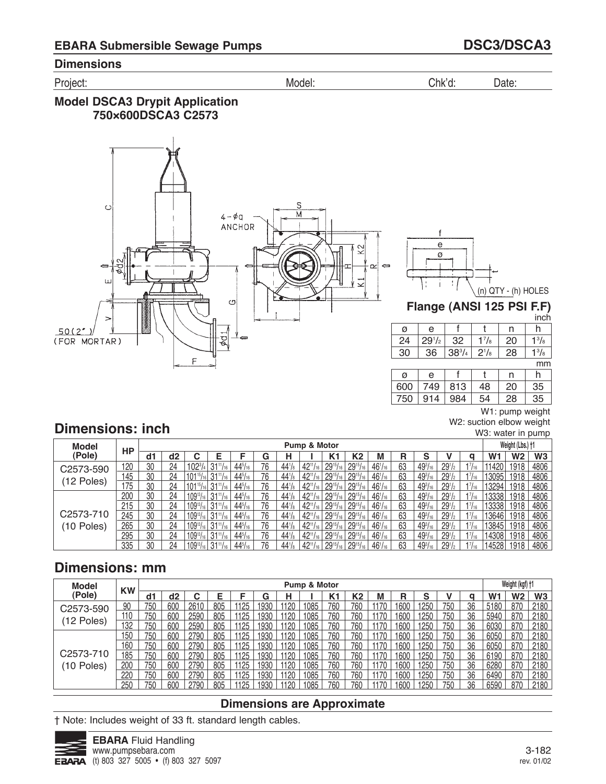Project: Model: Chk'd: Date:

## **Model DSCA3 Drypit Application 750×600DSCA3 C2573**



f e ø t

# (n) QTY - (h) HOLES

# **Flange (ANSI 125 PSI F.F)**

|     |            |            |              |    | inch         |
|-----|------------|------------|--------------|----|--------------|
| ø   | e          |            |              | n  | h            |
| 24  | $29^{1/2}$ | 32         | $1^{7}/_{8}$ | 20 | $1^{3}/_{8}$ |
| 30  | 36         | $38^{3}/4$ | $2^{1}/8$    | 28 | $1^{3}/_{8}$ |
|     |            |            |              |    | mm           |
| ø   | е          |            |              | n  | h            |
| 600 | 749        | 813        | 48           | 20 | 35           |
| 750 | 914        | 984        | 54           | 28 | 35           |

W1: pump weight W2: suction elbow weight W3: water in pump

# **Dimensions: inch**

| <b>Model</b> |           |    |    |                    |                  |                |    |                 | Pump & Motor    |                 |                 |                |    |                |                                |       |       | Weight (Lbs.) †1 |                |
|--------------|-----------|----|----|--------------------|------------------|----------------|----|-----------------|-----------------|-----------------|-----------------|----------------|----|----------------|--------------------------------|-------|-------|------------------|----------------|
| (Pole)       | <b>HP</b> | d1 | d2 |                    |                  |                | G  |                 |                 |                 | K2              | М              | R  | c              |                                |       | W1    | W <sub>2</sub>   | W <sub>3</sub> |
| C2573-590    | 120       | 30 | 24 | $102^{3}/4$        | $31^{11}/_{16}$  | $44^{5}/_{16}$ | 76 | $44^{1}/_8$     | $42^{11}/_{16}$ | $29^{15}/_{16}$ | $29^{15}/_{16}$ | $46^{1/16}$    | 63 | $49^{3}/_{16}$ | 29 <sup>1</sup> / <sub>2</sub> | 17/16 | 11420 | 1918             | 4806           |
| (12 Poles)   | 145       | 30 | 24 | $101^{15}/_{16}$   | $31^{11}/_{16}$  | $44^{5}/_{16}$ | 76 | $44^{1}$        | $42^{11}$       | $29^{15}$       | $29^{15}/_{16}$ | $46^{1}/_{16}$ | 63 | $49^{3}/_{16}$ | 29 <sup>1</sup> /2             |       | 13095 | 1918             | 4806           |
|              | 175       | 30 | 24 | $101^{15}/_{16}$   | $31^{11}/_{16}$  | $44^{5}/_{16}$ | 76 | $44^{1}/_8$     | $42^{11}$       | $29^{15}/_{16}$ | $29^{15}/_{16}$ | $46^{1}/_{16}$ | 63 | $49^{3}/_{16}$ | 29 <sub>1</sub>                | 17/16 | 13294 | 1918             | 4806           |
|              | 200       | 30 | 24 | $109^{13}/_{16}$   | $31^{11}/_{16}$  | $44^{5}/_{16}$ | 76 | $44^{1}/_8$     | $42^{11}/_{16}$ | $29^{15}$       | $29^{15}/_{16}$ | $46^{1/16}$    | 63 | $49^{3}/_{16}$ | 29 <sup>1</sup> / <sub>2</sub> | 17/16 | 13338 | 1918             | 4806           |
|              | 215       | 30 | 24 | $109^{13}/_{16}$   | $31^{11}/_{16}$  | $44^{5}/_{16}$ | 76 | $44^{1}$        | $42^{11}$ /     | $29^{15}$       | $29^{15}/_{16}$ | $46^{1/16}$    | 63 | $49^{3}/_{16}$ | 29 <sup>1</sup> /2             |       | 13338 | 1918             | 4806           |
| C2573-710    | 245       | 30 | 24 | $109^{13}/_{16}$ 1 | $31^{11}/_{16}$  | $44^{5}/_{16}$ | 76 | 44 <sup>1</sup> | $42^{11}/_{16}$ | $29^{15}/_{16}$ | $29^{15}/_{16}$ | $46^{1}/_{16}$ | 63 | $49^{3}/_{16}$ | 29 <sub>1</sub>                | 17/16 | 13646 | 1918             | 4806           |
| (10 Poles)   | 265       | 30 | 24 | $109^{13}/161$     | $31^{11}/_{16}$  | $44^{5}/_{16}$ | 76 | $44^{1}$        | $42^{11}/_{16}$ | $29^{15}/_{16}$ | $29^{15}/_{16}$ | $46^{1/16}$    | 63 | $49^{3}/_{16}$ | 29 <sub>1</sub>                | 17/16 | 13845 | 1918             | 4806           |
|              | 295       | 30 | 24 | $109^{13}/16$      | $31^{11}/_{16}$  | $44^{5}/_{16}$ | 76 | $44^{1}$        | $42^{11}/_{16}$ | $29^{15}$ /     | $29^{15}/_{16}$ | $46^{1}/_{16}$ | 63 | $49^{3}/_{16}$ | 29 <sup>1</sup> /2             | 17/16 | 14308 | 1918             | 4806           |
|              | 335       | 30 | 24 | $109^{13}/_{16}$   | $131^{11}/_{16}$ | $44^{5}/_{16}$ | 76 | $44^{1}$        | $42^{11}$ /     | $29^{15}$       | $29^{15}$       | $46^{1}/_{16}$ | 63 | $49^{3}/_{16}$ | $29^{1/2}$                     |       | 14528 | 1918             | 4806           |

# **Dimensions: mm**

| <b>Model</b> | <b>KW</b> |     |     |      |     |      |      |      | Pump & Motor |     |                |      |      |      |     |    |                | Weight (kgf) +1 |                |
|--------------|-----------|-----|-----|------|-----|------|------|------|--------------|-----|----------------|------|------|------|-----|----|----------------|-----------------|----------------|
| (Pole)       |           | d1  | d2  |      | Е   | c    | G    | н    |              | K1  | K <sub>2</sub> |      | R    | S    |     | α  | W <sub>1</sub> | W2              | W <sub>3</sub> |
| C2573-590    | 90        | 750 | 600 | 2610 | 805 | 1125 | 1930 | 1120 | 1085         | 760 | 760            | 1170 | 1600 | 1250 | 750 | 36 | 5180           | 870             | 2180           |
|              | 110       | 750 | 600 | 2590 | 805 | 1125 | 1930 | 1120 | 1085         | 760 | 760            | 1170 | 1600 | 1250 | 750 | 36 | 5940           | 870             | 2180           |
| (12 Poles)   | 132       | 750 | 600 | 2590 | 805 | 1125 | 1930 |      | 1085         | 760 | 760            | 1170 | 1600 | 1250 | 750 | 36 | 6030           | 870             | 2180           |
|              | 150       | 750 | 600 | 2790 | 805 | 1125 | 1930 | 1120 | 1085         | 760 | 760            | 1170 | 1600 | 1250 | 750 | 36 | 6050           | 870             | 2180           |
|              | 160       | 750 | 600 | 2790 | 805 | 1125 | 1930 | 1120 | 1085         | 760 | 760            |      | 1600 | 1250 | 750 | 36 | 6050           | 870             | 2180           |
| C2573-710    | 185       | 750 | 600 | 2790 | 805 | 1125 | 1930 |      | 1085         | 760 | 760            | 1170 | 1600 | 1250 | 750 | 36 | 6190           | 870             | 2180           |
| (10 Poles)   | 200       | 750 | 600 | 2790 | 805 | 1125 | 1930 | 1120 | 1085         | 760 | 760            | 1170 | 1600 | 1250 | 750 | 36 | 6280           | 870             | 2180           |
|              | 220       | 750 | 600 | 2790 | 805 | 1125 | 1930 | 1120 | 1085         | 760 | 760            |      | 1600 | 1250 | 750 | 36 | 6490           | 870             | 2180           |
|              | 250       | 750 | 60C | 2790 | 805 | 1125 | 1030 |      | 1085         | 760 | 760            |      | 600  | 1250 | 750 | 36 | 6590           | 870             | 2180           |

### **Dimensions are Approximate**

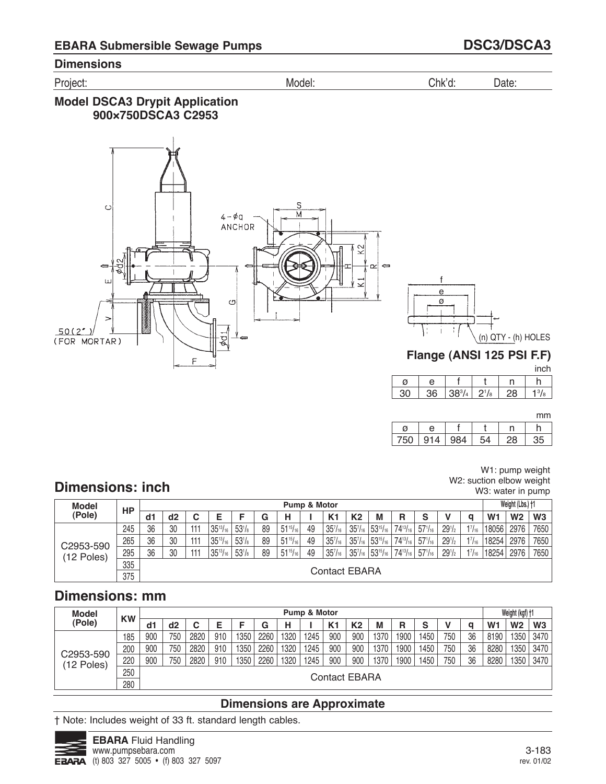Project: Model: Chk'd: Date:

## **Model DSCA3 Drypit Application 900×750DSCA3 C2953**



mm

| $\sqrt{2}$ | ۰۸ |  |  |
|------------|----|--|--|

# **Dimensions: inch**

W1: pump weight W2: suction elbow weight W3: water in pump

| <b>Model</b> | <b>HP</b> |    |               |     |                 |                 |    |                 | <b>Pump &amp; Motor</b> |                     |                                 |                  |                 |                |                                |       |                | Weight (Lbs.) †1 |                |
|--------------|-----------|----|---------------|-----|-----------------|-----------------|----|-----------------|-------------------------|---------------------|---------------------------------|------------------|-----------------|----------------|--------------------------------|-------|----------------|------------------|----------------|
| (Pole)       |           | d1 | d2            | ◠   |                 |                 | G  | н               |                         | K <sub>1</sub>      | K <sub>2</sub>                  | M                | R               | S              |                                | a     | W <sub>1</sub> | W <sub>2</sub>   | W <sub>3</sub> |
|              | 245       | 36 | 30            | 111 | $35^{13}/_{16}$ | $53\frac{1}{8}$ | 89 | $51^{15}/_{16}$ | 49                      | $35^{7}/_{16}$      | 35 <sup>7</sup> /16             | $153^{15}/_{16}$ | $74^{13}/_{16}$ | $57^{1}/_{16}$ | $29^{1/2}$                     | 17/16 | 18056          | 2976             | 7650           |
| C2953-590    | 265       | 36 | 30            | 111 | $35^{13}/_{16}$ | $53\frac{1}{8}$ | 89 | $51^{15}/_{16}$ | 49                      | $35^{7}/_{16}$      | $35'/_{16}$                     | $153^{15}/_{16}$ | $74^{13}/_{16}$ | $57^{1}/_{16}$ | 29 <sup>1</sup> / <sub>2</sub> | 17/16 | 18254          | 2976             | 7650           |
| (12 Poles)   | 295       | 36 | 30            | 111 | $35^{13}/_{16}$ | $53\frac{1}{8}$ | 89 | $51^{15}/_{16}$ | 49                      | 35 <sup>7</sup> /16 | 35 <sup>7</sup> / <sub>16</sub> | $53^{15}/_{16}$  | $74^{13}/_{16}$ | $57^{1}/_{16}$ | $29^{1/2}$                     | 17/16 | 18254          | 2976             | 7650           |
|              | 335       |    |               |     |                 |                 |    |                 |                         |                     |                                 |                  |                 |                |                                |       |                |                  |                |
|              | 375       |    | Contact EBARA |     |                 |                 |    |                 |                         |                     |                                 |                  |                 |                |                                |       |                |                  |                |

# **Dimensions: mm**

| <b>Model</b> | <b>KW</b> |     |               |      |     |      |      |      | Pump & Motor |                |                |      |      |      |     |    |                | Weight (kgf) +1 |                |
|--------------|-----------|-----|---------------|------|-----|------|------|------|--------------|----------------|----------------|------|------|------|-----|----|----------------|-----------------|----------------|
| (Pole)       |           | d1  | d2            |      |     |      | G    | н    |              | K <sub>1</sub> | K <sub>2</sub> | M    | R    | s    |     |    | W <sub>1</sub> | W <sub>2</sub>  | W <sub>3</sub> |
|              | 185       | 900 | 750           | 2820 | 910 | 1350 | 2260 | 1320 | 1245         | 900            | 900            | 1370 | 1900 | 1450 | 750 | 36 | 8190           | 1350            | 3470           |
| C2953-590    | 200       | 900 | 750           | 2820 | 910 | 1350 | 2260 | 1320 | 1245         | 900            | 900            | 1370 | 1900 | 1450 | 750 | 36 | 8280           | 1350            | 3470           |
| (12 Poles)   | 220       | 900 | 750           | 2820 | 910 | 1350 | 2260 | 1320 | 1245         | 900            | 900            | 1370 | 1900 | 1450 | 750 | 36 | 8280           | 1350            | 3470           |
|              | 250       |     |               |      |     |      |      |      |              |                |                |      |      |      |     |    |                |                 |                |
|              | 280       |     | Contact EBARA |      |     |      |      |      |              |                |                |      |      |      |     |    |                |                 |                |

# **Dimensions are Approximate**

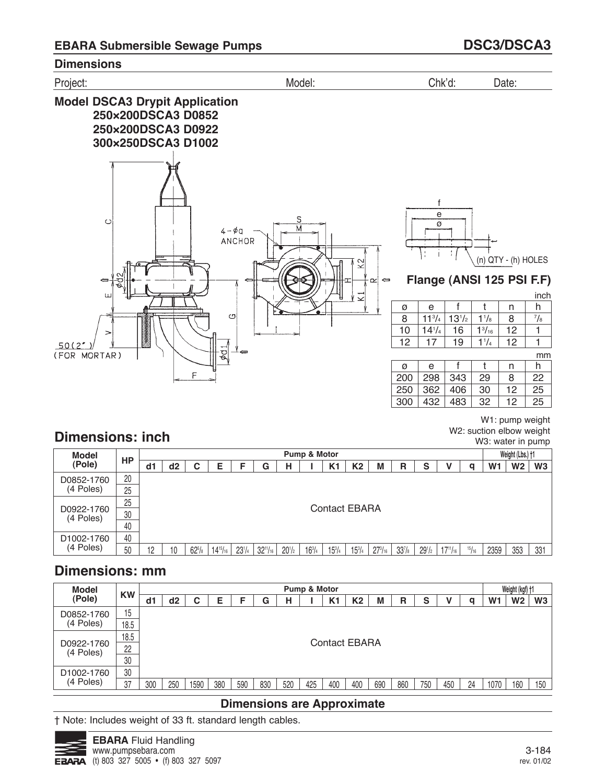

W1: pump weight W2: suction elbow weight W3: water in pump

# **Dimensions: inch**

| Model                   | HP |      |                      |               |                 |            |                 |            | Pump & Motor  |               |               |                |                    |                 |                 |       |      | Weight (Lbs.) †1 |                |
|-------------------------|----|------|----------------------|---------------|-----------------|------------|-----------------|------------|---------------|---------------|---------------|----------------|--------------------|-----------------|-----------------|-------|------|------------------|----------------|
| (Pole)                  |    | l di | d2                   |               | Ε               |            | G               | н          |               | K1            | K2            | M              | R                  | S               |                 | α     | W1   | W <sub>2</sub>   | W <sub>3</sub> |
| D0852-1760              | 20 |      |                      |               |                 |            |                 |            |               |               |               |                |                    |                 |                 |       |      |                  |                |
| (4 Poles)               | 25 |      |                      |               |                 |            |                 |            |               |               |               |                |                    |                 |                 |       |      |                  |                |
|                         | 25 |      |                      |               |                 |            |                 |            |               |               |               |                |                    |                 |                 |       |      |                  |                |
| D0922-1760<br>(4 Poles) | 30 |      | <b>Contact EBARA</b> |               |                 |            |                 |            |               |               |               |                |                    |                 |                 |       |      |                  |                |
|                         | 40 |      |                      |               |                 |            |                 |            |               |               |               |                |                    |                 |                 |       |      |                  |                |
| D <sub>1002</sub> -1760 | 40 |      |                      |               |                 |            |                 |            |               |               |               |                |                    |                 |                 |       |      |                  |                |
| (4 Poles)               | 50 | 10   | 10                   | $62^{5}/_{8}$ | $14^{15}/_{16}$ | $23^{1}/4$ | $32^{11}/_{16}$ | $20^{1/2}$ | $16^{3}/_{4}$ | $15^{3}/_{4}$ | $15^{3}/_{4}$ | $27^{3}/_{16}$ | 33 <sup>7</sup> /8 | 29 <sub>1</sub> | $17^{11}/_{16}$ | 15/16 | 2359 | 353              | 331            |

# **Dimensions: mm**

| <b>Model</b>            |           |     |     |      |     |     |     |     | Pump & Motor |                      |     |     |     |     |     |    |      | Weight (kgf) +1 |                |
|-------------------------|-----------|-----|-----|------|-----|-----|-----|-----|--------------|----------------------|-----|-----|-----|-----|-----|----|------|-----------------|----------------|
| (Pole)                  | <b>KW</b> | d1  | d2  | С    | Е   |     | G   | н   |              | K1                   | K2  | M   | R   | S   |     | a  | W1   | W2              | W <sub>3</sub> |
| D0852-1760              | 15        |     |     |      |     |     |     |     |              |                      |     |     |     |     |     |    |      |                 |                |
| (4 Poles)               | 18.5      |     |     |      |     |     |     |     |              |                      |     |     |     |     |     |    |      |                 |                |
|                         | 18.5      |     |     |      |     |     |     |     |              | <b>Contact EBARA</b> |     |     |     |     |     |    |      |                 |                |
| D0922-1760<br>(4 Poles) | 22        |     |     |      |     |     |     |     |              |                      |     |     |     |     |     |    |      |                 |                |
|                         | 30        |     |     |      |     |     |     |     |              |                      |     |     |     |     |     |    |      |                 |                |
| D <sub>1002</sub> -1760 | 30        |     |     |      |     |     |     |     |              |                      |     |     |     |     |     |    |      |                 |                |
| (4 Poles)               | 37        | 300 | 250 | 1590 | 380 | 590 | 830 | 520 | 425          | 400                  | 400 | 690 | 860 | 750 | 450 | 24 | 1070 | 160             | 150            |

## **Dimensions are Approximate**

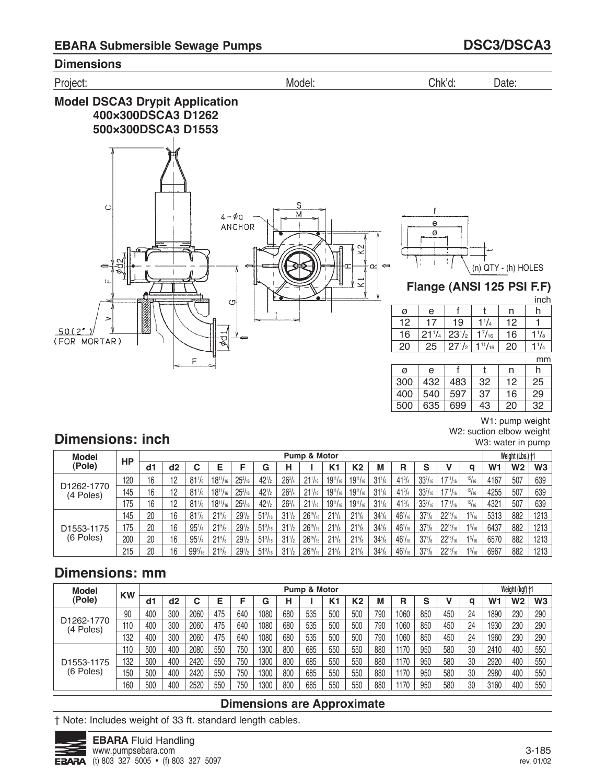

W1: pump weight 

W2: suction elbow weight

W3: water in pump

# **Dimensions: inch**

| <b>Model</b>                         |     |    |    |                    |                 |                      |                |                 | Pump & Motor        |                 |                 |                 |                |                    |                 |               |                | Weight (Lbs.) +1 |      |
|--------------------------------------|-----|----|----|--------------------|-----------------|----------------------|----------------|-----------------|---------------------|-----------------|-----------------|-----------------|----------------|--------------------|-----------------|---------------|----------------|------------------|------|
| (Pole)                               | HP  | d1 | d2 |                    | E               |                      | G              | н               |                     | K <sub>1</sub>  | K <sub>2</sub>  | М               | R              | c                  |                 | q             | W <sub>1</sub> | W <sub>2</sub>   | W3   |
|                                      | 120 | 16 | 12 | 81 <sup>1</sup> /s | $18^{11}/_{16}$ | $25^{3}/_{16}$       | $42^{1/2}$     | $26^{3}/4$      | 21 <sup>1</sup> /16 | $19^{11}/_{16}$ | $19^{11}/_{16}$ | $31\frac{1}{8}$ | $41^{3}/_{4}$  | $33^{7}/_{16}$     | $17^{11}/_{16}$ | 15/16         | 4167           | 507              | 639  |
| D <sub>1262</sub> -1770<br>(4 Poles) | 145 | 16 | 12 | $81\frac{1}{8}$    | $18^{11}/_{16}$ | $25^{3}/_{16}$       | $42^{1}/2$     | $26^{3}/_{4}$   | 21 <sup>1</sup> /16 | $19^{11}/_{16}$ | $19^{11}/_{16}$ | $31\frac{1}{8}$ | $41^{3}/_{4}$  | $33^{7}/_{16}$     | $17^{11}/_{16}$ | 15/16         | 4255           | 507              | 639  |
|                                      | 175 | 16 | 12 | $81\frac{1}{8}$    | $18^{11}/_{16}$ | $25^{3}/_{16}$       | $42^{1}/2$     | $26^{3}/4$      | 21 <sup>1</sup> /16 | $19^{11}/_{16}$ | $19^{11}/_{16}$ | $31\frac{1}{8}$ | $41^{3}/_{4}$  | $33^{7}/_{16}$     | $17^{11}/_{16}$ | 15/16         | 4321           | 507              | 639  |
|                                      | 145 | 20 | 16 | 81 <sup>7</sup> /s | $21^{5}/s$      | $29'$ / <sub>2</sub> | $51^{3}/_{16}$ | $31^{1}/2$      | $26^{15}/_{16}$     | $21\frac{5}{8}$ | $21^{5}/s$      | $34\frac{5}{8}$ | $46^{1}/_{16}$ | $37^{3}/s$         | $22^{13}/_{16}$ | $1^{3}/_{16}$ | 5313           | 882              | 1213 |
| D1553-1175                           | 175 | 20 | 16 | $95^{1}/4$         | $21^{5}/s$      | $29'$ / <sub>2</sub> | $51^{3}/_{16}$ | $31\frac{1}{2}$ | $26^{15}/_{16}$     | $21\frac{5}{8}$ | $21^{5}/s$      | $34\frac{5}{8}$ | $46^{1}/_{16}$ | 37 <sup>3</sup> /s | $22^{13}/_{16}$ | $1^{3}/_{16}$ | 6437           | 882              | 1213 |
| (6 Poles)                            | 200 | 20 | 16 | $95^{1}/4$         | $21^{5}/s$      | $29'$ / <sub>2</sub> | $51^{3}/_{16}$ | $31\frac{1}{2}$ | $26^{15}/_{16}$     | $21\%$          | $21^{5}/s$      | $34\frac{5}{8}$ | $46^{1}/_{16}$ | $37^{3}/s$         | $22^{13}/_{16}$ | $1^{3}/_{16}$ | 6570           | 882              | 1213 |
|                                      | 215 | 20 | 16 | $99^{3}/_{16}$     | $21^{5}/s$      | $29'$ / <sub>2</sub> | $51^{3}/_{16}$ | $31\frac{1}{2}$ | $26^{15}/_{16}$     | $21^{5}/s$      | $21^{5}/s$      | $34\frac{5}{8}$ | $46^{1}/_{16}$ | $37^{3}/s$         | $22^{13}/_{16}$ | $1^{3}/_{16}$ | 6967           | 882              | 1213 |

# **Dimensions: mm**

| <b>Model</b>            | <b>KW</b> |     |     |      |     |     |      |     | Pump & Motor |     |     |     |      |        |     |    |                | Weight (kgf) +1 |                |
|-------------------------|-----------|-----|-----|------|-----|-----|------|-----|--------------|-----|-----|-----|------|--------|-----|----|----------------|-----------------|----------------|
| (Pole)                  |           | d٦  | d2  | ⌒    |     | -   | G    | Н   |              | K1  | К2  | М   | R    | c<br>o |     | a  | W <sub>1</sub> | W <sub>2</sub>  | W <sub>3</sub> |
|                         | 90        | 400 | 300 | 2060 | 475 | 640 | 1080 | 680 | 535          | 500 | 500 | 790 | 1060 | 850    | 450 | 24 | 1890           | 230             | 290            |
| D1262-1770<br>(4 Poles) | 110       | 400 | 300 | 2060 | 475 | 640 | 1080 | 680 | 535          | 500 | 500 | 790 | 1060 | 850    | 450 | 24 | 1930           | 230             | 290            |
|                         | 132       | 400 | 300 | 2060 | 475 | 640 | 1080 | 680 | 535          | 500 | 500 | 790 | 1060 | 850    | 450 | 24 | 1960           | 230             | 290            |
|                         | 110       | 500 | 400 | 2080 | 550 | 750 | 1300 | 800 | 685          | 550 | 550 | 880 | 1170 | 950    | 580 | 30 | 2410           | 400             | 550            |
| D <sub>1553</sub> -1175 | 132       | 500 | 400 | 2420 | 550 | 750 | 1300 | 800 | 685          | 550 | 550 | 880 | 1170 | 950    | 580 | 30 | 2920           | 400             | 550            |
| (6 Poles)               | 150       | 500 | 400 | 2420 | 550 | 750 | 1300 | 800 | 685          | 550 | 550 | 880 | 1170 | 950    | 580 | 30 | 2980           | 400             | 550            |
|                         | 160       | 500 | 400 | 2520 | 550 | 750 | 1300 | 800 | 685          | 550 | 550 | 880 | 1170 | 950    | 580 | 30 | 3160           | 400             | 550            |

### **Dimensions are Approximate**

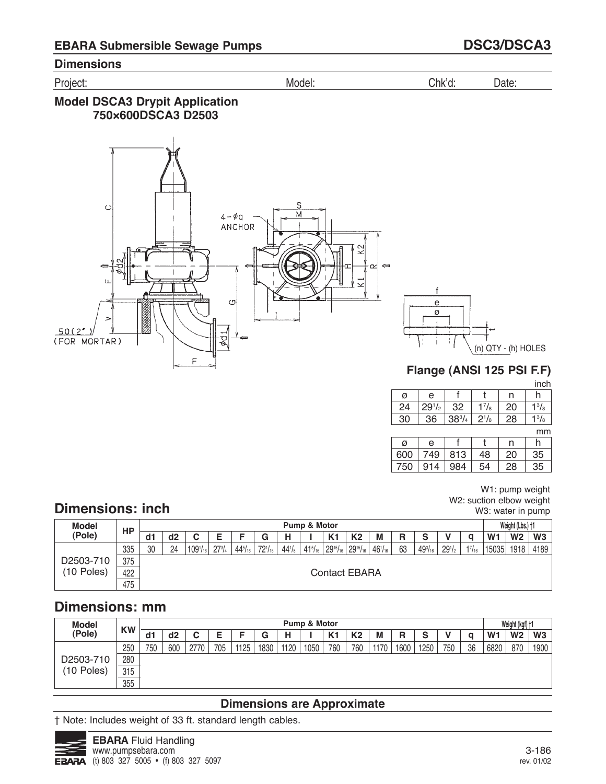Project: Model: Chk'd: Date:

## **Model DSCA3 Drypit Application 750×600DSCA3 D2503**



inch

| ø  | e          |            |              | n  | n            |
|----|------------|------------|--------------|----|--------------|
| 24 | $29^{1/2}$ | 32         | $1^{7}/_8$   | 20 | $1^{3}/_{8}$ |
| 30 | 36         | $38^{3}/4$ | $2^{1}/_{8}$ | 28 | $1^{3}/_{8}$ |
|    |            |            |              |    | mm           |

|     |     |     |    |    | ,,,,,, |
|-----|-----|-----|----|----|--------|
| ø   | e   |     |    | n  |        |
| 600 | 749 | 813 | 48 | 20 | 35     |
| 750 | 914 | 984 | 54 | 28 | 35     |

W1: pump weight W2: suction elbow weight W3: water in pump

# **Dimensions: inch**

| <b>Model</b>                                                                                                                     | HP  |    |    |              |               |                |             |                 | Pump & Motor   |                |                |   |    |                |            |   |                | Weight (Lbs.) +1 |                |
|----------------------------------------------------------------------------------------------------------------------------------|-----|----|----|--------------|---------------|----------------|-------------|-----------------|----------------|----------------|----------------|---|----|----------------|------------|---|----------------|------------------|----------------|
| (Pole)                                                                                                                           |     | d1 | d2 | ັ            | Е             |                | G           | н               |                | K <sub>1</sub> | K <sub>2</sub> | M | R  | е<br>J         |            | a | W <sub>1</sub> | W <sub>2</sub>   | W <sub>3</sub> |
|                                                                                                                                  | 335 | 30 | 24 | $109^{1/16}$ | $27^{3}/_{4}$ | $44^{5}/_{16}$ | $72^{1/16}$ | $44\frac{1}{8}$ | $41^{5}/_{16}$ |                |                |   | 63 | $49^{3}/_{16}$ | $29^{1/2}$ |   | 15035          | 1918             | 4189           |
| D2503-710                                                                                                                        | 375 |    |    |              |               |                |             |                 |                |                |                |   |    |                |            |   |                |                  |                |
| $1^{7}/_{16}$<br>$29^{15}/_{16}$ 29 <sup>15</sup> / <sub>16</sub><br>$46^{1}/_{16}$<br>(10 Poles)<br>422<br><b>Contact EBARA</b> |     |    |    |              |               |                |             |                 |                |                |                |   |    |                |            |   |                |                  |                |
|                                                                                                                                  | 475 |    |    |              |               |                |             |                 |                |                |                |   |    |                |            |   |                |                  |                |

# **Dimensions: mm**

| <b>Model</b> | <b>KW</b> |     |     |        |     |      |      |      | <b>Pump &amp; Motor</b> |                |     |      |      |      |     |    |                | Weight (kgf) +1 |                |
|--------------|-----------|-----|-----|--------|-----|------|------|------|-------------------------|----------------|-----|------|------|------|-----|----|----------------|-----------------|----------------|
| (Pole)       |           | d1  | d2  | r<br>ັ |     |      | G    |      |                         | K <sub>1</sub> | K2  | M    | R    | ə    |     | Q  | W <sub>1</sub> | W <sub>2</sub>  | W <sub>3</sub> |
|              | 250       | 750 | 600 | 2770   | 705 | 1125 | 1830 | 1120 | 1050                    | 760            | 760 | 1170 | 1600 | 1250 | 750 | 36 | 6820           | 870             | 1900           |
| D2503-710    | 280       |     |     |        |     |      |      |      |                         |                |     |      |      |      |     |    |                |                 |                |
| (10 Poles)   | 315       |     |     |        |     |      |      |      |                         |                |     |      |      |      |     |    |                |                 |                |
|              | 355       |     |     |        |     |      |      |      |                         |                |     |      |      |      |     |    |                |                 |                |

## **Dimensions are Approximate**

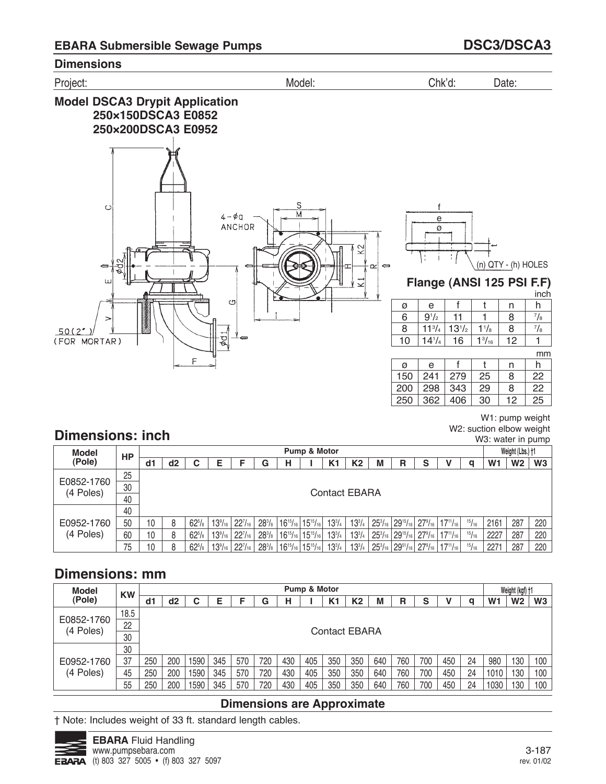



| Model                   | HP |     |    |                     |                      |                     |            |                                                                              | Pump & Motor |                |               |   |                                                 |   |                                                                                                                  |       |                | Weight (Lbs.) +1 |                |
|-------------------------|----|-----|----|---------------------|----------------------|---------------------|------------|------------------------------------------------------------------------------|--------------|----------------|---------------|---|-------------------------------------------------|---|------------------------------------------------------------------------------------------------------------------|-------|----------------|------------------|----------------|
| (Pole)                  |    | dd1 | d2 | С                   | Е                    |                     | G          | н                                                                            |              | K <sub>1</sub> | K2            | M | R                                               | s |                                                                                                                  | a     | W <sub>1</sub> | W <sub>2</sub>   | W <sub>3</sub> |
|                         | 25 |     |    |                     |                      |                     |            |                                                                              |              |                |               |   |                                                 |   |                                                                                                                  |       |                |                  |                |
| E0852-1760<br>(4 Poles) | 30 |     |    |                     |                      |                     |            |                                                                              |              | Contact EBARA  |               |   |                                                 |   |                                                                                                                  |       |                |                  |                |
|                         | 40 |     |    |                     |                      |                     |            |                                                                              |              |                |               |   |                                                 |   |                                                                                                                  |       |                |                  |                |
|                         | 40 |     |    |                     |                      |                     |            |                                                                              |              |                |               |   |                                                 |   |                                                                                                                  |       |                |                  |                |
| E0952-1760              | 50 | 10  | 8  | $62^{5}/\mathrm{s}$ | $13\%$ <sub>16</sub> | 22 <sup>7</sup> /16 |            | $28\%$   16 <sup>15</sup> / <sub>16</sub>   15 <sup>15</sup> / <sub>16</sub> |              | $13^{3}/_{4}$  | $13^{3}/_{4}$ |   |                                                 |   | $\mid$ 25 $^{3}/_{16}$ $\mid$ 29 $^{15}/_{16}$ $\mid$ 27 $^{9}/_{16}$ $\mid$ 17 $^{11}/_{16}$ $\mid$             | 15/16 | 2161           | 287              | 220            |
| (4 Poles)               | 60 | 10  | 8  | $62^{5}/s$          | $13\frac{9}{16}$     | $22^{7}/_{16}$      | $28^{3}/s$ | $16^{15}/_{16}$ 15 <sup>15</sup> / <sub>16</sub>                             |              | $13^{3}/4$     | $13^{3}/_{4}$ |   |                                                 |   | $25^{3}/_{16}$ 29 <sup>15</sup> / <sub>16</sub> 27 <sup>9</sup> / <sub>16</sub> 17 <sup>11</sup> / <sub>16</sub> | 15/16 | 2227           | 287              | 220            |
|                         | 75 | 10  | 8  | $62^{5}/\mathrm{s}$ | $13\frac{9}{16}$     | $22^{7}/_{16}$      | $28^{3}/s$ | $ 16^{15}/_{16} 15^{15}/_{16} $                                              |              | $13^{3}/_{4}$  | $13^{3}/_{4}$ |   | $25^{3}/_{16}$ 29 <sup>51</sup> / <sub>16</sub> |   | $ 27^9/_{16} 17^{11}/_{16} $                                                                                     | 15/16 | 2271           | 287              | 220            |

# **Dimensions: mm**

| <b>Model</b>            | <b>KW</b> |     |     |     |     |     |     |     | Pump & Motor |                |                      |     |     |     |     |    |                | Weight (kgf) +1 |                |
|-------------------------|-----------|-----|-----|-----|-----|-----|-----|-----|--------------|----------------|----------------------|-----|-----|-----|-----|----|----------------|-----------------|----------------|
| (Pole)                  |           | d1  | d2  | С   | Е   |     | G   | н   |              | K <sub>1</sub> | K <sub>2</sub>       | M   | R   | S   |     | q  | W <sub>1</sub> | W2              | W <sub>3</sub> |
|                         | 18.5      |     |     |     |     |     |     |     |              |                |                      |     |     |     |     |    |                |                 |                |
| E0852-1760<br>(4 Poles) | 22        |     |     |     |     |     |     |     |              |                | <b>Contact EBARA</b> |     |     |     |     |    |                |                 |                |
|                         | 30        |     |     |     |     |     |     |     |              |                |                      |     |     |     |     |    |                |                 |                |
|                         | 30        |     |     |     |     |     |     |     |              |                |                      |     |     |     |     |    |                |                 |                |
| E0952-1760              | 37        | 250 | 200 | 590 | 345 | 570 | 720 | 430 | 405          | 350            | 350                  | 640 | 760 | 700 | 450 | 24 | 980            | 130             | 100            |
| (4 Poles)               | 45        | 250 | 200 | 590 | 345 | 570 | 720 | 430 | 405          | 350            | 350                  | 640 | 760 | 700 | 450 | 24 | 1010           | 130             | 100            |
|                         | 55        | 250 | 200 | 590 | 345 | 570 | 720 | 430 | 405          | 350            | 350                  | 640 | 760 | 700 | 450 | 24 | 1030           | 130             | 100            |

## **Dimensions are Approximate**

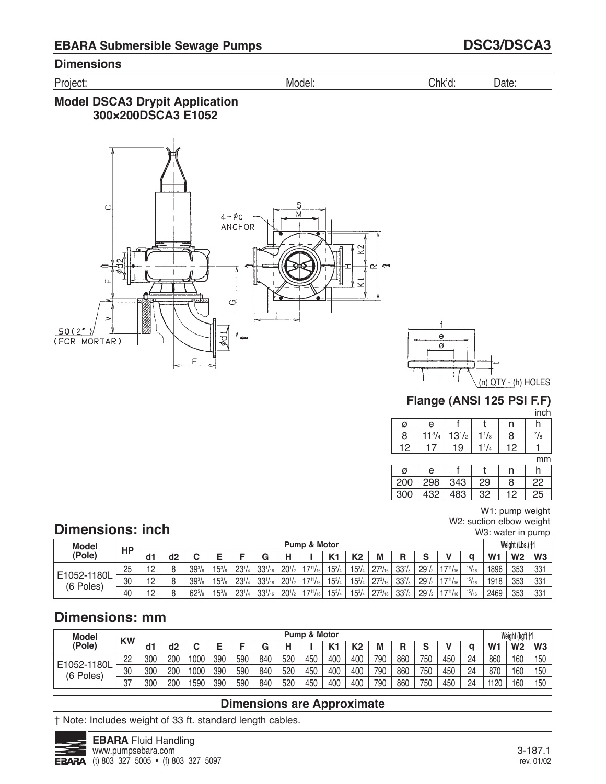Project: Model: Chk'd: Date:

## **Model DSCA3 Drypit Application 300×200DSCA3 E1052**





## **Flange (ANSI 125 PSI F.F)**

inch

| Ø | e               |            |             | n |    |
|---|-----------------|------------|-------------|---|----|
| Я | 11 <sup>3</sup> | $13^{1/2}$ | $^{1}/_{8}$ | 8 | /8 |
|   |                 | 19         |             |   |    |

mm

| a   | e         |     |    | n  |    |
|-----|-----------|-----|----|----|----|
| 200 | $298$ 343 |     | 29 | 8  | 22 |
| 300 | 432       | 483 | 32 | 12 | 25 |

W1: pump weight W2: suction elbow weight W3: water in pump

# **Dimensions: inch**

| <b>Model</b>             | НP |                       |                |                    |                   |            |                               |            | <b>Pump &amp; Motor</b> |                     |            |                |                    |                    |                  |       |                | Weight (Lbs.) +1 |                |
|--------------------------|----|-----------------------|----------------|--------------------|-------------------|------------|-------------------------------|------------|-------------------------|---------------------|------------|----------------|--------------------|--------------------|------------------|-------|----------------|------------------|----------------|
| (Pole)                   |    | d1                    | d <sub>2</sub> |                    |                   |            |                               |            |                         | $\mathbf{z}$<br>n i | K2         | М              | R                  | $\sim$<br>u        |                  |       | W <sub>1</sub> | W <sub>2</sub>   | W <sub>3</sub> |
|                          | 25 | $\overline{10}$<br>ॱ– |                | $39^{3}/_{8}$      | $15^{3}/a$        | $23^{1/4}$ | 221/                          | $20^{1/2}$ | 47111                   | $15^{3}/_{4}$       | $15^{3}/4$ | 2731           | 33 <sup>7</sup> /8 | 29 <sup>1</sup> /2 | $17^{11}/_{16}$  | 15/16 | 1896           | 353              | 331            |
| E1052-1180L<br>(6 Poles) | 30 | $\overline{A}$<br>'∽  |                | 39 <sup>3</sup> /s | $15^{3}/a$        | $23^{1/4}$ | $33^{1}/_{16}$                | $20^{1/2}$ | $-1711L$                | $15^{3}/_{4}$       | $15^{3}/4$ | $27^{3}/_{16}$ | 33 <sup>7</sup> /8 | 29 <sup>1</sup> /2 | $147^{11}/_{16}$ | 15/16 | 1918           | 353              | 331            |
|                          | 40 | $\overline{10}$       |                | $62^{5}/s$         | $15^{3}/_{\circ}$ | $23^{1/4}$ | 221/<br><sup>ا 116</sup> ل0 ن | $20^{1/2}$ | 4711/                   | $15^{3}/_{4}$       | $15^{3}/4$ | $27^{3}/_{16}$ | 33 <sup>7</sup> /s | 29 <sup>1</sup> /2 | $147^{11}/_{16}$ | 15/16 | 2469           | 353              | 331            |

# **Dimensions: mm**

| <b>Model</b> | <b>KW</b> |     |     |      |     |     |     |     | Pump & Motor |       |                |     |     |        |     |    |                | Weight (kgf) + |     |
|--------------|-----------|-----|-----|------|-----|-----|-----|-----|--------------|-------|----------------|-----|-----|--------|-----|----|----------------|----------------|-----|
| (Pole)       |           | d1  | d2  |      |     |     |     |     |              | $V -$ | K <sub>2</sub> | М   | R   | $\sim$ |     |    | W <sub>1</sub> | W <sub>2</sub> | W3  |
| E1052-1180L  | 22        | 300 | 200 | 1000 | 390 | 590 | 840 | 520 | 450          | 400   | 400            | 790 | 860 | 750    | 450 | 24 | 860            | 160            | 150 |
| (6 Poles)    | 30        | 300 | 200 | 1000 | 390 | 590 | 840 | 520 | 450          | 400   | 400            | 790 | 860 | 750    | 450 | 24 | 870            | 160            | 150 |
|              | 27<br>ا ك | 300 | 200 | 590  | 390 | 590 | 840 | 520 | 450          | 400   | 400            | 790 | 860 | 750    | 450 | 24 | 1120           | 160            | 150 |

## **Dimensions are Approximate**

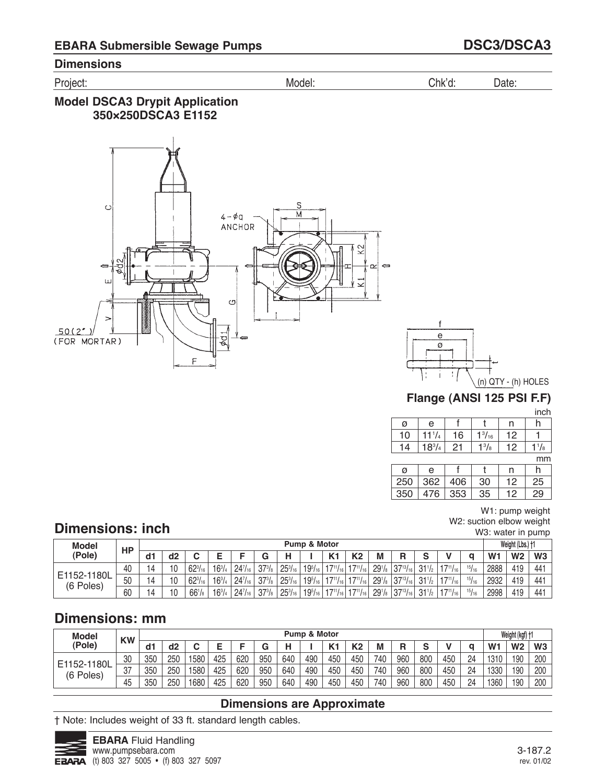Project: Model: Chk'd: Date:

## **Model DSCA3 Drypit Application 350×250DSCA3 E1152**





# **Flange (ANSI 125 PSI F.F)**

inch

|    |               |    |               |     | .  |
|----|---------------|----|---------------|-----|----|
| Ø  | е             |    |               |     |    |
| 10 | 74            | 16 | $1^{3}/_{16}$ | 12  |    |
|    | $18^{3}/_{4}$ | 21 | 13/8          | 1 ር | /8 |
|    |               |    |               |     |    |

mm

|     |     |     |    |    | .  |
|-----|-----|-----|----|----|----|
| Ø   | e   |     |    | n  |    |
| 250 | 362 | 406 | 30 | 12 | 25 |
| 350 | 476 | 353 | 35 | 12 | 29 |

W1: pump weight W2: suction elbow weight W3: water in pump

# **Dimensions: inch**

| <b>Model</b>             | HP |    |                |                |            |                |            |                | <b>Pump &amp; Motor</b> |                       |                                                  |                    |                   |                 |                  |       |                | Weight (Lbs.) +1 |     |
|--------------------------|----|----|----------------|----------------|------------|----------------|------------|----------------|-------------------------|-----------------------|--------------------------------------------------|--------------------|-------------------|-----------------|------------------|-------|----------------|------------------|-----|
| (Pole)                   |    | d1 | d <sub>2</sub> |                |            |                |            |                |                         | $\mathbf{V}$          | K <sub>2</sub>                                   | М                  | R                 | $\sim$          |                  |       | W <sub>1</sub> | W <sub>2</sub>   | W3  |
|                          | 40 |    | 10             | $62^{3}/_{16}$ | $16^{3}/4$ | $24^{7}/_{16}$ | $37^{3}/s$ | $25^{3}/_{16}$ | $19^{5}/_{16}$          | $147^{11}/_{16}$   1  | $117^{11}/_{16}$                                 | $29^{1}/s$         | $37^{13}/_{16}$   | $31\frac{1}{2}$ | $147^{11}/_{16}$ | 15/16 | 2888           | 419              | 441 |
| E1152-1180L<br>(6 Poles) | 50 | 14 | 10             | $62^{3}/_{16}$ | $16^{3}/4$ | $24^{7}/_{16}$ | $37^{3}/s$ | $25^{3}/_{16}$ | $19^{5}/_{16}$          | $147^{11}/_{16}$   17 | $17^{11}/_{16}$                                  | $29^{1}/s$         | $37^{13}/_{16}$   | $31\frac{1}{2}$ | $147^{11}/_{16}$ | 15/16 | 2932           | 419              | 441 |
|                          | 60 | 14 | 10             | $66^{1}/s$     | $16^{3}/4$ | $24^{7}/_{16}$ | $37^{3}/s$ | $25^{3}/_{16}$ | $19^{5}/_{16}$          |                       | $17^{11}/_{16}$ 17 <sup>11</sup> / <sub>16</sub> | 29 <sup>1</sup> /s | $ 37^{13}/_{16} $ | $31\frac{1}{2}$ | $117^{11}/_{16}$ | 15/16 | 2998           | 419              | 441 |

# **Dimensions: mm**

| <b>Model</b> | <b>KW</b> |     |     |     |     |     |     |     | Pump & Motor |              |                |     |     |        |     |    |                | Weight (kgf) + |                |
|--------------|-----------|-----|-----|-----|-----|-----|-----|-----|--------------|--------------|----------------|-----|-----|--------|-----|----|----------------|----------------|----------------|
| (Pole)       |           | d1  | d2  |     |     |     |     |     |              | $\mathbf{z}$ | K <sub>2</sub> | М   | R   | $\sim$ |     |    | W <sub>1</sub> | W <sub>2</sub> | W <sub>3</sub> |
| E1152-1180L  | 30        | 350 | 250 | 580 | 425 | 620 | 950 | 640 | 490          | 450          | 450            | 740 | 960 | 800    | 450 | 24 | 1310           | 190            | 200            |
| (6 Poles)    | רח<br>، ں | 350 | 250 | 580 | 425 | 620 | 950 | 640 | 490          | 450          | 450            | 740 | 960 | 800    | 450 | 24 | 1330           | 190            | 200            |
|              | 45        | 350 | 250 | 680 | 425 | 620 | 950 | 640 | 490          | 450          | 450            | 740 | 960 | 800    | 450 | 24 | 1360           | 190            | 200            |

## **Dimensions are Approximate**

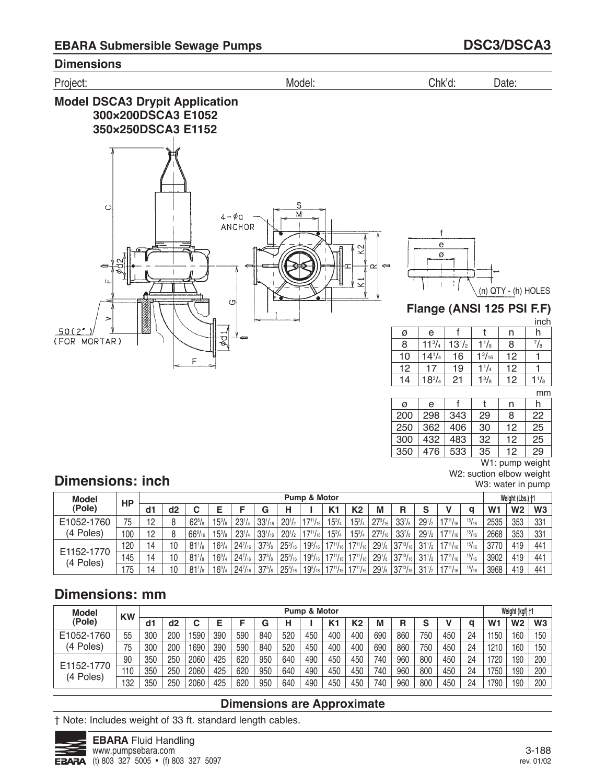

 

#### 

W1: pump weight W2: suction elbow weight

W3: water in pump

# **Dimensions: inch**

| Model                   | <b>HP</b> |    |    |                      |                 |                |                |                | Pump & Motor     |                 |                                   |                    |                                          |                    |                  |               |                | Weight (Lbs.) +1 |                 |
|-------------------------|-----------|----|----|----------------------|-----------------|----------------|----------------|----------------|------------------|-----------------|-----------------------------------|--------------------|------------------------------------------|--------------------|------------------|---------------|----------------|------------------|-----------------|
| (Pole)                  |           | d1 | d2 |                      |                 |                |                |                |                  | K1              | K <sub>2</sub>                    | M                  | R                                        |                    |                  |               | W <sub>1</sub> | W <sub>2</sub>   | W <sub>3</sub>  |
| E1052-1760              | 75        | 12 |    | $62^{5}/s$           | $15\frac{3}{8}$ | $23^{1/4}$     | $33^{1}/_{16}$ | $20^{1/2}$ .   | $17^{11}/_{16}$  | $15^{3}/_{4}$   | $15^{3}/_{4}$                     | $27^{3}/_{16}$     | $33^{7}/s$                               | $29^{1/2}$         | $17^{11}/_{161}$ | 15/16         | 2535           | 353              | 331             |
| (4 Poles)               | 100       | 12 |    | $66\%$ <sub>16</sub> | $15\frac{3}{8}$ | $23^{1/4}$     | $33^{1}/_{16}$ | $20^{1/2}$     | $17^{11}/_{16}$  | $15^{3}/_{4}$   | $15^{3}/_{4}$                     | $27^{3}/_{16}$ .   | $33^{7}/8$                               | 29 <sup>1</sup> /2 | $17^{11}/_{16}$  | 15/16         | 2668           | 353              | 331             |
|                         | 120       | 14 | 10 | $81\frac{1}{8}$      | $16^{3}/4$      | $24^{7}/_{16}$ | $37^{3}/s$     | $25^{3}/_{16}$ | $19^{5}/_{16}$   | $17^{11}/_{16}$ | $ 17^{11}/_{16} $                 |                    | $291/8$ 37 <sup>13</sup> / <sub>16</sub> | $31\frac{1}{2}$    | $17^{11}/_{16}$  | 15/16         | 3770           | 419              | 441             |
| E1152-1770<br>(4 Poles) | 145       | 14 | 10 | $81\frac{1}{8}$      | $16^{3}/_{4}$   | $24^{7}/_{16}$ | $37^{3}/s$     | $25^{3}/_{16}$ | $19^{5}/_{16}$ , |                 | $17^{11}/_{16}$   $17^{11}/_{16}$ | $29^{1}/s$         | $ 37^{13}/_{16} $                        | $31\frac{1}{2}$    | $17^{11}/_{16}$  | 15/16         | 3902           | 419              | 441             |
|                         | 75        | 14 | 10 | $81^{1}/s$           | $16^{3}/4$      | $24^{7}/_{16}$ | $37^{3}/s$     | $25^{3}/_{16}$ | $19^{5}/_{16}$   | $17^{11}/_{16}$ | $17^{11}/_{16}$                   | 29 <sup>1</sup> /s | $ 37^{13}/_{16} $                        | $31\frac{1}{2}$    | $17^{11}/_{16}$  | $^{15}/_{16}$ | 3968           | 419              | 44 <sup>1</sup> |

# **Dimensions: mm**

| <b>Model</b>            | <b>KW</b> |     |     |      |     |     |     |     | Pump & Motor |                |                |     |     |        |     |    |                | Weight (kgf) +1 |     |
|-------------------------|-----------|-----|-----|------|-----|-----|-----|-----|--------------|----------------|----------------|-----|-----|--------|-----|----|----------------|-----------------|-----|
| (Pole)                  |           | d1  | d2  |      |     |     |     |     |              | K <sub>1</sub> | K <sub>2</sub> | M   | R   | c<br>J |     | a  | W <sub>1</sub> | W <sub>2</sub>  | W3  |
| E1052-1760              | 55        | 300 | 200 | 1590 | 390 | 590 | 840 | 520 | 450          | 400            | 400            | 690 | 860 | 750    | 450 | 24 | 1150           | 160             | 150 |
| (4 Poles)               | 75        | 300 | 200 | 1690 | 390 | 590 | 840 | 520 | 450          | 400            | 400            | 690 | 860 | 750    | 450 | 24 | 1210           | 160             | 150 |
|                         | 90        | 350 | 250 | 2060 | 425 | 620 | 950 | 640 | 490          | 450            | 450            | 740 | 960 | 800    | 450 | 24 | 1720           | 190             | 200 |
| E1152-1770<br>(4 Poles) | 110       | 350 | 250 | 2060 | 425 | 620 | 950 | 640 | 490          | 450            | 450            | 740 | 960 | 800    | 450 | 24 | 1750           | 190             | 200 |
|                         | 32        | 350 | 250 | 2060 | 425 | 620 | 950 | 640 | 490          | 450            | 450            | 740 | 960 | 800    | 450 | 24 | 1790           | 190             | 200 |

## **Dimensions are Approximate**

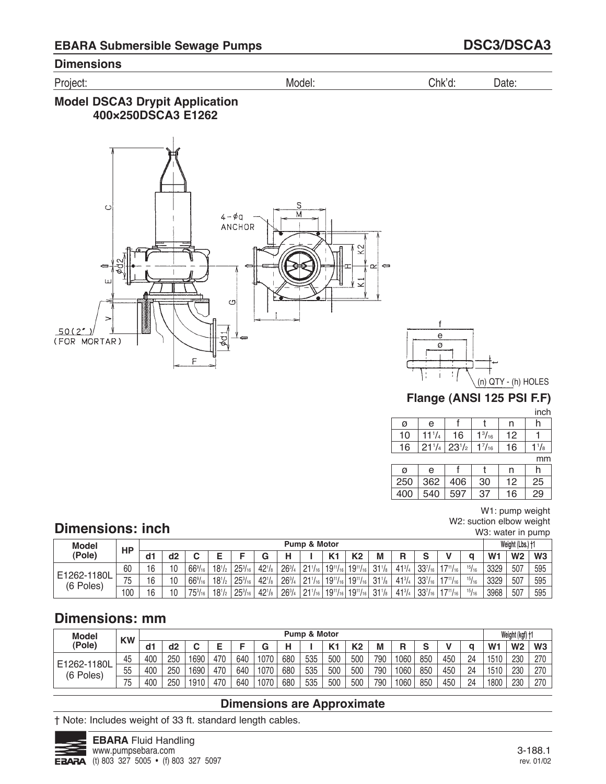Project: Model: Chk'd: Date:

## **Model DSCA3 Drypit Application 400×250DSCA3 E1262**





# **Flange (ANSI 125 PSI F.F)**

inch

| ø  | е          |            |                 |                 |             |
|----|------------|------------|-----------------|-----------------|-------------|
| 10 | 74         | 16         | $1^{3}/_{16}$ . | 12 <sup>°</sup> |             |
| 16 | $21^{1/4}$ | $23^{1/2}$ | $1^{7}/_{16}$   | 16              | $^{1}/_{8}$ |

mm

|     |     |     |    |    | .  |
|-----|-----|-----|----|----|----|
| ø   | e   |     |    | n  |    |
| 250 | 362 | 406 | 30 | 12 | 25 |
| 400 | 540 | 597 | 37 | 16 | 29 |

W1: pump weight W2: suction elbow weight W3: water in pump

# **Dimensions: inch**

| <b>Model</b> | HP        |    |    |                  |            |                |            |            | <b>Pump &amp; Motor</b> |                   |                 |                |            |                |                 |       |                | Weight (Lbs.) +1 |     |
|--------------|-----------|----|----|------------------|------------|----------------|------------|------------|-------------------------|-------------------|-----------------|----------------|------------|----------------|-----------------|-------|----------------|------------------|-----|
| (Pole)       |           | d1 | d2 |                  |            |                |            |            |                         | $V -$             | K <sub>2</sub>  | М              | D<br>n     | $\sim$         |                 |       | W <sub>1</sub> | W <sub>2</sub>   | W3  |
| E1262-1180L  | 60        | 16 | 10 | $66\frac{9}{16}$ | $18^{1/2}$ | $25^{3}/_{16}$ | $42^{1}/s$ | $26^{3}/4$ | 911                     | $19^{11}/_{16}$ . | $19^{11}/_{16}$ | 211            | $41^{3}/4$ | $33^{7}/_{16}$ | $17^{11}/_{16}$ | 15/16 | 3329           | 507              | 595 |
|              | 75<br>ں ، | 16 | 10 | $66\frac{9}{16}$ | $18^{1/2}$ | $25^{3}/_{16}$ | $42^{1}/s$ | $26^{3}/4$ | $21^{11}$               | $19^{11}/_{16}$ . | $19^{11}/_{16}$ | 311/2          | $41^{3}/4$ | $33^{7}/_{16}$ | $17^{11}/_{16}$ | 15/16 | 3329           | 507              | 595 |
| (6 Poles)    | 100       | 16 | 10 | $75^{3}/_{16}$   | $18^{1/2}$ | $25^{3}/_{16}$ | $42^{1}/s$ | $26^{3}/4$ | $1.211_{16}$            | $ 19^{11}/_{16} $ | $19^{11}/_{16}$ | $\sqrt{211/2}$ | $41^{3}/4$ | $33^{7}/_{16}$ | $17^{11}/_{16}$ | 15/16 | 3968           | 507              | 595 |

# **Dimensions: mm**

| <b>Model</b> | <b>KW</b> |     |     |      |     |     |      |     | Pump & Motor |              |                |     |      |        |     |    |                | Weight (kgf) + |                |
|--------------|-----------|-----|-----|------|-----|-----|------|-----|--------------|--------------|----------------|-----|------|--------|-----|----|----------------|----------------|----------------|
| (Pole)       |           | d1  | d2  |      |     |     |      |     |              | $\mathbf{z}$ | K <sub>2</sub> |     | R    | $\sim$ |     |    | W <sub>1</sub> | W <sub>2</sub> | W <sub>3</sub> |
| E1262-1180L  | 45        | 400 | 250 | 1690 | 470 | 640 | 1070 | 680 | 535          | 500          | 500            | 790 | 1060 | 850    | 450 | 24 | 1510           | 230            | 270            |
| (6 Poles)    | 55        | 400 | 250 | 1690 | 470 | 640 | 1070 | 680 | 535          | 500          | 500            | 790 | 1060 | 850    | 450 | 24 | 1510           | 230            | 270            |
|              | 75        | 400 | 250 | 1910 | 470 | 640 | 1070 | 680 | 535          | 500          | 500            | 790 | 1060 | 850    | 450 | 24 | 1800           | 230            | 270            |

## **Dimensions are Approximate**

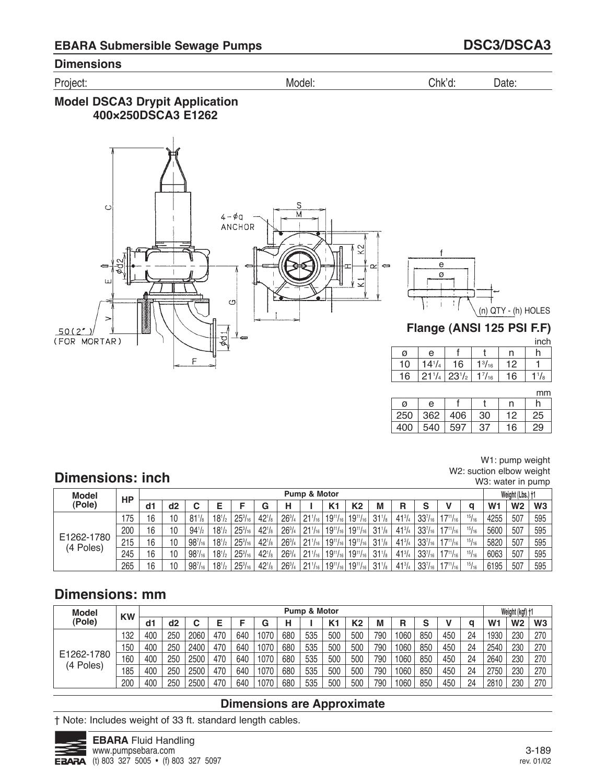Project: Model: Chk'd: Date:

## **Model DSCA3 Drypit Application 400×250DSCA3 E1262**





# **Flange (ANSI 125 PSI F.F)**

inch

| ø  | е          |                                           |                 | n  |              |
|----|------------|-------------------------------------------|-----------------|----|--------------|
| 10 | $14^{1/4}$ | 16                                        | $1\frac{3}{16}$ | 12 |              |
| 16 |            | $21^{1/4}$ 23 <sup>1</sup> / <sub>2</sub> | $1^{7}/_{16}$   | 16 | $1^{1}/_{8}$ |

mm

| a   | е   |     | n |    |
|-----|-----|-----|---|----|
| 250 | 362 | 106 |   |    |
|     | 54በ | 597 | 6 | 29 |

# **Dimensions: inch**

W1: pump weight W2: suction elbow weight W3: water in pump

| <b>Model</b>            | HP  |     |                |                 |            |                |            |               | Pump & Motor        |                 |                 |                 |               |                |                 |       |                | Weight (Lbs.) +1 |     |
|-------------------------|-----|-----|----------------|-----------------|------------|----------------|------------|---------------|---------------------|-----------------|-----------------|-----------------|---------------|----------------|-----------------|-------|----------------|------------------|-----|
| (Pole)                  |     | dd1 | d <sub>2</sub> |                 |            |                | G          | Н             |                     | K <sub>1</sub>  | K2              | М               | R             | s              |                 | a     | W <sub>1</sub> | W <sub>2</sub>   | W3  |
|                         | 175 | 16  | 10             | $81\frac{1}{8}$ | $18^{1/2}$ | $25^{3}/_{16}$ | $42^{1/s}$ | $26^{3}/_{4}$ | $21^{1/16}$         | $19^{11}/_{16}$ | $19^{11}/_{16}$ | $31\frac{1}{8}$ | $41^{3}/_{4}$ | $33^{7}/_{16}$ | $17^{11}/161$   | 15/16 | 4255           | 507              | 595 |
|                         | 200 | 16  | 10             | $94\frac{1}{2}$ | $18^{1/2}$ | $25^{3}/_{16}$ | $42^{1}/s$ | $26^{3}/4$    | 21 <sup>1</sup> /16 | $19^{11}/_{16}$ | $19^{11}/_{16}$ | $31\frac{1}{8}$ | $41^{3}/_{4}$ | $33^{7}/_{16}$ | $17^{11}/_{16}$ | 15/16 | 5600           | 507              | 595 |
| E1262-1780<br>(4 Poles) | 215 | 16  | 10             | $98^{7}/_{16}$  | $18^{1/2}$ | $25^{3}/_{16}$ | $42^{1}/s$ | $26^{3}/_{4}$ | 21 <sup>1</sup> /16 | $19^{11}/_{16}$ | $19^{11}/_{16}$ | $31\frac{1}{8}$ | $41^{3}/_{4}$ | $33^{7}/_{16}$ | $17^{11}/_{16}$ | 15/16 | 5820           | 507              | 595 |
|                         | 245 | 16  | 10             | $98^{7}/_{16}$  | $18^{1/2}$ | $25^{3}/_{16}$ | 421/8      | $26^{3}/4$    | $21^{1/16}$         | $19^{11}/_{16}$ | $19^{11}/_{16}$ | $31\frac{1}{8}$ | $41^{3}/_{4}$ | $33^{7}/_{16}$ | $17^{11}/_{16}$ | 15/16 | 6063           | 507              | 595 |
|                         | 265 | 16  | 10             | $98^{7}/_{16}$  | $18^{1/2}$ | $25^{3}/_{16}$ | $42^{1}/s$ | $26^{3}/_{4}$ | 21 <sup>1</sup> /16 | $19^{11}/_{16}$ | $19^{11}/_{16}$ | $31\frac{1}{8}$ | $41^{3}/_{4}$ | $33^{7}/_{16}$ | $17^{11}/_{16}$ | 15/16 | 6195           | 507              | 595 |

# **Dimensions: mm**

| <b>Model</b>            | <b>KW</b> |     |     |      |     |     |      |     | Pump & Motor |                |                |     |      |        |     |    |                | Weight (kgf) +1 |     |
|-------------------------|-----------|-----|-----|------|-----|-----|------|-----|--------------|----------------|----------------|-----|------|--------|-----|----|----------------|-----------------|-----|
| (Pole)                  |           | d1  | d2  |      |     |     | G    |     |              | K <sub>1</sub> | K <sub>2</sub> | M   | R    | c<br>ə |     | a  | W <sub>1</sub> | W <sub>2</sub>  | W3  |
|                         | 132       | 400 | 250 | 2060 | 470 | 640 | 1070 | 680 | 535          | 500            | 500            | 790 | 1060 | 850    | 450 | 24 | 1930           | 230             | 270 |
|                         | 150       | 400 | 250 | 2400 | 470 | 640 | 1070 | 680 | 535          | 500            | 500            | 790 | 1060 | 850    | 450 | 24 | 2540           | 230             | 270 |
| E1262-1780<br>(4 Poles) | 60        | 400 | 250 | 2500 | 470 | 640 | 1070 | 680 | 535          | 500            | 500            | 790 | 1060 | 850    | 450 | 24 | 2640           | 230             | 270 |
|                         | 85        | 400 | 250 | 2500 | 470 | 640 | 1070 | 680 | 535          | 500            | 500            | 790 | 1060 | 850    | 450 | 24 | 2750           | 230             | 270 |
|                         | 200       | 400 | 250 | 2500 | 470 | 640 | 1070 | 680 | 535          | 500            | 500            | 790 | 1060 | 850    | 450 | 24 | 2810           | 230             | 270 |

## **Dimensions are Approximate**

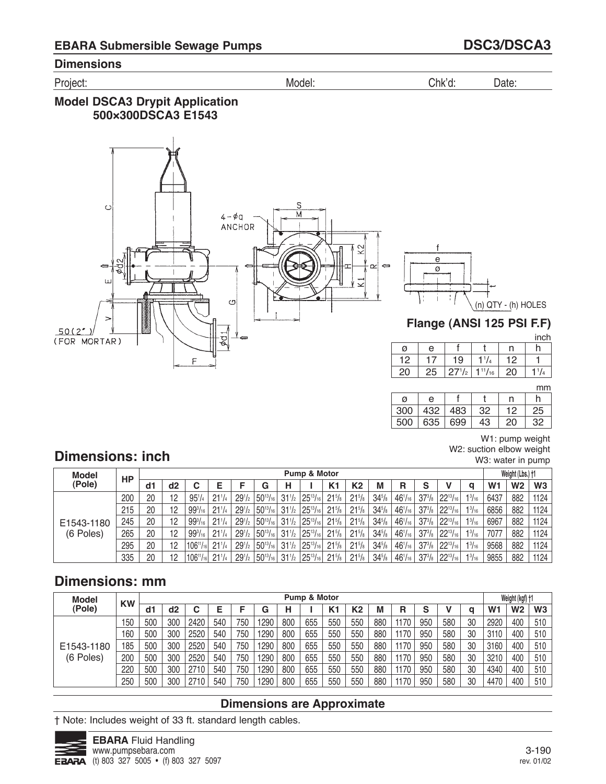Project: Model: Chk'd: Date:

## **Model DSCA3 Drypit Application 500×300DSCA3 E1543**



f e ø (n) QTY - (h) HOLES t

# **Flange (ANSI 125 PSI F.F)**

inch

| ø  | е  |    |                                            | n   |  |
|----|----|----|--------------------------------------------|-----|--|
| 12 |    | 19 | $1^{1}/_{4}$                               | 12  |  |
| 20 | 25 |    | $27^{1/2}$ 1 <sup>11</sup> / <sub>16</sub> | -20 |  |
|    |    |    |                                            |     |  |

mm

| Ø   | е   |     |    |    |    |
|-----|-----|-----|----|----|----|
| 300 | 432 | 483 | 32 | 12 | 25 |
| 500 | 635 | 699 | 43 | 20 | 32 |

### W1: pump weight

W2: suction elbow weight W3: water in pump

# **Dimensions: inch**

| <b>Model</b>            | HP  |    |    |                   |                 |               |                                             |                 | Pump & Motor                        |                 |                 |            |                |                                              |                 |                | Weight (Lbs.) †1 |      |
|-------------------------|-----|----|----|-------------------|-----------------|---------------|---------------------------------------------|-----------------|-------------------------------------|-----------------|-----------------|------------|----------------|----------------------------------------------|-----------------|----------------|------------------|------|
| (Pole)                  |     | d1 | d2 |                   |                 |               | G                                           | н               |                                     | K <sub>1</sub>  | К2              | М          | R              |                                              | a               | W <sub>1</sub> | W <sub>2</sub>   | W3   |
|                         | 200 | 20 | 12 | $95^{1}/4$        | $21^{1}/4$      | $29^{1/2}$    | $150^{13}/_{16}$                            |                 | $31\frac{1}{2}$   $25\frac{13}{16}$ | $21^{5}/s$      | $21^{5}/s$      | $34^{5}/s$ | $46^{1}/_{16}$ | $37^{3}/_8$ 22 <sup>13</sup> / <sub>16</sub> | $1^{3}/_{16}$   | 6437           | 882              | 1124 |
| E1543-1180<br>(6 Poles) | 215 | 20 | 12 | $99^{3}/_{16}$    | $21^{1/4}$      | $29^{1}/_{2}$ | $150^{13}/_{16}$                            |                 | $31\frac{1}{2}$   $25\frac{13}{16}$ | $21\frac{5}{8}$ | $21^{5}/s$      | $34^{5}/s$ | $46^{1}/_{16}$ | $37^{3}/_8$ 22 <sup>13</sup> / <sub>16</sub> | $1^{3}/_{16}$   | 6856           | 882              | 1124 |
|                         | 245 | 20 | 12 | $99^{3}/_{16}$    | $21\frac{1}{4}$ | $29^{1/2}$ 1. | $150^{13}/_{16}$                            |                 | $31\frac{1}{2}$   $25\frac{13}{16}$ | $21\%$          | $21^{5}/s$      | $34^{5}/s$ | $46^{1}/_{16}$ | $37^{3}/_8$ 22 <sup>13</sup> / <sub>16</sub> | $1\frac{3}{16}$ | 6967           | 882              | 1124 |
|                         | 265 | 20 | 12 | $99^{3}/_{16}$    | $21^{1/4}$      | $29^{1/2}$    | $150^{13}/_{16}$                            |                 | $31\frac{1}{2}$   $25\frac{13}{16}$ | $21^{5}/s$      | $21^{5}/s$      | $34^{5}/s$ | $46^{1}/_{16}$ | $37^{3}/_8$ 22 <sup>13</sup> / <sub>16</sub> | $1\frac{3}{16}$ | 7077           | 882              | 1124 |
|                         | 295 | 20 | 12 | $106^{11}/16$     | $21\frac{1}{4}$ | $29^{1}/_{2}$ | $150^{13}/_{16}$                            | $31\frac{1}{2}$ | $25^{13}/_{16}$                     | $21^{5}/s$      | $21^{5}/s$      | $34^{5}/s$ | $46^{1}/_{16}$ | $37^{3}/_8$ 22 <sup>13</sup> / <sub>16</sub> | $1^{3}/_{16}$   | 9568           | 882              | 1124 |
|                         | 335 | 20 | 12 | $1106^{11}/_{16}$ | $21\frac{1}{4}$ |               | $29^{1/2}$ 50 <sup>13</sup> / <sub>16</sub> | $31\frac{1}{2}$ | $25^{13}/_{16}$                     | $21^{5}/s$      | $21\frac{5}{8}$ | $34^{5}/s$ | $46^{1}/_{16}$ | $37^{3}/_8$ 22 <sup>13</sup> / <sub>16</sub> | $1\frac{3}{16}$ | 9855           | 882              | 1124 |

# **Dimensions: mm**

| <b>Model</b> | <b>KW</b> |     |     |      |     |     |      |     | Pump & Motor |     |                |     |      |        |     |    |                | Weight (kgf) +1 |                |
|--------------|-----------|-----|-----|------|-----|-----|------|-----|--------------|-----|----------------|-----|------|--------|-----|----|----------------|-----------------|----------------|
| (Pole)       |           | d1  | d2  | ⌒    | Е   |     | G    | н   |              | K1  | K <sub>2</sub> | M   | R    | c<br>ວ |     | a  | W <sub>1</sub> | W2              | W <sub>3</sub> |
|              | 150       | 500 | 300 | 2420 | 540 | 750 | 1290 | 800 | 655          | 550 | 550            | 880 | 1170 | 950    | 580 | 30 | 2920           | 400             | 510            |
|              | 160       | 500 | 300 | 2520 | 540 | 750 | 1290 | 800 | 655          | 550 | 550            | 880 | 1170 | 950    | 580 | 30 | 3110           | 400             | 510            |
| E1543-1180   | 185       | 500 | 300 | 2520 | 540 | 750 | 1290 | 800 | 655          | 550 | 550            | 880 | 1170 | 950    | 580 | 30 | 3160           | 400             | 510            |
| (6 Poles)    | 200       | 500 | 300 | 2520 | 540 | 750 | 1290 | 800 | 655          | 550 | 550            | 880 | 1170 | 950    | 580 | 30 | 3210           | 400             | 510            |
|              | 220       | 500 | 300 | 2710 | 540 | 750 | 1290 | 800 | 655          | 550 | 550            | 880 | 1170 | 950    | 580 | 30 | 4340           | 400             | 510            |
|              | 250       | 500 | 300 |      | 540 | 750 | 1290 | 800 | 655          | 550 | 550            | 880 | 1170 | 950    | 580 | 30 | 4470           | 400             | 510            |

## **Dimensions are Approximate**

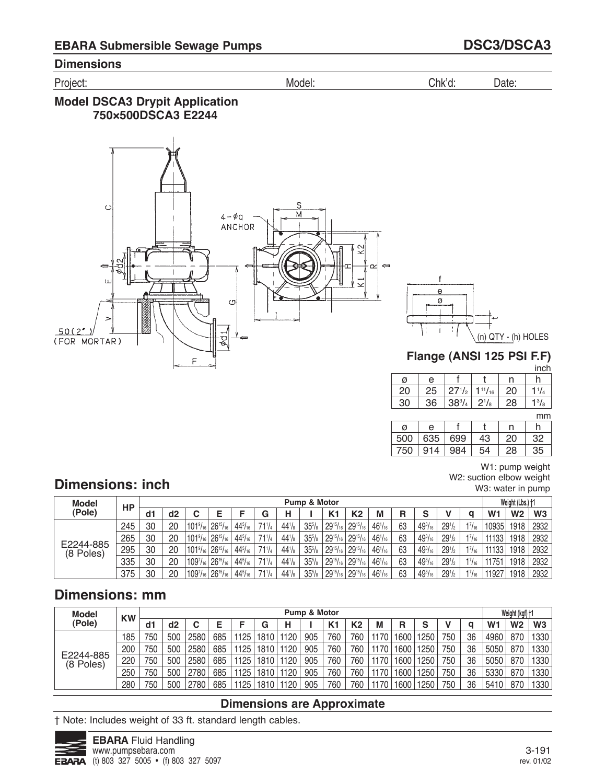Project: Model: Chk'd: Date:

## **Model DSCA3 Drypit Application 750×500DSCA3 E2244**



(n) QTY - (h) HOLES -

# **Flange (ANSI 125 PSI F.F)**

inch

| ø  | е    |            |                | n  |              |
|----|------|------------|----------------|----|--------------|
| 20 | 25   | $27^{1/2}$ | $1^{11}/_{16}$ | 20 | $1^{1}/_{4}$ |
| 30 | 36   | $38^{3}/4$ | $2^{1}/_{8}$   | 28 | $1^{3}/_{8}$ |
|    |      |            |                |    | mm           |
| ø  | e    |            |                | n  |              |
| הח | ิควร | 69Q        | ⊿จ             | 20 | つ            |

| Ø     | е   |     |    | n  |     |
|-------|-----|-----|----|----|-----|
| 500   | 635 | 699 | +3 | 20 | 32. |
| 75∩ . | 914 | 984 |    | 28 |     |

W1: pump weight W2: suction elbow weight W3: water in pump

# **Dimensions: inch**

| <b>Model</b>           | HP  |    |    |                       |                  |                |               |             | <b>Pump &amp; Motor</b> |                 |                  |                |    |                |                 |               |                | Weight (Lbs.) †1 |                |
|------------------------|-----|----|----|-----------------------|------------------|----------------|---------------|-------------|-------------------------|-----------------|------------------|----------------|----|----------------|-----------------|---------------|----------------|------------------|----------------|
| (Pole)                 |     | d1 | d2 |                       |                  |                | G             | н           |                         | K <sub>1</sub>  | K2               | M              | R  | S              |                 | a             | W <sub>1</sub> | W <sub>2</sub>   | W <sub>3</sub> |
|                        | 245 | 30 | 20 | $ 101\% $             | $126^{15}/_{16}$ | $44^{5}/_{16}$ | 711/4         | $44^{1}/_8$ | 35%                     | $29^{15}/_{16}$ | $129^{15}/_{16}$ | $46^{1}/_{16}$ | 63 | $49^{3}/_{16}$ | $29^{1/2}$      | $1^{7}/_{16}$ | 10935          | 1918             | 2932           |
| E2244-885<br>(8 Poles) | 265 | 30 | 20 | $101\%$ <sub>16</sub> | $126^{15}/_{16}$ | $44^{5}/_{16}$ | 711/4         | $44^{1}/_8$ | 35 <sup>5</sup> /s      | $29^{15}/_{16}$ | $129^{15}/_{16}$ | $46'/_{16}$    | 63 | $49^{3}/_{16}$ | $29\frac{1}{2}$ | $1^{7}/_{16}$ | 11133          | 1918             | 2932           |
|                        | 295 | 30 | 20 | $101\%$ <sub>16</sub> | $126^{15}/_{16}$ | $44^{5}/_{16}$ | 711/4         | $44^{1}/s$  | 35 <sup>5</sup> /s      | $29^{15}/_{16}$ | $129^{15}/_{16}$ | $46^{1}/_{16}$ | 63 | $49^{3}/_{16}$ | $29^{1/2}$      | $1^{7}/_{16}$ | 11133          | 1918             | 2932           |
|                        | 335 | 30 | 20 | $109^{7}_{161}$       | $26^{15}/_{16}$  | $44^{5}/_{16}$ | $71^{1}/_{4}$ | $44^{1}/s$  | 35 <sup>5</sup> /s      | $29^{15}/_{16}$ | $129^{15}/_{16}$ | $46^{1}/_{16}$ | 63 | $49^{3}/_{16}$ | $29^{1/2}$      | $1^{7}/_{16}$ | 11751          | 1918             | 2932           |
|                        | 375 | 30 | 20 | 1097/161              | $26^{15}/_{16}$  | $44^{5}/_{16}$ | 711/4         | $44^{1}/_8$ | 35%                     | $29^{15}/_{16}$ | $29^{15}/_{16}$  | $46'/_{16}$    | 63 | $49^{3}/_{16}$ | $29^{1/2}$      | $1^{7}/_{16}$ | 11927          | 1918             | 2932           |

# **Dimensions: mm**

| <b>Model</b>           | <b>KW</b> |     |     |      |     |      |                   |      | Pump & Motor |                |     |      |                   |      |     |    |                | Weight (kgf) +1 |                |
|------------------------|-----------|-----|-----|------|-----|------|-------------------|------|--------------|----------------|-----|------|-------------------|------|-----|----|----------------|-----------------|----------------|
| (Pole)                 |           | d1  | d2  |      |     |      | G                 | н    |              | K <sub>1</sub> | K2  | M    | R                 | s    |     | a  | W <sub>1</sub> | W <sub>2</sub>  | W <sub>3</sub> |
| E2244-885<br>(8 Poles) | 185       | 750 | 500 | 2580 | 685 | 1125 | 1810              | 1120 | 905          | 760            | 760 | 1170 | 1600              | 1250 | 750 | 36 | 4960           | 870             | 1330           |
|                        | 200       | 750 | 500 | 2580 | 685 | 1125 | 1810 <sub>1</sub> | 1120 | 905          | 760            | 760 | 1170 | 1600              | 1250 | 750 | 36 | 5050           | 870             | 1330           |
|                        | 220       | 750 | 500 | 2580 | 685 | 1125 | 1810              | 1120 | 905          | 760            | 760 | 1170 | 1600 <sub>1</sub> | 1250 | 750 | 36 | 5050           | 870             | 1330           |
|                        | 250       | 750 | 500 | 2780 | 685 | 1125 | 1810              | 1120 | 905          | 760            | 760 | 1170 | 1600 <sub>1</sub> | 1250 | 750 | 36 | 5330           | 870             | 1330           |
|                        | 280       | 750 | 500 | 2780 | 685 | 1125 | 1810              | 1120 | 905          | 760            | 760 | 1170 | 1600 <sub>1</sub> | 1250 | 750 | 36 | 5410           | 870             | 1330           |

### **Dimensions are Approximate**

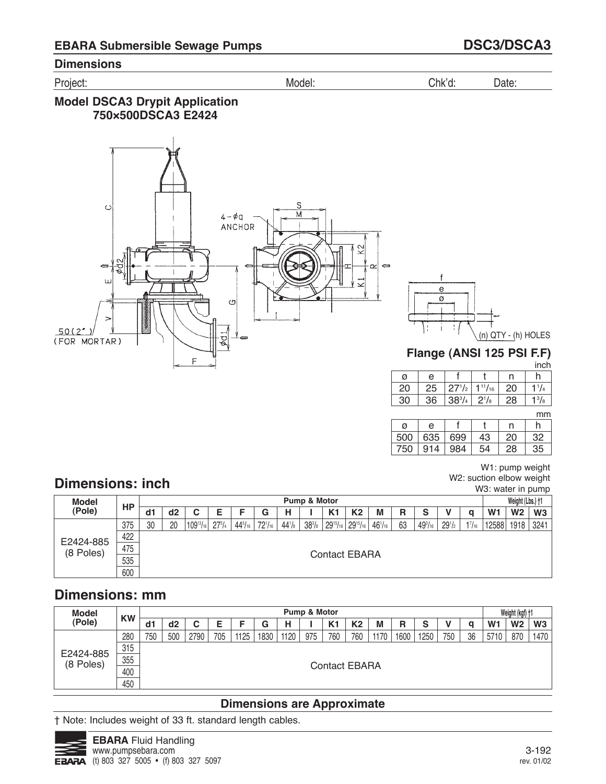Project: Model: Chk'd: Date:

## **Model DSCA3 Drypit Application 750×500DSCA3 E2424**



mm

W1: pump weight W<sub>2</sub>: suction elbow weight W3: water in pump

|     |     |     |     | ,,,,,, |
|-----|-----|-----|-----|--------|
| Ø   | е   |     | n   |        |
| 500 | 635 | 699 | 20  |        |
| 750 | 14  | 984 | 28. |        |

# **Dimensions: inch**

| <b>Model</b> |     |    |    |                    |            |                |             |            | Pump & Motor    |                |                                                  |                |    |                |            |               |                | Weight (Lbs.) +1 |      |
|--------------|-----|----|----|--------------------|------------|----------------|-------------|------------|-----------------|----------------|--------------------------------------------------|----------------|----|----------------|------------|---------------|----------------|------------------|------|
| (Pole)       | HP  | d1 | d2 | ັ                  |            | F              | G           | н          |                 | K <sub>1</sub> | K <sub>2</sub>                                   | М              | R  | S              |            | a             | W <sub>1</sub> | W <sub>2</sub>   | W3   |
|              | 375 | 30 | 20 | $ 109^{13}/_{16} $ | $27^{3}/4$ | $44^{5}/_{16}$ | $72^{1/16}$ | $44^{1}/s$ | $38\frac{3}{8}$ |                | $29^{15}/_{16}$ 29 <sup>15</sup> / <sub>16</sub> | $46^{1}/_{16}$ | 63 | $49^{3}/_{16}$ | $29^{1/2}$ | $1^{7}/_{16}$ | 12588          | 1918             | 3241 |
| E2424-885    | 422 |    |    |                    |            |                |             |            |                 |                |                                                  |                |    |                |            |               |                |                  |      |
| (8 Poles)    | 475 |    |    |                    |            |                |             |            |                 |                | Contact EBARA                                    |                |    |                |            |               |                |                  |      |
|              | 535 |    |    |                    |            |                |             |            |                 |                |                                                  |                |    |                |            |               |                |                  |      |
|              | 600 |    |    |                    |            |                |             |            |                 |                |                                                  |                |    |                |            |               |                |                  |      |

# **Dimensions: mm**

| Model     | <b>KW</b> |     |     |      |     |      |      |      | Pump & Motor |                |                |      |      |      |     |    |                | Weight (kgf) +1 |                |
|-----------|-----------|-----|-----|------|-----|------|------|------|--------------|----------------|----------------|------|------|------|-----|----|----------------|-----------------|----------------|
| (Pole)    |           | dd1 | d2  | v    |     |      | G    | н    |              | K <sub>1</sub> | K <sub>2</sub> | M    | R    | S    |     | a  | W <sub>1</sub> | W <sub>2</sub>  | W <sub>3</sub> |
|           | 280       | 750 | 500 | 2790 | 705 | 1125 | 1830 | 1120 | 975          | 760            | 760            | 1170 | 1600 | 1250 | 750 | 36 | 5710           | 870             | 1470           |
| E2424-885 | 315       |     |     |      |     |      |      |      |              |                |                |      |      |      |     |    |                |                 |                |
| (8 Poles) | 355       |     |     |      |     |      |      |      |              | Contact EBARA  |                |      |      |      |     |    |                |                 |                |
|           | 400       |     |     |      |     |      |      |      |              |                |                |      |      |      |     |    |                |                 |                |
|           | 450       |     |     |      |     |      |      |      |              |                |                |      |      |      |     |    |                |                 |                |

## **Dimensions are Approximate**

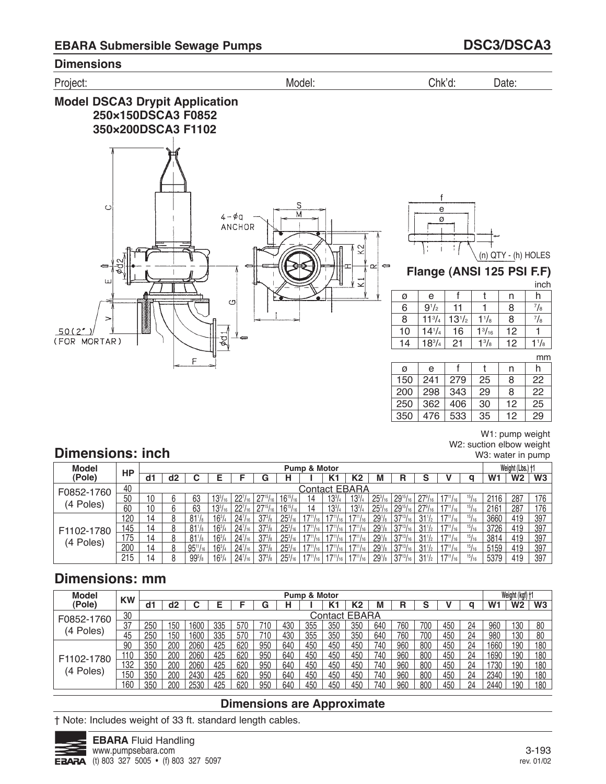



W1: pump weight W2: suction elbow weight W3: water in pump

# **Dimensions: inch**

| <b>Model</b> | HP  |    |    |                 |                |                     |            |                  | <b>Pump &amp; Motor</b> |                 |                 |                    |                  |                                         |                   |               |                | Weight (Lbs.) +1 |                |
|--------------|-----|----|----|-----------------|----------------|---------------------|------------|------------------|-------------------------|-----------------|-----------------|--------------------|------------------|-----------------------------------------|-------------------|---------------|----------------|------------------|----------------|
| (Pole)       |     | d1 | d2 |                 | F.             |                     | G          |                  |                         | K1              | K2              | м                  | R                | c                                       |                   | a             | W <sub>1</sub> | W <sub>2</sub>   | W <sub>3</sub> |
| F0852-1760   | 40  |    |    |                 |                |                     |            |                  |                         |                 | Contact EBARA   |                    |                  |                                         |                   |               |                |                  |                |
|              | 50  | 10 |    | 63              | $13^{3}/_{16}$ | $22^{7}/_{16}$      |            | $16^{15}/16$     | 14                      | $13^{3}/4$      | $13^{3}/4$      | $25^{3}$           | $129^{15}/_{16}$ | $^{14}$ 27 <sup>9</sup> / <sub>16</sub> |                   | $^{15}/_{16}$ | 2116           | 287              | 176            |
| (4 Poles)    | 60  | 10 |    | 63              | $13^{3}/_{16}$ | $22^{7}/_{16}$      |            | $16^{15}/_{16}$  | 14                      | $13^{3}/4$      | $13^{3}/4$      | $25^{3}/_{16}$     | $29^{15}/_{16}$  | $27\frac{9}{16}$                        |                   | 15/16         | 2161           | 287              | 176            |
|              | 120 | 14 |    | $81^{1}/8$      | $16^{3}/_{4}$  | $24^{7}/_{16}$      | $37^{3}/s$ | $25^{3}/_{16}$   | $17^{11}/16$ .          | $17^{11}/16$ 1  | $17^{11}/16$    | 29 <sup>1</sup> /s | $37^{13}/_{16}$  | $31\frac{1}{2}$                         |                   | 15/16         | 3660           | 419              | 397            |
| F1102-1780   | 145 | 14 |    | R1'             | $16^{3}$       | $24^{7}/_{16}$      | $37^{3}/s$ | $25^{3}$         | 711/                    |                 |                 | 29 <sup>1</sup> /s | $37^{13}/16$     | $31\frac{1}{2}$                         |                   | 15/16         | 3726           | 419              | 397            |
| (4 Poles)    | 175 | 14 |    | $81\frac{1}{8}$ | $16^{3}/_{4}$  | 24 <sup>7</sup> /16 | $37^{3}/s$ | $25\frac{3}{16}$ | 1711/                   | 116             | $17^{11}/_{16}$ | $291$ /8           | $37^{13}/_{16}$  | $31\frac{1}{2}$                         |                   | 15/16         | 3814           | 419              | 397            |
|              | 200 | 14 |    | $95^{11}/_{16}$ | $16^{3}/_{4}$  | $24^{7}/_{16}$      | $37^{3}/s$ | $25^{3}/_{16}$   | 711/                    | $17^{11}/_{16}$ | $17^{11}/16$    | 29 <sup>1</sup> /8 | $37^{13}/_{16}$  | $31\frac{1}{2}$                         |                   | 15/16         | 5159           | 419              | 397            |
|              | 215 | 14 | O. | $99^{5}/_{8}$   | $16^{3}/_{4}$  | $24^{7}/_{16}$      | $37^{3}/s$ | $25\frac{3}{16}$ | $17^{11}/_{16}$         | $17^{11}/_{16}$ | $17^{11}/_{16}$ | 29 <sup>1</sup> /s | $37^{13}/_{16}$  | $31\frac{1}{2}$                         | $17^{11}/_{16}$ J | 15/16         | 5379           | 419              | 397            |

# **Dimensions: mm**

| <b>Model</b>          | <b>KW</b> |     |     |      |     |     |     |     | <b>Pump &amp; Motor</b> |                      |     |     |     |     |     |    |                | Weight (kgf) +1 |                |
|-----------------------|-----------|-----|-----|------|-----|-----|-----|-----|-------------------------|----------------------|-----|-----|-----|-----|-----|----|----------------|-----------------|----------------|
| (Pole)                |           | d1  | d2  |      |     |     | G   |     |                         |                      | K2  | М   | R   | c   |     | a  | W <sub>1</sub> | <b>W2</b>       | W <sub>3</sub> |
| F0852-1760            | 30        |     |     |      |     |     |     |     |                         | <b>Contact EBARA</b> |     |     |     |     |     |    |                |                 |                |
|                       | 37        | 250 | 50، | 1600 | 335 | 570 |     | 430 | 355                     | 350                  | 350 | 640 | 760 | 700 | 450 | 24 | 960            | 130             | 80             |
| Poles)<br>$4^{\circ}$ | 45        | 250 | 50  | 1600 | 335 | 570 | 710 | 430 | 355                     | 350                  | 350 | 640 | 760 | 700 | 450 | 24 | 980            | 130             | 80             |
|                       | 90        | 350 | 200 | 2060 | 425 | 620 | 950 | 640 | 450                     | 450                  | 450 | 740 | 960 | 800 | 450 | 24 | 1660           | 190             | 180            |
|                       | '10       | 350 | 200 | 2060 | 425 | 620 | 950 | 640 | 450                     | 450                  | 450 | 740 | 960 | 800 | 450 | 24 | 1690           | 190             | 180            |
| F1102-1780            | 132       | 350 | 200 | 2060 | 425 | 620 | 950 | 640 | 450                     | 450                  | 450 | 740 | 960 | 800 | 450 | 24 | 1730           | 190             | 180            |
| Poles)<br>4           | 150       | 350 | 200 | 2430 | 425 | 620 | 950 | 640 | 450                     | 450                  | 450 | 740 | 960 | 800 | 450 | 24 | 2340           | 190             | 180            |
|                       | 160       | 350 | 200 | つよろひ | 425 | 620 | 950 | 64C | 45C                     | 450                  | 450 | 740 | 960 | 800 | 45f | 24 | 2440           | 190             | 180            |

## **Dimensions are Approximate**

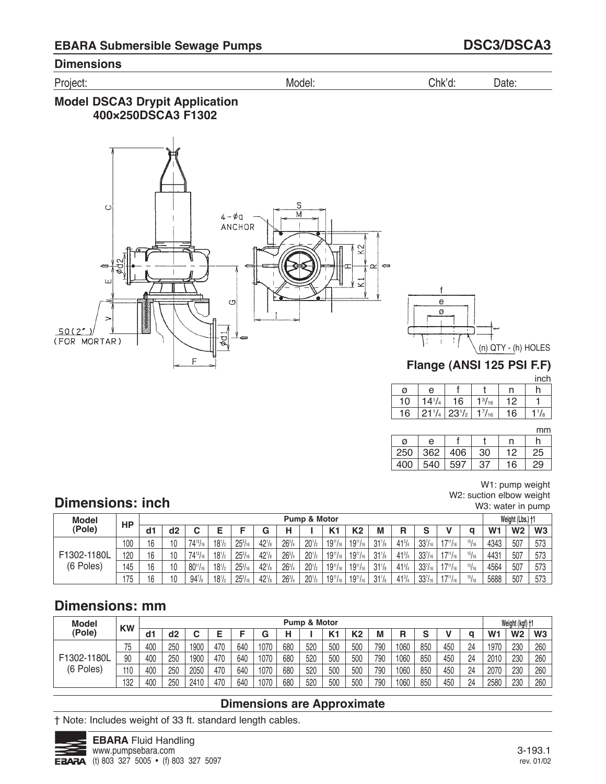Project: Model: Chk'd: Date:

## **Model DSCA3 Drypit Application 400×250DSCA3 F1302**





**Flange (ANSI 125 PSI F.F)**

|    |            |            |                 |    | inch        |
|----|------------|------------|-----------------|----|-------------|
| ø  | e          |            |                 | n  |             |
| 10 | $14^{1/4}$ | 16         | $1\frac{3}{16}$ | 12 |             |
| 16 | $21^{1}/4$ | $23^{1/2}$ | $1^{7}/_{16}$   | 16 | $^{1}/_{8}$ |

mm

|     |     |     |     |    | .  |
|-----|-----|-----|-----|----|----|
| ø   | е   |     |     | n  |    |
| 250 | 362 | 406 | 30  | 12 | 25 |
| 400 | 540 | 597 | -37 | 16 | 29 |

#### W1: pump weight W2: suction elbow weight W3: water in pump

# **Dimensions: inch**

| <b>Model</b>             | НP  |    |                |                 |            |                  |             |               | Pump & Motor |                 |                 |                 |               |                |                 |       |                | Weight (Lbs.) +1 |     |
|--------------------------|-----|----|----------------|-----------------|------------|------------------|-------------|---------------|--------------|-----------------|-----------------|-----------------|---------------|----------------|-----------------|-------|----------------|------------------|-----|
| (Pole)                   |     | d1 | d <sub>2</sub> |                 |            |                  | G           |               |              | K <sub>1</sub>  | К2              | М               | R             | e              |                 |       | W <sub>1</sub> | W <sub>2</sub>   | W3  |
| F1302-1180L<br>(6 Poles) | 100 | 16 | 10             | $74^{13}/_{16}$ | $18^{1}/2$ | $25\frac{3}{16}$ | $42^{1}/_8$ | $26^{3}/_{4}$ | $20^{1/2}$   | $19^{11}/_{16}$ | $19^{11}/_{16}$ | $31\frac{1}{8}$ | $41^{3}/_{4}$ | $33^{7}/_{16}$ | $17^{11}/_{16}$ | 15/16 | 4343           | 507              | 573 |
|                          | 120 | 16 | 10             | $74^{13}/_{16}$ | $18^{1}/2$ | $25^{3}/_{16}$   | $42^{1}/_8$ | $26^{3}/_{4}$ | $20^{1/2}$   | $19^{11}/_{16}$ | $19^{11}/_{16}$ | $31\frac{1}{8}$ | $41^{3}/_{4}$ | $33^{7}/_{16}$ | $17^{11}/_{16}$ | 15/16 | 4431           | 507              | 573 |
|                          | 145 | 16 | 10             | $80^{11}/_{16}$ | $18^{1/2}$ | $25^{3}/_{16}$   | $42^{1}/_8$ | $26^{3}/_{4}$ | $20^{1/2}$   | $19^{11}/_{16}$ | $19^{11}/_{16}$ | $31\frac{1}{8}$ | $41^{3}/_{4}$ | $33^{7}/_{16}$ | $17^{11}/_{16}$ | 15/16 | 4564           | 507              | 573 |
|                          | 175 | 16 | 10             | $94\frac{7}{8}$ | $18^{1/2}$ | $25^{3}/_{16}$   | $42^{1}/_8$ | $26^{3}/_{4}$ | $20^{1/2}$   | $19^{11}/_{16}$ | $19^{11}/_{16}$ | $31\frac{1}{8}$ | $41^{3}/_{4}$ | $33^{7}/_{16}$ | $17^{11}/_{16}$ | 15/16 | 5688           | 507              | 573 |

# **Dimensions: mm**

| <b>Model</b> | <b>KW</b> |                |     |      |     |     |      |     | <b>Pump &amp; Motor</b> |                |     |     |      |     |     |    |                | Weight (kgf) +1 |     |
|--------------|-----------|----------------|-----|------|-----|-----|------|-----|-------------------------|----------------|-----|-----|------|-----|-----|----|----------------|-----------------|-----|
| (Pole)       |           | d <sub>1</sub> | d2  |      |     |     | G    | н   |                         | K <sub>1</sub> | K2  | M   | R    | c   |     |    | W <sub>1</sub> | W <sub>2</sub>  | W3  |
|              | ں ا       | 400            | 250 | 1900 | 470 | 640 | 1070 | 680 | 520                     | 500            | 500 | 790 | 1060 | 850 | 450 | 24 | 1970           | 230             | 260 |
| F1302-1180L  | 90        | 400            | 250 | 1900 | 470 | 640 | 1070 | 680 | 520                     | 500            | 500 | 790 | 1060 | 850 | 450 | 24 | 2010           | 230             | 260 |
| (6 Poles)    | 110       | 400            | 250 | 2050 | 470 | 640 | 1070 | 680 | 520                     | 500            | 500 | 790 | 1060 | 850 | 450 | 24 | 2070           | 230             | 260 |
|              | 132       | 400            | 250 | 2410 | 470 | 640 | 1070 | 680 | 520                     | 500            | 500 | 790 | 1060 | 850 | 450 | 24 | 2580           | 230             | 260 |

## **Dimensions are Approximate**

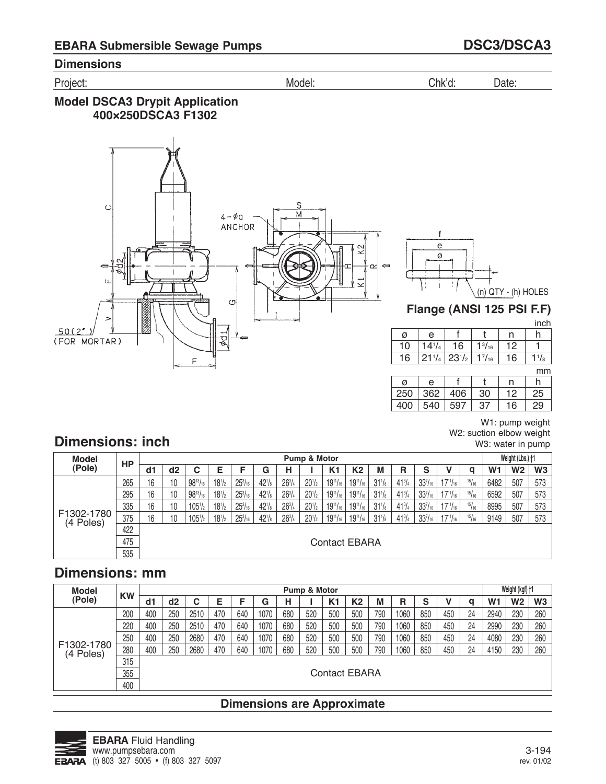Project: Model: Chk'd: Date:

## **Model DSCA3 Drypit Application 400×250DSCA3 F1302**



f e ø (n) QTY - (h) HOLES t

**Flange (ANSI 125 PSI F.F)**

|     |            |             |               |    | inch      |
|-----|------------|-------------|---------------|----|-----------|
| ø   | е          |             |               | n  |           |
| 10  | $14^{1/4}$ | 16          | $1^{3}/_{16}$ | 12 |           |
| 16  | $21^{1/4}$ | $ 23^{1}/2$ | $1^{7}/_{16}$ | 16 | $1^{1/s}$ |
|     |            |             |               |    | mm        |
| Ø   | е          |             |               | n  | n         |
| 250 | 362        | 406         | 30            | 12 | 25        |

|     | $250 \mid 362 \mid 406 \mid$ | -30 | - 12 | 25 |
|-----|------------------------------|-----|------|----|
| 400 | 540   597                    | -37 | 16   | 29 |
|     |                              |     |      |    |

W1: pump weight W2: suction elbow weight W3: water in pump

# **Dimensions: inch**

| Model                   |     |    |    |                     |               |                     |             |               | Pump & Motor         |                 |                      |                 |               |                |                 |       |                | Weight (Lbs.) †1 |                |
|-------------------------|-----|----|----|---------------------|---------------|---------------------|-------------|---------------|----------------------|-----------------|----------------------|-----------------|---------------|----------------|-----------------|-------|----------------|------------------|----------------|
| (Pole)                  | HP  | d1 | d2 | ⌒<br>U              | F             |                     | G           | Н             |                      | K <sub>1</sub>  | K2                   | М               | R             | S              |                 | q     | W <sub>1</sub> | W2               | W <sub>3</sub> |
|                         | 265 | 16 | 10 | $98^{13}/_{16}$     | $18^{1/2}$    | $25\frac{3}{16}$    | $42^{1}/_8$ | $26^{3}/_{4}$ | $20^{1/2}$           | $19^{11}/_{16}$ | $19^{11}/_{16}$      | $31\frac{1}{8}$ | $41^{3}/_{4}$ | $33^{7}/_{16}$ | $17^{11}/_{16}$ | 15/16 | 6482           | 507              | 573            |
|                         | 295 | 16 | 10 | $98^{13}/_{16}$     | $18^{1/2}$    | $25^{3}/_{16}$      | $42^{1}/_8$ | $26^{3}/_{4}$ | $201$ / <sub>2</sub> | $19^{11}/_{16}$ | $19^{11}/_{16}$      | $31\frac{1}{8}$ | $41^{3}/_{4}$ | $33^{7}/_{16}$ | $17^{11}/_{16}$ | 15/16 | 6592           | 507              | 573            |
|                         | 335 | 16 | 10 | 105 <sup>1</sup> /2 | $18^{1}/_{2}$ | 25 <sup>3</sup> /16 | $42^{1}/_8$ | $26^{3}/_{4}$ | $201$ / <sub>2</sub> | $19^{11}/_{16}$ | $19^{11}/_{16}$      | $31\frac{1}{8}$ | $41^{3}/_{4}$ | $33^{7}/_{16}$ | $17^{11}/_{16}$ | 15/16 | 8995           | 507              | 573            |
| F1302-1780<br>(4 Poles) | 375 | 16 | 10 | $105^{1}/_{2}$      | $18^{1}/2$    | 25 <sup>3</sup> /16 | $42^{1}/_8$ | $26^{3}/_{4}$ | $20^{1/2}$           | $19^{11}/_{16}$ | $19^{11}/_{16}$      | $31\frac{1}{8}$ | $41^{3}/_{4}$ | $33^{7}/_{16}$ | $17^{11}/_{16}$ | 15/16 | 9149           | 507              | 573            |
|                         | 422 |    |    |                     |               |                     |             |               |                      |                 |                      |                 |               |                |                 |       |                |                  |                |
|                         | 475 |    |    |                     |               |                     |             |               |                      |                 | <b>Contact EBARA</b> |                 |               |                |                 |       |                |                  |                |
|                         | 535 |    |    |                     |               |                     |             |               |                      |                 |                      |                 |               |                |                 |       |                |                  |                |

# **Dimensions: mm**

| <b>Model</b> | <b>KW</b> |     |     |        |     |     |      |     | Pump & Motor |                |               |     |      |     |     |    |                | Weight (kgf) +1 |                |
|--------------|-----------|-----|-----|--------|-----|-----|------|-----|--------------|----------------|---------------|-----|------|-----|-----|----|----------------|-----------------|----------------|
| (Pole)       |           | d1  | d2  | ⌒<br>u | F   |     | G    | н   |              | K <sub>1</sub> | K2            | M   | R    | S   |     | q  | W <sub>1</sub> | W2              | W <sub>3</sub> |
|              | 200       | 400 | 250 | 2510   | 470 | 640 | 1070 | 680 | 520          | 500            | 500           | 790 | 1060 | 850 | 450 | 24 | 2940           | 230             | 260            |
|              | 220       | 400 | 250 | 2510   | 470 | 640 | 1070 | 680 | 520          | 500            | 500           | 790 | 1060 | 850 | 450 | 24 | 2990           | 230             | 260            |
| F1302-1780   | 250       | 400 | 250 | 2680   | 470 | 640 | 1070 | 680 | 520          | 500            | 500           | 790 | 1060 | 850 | 450 | 24 | 4080           | 230             | 260            |
| (4 Poles)    | 280       | 400 | 250 | 2680   | 470 | 640 | 1070 | 680 | 520          | 500            | 500           | 790 | 1060 | 850 | 450 | 24 | 4150           | 230             | 260            |
|              | 315       |     |     |        |     |     |      |     |              |                |               |     |      |     |     |    |                |                 |                |
|              | 355       |     |     |        |     |     |      |     |              |                | Contact EBARA |     |      |     |     |    |                |                 |                |
|              | 400       |     |     |        |     |     |      |     |              |                |               |     |      |     |     |    |                |                 |                |

# **Dimensions are Approximate**

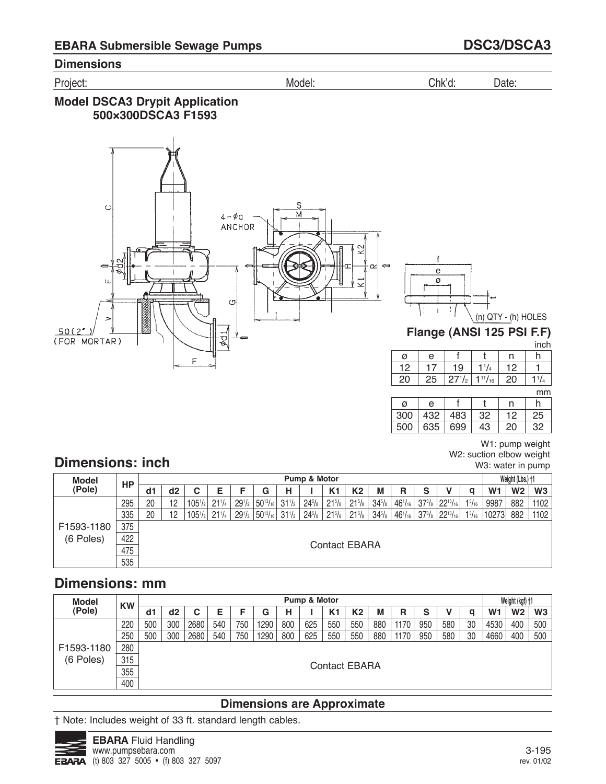Project: Model: Chk'd: Date:

## **Model DSCA3 Drypit Application 500×300DSCA3 F1593**



f e ø -

(n) QTY - (h) HOLES

**Flange (ANSI 125 PSI F.F)**

|    |    |            |                |                 | inch |
|----|----|------------|----------------|-----------------|------|
| ø  | е  |            |                |                 | n    |
| 12 |    | 19         |                | 12 <sup>2</sup> |      |
| 20 | 25 | $27^{1/2}$ | $1^{11}/_{16}$ | 20              |      |
|    |    |            |                |                 |      |

|     |     |     |    |    | mm |
|-----|-----|-----|----|----|----|
| ø   | e   |     |    |    |    |
| 300 | 432 | 483 | 32 | 12 | 25 |
| 500 | 635 | 699 | 13 |    | 22 |

W1: pump weight W2: suction elbow weight W3: water in pump

# **Dimensions: inch**

| Model      | HP  |    |                      |                     |            |            |                               |                 | Pump & Motor |                 |                |                 |                |   |                                              |                 |                | Weight (Lbs.) †1 |                |
|------------|-----|----|----------------------|---------------------|------------|------------|-------------------------------|-----------------|--------------|-----------------|----------------|-----------------|----------------|---|----------------------------------------------|-----------------|----------------|------------------|----------------|
| (Pole)     |     | d1 | d2                   | С                   | Е          | F          | G                             | н               |              | K1              | K <sub>2</sub> | M               | R              | S |                                              |                 | W <sub>1</sub> | W <sub>2</sub>   | W <sub>3</sub> |
|            | 295 | 20 | 12                   | 105 <sup>1</sup> /2 | $21^{1}/4$ | $29^{1}/2$ | $50^{13}/_{16}$               | $31\frac{1}{2}$ | $24^{5}/s$   | $21^{5}/s$      | $21^{5}/s$     | $34\frac{5}{8}$ | $46^{1}/_{16}$ |   | $37^{3}/_8$ 22 <sup>13</sup> / <sub>16</sub> | $1\frac{3}{16}$ | 9987           | 882              | 1102           |
|            | 335 | 20 | 12                   | $105^{1/2}$         | $21^{1/4}$ | $29^{1/2}$ | $ 50^{13}/_{16} 31^{1}/_{2} $ |                 | $24^{5}/s$   | $21\frac{5}{8}$ | $21^{5}/s$     | $34\frac{5}{8}$ | $46^{1}/_{16}$ |   | $37^{3}/_8$ 22 <sup>13</sup> / <sub>16</sub> | $1^{3}/_{16}$   | 10273          | 882              | 1102           |
| F1593-1180 | 375 |    |                      |                     |            |            |                               |                 |              |                 |                |                 |                |   |                                              |                 |                |                  |                |
| (6 Poles)  | 422 |    |                      |                     |            |            |                               |                 |              |                 |                |                 |                |   |                                              |                 |                |                  |                |
|            | 475 |    | <b>Contact EBARA</b> |                     |            |            |                               |                 |              |                 |                |                 |                |   |                                              |                 |                |                  |                |
|            | 535 |    |                      |                     |            |            |                               |                 |              |                 |                |                 |                |   |                                              |                 |                |                  |                |

# **Dimensions: mm**

| <b>Model</b> | <b>KW</b> |     |                      |      |     |     |      |     | Pump & Motor |     |     |     |      |        |     |    |                | Weight (kgf) +1 |     |
|--------------|-----------|-----|----------------------|------|-----|-----|------|-----|--------------|-----|-----|-----|------|--------|-----|----|----------------|-----------------|-----|
| (Pole)       |           | d1  | d2                   | С    |     |     | G    | н   |              | K1  | K2  | М   | R    | c<br>っ |     | a  | W <sub>1</sub> | W <sub>2</sub>  | W3  |
|              | 220       | 500 | 300                  | 2680 | 540 | 750 | 1290 | 800 | 625          | 550 | 550 | 880 | 1170 | 950    | 580 | 30 | 4530           | 400             | 500 |
|              | 250       | 500 | 300                  | 2680 | 540 | 750 | 1290 | 800 | 625          | 550 | 550 | 880 | 1170 | 950    | 580 | 30 | 4660           | 400             | 500 |
| F1593-1180   | 280       |     |                      |      |     |     |      |     |              |     |     |     |      |        |     |    |                |                 |     |
| (6 Poles)    | 315       |     |                      |      |     |     |      |     |              |     |     |     |      |        |     |    |                |                 |     |
|              | 355       |     | <b>Contact EBARA</b> |      |     |     |      |     |              |     |     |     |      |        |     |    |                |                 |     |
|              | 400       |     |                      |      |     |     |      |     |              |     |     |     |      |        |     |    |                |                 |     |

## **Dimensions are Approximate**

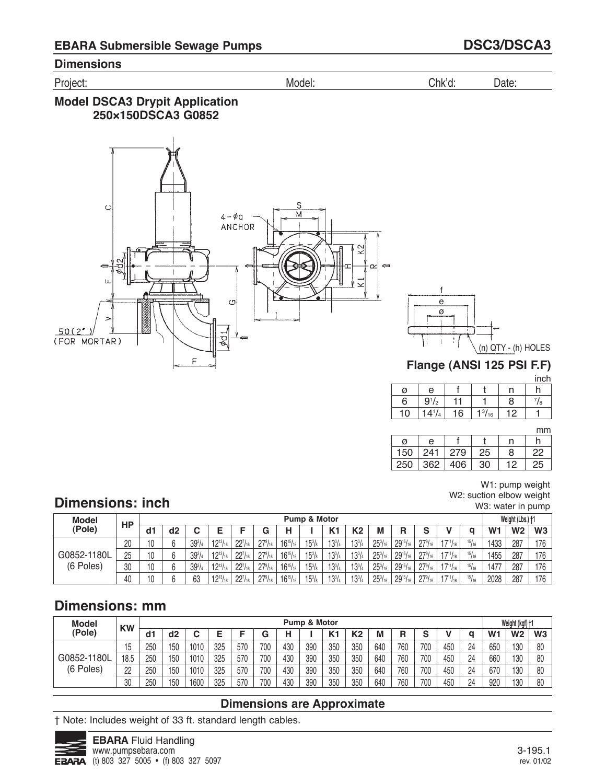Project: Model: Chk'd: Date:

## **Model DSCA3 Drypit Application 250×150DSCA3 G0852**





**Flange (ANSI 125 PSI F.F)**

|    |            |    |               |                 | inch |
|----|------------|----|---------------|-----------------|------|
| ø  | e          |    |               |                 |      |
| 6  | $9^{1}/2$  | 11 |               | 8               | 78   |
| 10 | $14^{1/4}$ | 16 | $1^{3}/_{16}$ | 12 <sub>1</sub> |      |

mm

| ø   | е   |     |    |                 | n  |
|-----|-----|-----|----|-----------------|----|
| 150 | 241 | 279 | 25 | 8               | 22 |
| 250 | 362 | 406 | 30 | 12 <sub>1</sub> | 25 |

#### W1: pump weight W2: suction elbow weight W3: water in pump

# **Dimensions: inch**

| <b>Model</b> | <b>HP</b> |    |        |               |                 |                |                      |                 | Pump & Motor    |               |               |                     |                 |                  |                 |       |                | Weight (Lbs.) +1 |                |
|--------------|-----------|----|--------|---------------|-----------------|----------------|----------------------|-----------------|-----------------|---------------|---------------|---------------------|-----------------|------------------|-----------------|-------|----------------|------------------|----------------|
| (Pole)       |           | d1 | d2     |               |                 |                | G                    |                 |                 | K1            | <b>K2</b>     | М                   | R               | e                |                 |       | W <sub>1</sub> | W <sub>2</sub>   | W <sub>3</sub> |
|              | 20        | 10 | $\sim$ | $39^{3}/_{4}$ | $12^{13}/_{16}$ | $22^{7}/_{16}$ | $27\frac{9}{16}$     | $16^{15}/_{16}$ | $15\frac{3}{8}$ | $13^{3}/_{4}$ | $13^{3}/4$    | $25^{3}/_{16}$      | $29^{15}/_{16}$ | $27\frac{9}{16}$ | $17^{11}/_{16}$ | 15/16 | 1433           | 287              | 176            |
| G0852-1180L  | 25        | 10 | $\sim$ | $39^{3}/_{4}$ | $12^{13}/_{16}$ | $22^{7}/_{16}$ | $27\frac{9}{16}$     | $16^{15}/_{16}$ | $15\frac{3}{8}$ | $13^{3}/_{4}$ | $13^{3}/_{4}$ | 25 <sup>3</sup> /16 | $29^{15}/_{16}$ | $27\frac{9}{16}$ | $17^{11}/_{16}$ | 15/16 | 1455           | 287              | 176            |
| (6 Poles)    | 30        | 10 | $\sim$ | $39^{3}/_{4}$ | $12^{13}/_{16}$ | $22^{7}/_{16}$ | $27\frac{9}{16}$     | $16^{15}/_{16}$ | $15\frac{3}{8}$ | $13^{3}/_{4}$ | $13^{3}/_{4}$ | $25^{3}/_{16}$      | $29^{15}/_{16}$ | $27\frac{9}{16}$ | $17^{11}/_{16}$ | 15/16 | 1477           | 287              | 176            |
|              | 40        | 10 |        | 63            | $12^{13}/_{16}$ | $22^{7}/_{16}$ | $27\%$ <sub>16</sub> | $16^{15}/_{16}$ | $15\frac{3}{8}$ | $13^{3}/_{4}$ | $13^{3}/_{4}$ | $25^{3}/_{16}$      | $29^{15}/_{16}$ | $27\frac{9}{16}$ | $17^{11}/_{16}$ | 15/16 | 2028           | 287              | 176            |

# **Dimensions: mm**

| <b>Model</b> | <b>KW</b> |     |     |      |     |     |     |     | <b>Pump &amp; Motor</b> |                |     |     |     |        |     |    |                | Weight (kgf) +1 |                |
|--------------|-----------|-----|-----|------|-----|-----|-----|-----|-------------------------|----------------|-----|-----|-----|--------|-----|----|----------------|-----------------|----------------|
| (Pole)       |           | ď   | d2  |      |     |     | G   | н   |                         | K <sub>1</sub> | K2  | M   | R   | $\sim$ |     |    | W <sub>1</sub> | W <sub>2</sub>  | W <sub>3</sub> |
|              | ں ا       | 250 | 150 | 1010 | 325 | 570 | 700 | 430 | 390                     | 350            | 350 | 640 | 760 | 700    | 450 | 24 | 650            | 130             | 80             |
| G0852-1180L  | 18.5      | 250 | 150 | 1010 | 325 | 570 | 700 | 430 | 390                     | 350            | 350 | 640 | 760 | 700    | 450 | 24 | 660            | 130             | 80             |
| (6 Poles)    | 22        | 250 | 150 | 1010 | 325 | 570 | 700 | 430 | 390                     | 350            | 350 | 640 | 760 | 700    | 450 | 24 | 670            | 130             | 80             |
|              | 30        | 250 | 150 | 1600 | 325 | 570 | 700 | 430 | 390                     | 350            | 350 | 640 | 760 | 700    | 450 | 24 | 920            | 130             | 80             |

## **Dimensions are Approximate**

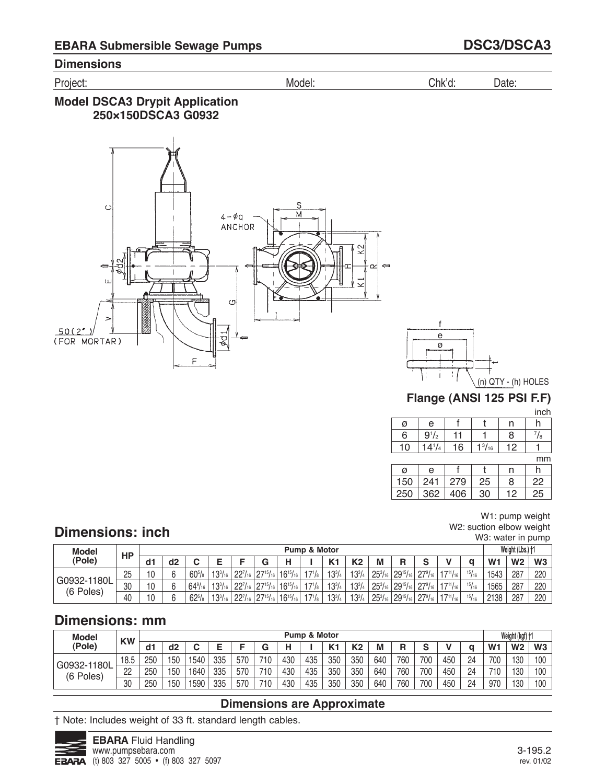Project: Model: Chk'd: Date:

## **Model DSCA3 Drypit Application 250×150DSCA3 G0932**





## **Flange (ANSI 125 PSI F.F)**

inch

|    |            |    |               |    | .  |
|----|------------|----|---------------|----|----|
| ø  | e          |    |               |    |    |
| 6  | $9^{1}/2$  |    |               | 8  | /8 |
| 10 | $14^{1/4}$ | 16 | $1^{3}/_{16}$ | 12 |    |
|    |            |    |               |    |    |

mm

| Ø   | e   |     |    |    |    |
|-----|-----|-----|----|----|----|
| 150 | 241 | 279 | 25 | 8  | 22 |
| 250 | 362 | 406 | 30 | 12 | 25 |

#### W1: pump weight W2: suction elbow weight W3: water in pump

# **Dimensions: inch**

| Model       | HP |    |        |                     |                  |                            |                  |                 | <b>Pump &amp; Motor</b> |                |                |                |                                                   |                  |                 |       |                | Weight (Lbs.) +1 |     |
|-------------|----|----|--------|---------------------|------------------|----------------------------|------------------|-----------------|-------------------------|----------------|----------------|----------------|---------------------------------------------------|------------------|-----------------|-------|----------------|------------------|-----|
| (Pole)      |    | d1 | d2     |                     |                  |                            |                  |                 |                         | K <sub>1</sub> | K <sub>2</sub> | М              | R                                                 | $\bullet$        |                 |       | W <sub>1</sub> | W <sub>2</sub>   | W3  |
|             | 25 | 10 | $\sim$ | $60^{5}/\mathrm{s}$ | $13^{3}/_{16}$   | 227/161                    | $127^{15}/_{16}$ | $16^{15}/_{16}$ | $17^{1}/_8$             | $13^{3}/4$     | $13^{3}/4$     |                | $25\frac{3}{16}$ 29 <sup>15</sup> / <sub>16</sub> | $27\frac{9}{16}$ | $17^{11}/_{16}$ | 15/16 | 1543           | 287              | 220 |
| G0932-1180L | 30 | 10 |        | $64\frac{9}{16}$    | $13^{3}/_{16}$   | $^{1}$ 22 $^{7}/_{16}$     | $127^{15}/_{16}$ | $16^{15}/_{16}$ | $17^{1}/_8$             | $13^{3}/4$     | $13^{3}/4$     | $25^{3}/_{16}$ | $ 29^{15}/_{16} $                                 | $27\frac{9}{16}$ | $17^{11}/_{16}$ | 15/16 | 1565           | 287              | 220 |
| (6 Poles)   | 40 | 10 |        | $62^{5}/\mathrm{s}$ | $13^{3}/_{16}$ , | $^{1}$ 22 $^{7}/_{16}$   . | $27^{15}/_{16}$  | $16^{15}/_{16}$ | $17^{1}/_8$             | $13^{3}/4$     | $13^{3}/4$     |                | $25^{3}/_{16}$ 29 <sup>15</sup> / <sub>16</sub>   | $27\frac{9}{16}$ | $17^{11}/_{16}$ | 15/16 | 2138           | 287              | 220 |

# **Dimensions: mm**

| <b>Model</b> | <b>KW</b> |     |                |      |     |     |     |     | <b>Pump &amp; Motor</b> |       |                       |     |     |     |     |                |                | Weight (kgf) +1 |                |
|--------------|-----------|-----|----------------|------|-----|-----|-----|-----|-------------------------|-------|-----------------------|-----|-----|-----|-----|----------------|----------------|-----------------|----------------|
| (Pole)       |           | a٦  | d <sub>2</sub> |      |     | -   | ⌒   |     |                         | $V -$ | K <sub>2</sub><br>RZ. | M   | R   | c   |     |                | W <sub>1</sub> | W <sub>2</sub>  | W <sub>3</sub> |
| G0932-1180L  | 18.5      | 250 | 50             | 540  | 335 | 570 | 710 | 430 | 435                     | 350   | 350                   | 640 | 760 | 700 | 450 | 24<br><u>.</u> | 700            | 130             | 100            |
| (6 Poles)    | n<br>ے    | 250 | 50             | 1640 | 335 | 570 | 710 | 430 | 435                     | 350   | 350                   | 640 | 760 | 700 | 450 | 24<br><u>.</u> | 710            | 130             | 100            |
|              | 30        | 250 | 50             | 590  | 335 | 570 | 710 | 430 | 435                     | 350   | 350                   | 640 | 760 | 700 | 450 | 24             | 970            | 130             | 100            |

## **Dimensions are Approximate**

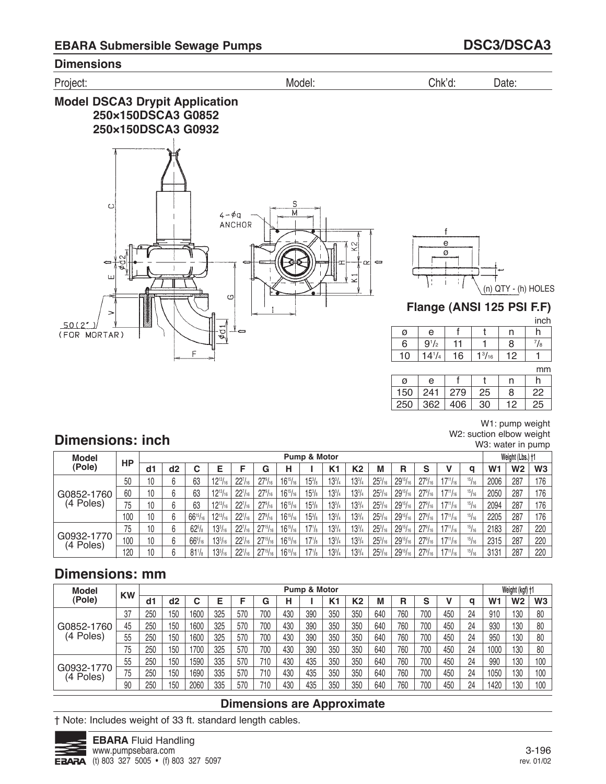

|     |     |     |    |    | ,,,,, |
|-----|-----|-----|----|----|-------|
| Ø   | e   |     |    |    |       |
| 150 | 241 | 279 | 25 | 8  | 22    |
| 250 | 362 | 406 | 30 | 12 | 25    |

W1: pump weight W2: suction elbow weight W3: water in pump

# **Dimensions: inch**

| <b>Model</b>            |     |    |    |                  |                 |                     |                  |                 | Pump & Motor    |            |            |                     |                 |                  |                 |       |                | Weight (Lbs.) +1 |                |
|-------------------------|-----|----|----|------------------|-----------------|---------------------|------------------|-----------------|-----------------|------------|------------|---------------------|-----------------|------------------|-----------------|-------|----------------|------------------|----------------|
| (Pole)                  | НP  | d1 | d2 | u                | E               |                     | G                | н               |                 | K1         | K2         | M                   | R               | S                |                 | q     | W <sub>1</sub> | W2               | W <sub>3</sub> |
|                         | 50  | 10 |    | 63               | $12^{13}/_{16}$ | $22^{7}/_{16}$      | $27\frac{9}{16}$ | $16^{15}/_{16}$ | $15\frac{3}{8}$ | $13^{3}/4$ | $13^{3}/4$ | $25^{3}/_{16}$      | $29^{15}/_{16}$ | $27\frac{9}{16}$ | $17^{11}/_{16}$ | 15/16 | 2006           | 287              | 176            |
| G0852-1760              | 60  | 10 |    | 63               | $12^{13}/_{16}$ | 22 <sup>7</sup> /16 | $27\frac{9}{16}$ | $16^{15}/_{16}$ | $15\frac{3}{8}$ | $13^{3}/4$ | $13^{3}/4$ | $25^{3}/_{16}$      | $29^{15}/_{16}$ | $27\frac{9}{16}$ | $17^{11}/_{16}$ | 15/16 | 2050           | 287              | 176            |
| (4 Poles)               | 75  | 10 |    | 63               | $12^{13}/_{16}$ | $22^{7}/_{16}$      | $27\frac{9}{16}$ | $16^{15}/_{16}$ | $15\frac{3}{8}$ | $13^{3}/4$ | $13^{3}/4$ | $25^{3}/_{16}$      | $29^{15}/_{16}$ | $27\frac{9}{16}$ | $17^{11}/_{16}$ | 15/16 | 2094           | 287              | 176            |
|                         | 100 | 10 | 6  | $66^{15}/_{16}$  | $12^{13}/_{16}$ | $22^{7}/_{16}$      | $27\frac{9}{16}$ | $16^{15}/_{16}$ | $15\frac{3}{8}$ | $13^{3}/4$ | $13^{3}/4$ | 25 <sup>3</sup> /16 | $29^{15}/_{16}$ | $27\frac{9}{16}$ | $17^{11}/_{16}$ | 15/16 | 2205           | 287              | 176            |
|                         | 75  | 10 | 6  | $62\frac{5}{8}$  | $13^{3}/_{16}$  | $22^{7}/_{16}$      | $27^{15}/_{16}$  | $16^{15}/_{16}$ | $17^{1}/8$      | $13^{3}/4$ | $13^{3}/4$ | 25 <sup>3</sup> /16 | $29^{15}/_{16}$ | $27\frac{9}{16}$ | $17^{11}/_{16}$ | 15/16 | 2183           | 287              | 220            |
| G0932-1770<br>(4 Poles) | 100 | 10 | 6  | $66\frac{9}{16}$ | $13^{3}/_{16}$  | $22^{7}/_{16}$      | $27^{15}/_{16}$  | $16^{15}/_{16}$ | $17^{1/s}$      | $13^{3}/4$ | $13^{3}/4$ | $25^{3}/_{16}$      | $29^{15}/_{16}$ | $27\frac{9}{16}$ | $17^{11}/_{16}$ | 15/16 | 2315           | 287              | 220            |
|                         | 120 | 10 | ჩ  | $81\frac{1}{8}$  | $13^{3}/_{16}$  | $22^{7}/_{16}$      | $27^{15}/_{16}$  | $16^{15}/_{16}$ | $17^{1}/8$      | $13^{3}/4$ | $13^{3}/4$ | 25 <sup>3</sup> /16 | $29^{15}/_{16}$ | $27\frac{9}{16}$ | $17^{11}/_{16}$ | 15/16 | 3131           | 287              | 220            |

# **Dimensions: mm**

| <b>Model</b>            | <b>KW</b> |     |     |      |     |     |     |     | Pump & Motor |                |     |     |     |        |     |    |                | Weight (kgf) +1 |                |
|-------------------------|-----------|-----|-----|------|-----|-----|-----|-----|--------------|----------------|-----|-----|-----|--------|-----|----|----------------|-----------------|----------------|
| (Pole)                  |           | d٦  | d2  |      | E   |     | G   | н   |              | K <sub>1</sub> | К2  | M   | R   | c<br>c |     | q  | W <sub>1</sub> | W2              | W <sub>3</sub> |
|                         | 37        | 250 | 150 | 1600 | 325 | 570 | 700 | 430 | 390          | 350            | 350 | 640 | 760 | 700    | 450 | 24 | 910            | 130             | 80             |
| G0852-1760              | 45        | 250 | 150 | 1600 | 325 | 570 | 700 | 430 | 390          | 350            | 350 | 640 | 760 | 700    | 450 | 24 | 930            | 130             | 80             |
| (4 Poles)               | 55        | 250 | 150 | 1600 | 325 | 570 | 700 | 430 | 390          | 350            | 350 | 640 | 760 | 700    | 450 | 24 | 950            | 130             | 80             |
|                         | 75        | 250 | 150 | 700  | 325 | 570 | 700 | 430 | 390          | 350            | 350 | 640 | 760 | 700    | 450 | 24 | 1000           | 130             | 80             |
|                         | 55        | 250 | 150 | 1590 | 335 | 570 | 710 | 430 | 435          | 350            | 350 | 640 | 760 | 700    | 450 | 24 | 990            | 130             | 100            |
| G0932-1770<br>(4 Poles) | 75        | 250 | 150 | 1690 | 335 | 570 | 710 | 430 | 435          | 350            | 350 | 640 | 760 | 700    | 450 | 24 | 1050           | 130             | 100            |
|                         | 90        | 250 | 150 | 2060 | 335 | 570 | 710 | 430 | 435          | 350            | 350 | 640 | 760 | 700    | 450 | 24 | 1420           | 130             | 100            |

## **Dimensions are Approximate**

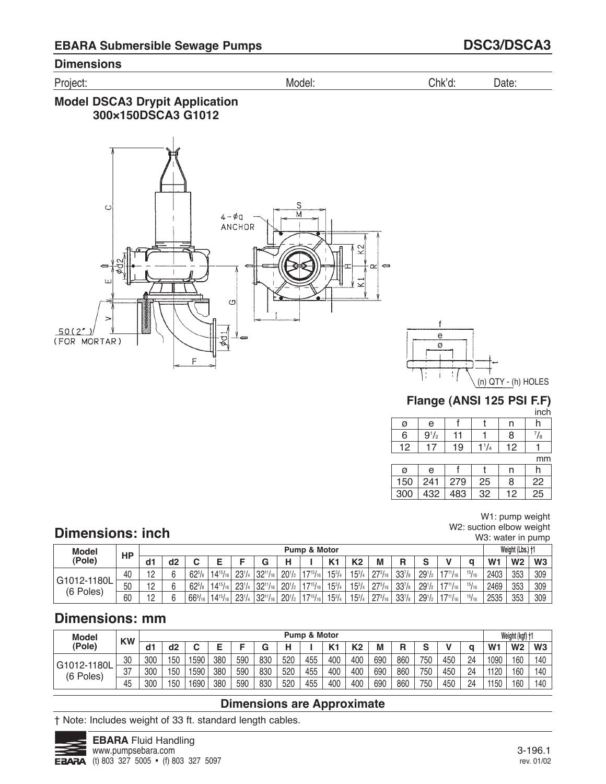Project: Model: Chk'd: Date:

## **Model DSCA3 Drypit Application 300×150DSCA3 G1012**





# **Flange (ANSI 125 PSI F.F)**

| M.<br>v |  |
|---------|--|
|         |  |

| Ø  | e         |   |    | n |         |
|----|-----------|---|----|---|---------|
| 6  | $9^{1/2}$ |   |    | R | /8      |
| 12 |           | 9 | /4 | ာ |         |
|    |           |   |    |   | $m_{m}$ |

|     |     |     |    |    | mm |
|-----|-----|-----|----|----|----|
| ø   | e   |     |    | n  |    |
| 150 | 241 | 279 | 25 | 8  | 22 |
| 300 | 432 | 483 | 32 | 12 | 25 |

#### W1: pump weight W2: suction elbow weight W3: water in pump

# **Dimensions: inch**

| <b>Model</b>             | HP |                 |                |                      |                  |                 |                  |            | <b>Pump &amp; Motor</b>   |                |                |                  |                 |                       |                 |       |                | Weight (Lbs.) +1 |     |
|--------------------------|----|-----------------|----------------|----------------------|------------------|-----------------|------------------|------------|---------------------------|----------------|----------------|------------------|-----------------|-----------------------|-----------------|-------|----------------|------------------|-----|
| (Pole)                   |    | d1              | d <sub>2</sub> |                      |                  |                 | G                |            |                           | M <sub>1</sub> | K <sub>2</sub> | М                | R               | $\mathbf{\mathbf{c}}$ |                 |       | W <sub>1</sub> | W <sub>2</sub>   | W3  |
|                          | 40 | 10              | $\sim$         | $62^{5}/s$           | $14^{15}/_{16}$  | 23 <sup>1</sup> | $32^{11}/_{16}$  | $20^{1/2}$ | 17151                     | $15^{3}/4$     | $15^{3}/_{4}$  | $27^{3}/_{16}$   | $33\frac{7}{8}$ | $29^{1/2}$            | $17^{11}/_{16}$ | 15/16 | 2403           | 353              | 309 |
| G1012-1180L<br>(6 Poles) | 50 | $\overline{10}$ |                | $62^{5}/s$           | $14^{15}/_{161}$ | $23^{1}/4$      | $132^{11}/_{16}$ | $20^{1/2}$ | $17^{15}$ / <sub>18</sub> | $15^{3}/4$     | $15^{3}/_{4}$  | $27^{3}/_{16}$   | $33^{7}/_{8}$   | $29^{1/2}$            | $17^{11}/_{16}$ | 15/16 | 2469           | 353              | 309 |
|                          | 60 | $\overline{A}$  |                | $66\%$ <sub>16</sub> | $14^{15}/_{161}$ | $23^{1/4}$      | $132^{11}/_{16}$ | $20^{1/2}$ | $17^{15}$ / <sub>16</sub> | $15^{3}/_{4}$  | $15^{3}/4$     | $27^{3}/_{16}$ . | $33\frac{7}{8}$ | $29^{1/2}$            | $17^{11}/_{16}$ | 15/16 | 2535           | 353              | 309 |

# **Dimensions: mm**

| <b>Model</b>             | <b>KW</b> |     |     |      |     |     |     |     | <b>Pump &amp; Motor</b> |       |     |     |        |     |     |    |                | Weight (kgf) +1 |                |
|--------------------------|-----------|-----|-----|------|-----|-----|-----|-----|-------------------------|-------|-----|-----|--------|-----|-----|----|----------------|-----------------|----------------|
| (Pole)                   |           | a٦  | d2  |      |     | -   | ⌒   |     |                         | $V -$ | ĸ٥  | М   | D<br>n | c   |     |    | W <sub>1</sub> | W <sub>2</sub>  | W <sub>3</sub> |
| G1012-1180L<br>(6 Poles) | 30        | 300 | 150 | 590  | 380 | 590 | 830 | 520 | 455                     | 400   | 400 | 690 | 860    | 750 | 450 | 24 | 1090           | 160             | 140            |
|                          | 37        | 300 | 150 | 1590 | 380 | 590 | 830 | 520 | 455                     | 400   | 400 | 690 | 860    | 750 | 450 | 24 | 1120           | 160             | 140            |
|                          | 45        | 300 | 150 | 690  | 380 | 590 | 830 | 520 | 455                     | 400   | 400 | 690 | 860    | 750 | 450 | 24 | 1150           | 160             | 140            |

## **Dimensions are Approximate**

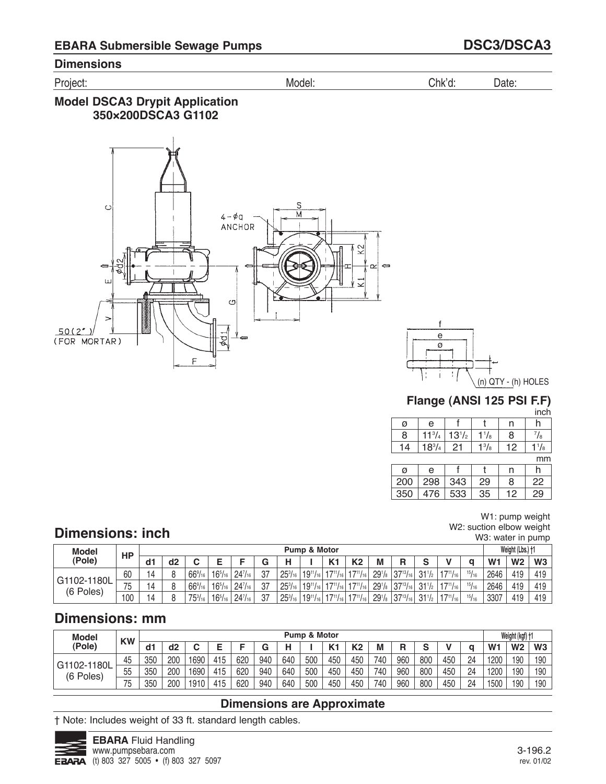Project: Model: Chk'd: Date:

## **Model DSCA3 Drypit Application 350×200DSCA3 G1102**





# **Flange (ANSI 125 PSI F.F)**

inch

| a | e               |             |         |      |           |
|---|-----------------|-------------|---------|------|-----------|
| m | $11^{37}$       | . .<br>1372 | /8      | 8    | /8        |
|   | 18 <sup>3</sup> | 21          | 3<br>78 | - 12 | 78        |
|   |                 |             |         |      | $- - - -$ |

mm

| ø   | e   |     |    | n  |    |
|-----|-----|-----|----|----|----|
| 200 | 298 | 343 | 29 | 8  | 22 |
| 350 | 476 | 533 | 35 | 12 | 29 |

#### W1: pump weight W2: suction elbow weight W3: water in pump

# **Dimensions: inch**

| <b>Model</b>             | <b>HP</b>         |    |         |                      |                |                     |    |                | Pump & Motor    |                  |                 |                    |                   |                 |                 |       |                | Weight (Lbs.) +1 |     |
|--------------------------|-------------------|----|---------|----------------------|----------------|---------------------|----|----------------|-----------------|------------------|-----------------|--------------------|-------------------|-----------------|-----------------|-------|----------------|------------------|-----|
| (Pole)                   |                   | d1 | d2      |                      |                | -                   | G  |                |                 | $V -$            | K <sub>2</sub>  | М                  | R                 | $\bullet$       |                 |       | W <sub>1</sub> | W <sub>2</sub>   | W3  |
|                          | 60                | 14 | $\circ$ | $66\frac{9}{16}$     | $16^{5}/_{16}$ | 24 <sup>7</sup> /16 | 27 | $25^{3}/_{16}$ | $19^{11}$       | 1711/            | 1711.           | $29^{1}/_{8}$      | $37^{13}/_{16}$   | 311             | 1711/<br>16     | 15/16 | 2646           | 419              | 419 |
| G1102-1180L<br>(6 Poles) | – –<br>$\sqrt{5}$ | 14 | Ω       | $66\%$ <sub>16</sub> | $16^{5}/_{16}$ | 24 <sup>7</sup> /16 | רמ | $25^{3}/_{16}$ | $19^{11}/_1$    | 1711             | 1711.           | 29 <sup>1</sup> /s | $137^{13}/_{16}$  | 311             | 1711/           | 15/16 | 2646           | 419              | 419 |
|                          | 100               |    |         | $75^{3}/_{16}$       | $16^{5}/_{16}$ | $24\frac{7}{16}$    | 27 | $25^{3}/_{16}$ | $19^{11}/_{16}$ | $147^{11}/161$ . | $17^{11}/_{16}$ | 29 <sup>1</sup> /s | $ 37^{13}/_{16} $ | $31\frac{1}{2}$ | $17^{11}/_{16}$ | 15/16 | 3307           | 419              | 419 |

# **Dimensions: mm**

| <b>Model</b>             | <b>KW</b> |     |     |      |     |     |     |     | <b>Pump &amp; Motor</b> |                |                |     |     |     |     |                |                | Weight (kgf) +1 |                |
|--------------------------|-----------|-----|-----|------|-----|-----|-----|-----|-------------------------|----------------|----------------|-----|-----|-----|-----|----------------|----------------|-----------------|----------------|
| (Pole)                   |           | d1  | d2  |      |     | Е   | G   |     |                         | M <sub>1</sub> | K <sub>2</sub> | M   | R   | C   |     |                | W <sub>1</sub> | W <sub>2</sub>  | W <sub>3</sub> |
| G1102-1180L<br>(6 Poles) | 45        | 350 | 200 | 690  | 415 | 620 | 940 | 640 | 500                     | 450            | 450            | 740 | 960 | 800 | 450 | 24<br>--       | 1200           | 190             | 190            |
|                          | 55        | 350 | 200 | 1690 | 415 | 620 | 940 | 640 | 500                     | 450            | 450            | 740 | 960 | 800 | 450 | 24             | 1200           | 190             | 190            |
|                          | 75        | 350 | 200 | 1910 | 415 | 620 | 940 | 640 | 500                     | 450            | 450            | 740 | 960 | 800 | 450 | 24<br><u>.</u> | 500            | 190             | 190            |

## **Dimensions are Approximate**

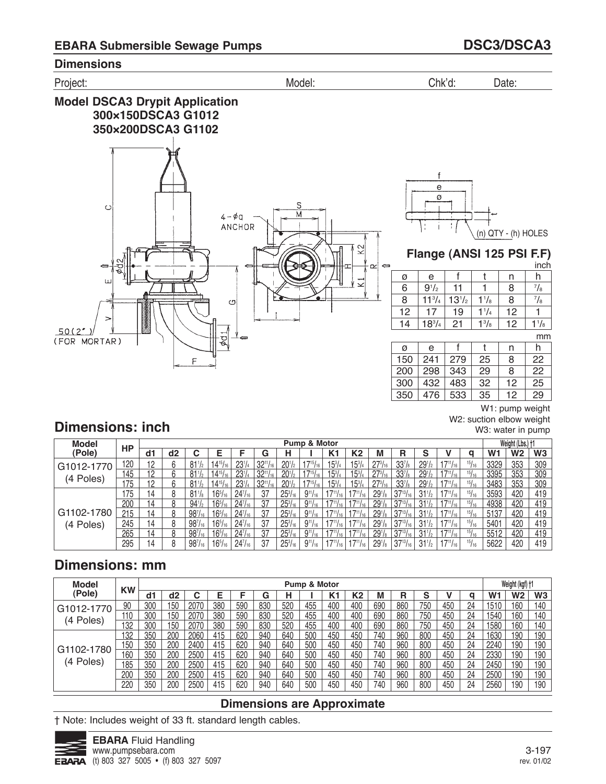



W2: suction elbow weight W3: water in pump

# **Dimensions: inch**

| Model                   | <b>HP</b> |    |    |                 |                |                     |           |                  | Pump & Motor                 |                   |                          |                    |                    |                         |                |               |                | Weight (Lbs.) +1 |                |
|-------------------------|-----------|----|----|-----------------|----------------|---------------------|-----------|------------------|------------------------------|-------------------|--------------------------|--------------------|--------------------|-------------------------|----------------|---------------|----------------|------------------|----------------|
| (Pole)                  |           | d1 | d2 |                 |                |                     | G         |                  |                              | K1                | K2                       | M                  | R                  |                         |                | a             | W <sub>1</sub> | <b>W2</b>        | W <sub>3</sub> |
| G <sub>1012</sub> -1770 | 120       | 12 |    | $81\frac{1}{2}$ | $14^{15}$ /    | $23^{1}/4$          | $32^{11}$ | $20^{1/2}$       | $17^{15}/_{16}$              | $15^{3}/_{4}$     | $15^{3}/_{4}$            | $27^{3}/_{16}$     | 33 <sup>7</sup> /8 | 29 <sub>1</sub>         | $17^{11}/16$   | 15/16         | 3329           | 353              | 309            |
| (4 Poles)               | 145       | 10 |    | $81\frac{1}{2}$ | $14^{15}$      | $23^{1}/4$          | 2011      |                  | $+17^{15}$ / <sub>16</sub> i | $15^{3}/_{4}$     | $15^{3}/_{4}$            | $27^{3}/_{16}$     | 33 <sup>7</sup> /s | $29^{1/2}$              |                | $^{15}/_{16}$ | 3395           | 353              | 309            |
|                         | 175       |    |    | $81\frac{1}{2}$ | $14^{15}$      | $23^{1}/4$          |           |                  |                              | $1.5^{3}/_{4}$    | $15^{3}/_{4}$            | $27^{3}/_{16}$     | 33 <sup>7</sup> /s | $291$ / <sub>2</sub>    |                | 15/16         | 3483           | 353              | 309            |
|                         | 175       | 14 |    | $81\frac{1}{8}$ | $16^{5}/_{16}$ | 24 <sup>7</sup> /16 | 37        | $25\frac{3}{16}$ | $9^{11}/_{16}$               | $17^{11}/_{16}$   | $17^{11}/_{16}$          | 29 <sup>1</sup> /s | $37^{13}/_{16}$    | $31\frac{1}{2}$         | $17^{11}/16$ 1 | 15/16         | 3593           | 420              | 419            |
|                         | 200       | 14 | Ջ  | $94\frac{1}{2}$ | $16^{5}/_{16}$ | $24^{7}/_{16}$      | 37        | $25^{3}/_{16}$   | $9^{11}$ /                   |                   |                          | 29 <sup>1</sup> /s | $37^{13}/_{16}$    |                         |                | 15/16         | 4938           | 420              | 419            |
| G1102-1780              | 215       | 14 |    | $98^{7}/_{16}$  | $16^{5}/_{16}$ | $24^{7}/_{16}$      | 37        | $25^{3}/_{16}$   | $9^{11}/16$                  |                   | $4711$ / <sub>16</sub> + | $29^{1}/s$         | $37^{13}/_{16}$    | $31\frac{1}{2}$         |                | 15/16         | 5137           | 420              | 419            |
| (4 Poles)               | 245       | 14 |    | $98^{7}/_{16}$  | $16^{5}/_{16}$ | 24 <sup>7</sup> /16 | 37        | $25\frac{3}{16}$ | $9^{11}/_{16}$               | $17^{11}/_{16}$   | $17^{11}/_{16}$          | 29 <sup>1</sup> /s | $37^{13}/_{16}$    | $31\frac{1}{2}$         | $17^{11}/16$   | 15/16         | 5401           | 420              | 419            |
|                         | 265       | 14 |    | $98^{7}/_{16}$  | $16^{5}/_{16}$ | $24^{7}/_{16}$      | 37        | $25^{3}/_{16}$   | $9^{11}/_{16}$               |                   | $17^{11}/_{16}$ J        | 29 <sup>1</sup> /s | $37^{13}/_{16}$    | 31 <sup>1</sup><br>' /2 |                | 15/16         | 5512           | 420              | 419            |
|                         | 295       | 14 | 8  | $98^{7}/_{16}$  | $16^{5}/_{16}$ | $24^{7}/_{16}$      | -37       | $25^{3}/_{16}$   | $9^{11}/_{16}$               | $17^{11}/_{16}$ . | $17^{11}/16$ 1.          | 29 <sup>1</sup> /s | $37^{13}/_{16}$    | $31\frac{1}{2}$         | $17^{11}/16$ 1 | 15/16         | 5622           | 420              | 419            |

# **Dimensions: mm**

| <b>Model</b> | <b>KW</b> |     |     |      |     |     |     |     | Pump & Motor |     |     |     |     |        |     |    |                | Weight (kgf) +1 |                |
|--------------|-----------|-----|-----|------|-----|-----|-----|-----|--------------|-----|-----|-----|-----|--------|-----|----|----------------|-----------------|----------------|
| (Pole)       |           | d1  | d2  | ⌒    | E   |     | G   | н   |              | K1  | K2  | М   | R   | c<br>ə |     | a  | W <sub>1</sub> | W2              | W <sub>3</sub> |
| G1012-1770   | 90        | 300 | 150 | 2070 | 380 | 590 | 830 | 520 | 455          | 400 | 400 | 690 | 860 | 750    | 450 | 24 | 1510           | 160             | 140            |
|              | 110       | 300 | 150 | 2070 | 380 | 590 | 830 | 520 | 455          | 400 | 400 | 690 | 860 | 750    | 450 | 24 | 1540           | 160             | 140            |
| (4 Poles)    | 132       | 300 | 150 | 2070 | 380 | 590 | 830 | 520 | 455          | 400 | 400 | 690 | 860 | 750    | 450 | 24 | 1580           | 160             | 140            |
|              | 32        | 350 | 200 | 2060 | 415 | 620 | 940 | 640 | 500          | 450 | 450 | 740 | 960 | 800    | 450 | 24 | 1630           | 190             | 190            |
| G1102-1780   | 150       | 350 | 200 | 2400 | 415 | 620 | 940 | 640 | 500          | 450 | 450 | 740 | 960 | 800    | 450 | 24 | 2240           | 190             | 190            |
|              | 60        | 350 | 200 | 2500 | 415 | 620 | 940 | 640 | 500          | 450 | 450 | 740 | 960 | 800    | 450 | 24 | 2330           | 190             | 190            |
| (4 Poles)    | 185       | 350 | 200 | 2500 | 415 | 620 | 940 | 640 | 500          | 450 | 450 | 740 | 960 | 800    | 450 | 24 | 2450           | 190             | 190            |
|              | 200       | 350 | 200 | 2500 | 415 | 620 | 940 | 640 | 500          | 450 | 450 | 740 | 960 | 800    | 450 | 24 | 2500           | 190             | 190            |
|              | 220       | 350 | 200 | 2500 | 415 | 620 | 940 | 640 | 500          | 450 | 450 | 740 | 960 | 800    | 450 | 24 | 2560           | 190             | 190            |

## **Dimensions are Approximate**

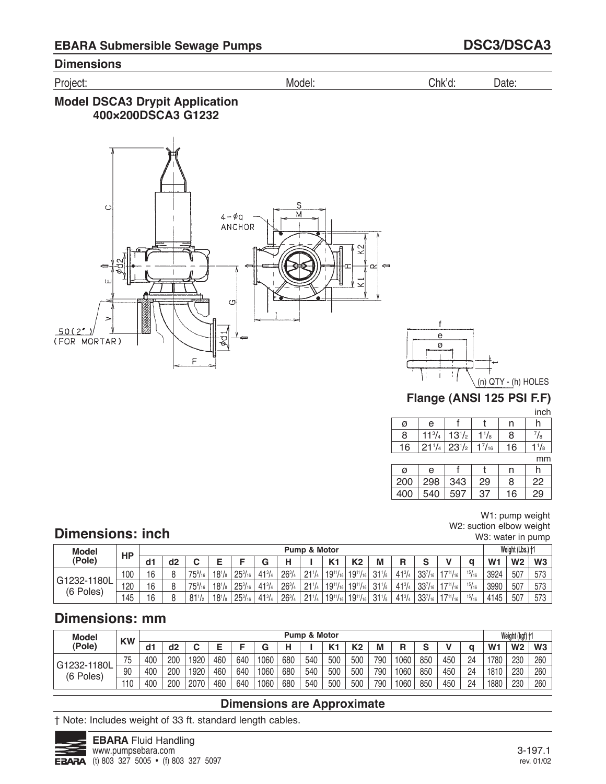Project: Model: Chk'd: Date:

## **Model DSCA3 Drypit Application 400×200DSCA3 G1232**





## **Flange (ANSI 125 PSI F.F)**

inch

| ------   |    |               |                                           |            |    |
|----------|----|---------------|-------------------------------------------|------------|----|
|          |    |               |                                           | е          | Ø  |
| /8       | 8  | $^{1}/_{8}$   | $13^{1/2}$                                | $11^{3}/4$ |    |
| $^{1}/8$ | 16 | $1^{7}/_{16}$ | $21^{1/4}$ 23 <sup>1</sup> / <sub>2</sub> |            | 16 |
|          |    |               |                                           |            |    |

mm

| ø   | e   |     |    | n  |    |
|-----|-----|-----|----|----|----|
| 200 | 298 | 343 | 29 | 8  | 22 |
| 400 | 540 | 597 | 37 | 16 | 29 |

#### W1: pump weight W2: suction elbow weight W3: water in pump

# **Dimensions: inch**

| <b>Model</b>             | HP  |    |                |                      |                     |                  |               |               | Pump & Motor |                   |                 |                 |               |                |                  |       |                | Weight (Lbs.) +1 |     |
|--------------------------|-----|----|----------------|----------------------|---------------------|------------------|---------------|---------------|--------------|-------------------|-----------------|-----------------|---------------|----------------|------------------|-------|----------------|------------------|-----|
| (Pole)                   |     | d1 | d <sub>2</sub> |                      |                     |                  |               |               |              | K <sub>1</sub>    | K <sub>2</sub>  | М               | B             | c              |                  |       | W <sub>1</sub> | W <sub>2</sub>   | W3  |
| G1232-1180L<br>(6 Poles) | 100 | 16 |                | $75\%$ <sub>16</sub> | $18^{1}/_8$         | $25\frac{3}{16}$ | $41^{3}/4$    | $26^{3}/$     | 211          | $19^{11}/_{16}$   | $19^{11}/_{16}$ | $31\frac{1}{8}$ | $41^{3}/_{4}$ | $33^{7}/_{16}$ | $17^{11}/_{16}$  | 15/16 | 3924           | 507              | 573 |
|                          | 120 | 16 |                | $75\%$ <sub>16</sub> | $18^{1}/_8$         | $25\frac{3}{16}$ | $41^{3}/4$    | $26^{3}/$     | 211          | $19^{11}/_{16}$ . | $19^{11}/_{16}$ | $31\frac{1}{8}$ | 413/7         | $33^{7}/_{16}$ | $17^{11}/_{161}$ | 15/16 | 3990           | 507              | 573 |
|                          | 45  | 16 |                | $81^{1/2}$           | $18^{1}/\mathrm{s}$ | $25\frac{3}{16}$ | $41^{3}/_{4}$ | $26^{3}/_{4}$ | 211          | $19^{11}/_{16}$   | $19^{11}/_{16}$ | $31\frac{1}{8}$ | $41^{3}/_{4}$ | $33^{7}/_{16}$ | $17^{11}/_{161}$ | 15/16 | 4145           | 507              | 573 |

# **Dimensions: mm**

| <b>Model</b>             | <b>KW</b> |     |     |      |     |     |      |     | <b>Pump &amp; Motor</b> |                    |                |     |        |     |     |    |                | Weight (kgf) +1 |                |
|--------------------------|-----------|-----|-----|------|-----|-----|------|-----|-------------------------|--------------------|----------------|-----|--------|-----|-----|----|----------------|-----------------|----------------|
| (Pole)                   |           | d1  | d2  |      |     |     | G    |     |                         | $\boldsymbol{V}$ 4 | K <sub>2</sub> | М   | D<br>n | c   |     |    | W <sub>1</sub> | W <sub>2</sub>  | W <sub>3</sub> |
| G1232-1180L<br>(6 Poles) | 75        | 400 | 200 | 1920 | 460 | 640 | 1060 | 680 | 540                     | 500                | 500            | 790 | 1060   | 850 | 450 | 24 | 1780           | 230             | 260            |
|                          | 90        | 400 | 200 | 1920 | 460 | 640 | 1060 | 680 | 540                     | 500                | 500            | 790 | 1060   | 850 | 450 | 24 | 1810           | 230             | 260            |
|                          | 10        | 400 | 200 | 2070 | 460 | 640 | 1060 | 680 | 540                     | 500                | 500            | 790 | 1060   | 850 | 450 | 24 | 1880           | 230             | 260            |

## **Dimensions are Approximate**

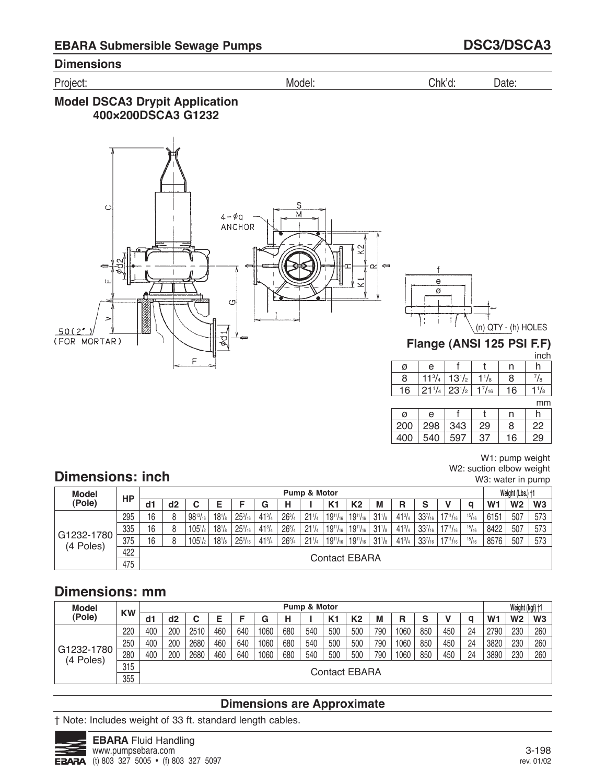Project: Model: Chk'd: Date:

## **Model DSCA3 Drypit Application 400×200DSCA3 G1232**



 $1\frac{1}{8}$ mm

h 7 /8

inch

|     |     |     |     |    | ,,,,,, |
|-----|-----|-----|-----|----|--------|
| Ø   | e   |     |     | n  |        |
| 200 | 298 | 343 | 29  | 8  | 22     |
| 400 | 540 | 597 | -37 | 16 | 29     |

W1: pump weight W2: suction elbow weight W3: water in pump

n 8 16

# **Dimensions: inch**

| <b>Model</b>            |           |    |    |                  |            |                |               |               | Pump & Motor |                 |                 |                 |               |                |                 |       |                | Weight (Lbs.) +1 |                |
|-------------------------|-----------|----|----|------------------|------------|----------------|---------------|---------------|--------------|-----------------|-----------------|-----------------|---------------|----------------|-----------------|-------|----------------|------------------|----------------|
| (Pole)                  | <b>HP</b> | d1 | d2 | u                |            |                | G             | н             |              | K <sub>1</sub>  | K <sub>2</sub>  | M               | R             | s              |                 | a     | W <sub>1</sub> | W <sub>2</sub>   | W <sub>3</sub> |
|                         | 295       | 16 | R  | $98^{13}/_{16}$  | $18^{1}/s$ | $25^{3}/_{16}$ | $41^{3}/4$    | $26^{3}/_{4}$ | $21^{1/4}$   | $19^{11}/_{16}$ | $19^{11}/_{16}$ | $31\frac{1}{8}$ | $41^{3}/4$    | $33^{7}/_{16}$ | $17^{11}/_{16}$ | 15/16 | 6151           | 507              | 573            |
|                         | 335       | 16 |    | $105\frac{1}{2}$ | $18^{1}/s$ | $25^{3}/_{16}$ | $41^{3}/4$    | $26^{3}/_{4}$ | $21^{1/4}$   | $19^{11}/_{16}$ | $19^{11}/_{16}$ | $31\frac{1}{8}$ | $41^{3}/4$    | $33^{7}/_{16}$ | $17^{11}/_{16}$ | 15/16 | 8422           | 507              | 573            |
| G1232-1780<br>(4 Poles) | 375       | 16 |    | $105\frac{1}{2}$ | $18^{1}/s$ | $25^{3}/_{16}$ | $41^{3}/_{4}$ | $26^{3}/_{4}$ | $21^{1/4}$   | $19^{11}/_{16}$ | $19^{11}/_{16}$ | $31\frac{1}{8}$ | $41^{3}/_{4}$ | $33^{7}/_{16}$ | $17^{11}/_{16}$ | 15/16 | 8576           | 507              | 573            |
|                         | 422       |    |    |                  |            |                |               |               |              |                 | Contact EBARA   |                 |               |                |                 |       |                |                  |                |
|                         | 475       |    |    |                  |            |                |               |               |              |                 |                 |                 |               |                |                 |       |                |                  |                |

# **Dimensions: mm**

| <b>Model</b> |           |     |     |      |     |     |      |     | <b>Pump &amp; Motor</b> |     |                      |     |      |     |     |    |                | Weight (kgf) +1 |     |
|--------------|-----------|-----|-----|------|-----|-----|------|-----|-------------------------|-----|----------------------|-----|------|-----|-----|----|----------------|-----------------|-----|
| (Pole)       | <b>KW</b> | d1  | d2  |      |     |     | G    | н   |                         | K1  | K <sub>2</sub>       | M   | R    | s   |     |    | W <sub>1</sub> | W <sub>2</sub>  | W3  |
|              | 220       | 400 | 200 | 2510 | 460 | 640 | 1060 | 680 | 540                     | 500 | 500                  | 790 | 1060 | 850 | 450 | 24 | 2790           | 230             | 260 |
|              | 250       | 400 | 200 | 2680 | 460 | 640 | 1060 | 680 | 540                     | 500 | 500                  | 790 | 1060 | 850 | 450 | 24 | 3820           | 230             | 260 |
| G1232-1780   | 280       | 400 | 200 | 2680 | 460 | 640 | 1060 | 680 | 540                     | 500 | 500                  | 790 | 1060 | 850 | 450 | 24 | 3890           | 230             | 260 |
| (4 Poles)    | 315       |     |     |      |     |     |      |     |                         |     |                      |     |      |     |     |    |                |                 |     |
|              | 355       |     |     |      |     |     |      |     |                         |     | <b>Contact EBARA</b> |     |      |     |     |    |                |                 |     |

# **Dimensions are Approximate**

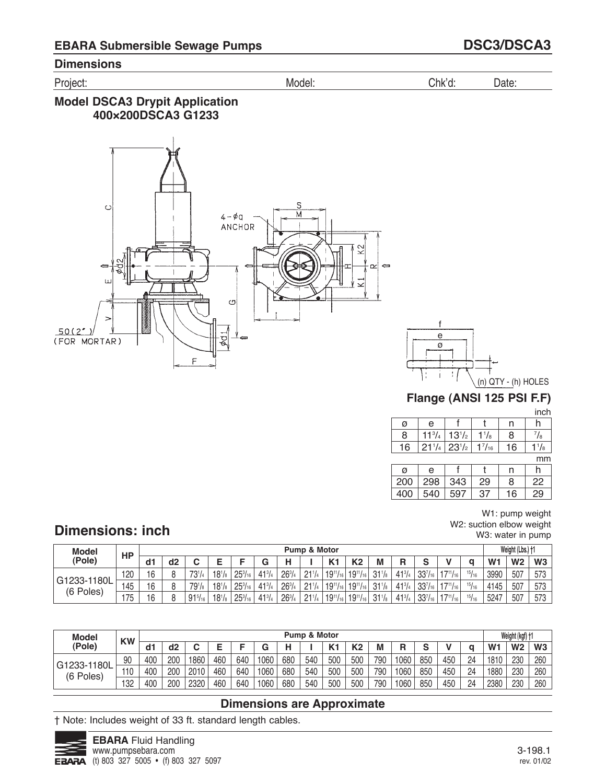Project: Model: Chk'd: Date:

## **Model DSCA3 Drypit Application 400×200DSCA3 G1233**





## **Flange (ANSI 125 PSI F.F)**

inch

| e          |            |               |    |                        |
|------------|------------|---------------|----|------------------------|
| $11^{3}/4$ | $13^{1/2}$ | $^1/8$        | 8  | /8                     |
| $21^{1/4}$ | $23^{1/2}$ | $1^{7}/_{16}$ | 16 | $^{\prime}/\mathrm{s}$ |
|            |            |               |    |                        |

mm

| $\alpha$ | e   |     |    | n  |    |
|----------|-----|-----|----|----|----|
| 200      | 298 | 343 | 29 | 8  | 22 |
| 400      | 540 | 597 | 37 | 16 | 29 |

#### W1: pump weight W2: suction elbow weight W3: water in pump

# **Dimensions: inch**

| <b>Model</b>             | <b>HP</b> |    |    |                |             |                  |               |           | <b>Pump &amp; Motor</b> |                 |                 |                 |               |                   |                  |       |                | Weight (Lbs.) +1 |     |
|--------------------------|-----------|----|----|----------------|-------------|------------------|---------------|-----------|-------------------------|-----------------|-----------------|-----------------|---------------|-------------------|------------------|-------|----------------|------------------|-----|
| (Pole)                   |           | d1 | d2 |                |             |                  |               |           |                         | K <sub>1</sub>  | K <sub>2</sub>  | М               | R             |                   |                  |       | W <sub>1</sub> | W <sub>2</sub>   | W3  |
| G1233-1180L<br>(6 Poles) | 120       | 16 |    | $73^{1/4}$     | $18^{1}/_8$ | $25\frac{3}{16}$ | $41^{3}/_{4}$ | $26^{3}/$ | 211                     | $19^{11}/_{16}$ | $19^{11}/_{16}$ | $31\frac{1}{8}$ | $41^{3}/_{4}$ | $33^{7}/_{16}$    | $17^{11}/_{161}$ | 15/16 | 3990           | 507              | 573 |
|                          | 145       | 16 |    | 791/8          | $18^{1}/_8$ | $25\frac{3}{16}$ | $41^{3}/_{4}$ | $26^{3}/$ | 211                     | $19^{11}/_{16}$ | $19^{11}/_{16}$ | 31 <sup>1</sup> | $41^{3}/_{4}$ | $337\frac{1}{10}$ | 47111            | 15/16 | 4145           | 507              | 573 |
|                          | 175       | 16 |    | $91^{5}/_{16}$ | $18^{1}/s$  | $25\frac{3}{16}$ | $41^{3}/_{4}$ | $26^{3}/$ | 211                     | $19^{11}/_{16}$ | $19^{11}/_{16}$ | $31\frac{1}{8}$ | $41^{3}/_{4}$ | $33^{7}/_{16}$    | $17^{11}/_{16}$  | 15/16 | 5247           | 507              | 573 |

| <b>Model</b>             | <b>KW</b> |     |     |      |     |     |      |     | <b>Pump &amp; Motor</b> |                 |     |     |      |        |     |    |                | Weight (kgf) +1 |     |
|--------------------------|-----------|-----|-----|------|-----|-----|------|-----|-------------------------|-----------------|-----|-----|------|--------|-----|----|----------------|-----------------|-----|
| (Pole)                   |           | d1  | d2  |      |     | -   |      |     |                         | $\mathcal{U}$ + | K2  |     | R    | $\sim$ |     |    | W <sub>1</sub> | W <sub>2</sub>  | W3  |
| G1233-1180L<br>(6 Poles) | 90        | 400 | 200 | 1860 | 460 | 640 | 1060 | 680 | 540                     | 500             | 500 | 790 | 1060 | 850    | 450 | 24 | 1810           | 230             | 260 |
|                          | 110       | 400 | 200 | 2010 | 460 | 640 | 1060 | 680 | 540                     | 500             | 500 | 790 | 1060 | 850    | 450 | 24 | 1880           | 230             | 260 |
|                          | 132       | 400 | 200 | 2320 | 460 | 640 | 1060 | 680 | 540                     | 500             | 500 | 790 | 1060 | 850    | 450 | 24 | 2380           | 230             | 260 |

# **Dimensions are Approximate**